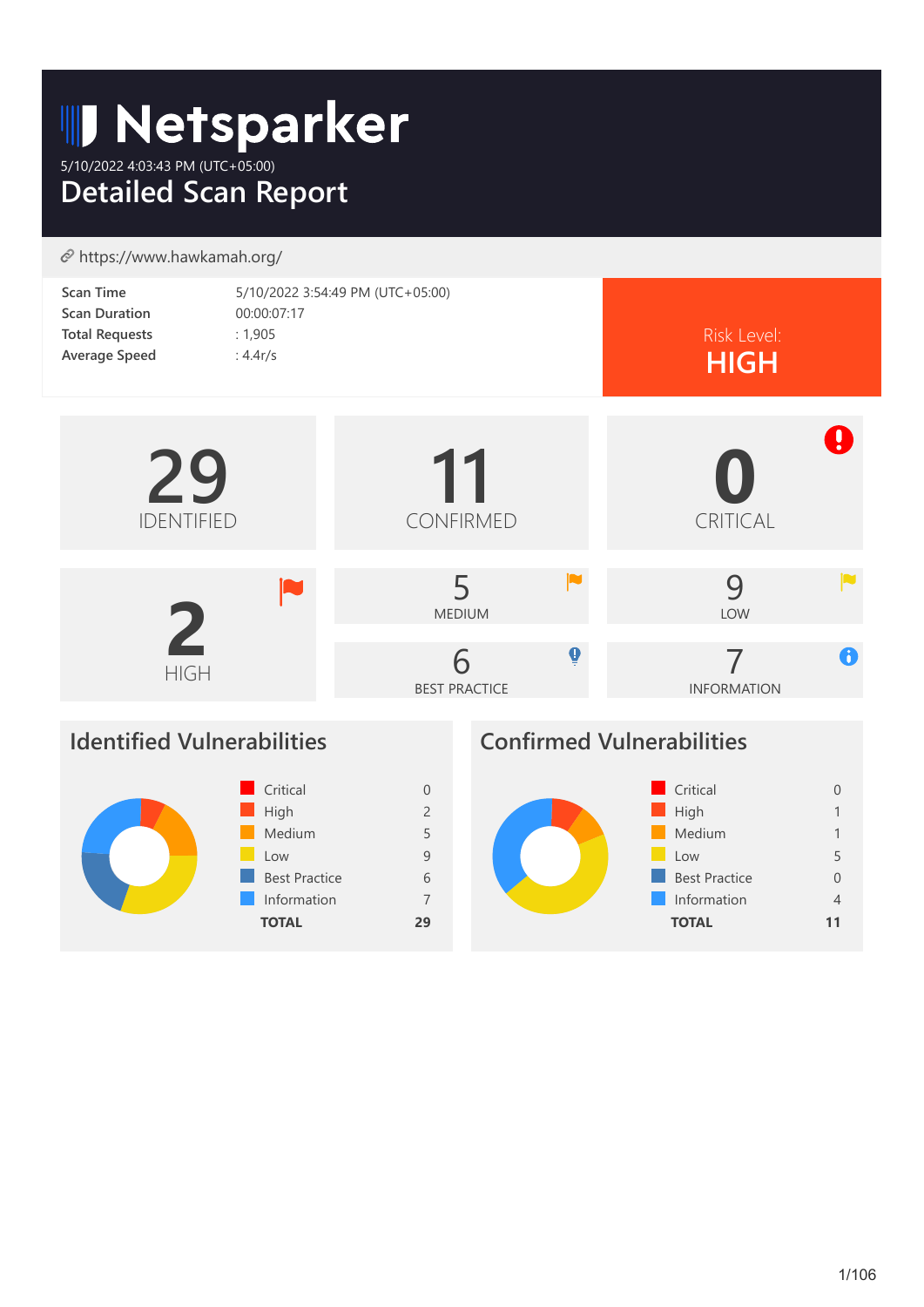# **ID Netsparker**

5/10/2022 4:03:43 PM (UTC+05:00) **Detailed Scan Report**

# https://www.hawkamah.org/

| <b>Scan Time</b>      | 5/10/2022 3:54:49 PM (UTC+05:00) |             |
|-----------------------|----------------------------------|-------------|
| <b>Scan Duration</b>  | 00:00:07:17                      |             |
| <b>Total Requests</b> | : 1,905                          | Risk Level: |
| <b>Average Speed</b>  | : $4.4r/s$                       | <b>HIGH</b> |



# **Identified Vulnerabilities**



# **Confirmed Vulnerabilities**

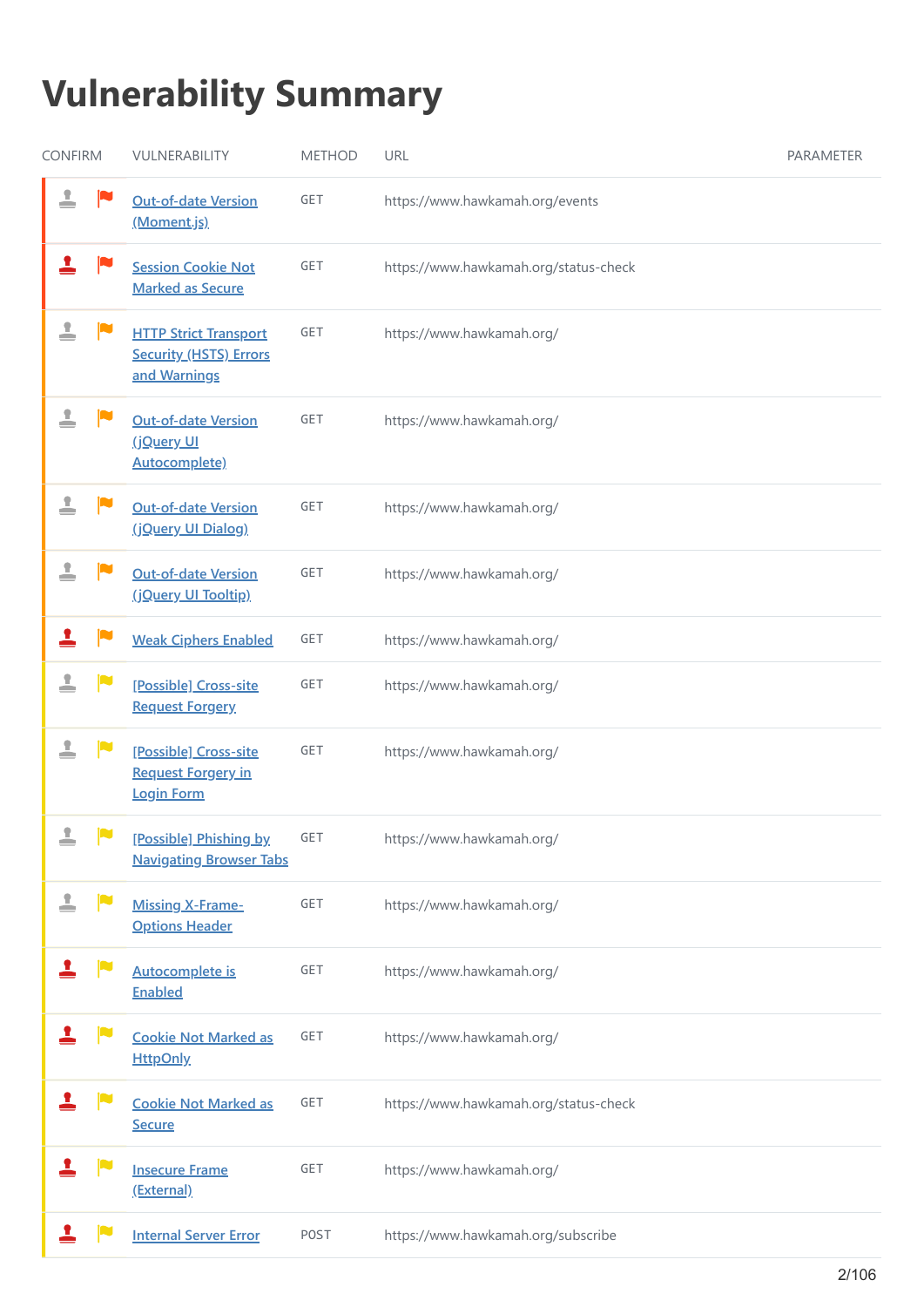# **Vulnerability Summary**

| <b>CONFIRM</b>              | VULNERABILITY                                                                 | <b>METHOD</b> | URL                                   | PARAMETER |
|-----------------------------|-------------------------------------------------------------------------------|---------------|---------------------------------------|-----------|
| 1                           | <b>Out-of-date Version</b><br>(Moment.js)                                     | GET           | https://www.hawkamah.org/events       |           |
| п                           | <b>Session Cookie Not</b><br><b>Marked as Secure</b>                          | GET           | https://www.hawkamah.org/status-check |           |
| ≗                           | <b>HTTP Strict Transport</b><br><b>Security (HSTS) Errors</b><br>and Warnings | GET           | https://www.hawkamah.org/             |           |
| 1                           | <b>Out-of-date Version</b><br>(jQuery UI<br><b>Autocomplete)</b>              | GET           | https://www.hawkamah.org/             |           |
| ▁                           | <b>Out-of-date Version</b><br>(jQuery UI Dialog)                              | GET           | https://www.hawkamah.org/             |           |
| ≟                           | <b>Out-of-date Version</b><br>(jQuery UI Tooltip)                             | GET           | https://www.hawkamah.org/             |           |
| м                           | <b>Weak Ciphers Enabled</b>                                                   | GET           | https://www.hawkamah.org/             |           |
| ≟<br>N                      | [Possible] Cross-site<br><b>Request Forgery</b>                               | GET           | https://www.hawkamah.org/             |           |
| $\mathbf{L}$                | [Possible] Cross-site<br><b>Request Forgery in</b><br>Login Form              | GET           | https://www.hawkamah.org/             |           |
| Υ.<br><b>IN</b><br>$\equiv$ | [Possible] Phishing by<br><b>Navigating Browser Tabs</b>                      | GET           | https://www.hawkamah.org/             |           |
| ▁<br>└                      | <b>Missing X-Frame-</b><br><b>Options Header</b>                              | GET           | https://www.hawkamah.org/             |           |
| П                           | <b>Autocomplete is</b><br><b>Enabled</b>                                      | GET           | https://www.hawkamah.org/             |           |
|                             | <b>Cookie Not Marked as</b><br><b>HttpOnly</b>                                | GET           | https://www.hawkamah.org/             |           |
| <u>1</u>                    | <b>Cookie Not Marked as</b><br><b>Secure</b>                                  | GET           | https://www.hawkamah.org/status-check |           |
|                             | <b>Insecure Frame</b><br>(External)                                           | GET           | https://www.hawkamah.org/             |           |
|                             | <b>Internal Server Error</b>                                                  | <b>POST</b>   | https://www.hawkamah.org/subscribe    |           |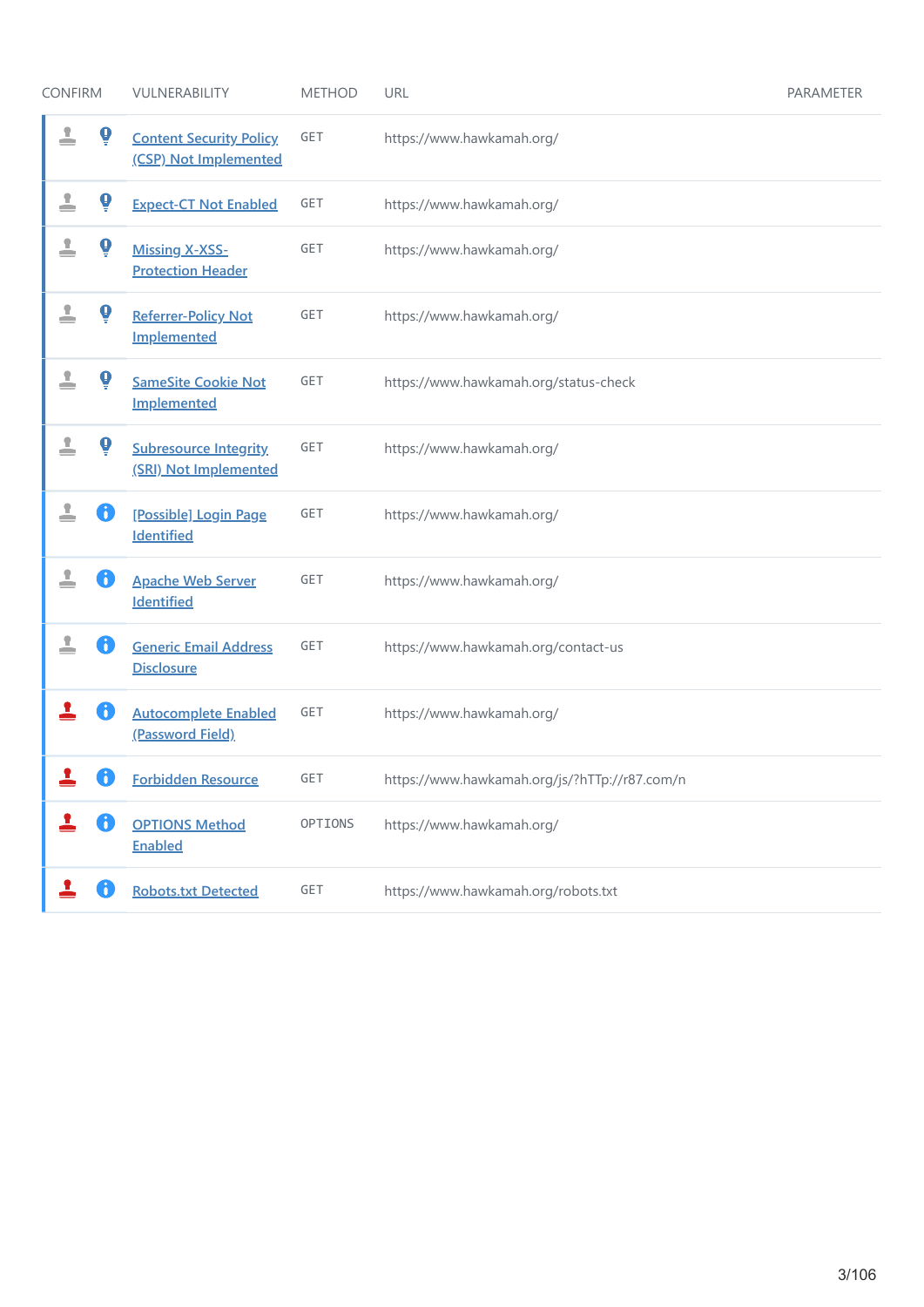| <b>CONFIRM</b> |                       | VULNERABILITY                                           | <b>METHOD</b> | URL                                           | PARAMETER |
|----------------|-----------------------|---------------------------------------------------------|---------------|-----------------------------------------------|-----------|
| ≟              | $\boldsymbol{\Theta}$ | <b>Content Security Policy</b><br>(CSP) Not Implemented | <b>GET</b>    | https://www.hawkamah.org/                     |           |
| ≟              | Ò                     | <b>Expect-CT Not Enabled</b>                            | GET           | https://www.hawkamah.org/                     |           |
| т<br>≘         | Ò                     | <b>Missing X-XSS-</b><br><b>Protection Header</b>       | GET           | https://www.hawkamah.org/                     |           |
| ≟              | $\boldsymbol{\Theta}$ | <b>Referrer-Policy Not</b><br><b>Implemented</b>        | GET           | https://www.hawkamah.org/                     |           |
| ▟              | Ò                     | <b>SameSite Cookie Not</b><br>Implemented               | GET           | https://www.hawkamah.org/status-check         |           |
| x              | $\mathbf 0$           | <b>Subresource Integrity</b><br>(SRI) Not Implemented   | GET           | https://www.hawkamah.org/                     |           |
| ≟              | $\mathbf{J}$          | [Possible] Login Page<br><b>Identified</b>              | GET           | https://www.hawkamah.org/                     |           |
| ≗              | B                     | <b>Apache Web Server</b><br><b>Identified</b>           | GET           | https://www.hawkamah.org/                     |           |
| ▁              | 8                     | <b>Generic Email Address</b><br><b>Disclosure</b>       | <b>GET</b>    | https://www.hawkamah.org/contact-us           |           |
|                |                       | <b>Autocomplete Enabled</b><br>(Password Field)         | GET           | https://www.hawkamah.org/                     |           |
|                |                       | <b>Forbidden Resource</b>                               | GET           | https://www.hawkamah.org/js/?hTTp://r87.com/n |           |
|                | 8                     | <b>OPTIONS Method</b><br><b>Enabled</b>                 | OPTIONS       | https://www.hawkamah.org/                     |           |
|                |                       | <b>Robots.txt Detected</b>                              | GET           | https://www.hawkamah.org/robots.txt           |           |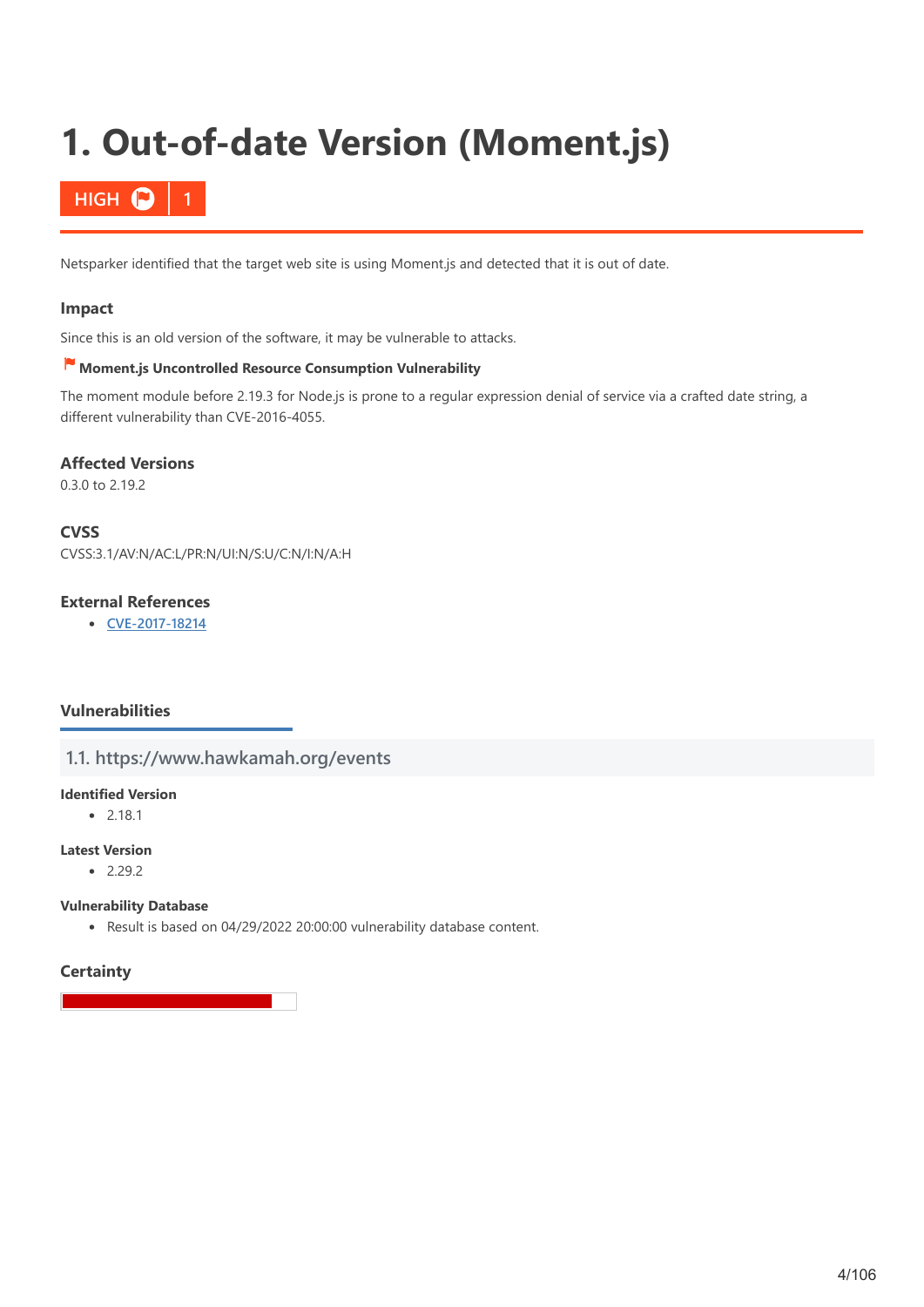# <span id="page-3-0"></span>**1. Out-of-date Version (Moment.js)**

# **HIGH**

Netsparker identified that the target web site is using Moment.js and detected that it is out of date.

### **Impact**

Since this is an old version of the software, it may be vulnerable to attacks.

# **Moment.js Uncontrolled Resource Consumption Vulnerability**

The moment module before 2.19.3 for Node.js is prone to a regular expression denial of service via a crafted date string, a different vulnerability than CVE-2016-4055.

#### **Affected Versions**

0.3.0 to 2.19.2

#### **CVSS**

CVSS:3.1/AV:N/AC:L/PR:N/UI:N/S:U/C:N/I:N/A:H

# **External References**

**[CVE-2017-18214](http://web.nvd.nist.gov/view/vuln/detail?vulnId=CVE-2017-18214)**

### **Vulnerabilities**

### **1.1. https://www.hawkamah.org/events**

#### **Identified Version**

 $• 2.18.1$ 

#### **Latest Version**

 $-2.29.2$ 

#### **Vulnerability Database**

Result is based on 04/29/2022 20:00:00 vulnerability database content.

### **Certainty**

4/106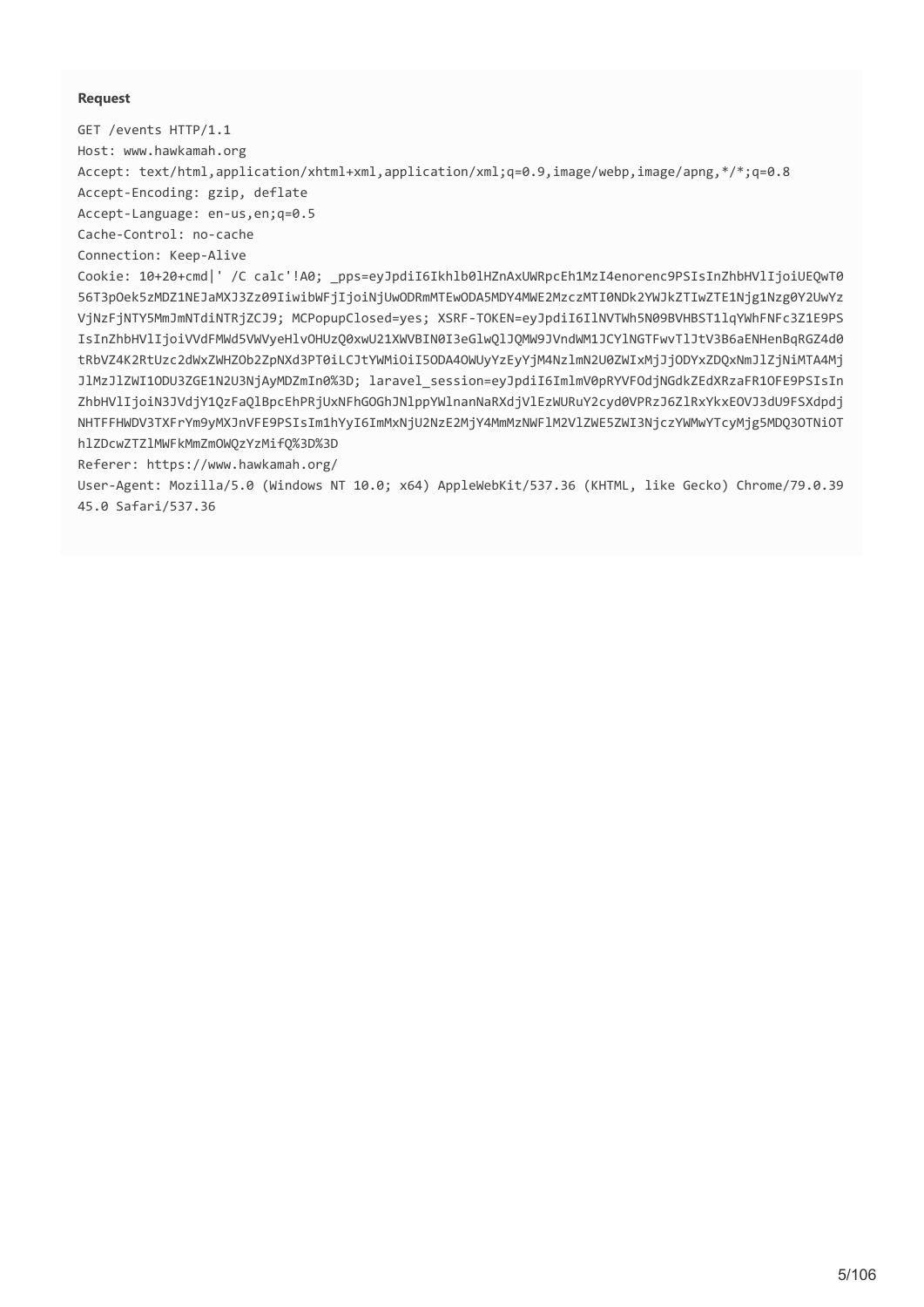#### **Request**

GET /events HTTP/1.1

Host: www.hawkamah.org

Accept: text/html,application/xhtml+xml,application/xml;q=0.9,image/webp,image/apng,\*/\*;q=0.8

Accept-Encoding: gzip, deflate

Accept-Language: en-us,en;q=0.5

Cache-Control: no-cache

Connection: Keep-Alive

Cookie: 10+20+cmd|' /C calc'!A0; \_pps=eyJpdiI6Ikhlb0lHZnAxUWRpcEh1MzI4enorenc9PSIsInZhbHVlIjoiUEQwT0 56T3pOek5zMDZ1NEJaMXJ3Zz09IiwibWFjIjoiNjUwODRmMTEwODA5MDY4MWE2MzczMTI0NDk2YWJkZTIwZTE1Njg1Nzg0Y2UwYz VjNzFjNTY5MmJmNTdiNTRjZCJ9; MCPopupClosed=yes; XSRF-TOKEN=eyJpdiI6IlNVTWh5N09BVHBST1lqYWhFNFc3Z1E9PS IsInZhbHVlIjoiVVdFMWd5VWVyeHlvOHUzQ0xwU21XWVBIN0I3eGlwQlJQMW9JVndWM1JCYlNGTFwvTlJtV3B6aENHenBqRGZ4d0 tRbVZ4K2RtUzc2dWxZWHZOb2ZpNXd3PT0iLCJtYWMiOiI5ODA4OWUyYzEyYjM4NzlmN2U0ZWIxMjJjODYxZDQxNmJlZjNiMTA4Mj JlMzJlZWI1ODU3ZGE1N2U3NjAyMDZmIn0%3D; laravel\_session=eyJpdiI6ImlmV0pRYVFOdjNGdkZEdXRzaFR1OFE9PSIsIn ZhbHVlIjoiN3JVdjY1QzFaQlBpcEhPRjUxNFhGOGhJNlppYWlnanNaRXdjVlEzWURuY2cyd0VPRzJ6ZlRxYkxEOVJ3dU9FSXdpdj NHTFFHWDV3TXFrYm9yMXJnVFE9PSIsIm1hYyI6ImMxNjU2NzE2MjY4MmMzNWFlM2VlZWE5ZWI3NjczYWMwYTcyMjg5MDQ3OTNiOT hlZDcwZTZlMWFkMmZmOWQzYzMifQ%3D%3D

Referer: https://www.hawkamah.org/

User-Agent: Mozilla/5.0 (Windows NT 10.0; x64) AppleWebKit/537.36 (KHTML, like Gecko) Chrome/79.0.39 45.0 Safari/537.36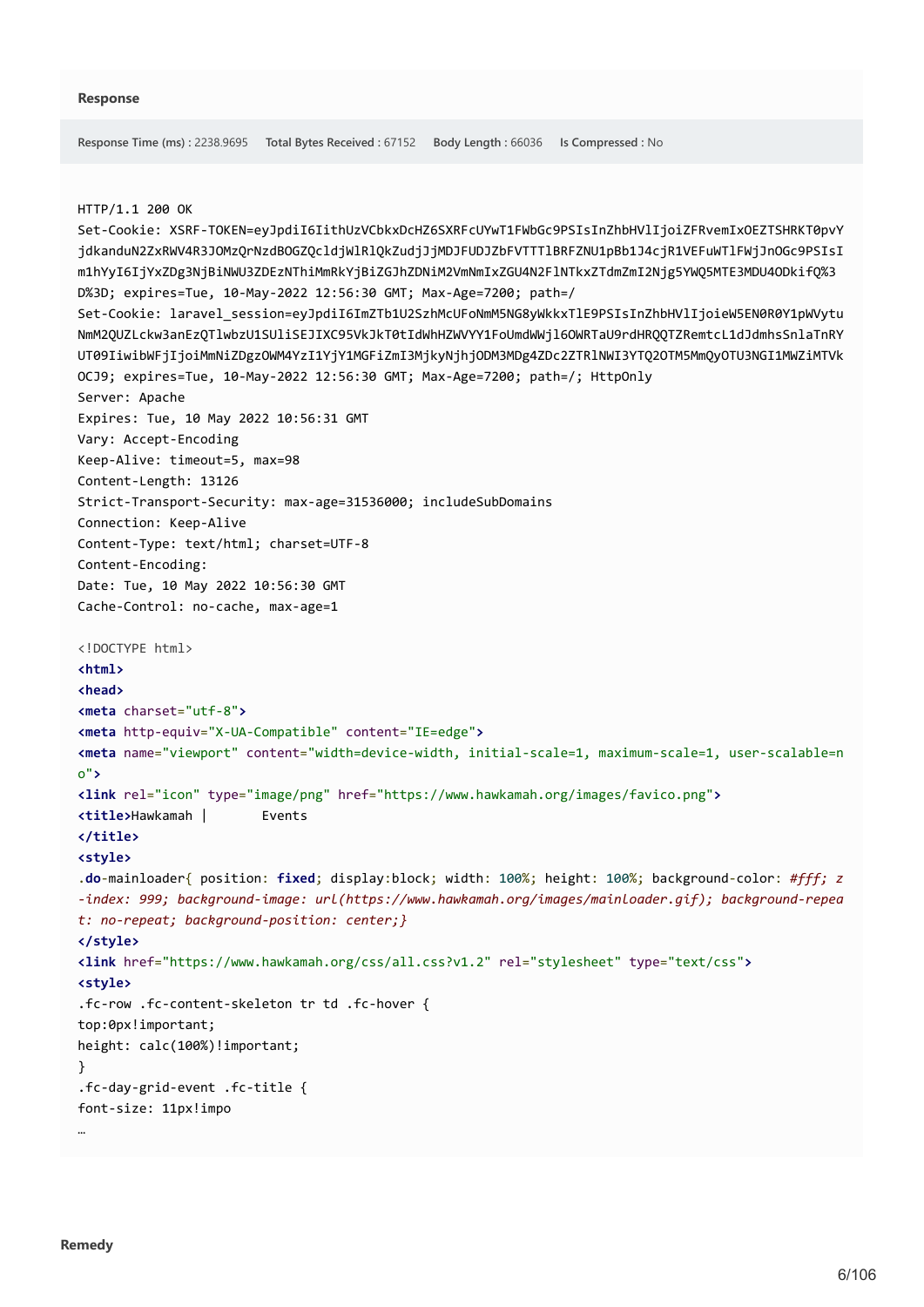```
Response Time (ms) : 2238.9695 Total Bytes Received : 67152 Body Length : 66036 Is Compressed : No
```
#### HTTP/1.1 200 OK

```
Set-Cookie: XSRF-TOKEN=eyJpdiI6IithUzVCbkxDcHZ6SXRFcUYwT1FWbGc9PSIsInZhbHVlIjoiZFRvemIxOEZTSHRKT0pvY
jdkanduN2ZxRWV4R3JOMzQrNzdBOGZQcldjWlRlQkZudjJjMDJFUDJZbFVTTTlBRFZNU1pBb1J4cjR1VEFuWTlFWjJnOGc9PSIsI
m1hYyI6IjYxZDg3NjBiNWU3ZDEzNThiMmRkYjBiZGJhZDNiM2VmNmIxZGU4N2FlNTkxZTdmZmI2Njg5YWQ5MTE3MDU4ODkifQ%3
D%3D; expires=Tue, 10-May-2022 12:56:30 GMT; Max-Age=7200; path=/
Set-Cookie: laravel_session=eyJpdiI6ImZTb1U2SzhMcUFoNmM5NG8yWkkxTlE9PSIsInZhbHVlIjoieW5EN0R0Y1pWVytu
NmM2QUZLckw3anEzQTlwbzU1SUliSEJIXC95VkJkT0tIdWhHZWVYY1FoUmdWWjl6OWRTaU9rdHRQQTZRemtcL1dJdmhsSnlaTnRY
UT09IiwibWFjIjoiMmNiZDgzOWM4YzI1YjY1MGFiZmI3MjkyNjhjODM3MDg4ZDc2ZTRlNWI3YTQ2OTM5MmQyOTU3NGI1MWZiMTVk
OCJ9; expires=Tue, 10-May-2022 12:56:30 GMT; Max-Age=7200; path=/; HttpOnly
Server: Apache
Expires: Tue, 10 May 2022 10:56:31 GMT
Vary: Accept-Encoding
Keep-Alive: timeout=5, max=98
Content-Length: 13126
Strict-Transport-Security: max-age=31536000; includeSubDomains
Connection: Keep-Alive
Content-Type: text/html; charset=UTF-8
Content-Encoding: 
Date: Tue, 10 May 2022 10:56:30 GMT
Cache-Control: no-cache, max-age=1
<!DOCTYPE html>
<html>
<head>
<meta charset="utf-8">
<meta http-equiv="X-UA-Compatible" content="IE=edge">
<meta name="viewport" content="width=device-width, initial-scale=1, maximum-scale=1, user-scalable=n
o">
<link rel="icon" type="image/png" href="https://www.hawkamah.org/images/favico.png">
<title>Hawkamah | Events
</title>
<style>
.do-mainloader{ position: fixed; display:block; width: 100%; height: 100%; background-color: #fff; z
-index: 999; background-image: url(https://www.hawkamah.org/images/mainloader.gif); background-repea
t: no-repeat; background-position: center;}
</style>
<link href="https://www.hawkamah.org/css/all.css?v1.2" rel="stylesheet" type="text/css">
<style>
.fc-row .fc-content-skeleton tr td .fc-hover {
top:0px!important;
height: calc(100%)!important;
}
.fc-day-grid-event .fc-title {
font-size: 11px!impo
…
```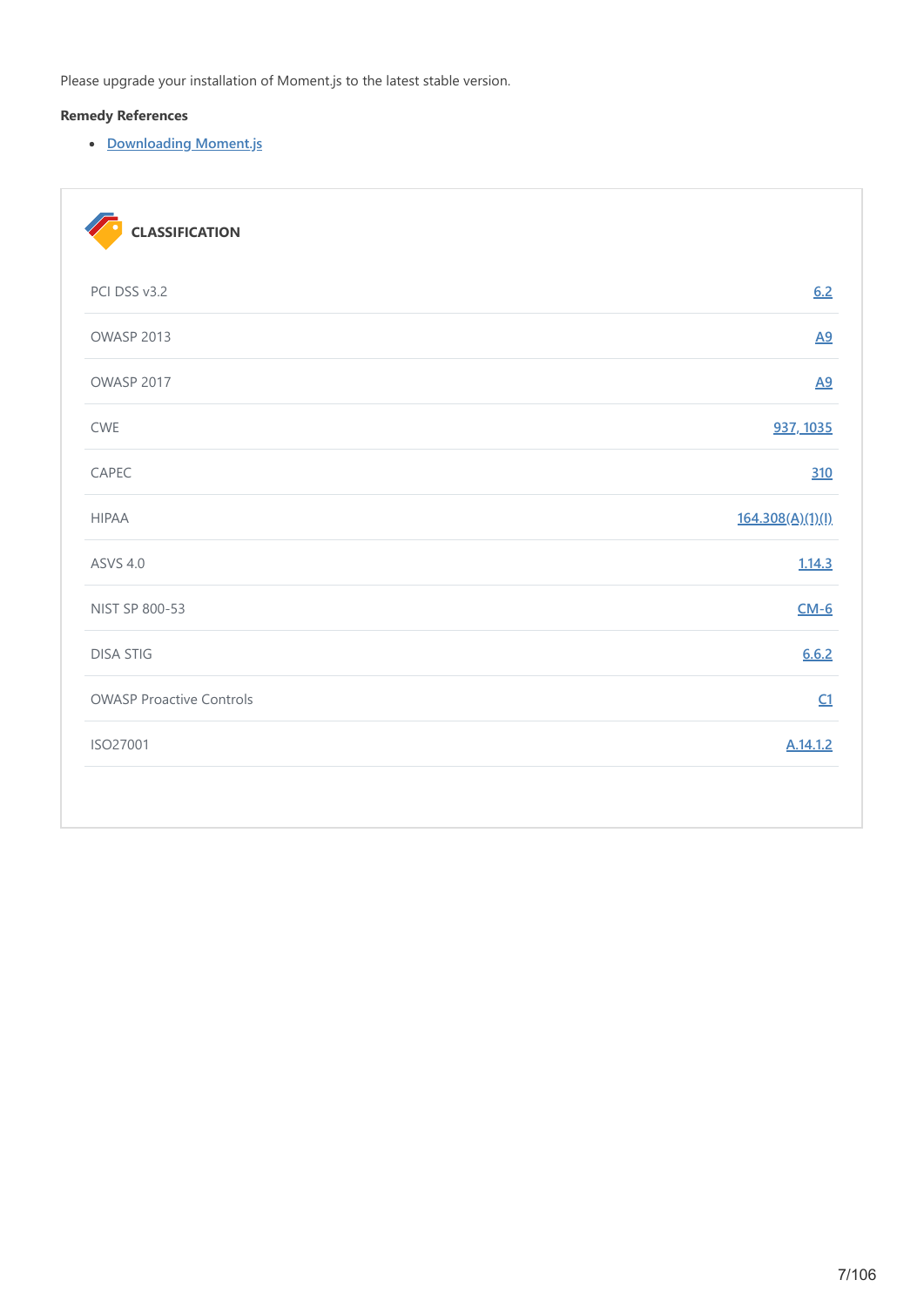Please upgrade your installation of Moment.js to the latest stable version.

# **Remedy References**

**[Downloading Moment.js](https://momentjs.com/)**

| <b>CLASSIFICATION</b>           |                  |
|---------------------------------|------------------|
| PCI DSS v3.2                    | 6.2              |
| OWASP 2013                      | $\underline{A9}$ |
| OWASP 2017                      | A9               |
| <b>CWE</b>                      | 937, 1035        |
| CAPEC                           | 310              |
| <b>HIPAA</b>                    | 164.308(A)(1)(I) |
| <b>ASVS 4.0</b>                 | 1.14.3           |
| NIST SP 800-53                  | $CM-6$           |
| <b>DISA STIG</b>                | 6.6.2            |
| <b>OWASP Proactive Controls</b> | C1               |
| ISO27001                        | A.14.1.2         |
|                                 |                  |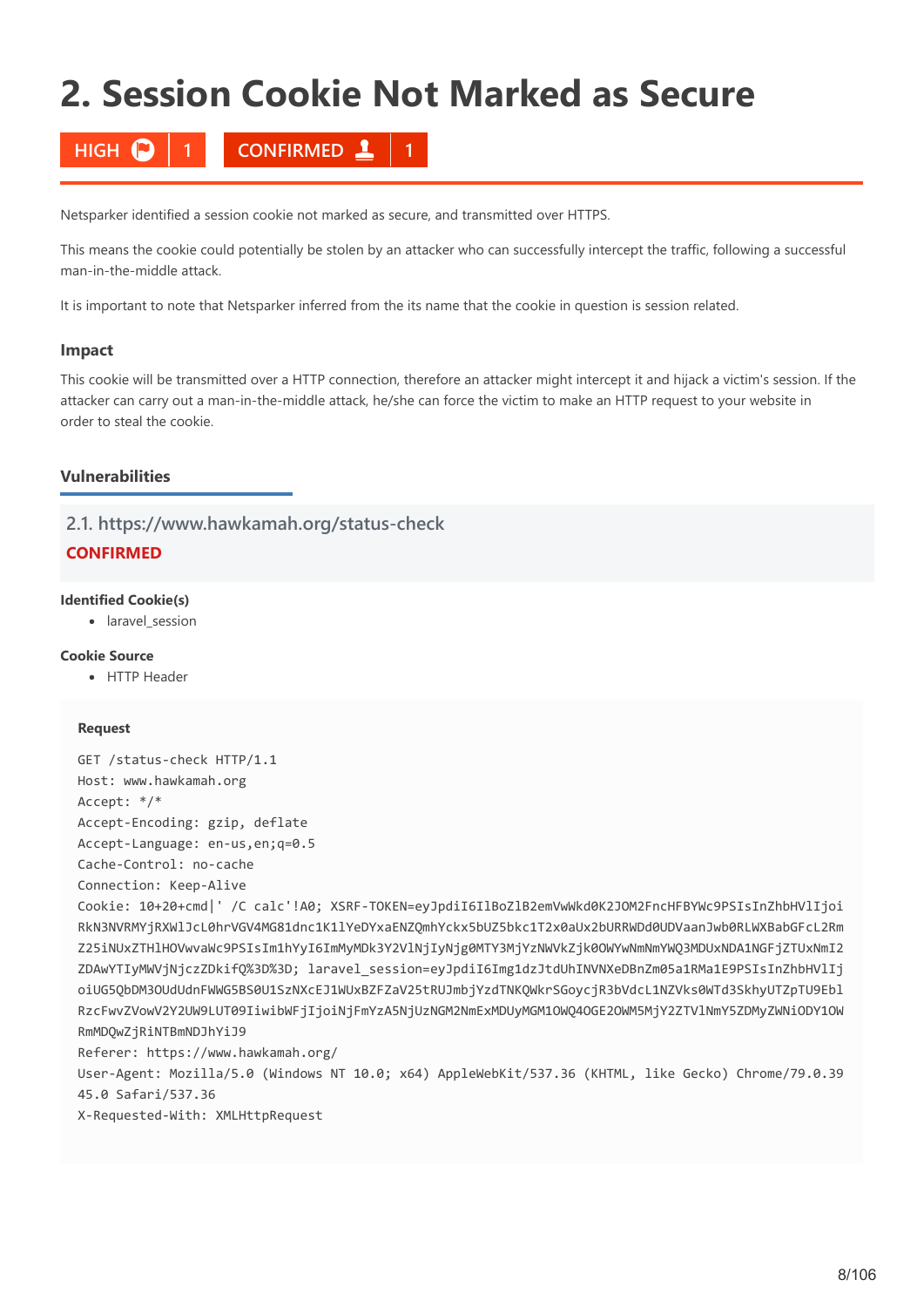# <span id="page-7-0"></span>**2. Session Cookie Not Marked as Secure**

**HIGH 1 CONFIRMED 1**

Netsparker identified a session cookie not marked as secure, and transmitted over HTTPS.

This means the cookie could potentially be stolen by an attacker who can successfully intercept the traffic, following a successful man-in-the-middle attack.

It is important to note that Netsparker inferred from the its name that the cookie in question is session related.

#### **Impact**

This cookie will be transmitted over a HTTP connection, therefore an attacker might intercept it and hijack a victim's session. If the attacker can carry out a man-in-the-middle attack, he/she can force the victim to make an HTTP request to your website in order to steal the cookie.

#### **Vulnerabilities**

**2.1. https://www.hawkamah.org/status-check**

# **CONFIRMED**

#### **Identified Cookie(s)**

• laravel session

#### **Cookie Source**

• HTTP Header

#### **Request**

```
GET /status-check HTTP/1.1
Host: www.hawkamah.org
Accept: */*
Accept-Encoding: gzip, deflate
Accept-Language: en-us,en;q=0.5
Cache-Control: no-cache
Connection: Keep-Alive
Cookie: 10+20+cmd|' /C calc'!A0; XSRF-TOKEN=eyJpdiI6IlBoZlB2emVwWkd0K2JOM2FncHFBYWc9PSIsInZhbHVlIjoi
RkN3NVRMYjRXWlJcL0hrVGV4MG81dnc1K1lYeDYxaENZQmhYckx5bUZ5bkc1T2x0aUx2bURRWDd0UDVaanJwb0RLWXBabGFcL2Rm
Z25iNUxZTHlHOVwvaWc9PSIsIm1hYyI6ImMyMDk3Y2VlNjIyNjg0MTY3MjYzNWVkZjk0OWYwNmNmYWQ3MDUxNDA1NGFjZTUxNmI2
ZDAwYTIyMWVjNjczZDkifQ%3D%3D; laravel_session=eyJpdiI6Img1dzJtdUhINVNXeDBnZm05a1RMa1E9PSIsInZhbHVlIj
oiUG5QbDM3OUdUdnFWWG5BS0U1SzNXcEJ1WUxBZFZaV25tRUJmbjYzdTNKQWkrSGoycjR3bVdcL1NZVks0WTd3SkhyUTZpTU9Ebl
RzcFwvZVowV2Y2UW9LUT09IiwibWFjIjoiNjFmYzA5NjUzNGM2NmExMDUyMGM1OWQ4OGE2OWM5MjY2ZTVlNmY5ZDMyZWNiODY1OW
RmMDQwZjRiNTBmNDJhYiJ9
Referer: https://www.hawkamah.org/
```
User-Agent: Mozilla/5.0 (Windows NT 10.0; x64) AppleWebKit/537.36 (KHTML, like Gecko) Chrome/79.0.39 45.0 Safari/537.36

X-Requested-With: XMLHttpRequest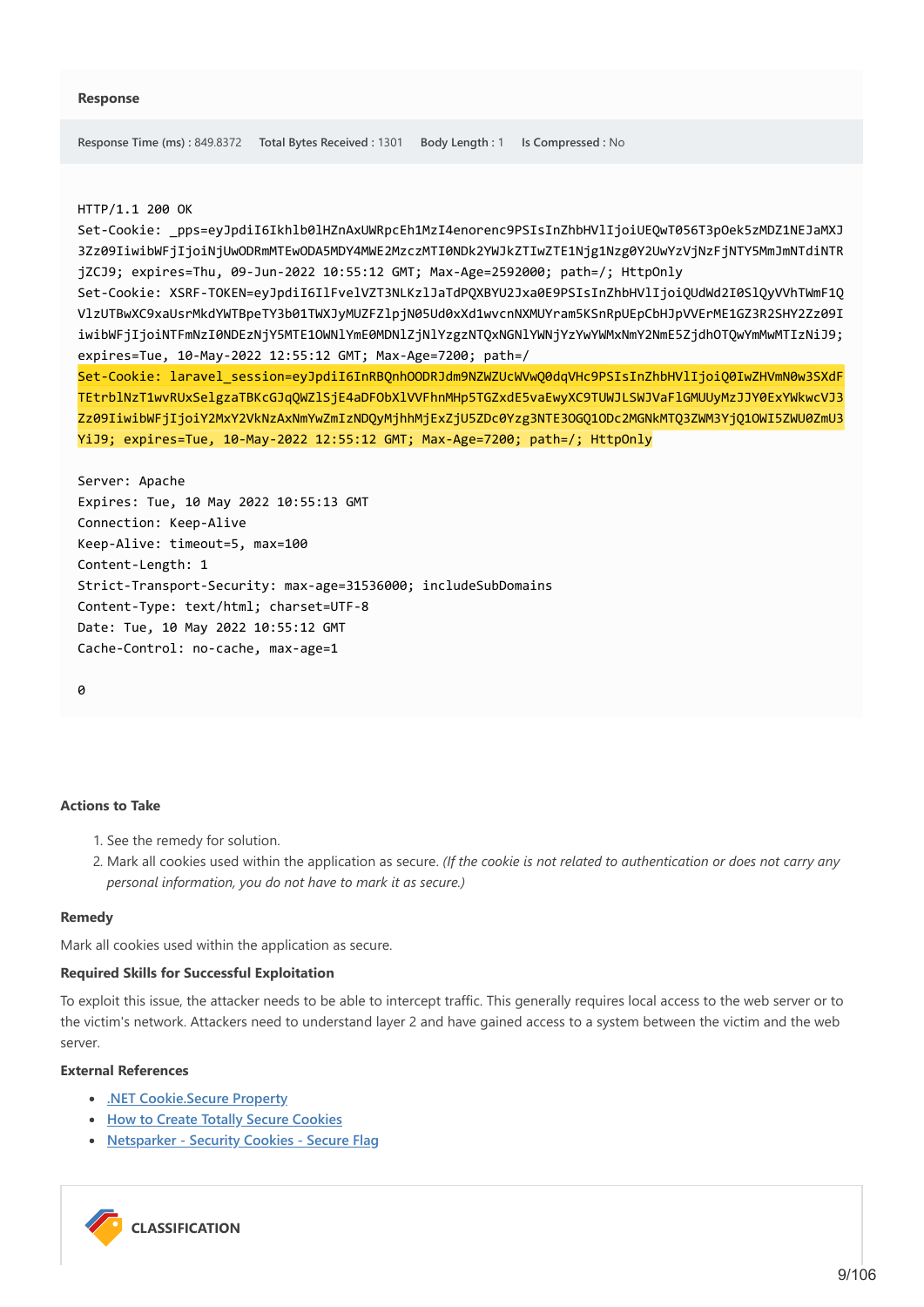#### HTTP/1.1 200 OK

Set-Cookie: \_pps=eyJpdiI6Ikhlb0lHZnAxUWRpcEh1MzI4enorenc9PSIsInZhbHVlIjoiUEQwT056T3pOek5zMDZ1NEJaMXJ 3Zz09IiwibWFjIjoiNjUwODRmMTEwODA5MDY4MWE2MzczMTI0NDk2YWJkZTIwZTE1Njg1Nzg0Y2UwYzVjNzFjNTY5MmJmNTdiNTR jZCJ9; expires=Thu, 09-Jun-2022 10:55:12 GMT; Max-Age=2592000; path=/; HttpOnly

Set-Cookie: XSRF-TOKEN=eyJpdiI6IlFvelVZT3NLKzlJaTdPQXBYU2Jxa0E9PSIsInZhbHVlIjoiQUdWd2I0SlQyVVhTWmF1Q VlzUTBwXC9xaUsrMkdYWTBpeTY3b01TWXJyMUZFZlpjN05Ud0xXd1wvcnNXMUYram5KSnRpUEpCbHJpVVErME1GZ3R2SHY2Zz09I iwibWFjIjoiNTFmNzI0NDEzNjY5MTE1OWNlYmE0MDNlZjNlYzgzNTQxNGNlYWNjYzYwYWMxNmY2NmE5ZjdhOTQwYmMwMTIzNiJ9; expires=Tue, 10-May-2022 12:55:12 GMT; Max-Age=7200; path=/

Set-Cookie: laravel\_session=eyJpdiI6InRBQnhOODRJdm9NZWZUcWVwQ0dqVHc9PSIsInZhbHVlIjoiQ0IwZHVmN0w3SXdF TEtrblNzT1wvRUxSelgzaTBKcGJqQWZlSjE4aDFObXlVVFhnMHp5TGZxdE5vaEwyXC9TUWJLSWJVaFlGMUUyMzJJY0ExYWkwcVJ3 Zz09IiwibWFiIjoiY2MxY2VkNzAxNmYwZmIzNDOvMjhhMjExZjU5ZDc0Yzg3NTE3OGO1ODc2MGNkMTO3ZWM3YjO1OWI5ZWU0ZmU3 YiJ9; expires=Tue, 10-May-2022 12:55:12 GMT; Max-Age=7200; path=/; HttpOnly

Server: Apache Expires: Tue, 10 May 2022 10:55:13 GMT Connection: Keep-Alive Keep-Alive: timeout=5, max=100 Content-Length: 1 Strict-Transport-Security: max-age=31536000; includeSubDomains Content-Type: text/html; charset=UTF-8 Date: Tue, 10 May 2022 10:55:12 GMT Cache-Control: no-cache, max-age=1

 $\theta$ 

#### **Actions to Take**

- 1. See the remedy for solution.
- 2. Mark all cookies used within the application as secure. *(If the cookie is not related to authentication or does not carry any personal information, you do not have to mark it as secure.)*

#### **Remedy**

Mark all cookies used within the application as secure.

#### **Required Skills for Successful Exploitation**

To exploit this issue, the attacker needs to be able to intercept traffic. This generally requires local access to the web server or to the victim's network. Attackers need to understand layer 2 and have gained access to a system between the victim and the web server.

#### **External References**

- **[.NET Cookie.Secure Property](https://msdn.microsoft.com/en-us/library/system.net.cookie.secure.aspx)**
- **[How to Create Totally Secure Cookies](http://blog.teamtreehouse.com/how-to-create-totally-secure-cookies)**
- **[Netsparker Security Cookies Secure Flag](https://www.netsparker.com/security-cookies-whitepaper/#secureFlag)**

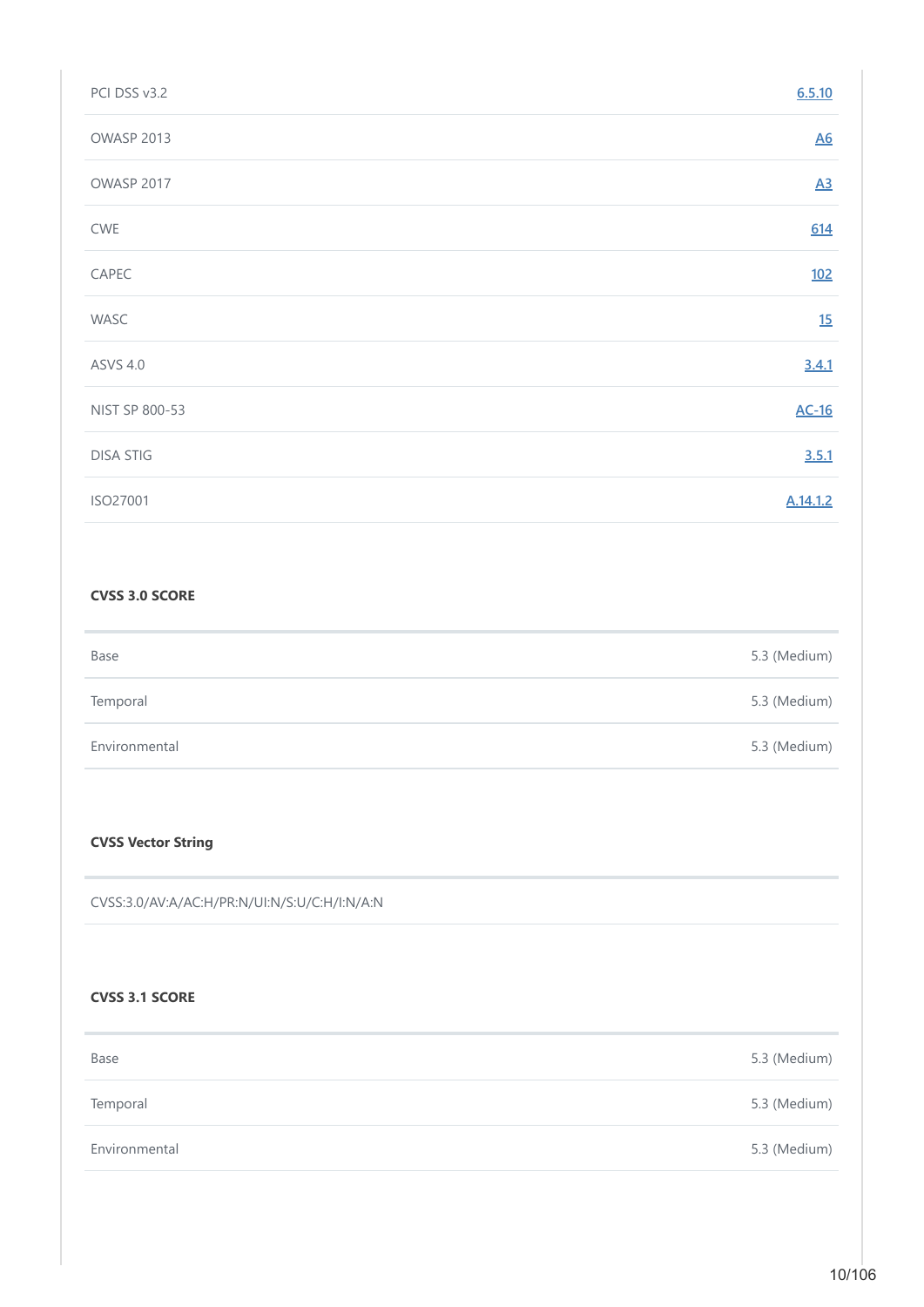| PCI DSS v3.2     | 6.5.10           |
|------------------|------------------|
| OWASP 2013       | $\underline{A6}$ |
| OWASP 2017       | $\underline{A3}$ |
| CWE              | 614              |
| CAPEC            | <u>102</u>       |
| WASC             | 15               |
| <b>ASVS 4.0</b>  | 3.4.1            |
| NIST SP 800-53   | $AC-16$          |
| <b>DISA STIG</b> | 3.5.1            |
| ISO27001         | A.14.1.2         |

# **CVSS 3.0 SCORE**

| Base          | 5.3 (Medium) |
|---------------|--------------|
| Temporal      | 5.3 (Medium) |
| Environmental | 5.3 (Medium) |

### **CVSS Vector String**

CVSS:3.0/AV:A/AC:H/PR:N/UI:N/S:U/C:H/I:N/A:N

# **CVSS 3.1 SCORE**

| Base          | 5.3 (Medium) |
|---------------|--------------|
| Temporal      | 5.3 (Medium) |
| Environmental | 5.3 (Medium) |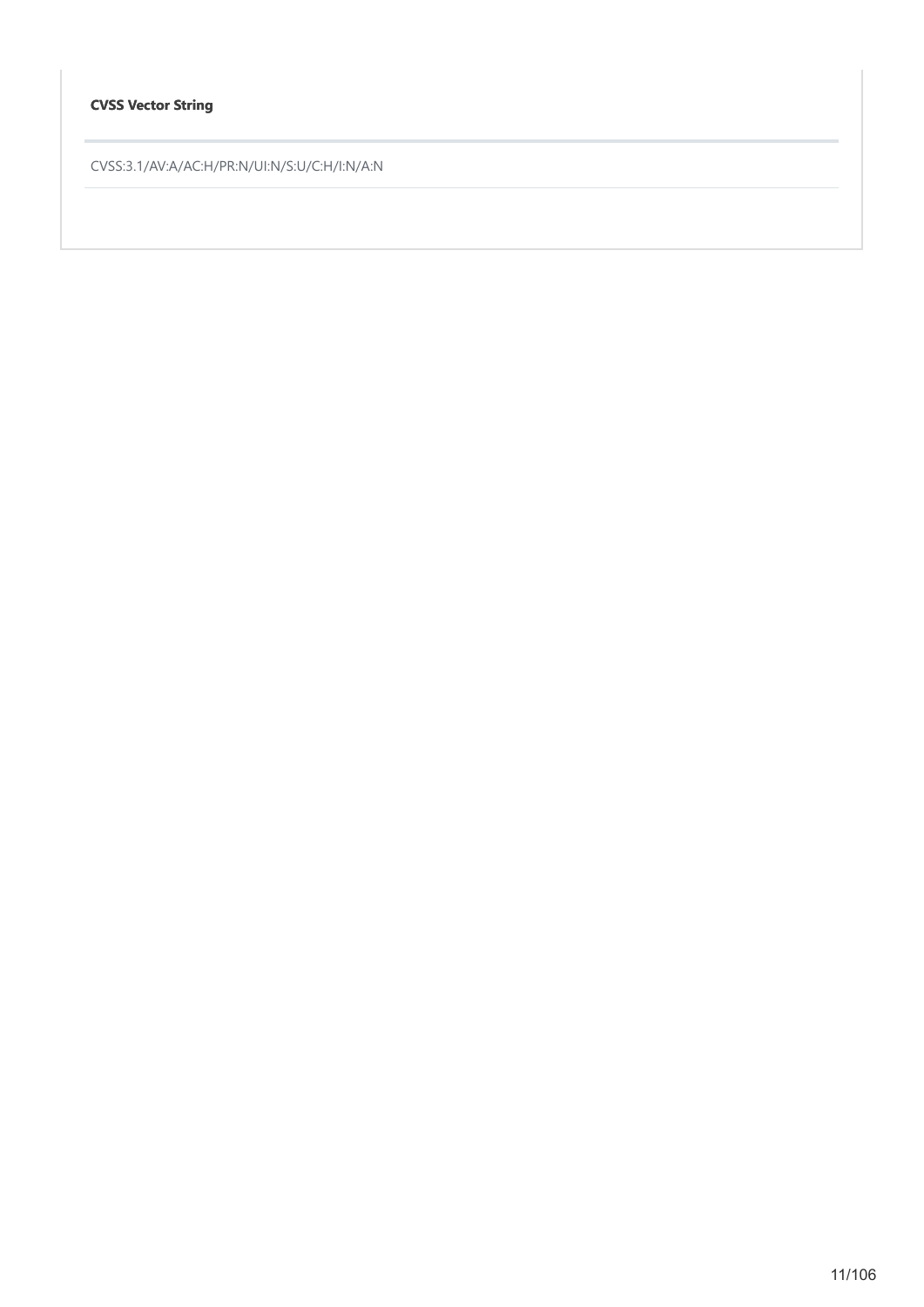# **CVSS Vector String**

CVSS:3.1/AV:A/AC:H/PR:N/UI:N/S:U/C:H/I:N/A:N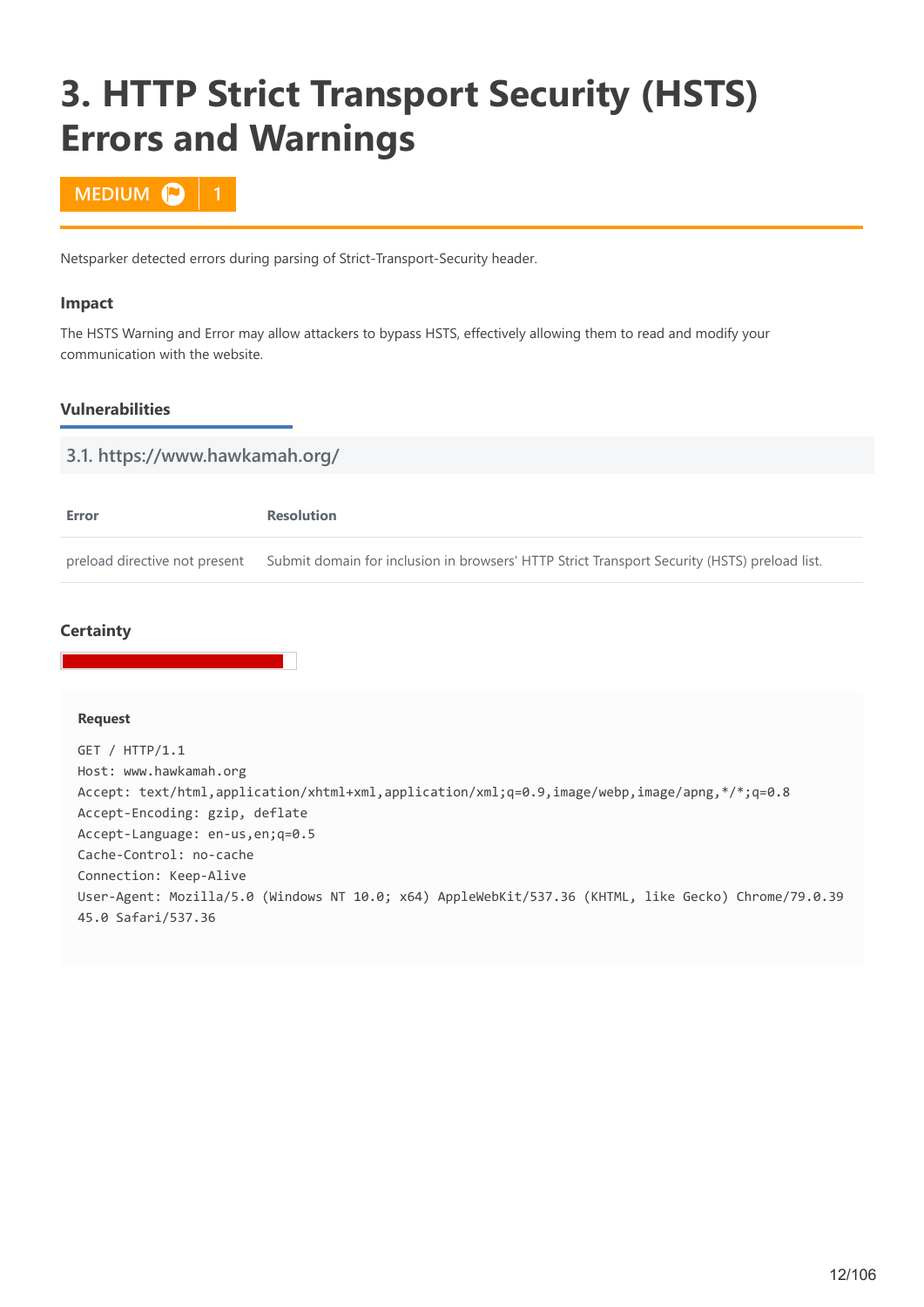# <span id="page-11-0"></span>**3. HTTP Strict Transport Security (HSTS) Errors and Warnings**

# **MEDIUM D**

Netsparker detected errors during parsing of Strict-Transport-Security header.

#### **Impact**

The HSTS Warning and Error may allow attackers to bypass HSTS, effectively allowing them to read and modify your communication with the website.

### **Vulnerabilities**

| 3.1. https://www.hawkamah.org/ |                                                                                              |  |  |
|--------------------------------|----------------------------------------------------------------------------------------------|--|--|
|                                |                                                                                              |  |  |
| Error                          | <b>Resolution</b>                                                                            |  |  |
| preload directive not present  | Submit domain for inclusion in browsers' HTTP Strict Transport Security (HSTS) preload list. |  |  |

# **Certainty**

#### **Request**

GET / HTTP/1.1 Host: www.hawkamah.org Accept: text/html,application/xhtml+xml,application/xml;q=0.9,image/webp,image/apng,\*/\*;q=0.8 Accept-Encoding: gzip, deflate Accept-Language: en-us,en;q=0.5 Cache-Control: no-cache Connection: Keep-Alive User-Agent: Mozilla/5.0 (Windows NT 10.0; x64) AppleWebKit/537.36 (KHTML, like Gecko) Chrome/79.0.39 45.0 Safari/537.36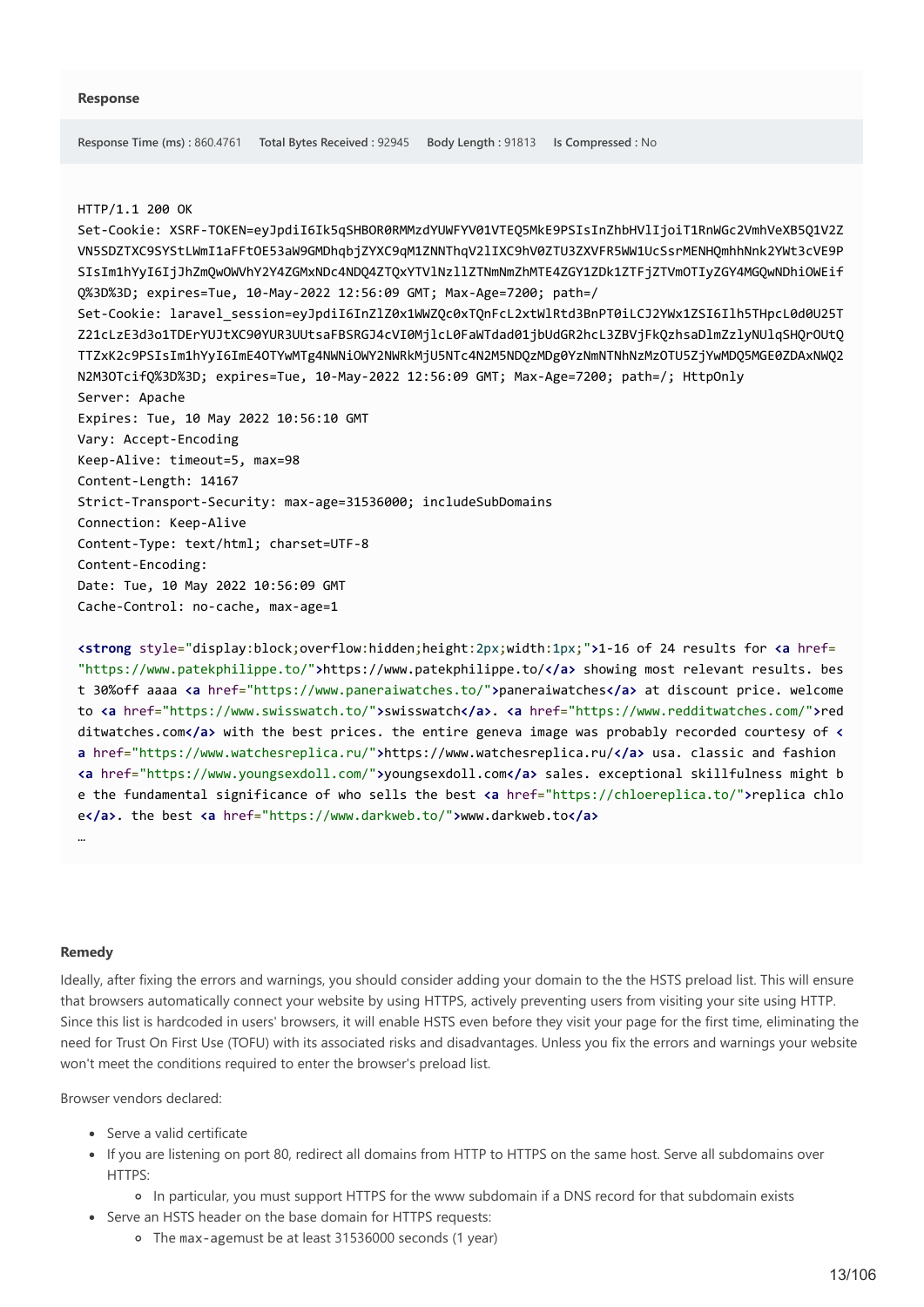#### HTTP/1.1 200 OK

Set-Cookie: XSRF-TOKEN=eyJpdiI6Ik5qSHBOR0RMMzdYUWFYV01VTEQ5MkE9PSIsInZhbHVlIjoiT1RnWGc2VmhVeXB5Q1V2Z VN5SDZTXC9SYStLWmI1aFFtOE53aW9GMDhqbjZYXC9qM1ZNNThqV2lIXC9hV0ZTU3ZXVFR5WW1UcSsrMENHQmhhNnk2YWt3cVE9P SIsIm1hYyI6IjJhZmQwOWVhY2Y4ZGMxNDc4NDQ4ZTQxYTVlNzllZTNmNmZhMTE4ZGY1ZDk1ZTFjZTVmOTIyZGY4MGQwNDhiOWEif Q%3D%3D; expires=Tue, 10-May-2022 12:56:09 GMT; Max-Age=7200; path=/ Set-Cookie: laravel\_session=eyJpdiI6InZlZ0x1WWZQc0xTQnFcL2xtWlRtd3BnPT0iLCJ2YWx1ZSI6Ilh5THpcL0d0U25T Z21cLzE3d3o1TDErYUJtXC90YUR3UUtsaFBSRGJ4cVI0MjlcL0FaWTdad01jbUdGR2hcL3ZBVjFkQzhsaDlmZzlyNUlqSHQrOUtQ TTZxK2c9PSIsIm1hYyI6ImE4OTYwMTg4NWNiOWY2NWRkMjU5NTc4N2M5NDQzMDg0YzNmNTNhNzMzOTU5ZjYwMDQ5MGE0ZDAxNWQ2 N2M3OTcifQ%3D%3D; expires=Tue, 10-May-2022 12:56:09 GMT; Max-Age=7200; path=/; HttpOnly Server: Apache Expires: Tue, 10 May 2022 10:56:10 GMT Vary: Accept-Encoding Keep-Alive: timeout=5, max=98 Content-Length: 14167 Strict-Transport-Security: max-age=31536000; includeSubDomains Connection: Keep-Alive Content-Type: text/html; charset=UTF-8 Content-Encoding: Date: Tue, 10 May 2022 10:56:09 GMT Cache-Control: no-cache, max-age=1

**<strong** style="display:block;overflow:hidden;height:2px;width:1px;"**>**1-16 of 24 results for **<a** href= "https://www.patekphilippe.to/"**>**https://www.patekphilippe.to/**</a>** showing most relevant results. bes t 30%off aaaa **<a** href="https://www.paneraiwatches.to/"**>**paneraiwatches**</a>** at discount price. welcome to **<a** href="https://www.swisswatch.to/"**>**swisswatch**</a>**. **<a** href="https://www.redditwatches.com/"**>**red ditwatches.com**</a>** with the best prices. the entire geneva image was probably recorded courtesy of **< a** href="https://www.watchesreplica.ru/"**>**https://www.watchesreplica.ru/**</a>** usa. classic and fashion **<a** href="https://www.youngsexdoll.com/"**>**youngsexdoll.com**</a>** sales. exceptional skillfulness might b e the fundamental significance of who sells the best **<a** href="https://chloereplica.to/"**>**replica chlo e**</a>**. the best **<a** href="https://www.darkweb.to/"**>**www.darkweb.to**</a>** …

#### **Remedy**

Ideally, after fixing the errors and warnings, you should consider adding your domain to the the HSTS preload list. This will ensure that browsers automatically connect your website by using HTTPS, actively preventing users from visiting your site using HTTP. Since this list is hardcoded in users' browsers, it will enable HSTS even before they visit your page for the first time, eliminating the need for Trust On First Use (TOFU) with its associated risks and disadvantages. Unless you fix the errors and warnings your website won't meet the conditions required to enter the browser's preload list.

Browser vendors declared:

- Serve a valid certificate
- If you are listening on port 80, redirect all domains from HTTP to HTTPS on the same host. Serve all subdomains over HTTPS:

In particular, you must support HTTPS for the www subdomain if a DNS record for that subdomain exists

- Serve an HSTS header on the base domain for HTTPS requests:
	- The max-agemust be at least 31536000 seconds (1 year)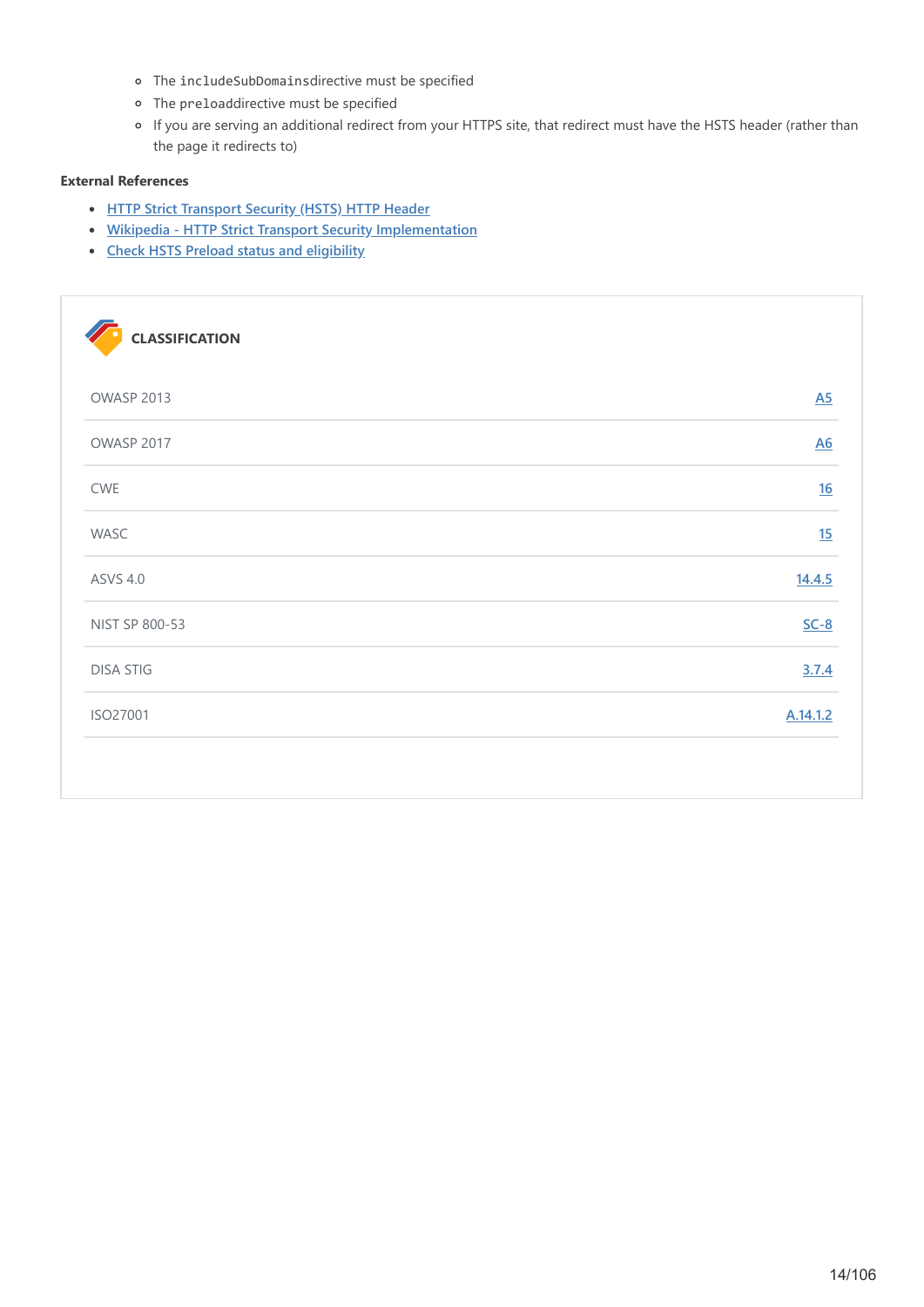- The includeSubDomainsdirective must be specified
- The preloaddirective must be specified
- If you are serving an additional redirect from your HTTPS site, that redirect must have the HSTS header (rather than the page it redirects to)

# **External References**

- **[HTTP Strict Transport Security \(HSTS\) HTTP Header](https://www.netsparker.com/whitepaper-http-security-headers/#HTTPStrictTransportSecurityHSTSHTTPHeader)**
- **[Wikipedia HTTP Strict Transport Security Implementation](https://en.wikipedia.org/wiki/HTTP_Strict_Transport_Security#Implementation)**
- **[Check HSTS Preload status and eligibility](https://hstspreload.org/)**

| <b>CLASSIFICATION</b> |                  |
|-----------------------|------------------|
| OWASP 2013            | $\underline{A5}$ |
| OWASP 2017            | $\underline{A6}$ |
| CWE                   | 16               |
| WASC                  | 15               |
| <b>ASVS 4.0</b>       | 14.4.5           |
| NIST SP 800-53        | $SC-8$           |
| <b>DISA STIG</b>      | 3.7.4            |
| ISO27001              | A.14.1.2         |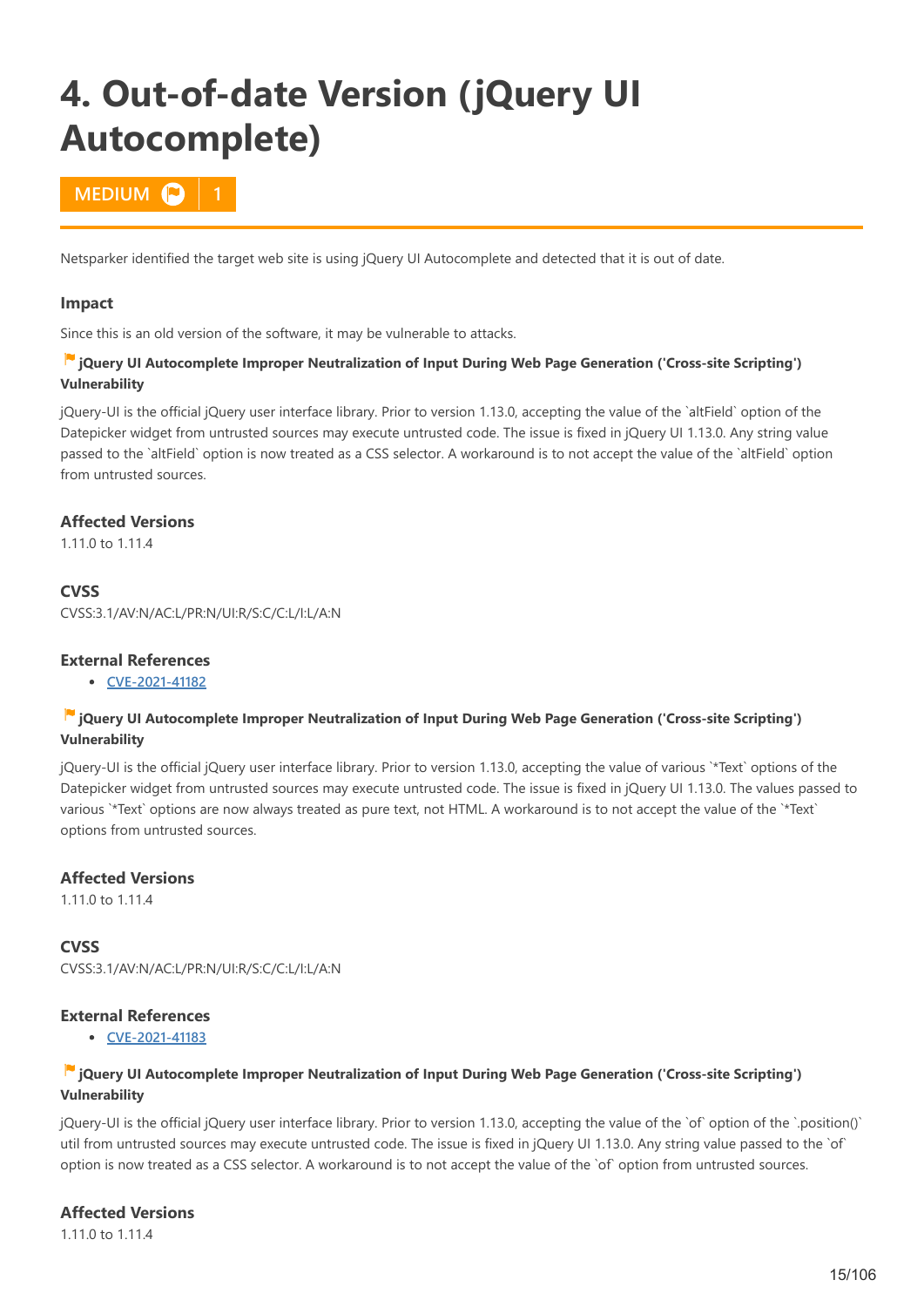# <span id="page-14-0"></span>**4. Out-of-date Version (jQuery UI Autocomplete)**

# **MEDIUM C**

Netsparker identified the target web site is using jQuery UI Autocomplete and detected that it is out of date.

#### **Impact**

Since this is an old version of the software, it may be vulnerable to attacks.

#### **jQuery UI Autocomplete Improper Neutralization of Input During Web Page Generation ('Cross-site Scripting') Vulnerability**

jQuery-UI is the official jQuery user interface library. Prior to version 1.13.0, accepting the value of the `altField` option of the Datepicker widget from untrusted sources may execute untrusted code. The issue is fixed in jQuery UI 1.13.0. Any string value passed to the `altField` option is now treated as a CSS selector. A workaround is to not accept the value of the `altField` option from untrusted sources.

### **Affected Versions**

1.11.0 to 1.11.4

### **CVSS**

CVSS:3.1/AV:N/AC:L/PR:N/UI:R/S:C/C:L/I:L/A:N

# **External References**

**[CVE-2021-41182](http://web.nvd.nist.gov/view/vuln/detail?vulnId=CVE-2021-41182)**

### **iQuery UI Autocomplete Improper Neutralization of Input During Web Page Generation ('Cross-site Scripting') Vulnerability**

jQuery-UI is the official jQuery user interface library. Prior to version 1.13.0, accepting the value of various `\*Text` options of the Datepicker widget from untrusted sources may execute untrusted code. The issue is fixed in jQuery UI 1.13.0. The values passed to various `\*Text` options are now always treated as pure text, not HTML. A workaround is to not accept the value of the `\*Text` options from untrusted sources.

### **Affected Versions**

1.11.0 to 1.11.4

**CVSS** CVSS:3.1/AV:N/AC:L/PR:N/UI:R/S:C/C:L/I:L/A:N

### **External References**

**[CVE-2021-41183](http://web.nvd.nist.gov/view/vuln/detail?vulnId=CVE-2021-41183)**

#### **jQuery UI Autocomplete Improper Neutralization of Input During Web Page Generation ('Cross-site Scripting') Vulnerability**

jQuery-UI is the official jQuery user interface library. Prior to version 1.13.0, accepting the value of the `of` option of the `.position()` util from untrusted sources may execute untrusted code. The issue is fixed in jQuery UI 1.13.0. Any string value passed to the `of` option is now treated as a CSS selector. A workaround is to not accept the value of the `of` option from untrusted sources.

# **Affected Versions**

1.11.0 to 1.11.4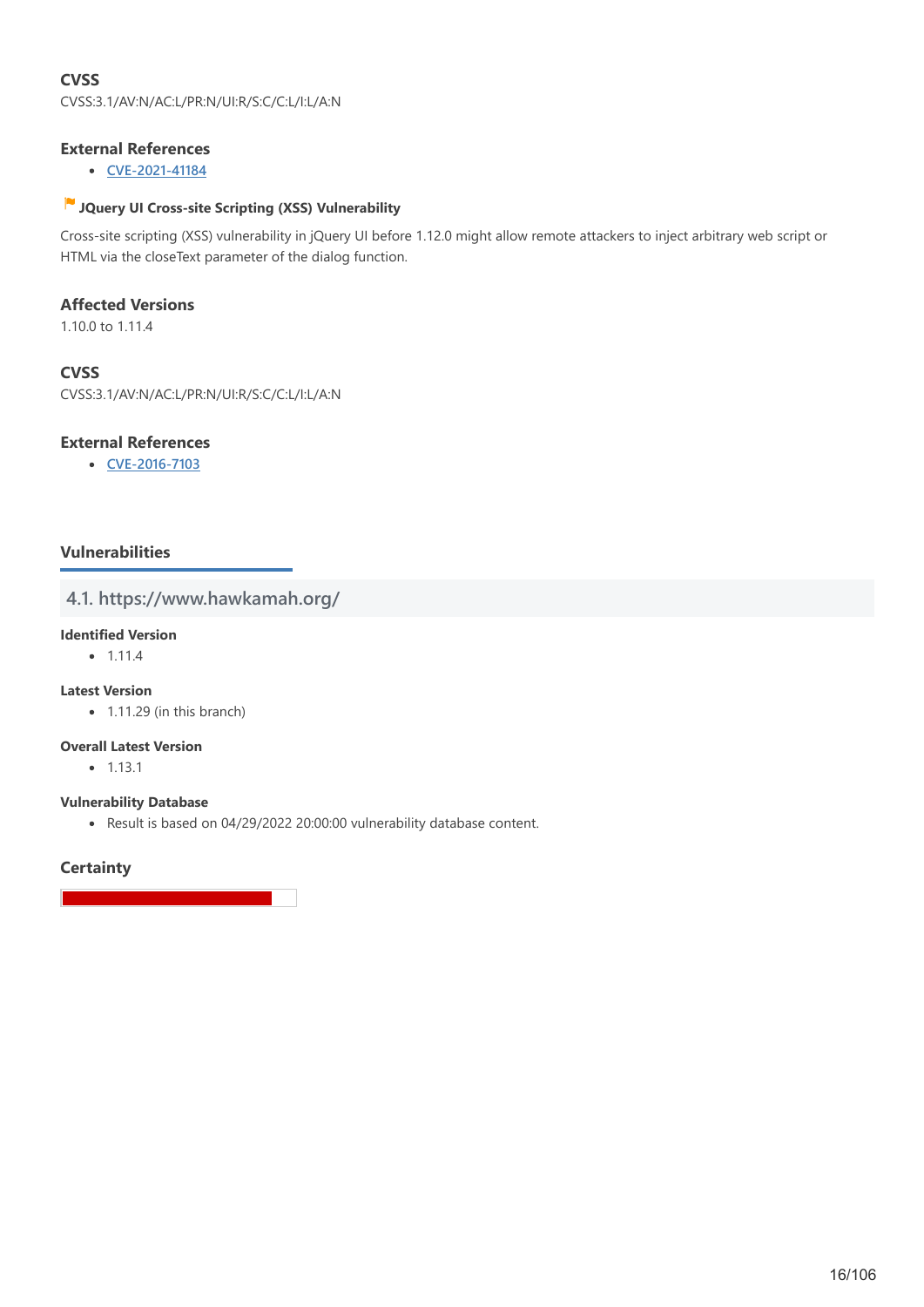# **CVSS** CVSS:3.1/AV:N/AC:L/PR:N/UI:R/S:C/C:L/I:L/A:N

# **External References**

**[CVE-2021-41184](http://web.nvd.nist.gov/view/vuln/detail?vulnId=CVE-2021-41184)**

# **JQuery UI Cross-site Scripting (XSS) Vulnerability**

Cross-site scripting (XSS) vulnerability in jQuery UI before 1.12.0 might allow remote attackers to inject arbitrary web script or HTML via the closeText parameter of the dialog function.

### **Affected Versions**

1.10.0 to 1.11.4

### **CVSS**

CVSS:3.1/AV:N/AC:L/PR:N/UI:R/S:C/C:L/I:L/A:N

### **External References**

**[CVE-2016-7103](http://web.nvd.nist.gov/view/vuln/detail?vulnId=CVE-2016-7103)**

# **Vulnerabilities**

# **4.1. https://www.hawkamah.org/**

# **Identified Version**

 $• 1.11.4$ 

# **Latest Version**

• 1.11.29 (in this branch)

#### **Overall Latest Version**

 $-1.13.1$ 

#### **Vulnerability Database**

Result is based on 04/29/2022 20:00:00 vulnerability database content.

# **Certainty**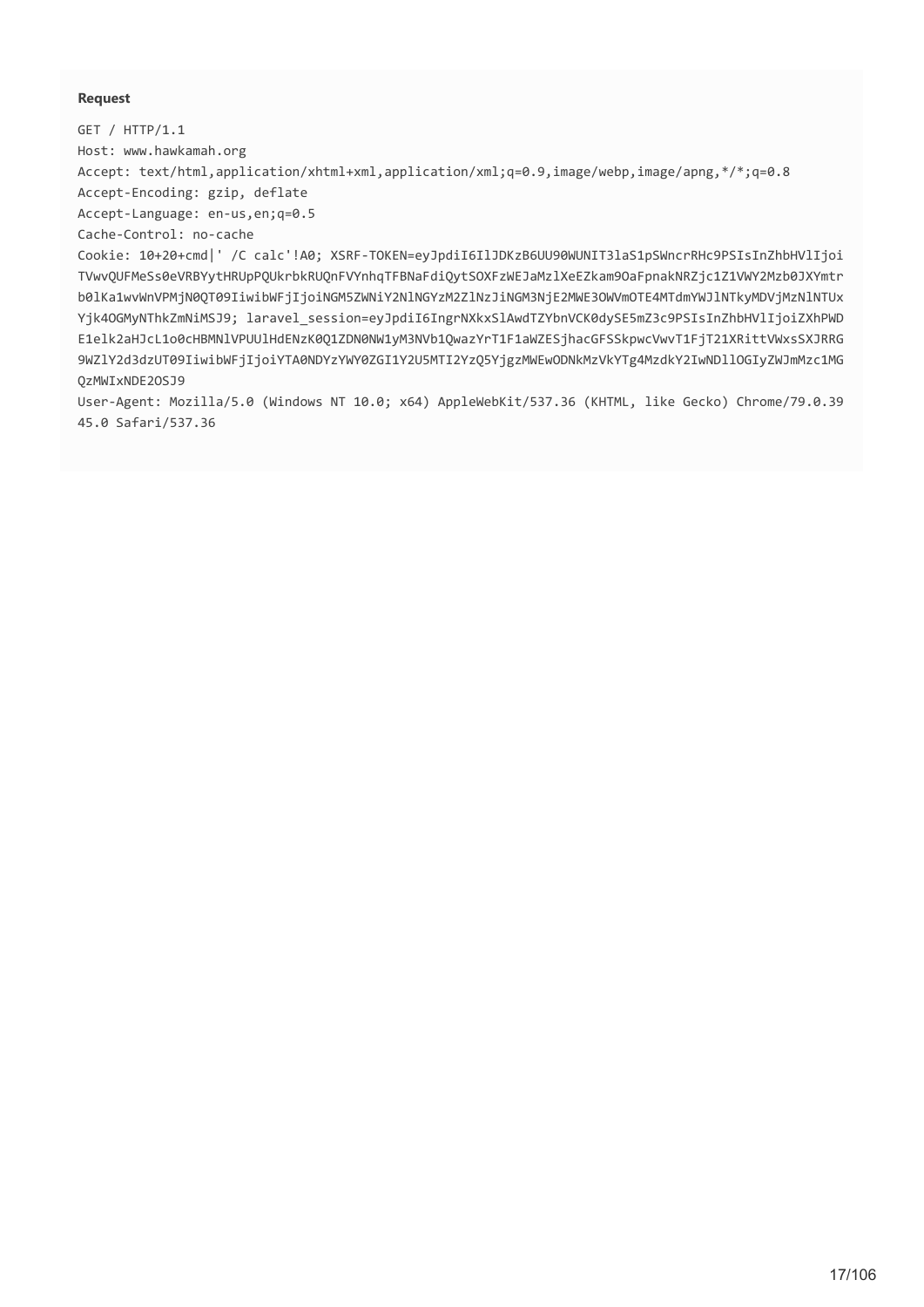#### **Request**

GET / HTTP/1.1 Host: www.hawkamah.org

Accept: text/html,application/xhtml+xml,application/xml;q=0.9,image/webp,image/apng,\*/\*;q=0.8 Accept-Encoding: gzip, deflate

Accept-Language: en-us,en;q=0.5

Cache-Control: no-cache

Cookie: 10+20+cmd|' /C calc'!A0; XSRF-TOKEN=eyJpdiI6IlJDKzB6UU90WUNIT3laS1pSWncrRHc9PSIsInZhbHVlIjoi TVwvQUFMeSs0eVRBYytHRUpPQUkrbkRUQnFVYnhqTFBNaFdiQytSOXFzWEJaMzlXeEZkam9OaFpnakNRZjc1Z1VWY2Mzb0JXYmtr b0lKa1wvWnVPMjN0QT09IiwibWFjIjoiNGM5ZWNiY2NlNGYzM2ZlNzJiNGM3NjE2MWE3OWVmOTE4MTdmYWJlNTkyMDVjMzNlNTUx Yjk4OGMyNThkZmNiMSJ9; laravel\_session=eyJpdiI6IngrNXkxSlAwdTZYbnVCK0dySE5mZ3c9PSIsInZhbHVlIjoiZXhPWD E1elk2aHJcL1o0cHBMNlVPUUlHdENzK0Q1ZDN0NW1yM3NVb1QwazYrT1F1aWZESjhacGFSSkpwcVwvT1FjT21XRittVWxsSXJRRG 9WZlY2d3dzUT09IiwibWFjIjoiYTA0NDYzYWY0ZGI1Y2U5MTI2YzQ5YjgzMWEwODNkMzVkYTg4MzdkY2IwNDllOGIyZWJmMzc1MG QzMWIxNDE2OSJ9

User-Agent: Mozilla/5.0 (Windows NT 10.0; x64) AppleWebKit/537.36 (KHTML, like Gecko) Chrome/79.0.39 45.0 Safari/537.36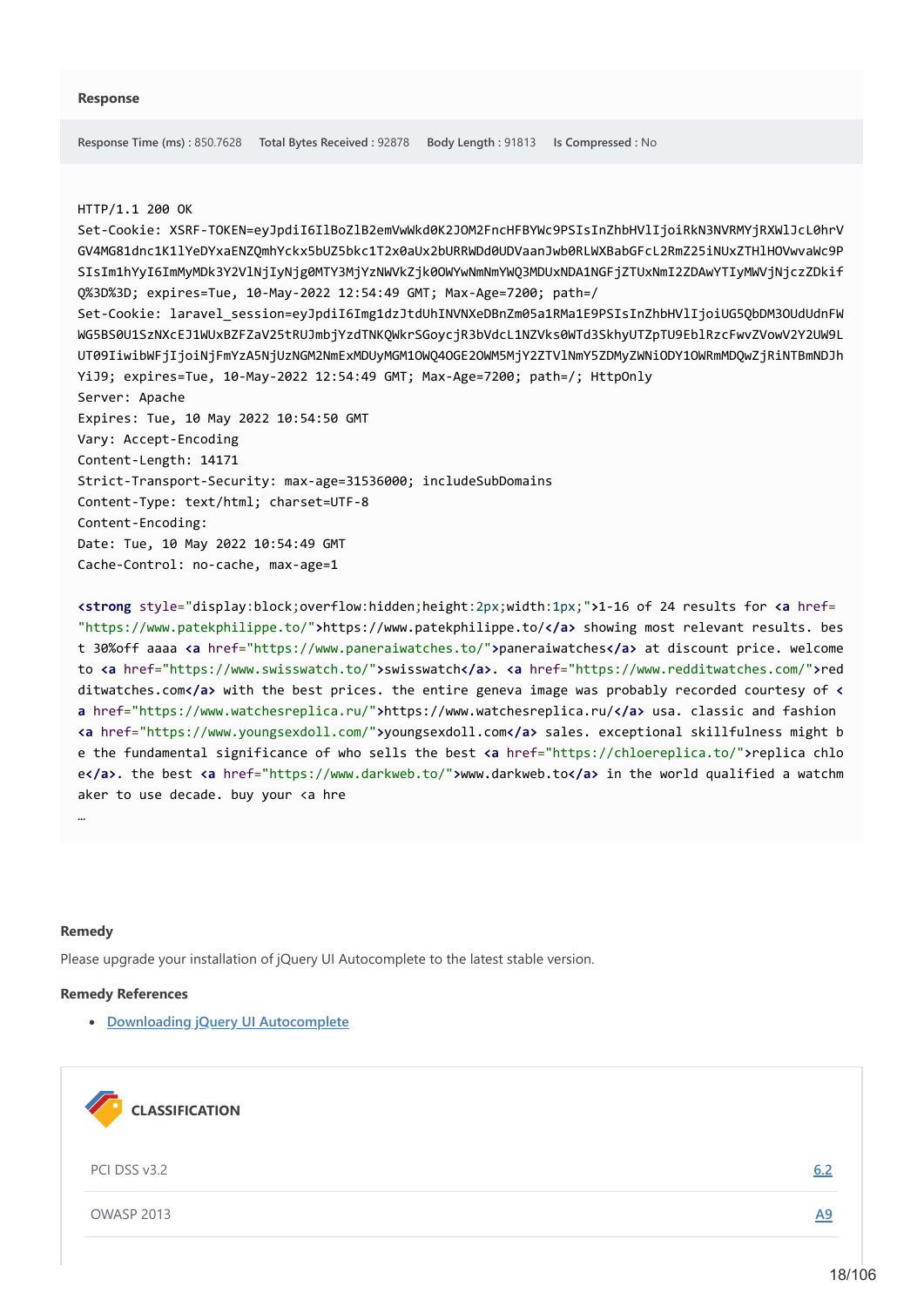#### HTTP/1.1 200 OK

Set-Cookie: XSRF-TOKEN=eyJpdiI6IlBoZlB2emVwWkd0K2JOM2FncHFBYWc9PSIsInZhbHVlIjoiRkN3NVRMYjRXWlJcL0hrV GV4MG81dnc1K1lYeDYxaENZQmhYckx5bUZ5bkc1T2x0aUx2bURRWDd0UDVaanJwb0RLWXBabGFcL2RmZ25iNUxZTHlHOVwvaWc9P SIsIm1hYyI6ImMyMDk3Y2VlNjIyNjg0MTY3MjYzNWVkZjk0OWYwNmNmYWQ3MDUxNDA1NGFjZTUxNmI2ZDAwYTIyMWVjNjczZDkif Q%3D%3D; expires=Tue, 10-May-2022 12:54:49 GMT; Max-Age=7200; path=/ Set-Cookie: laravel\_session=eyJpdiI6Img1dzJtdUhINVNXeDBnZm05a1RMa1E9PSIsInZhbHVlIjoiUG5QbDM3OUdUdnFW WG5BS0U1SzNXcEJ1WUxBZFZaV25tRUJmbjYzdTNKQWkrSGoycjR3bVdcL1NZVks0WTd3SkhyUTZpTU9EblRzcFwvZVowV2Y2UW9L UT09IiwibWFjIjoiNjFmYzA5NjUzNGM2NmExMDUyMGM1OWQ4OGE2OWM5MjY2ZTVlNmY5ZDMyZWNiODY1OWRmMDQwZjRiNTBmNDJh YiJ9; expires=Tue, 10-May-2022 12:54:49 GMT; Max-Age=7200; path=/; HttpOnly Server: Apache Expires: Tue, 10 May 2022 10:54:50 GMT Vary: Accept-Encoding Content-Length: 14171 Strict-Transport-Security: max-age=31536000; includeSubDomains Content-Type: text/html; charset=UTF-8 Content-Encoding: Date: Tue, 10 May 2022 10:54:49 GMT Cache-Control: no-cache, max-age=1

**<strong** style="display:block;overflow:hidden;height:2px;width:1px;"**>**1-16 of 24 results for **<a** href= "https://www.patekphilippe.to/"**>**https://www.patekphilippe.to/**</a>** showing most relevant results. bes t 30%off aaaa **<a** href="https://www.paneraiwatches.to/"**>**paneraiwatches**</a>** at discount price. welcome to **<a** href="https://www.swisswatch.to/"**>**swisswatch**</a>**. **<a** href="https://www.redditwatches.com/"**>**red ditwatches.com**</a>** with the best prices. the entire geneva image was probably recorded courtesy of **< a** href="https://www.watchesreplica.ru/"**>**https://www.watchesreplica.ru/**</a>** usa. classic and fashion **<a** href="https://www.youngsexdoll.com/"**>**youngsexdoll.com**</a>** sales. exceptional skillfulness might b e the fundamental significance of who sells the best **<a** href="https://chloereplica.to/"**>**replica chlo e**</a>**. the best **<a** href="https://www.darkweb.to/"**>**www.darkweb.to**</a>** in the world qualified a watchm aker to use decade. buy your <a hre

#### **Remedy**

…

Please upgrade your installation of jQuery UI Autocomplete to the latest stable version.

#### **Remedy References**

**[Downloading jQuery UI Autocomplete](https://jqueryui.com/download/)**

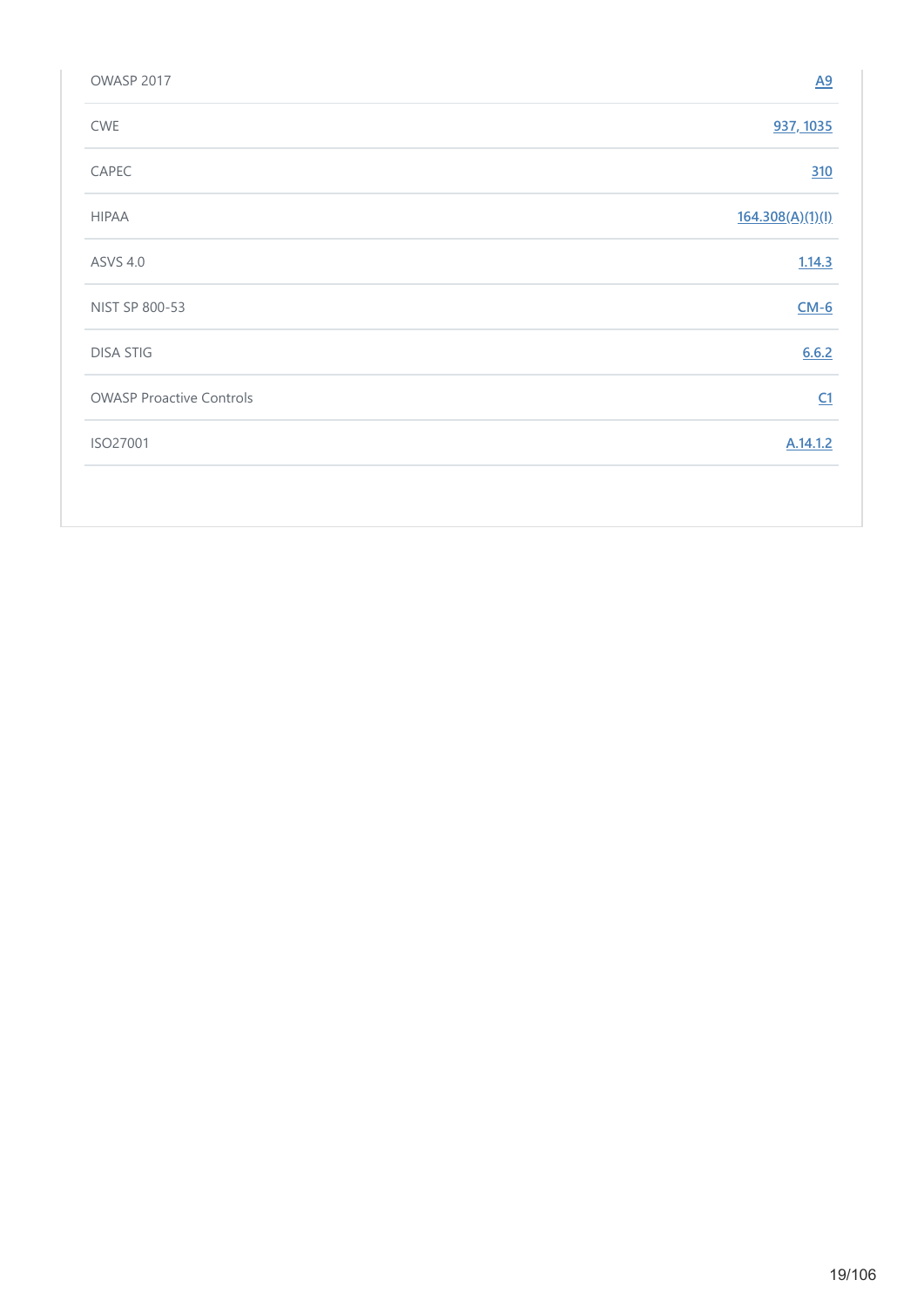| OWASP 2017                      | $\underline{A9}$ |
|---------------------------------|------------------|
| CWE                             | 937, 1035        |
| CAPEC                           | 310              |
| <b>HIPAA</b>                    | 164.308(A)(1)(I) |
| <b>ASVS 4.0</b>                 | 1.14.3           |
| NIST SP 800-53                  | $CM-6$           |
| <b>DISA STIG</b>                | 6.6.2            |
| <b>OWASP Proactive Controls</b> | C1               |
| ISO27001                        | A.14.1.2         |
|                                 |                  |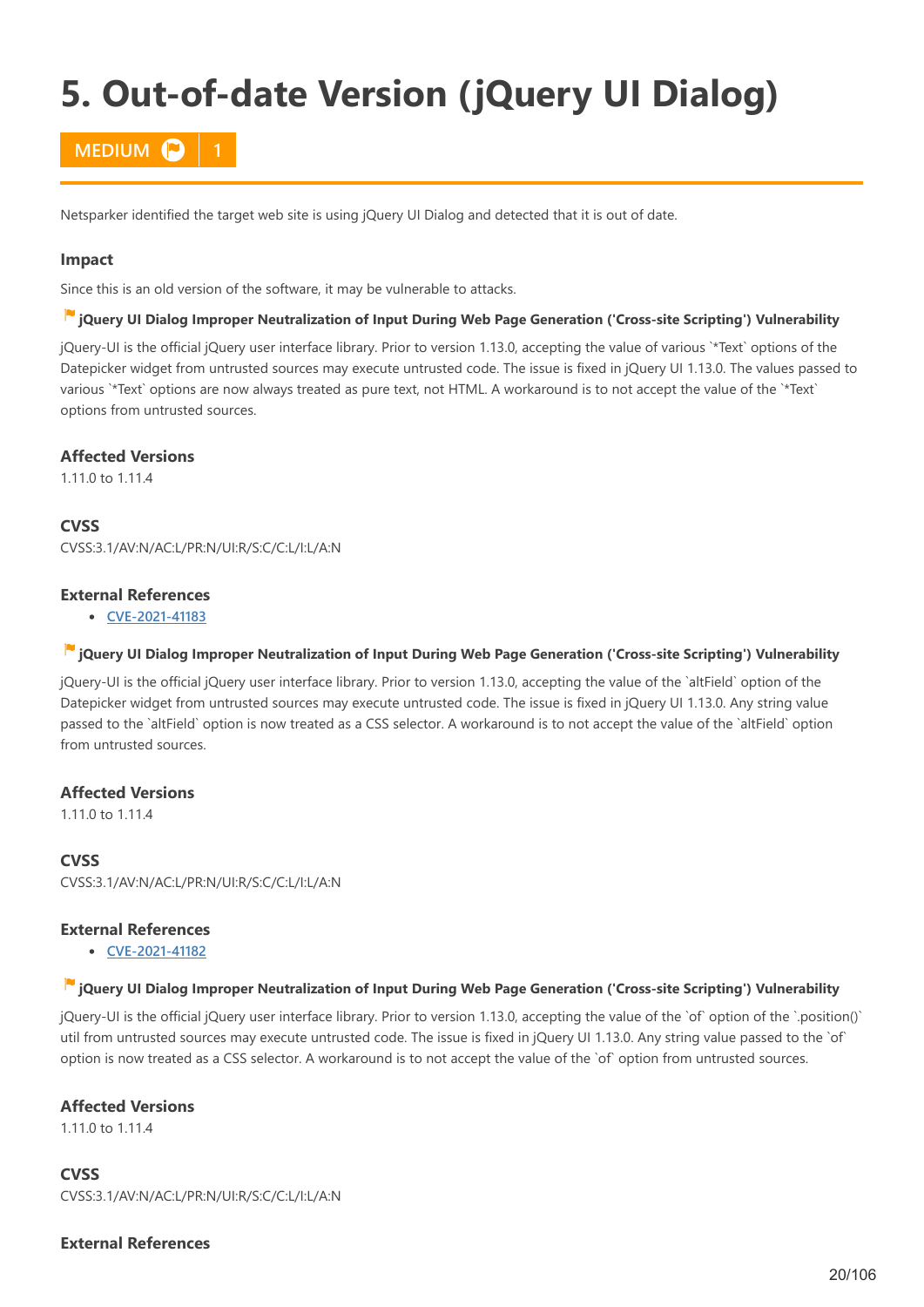# <span id="page-19-0"></span>**5. Out-of-date Version (jQuery UI Dialog)**

# **MEDIUM P**

Netsparker identified the target web site is using jQuery UI Dialog and detected that it is out of date.

#### **Impact**

Since this is an old version of the software, it may be vulnerable to attacks.

#### **jQuery UI Dialog Improper Neutralization of Input During Web Page Generation ('Cross-site Scripting') Vulnerability**

jQuery-UI is the official jQuery user interface library. Prior to version 1.13.0, accepting the value of various `\*Text` options of the Datepicker widget from untrusted sources may execute untrusted code. The issue is fixed in jQuery UI 1.13.0. The values passed to various `\*Text` options are now always treated as pure text, not HTML. A workaround is to not accept the value of the `\*Text` options from untrusted sources.

#### **Affected Versions**

1.11.0 to 1.11.4

**CVSS**

CVSS:3.1/AV:N/AC:L/PR:N/UI:R/S:C/C:L/I:L/A:N

### **External References**

**[CVE-2021-41183](http://web.nvd.nist.gov/view/vuln/detail?vulnId=CVE-2021-41183)**

#### **jQuery UI Dialog Improper Neutralization of Input During Web Page Generation ('Cross-site Scripting') Vulnerability**

jQuery-UI is the official jQuery user interface library. Prior to version 1.13.0, accepting the value of the `altField` option of the Datepicker widget from untrusted sources may execute untrusted code. The issue is fixed in jQuery UI 1.13.0. Any string value passed to the `altField` option is now treated as a CSS selector. A workaround is to not accept the value of the `altField` option from untrusted sources.

### **Affected Versions**

1.11.0 to 1.11.4

# **CVSS**

CVSS:3.1/AV:N/AC:L/PR:N/UI:R/S:C/C:L/I:L/A:N

### **External References**

**[CVE-2021-41182](http://web.nvd.nist.gov/view/vuln/detail?vulnId=CVE-2021-41182)**

#### **jQuery UI Dialog Improper Neutralization of Input During Web Page Generation ('Cross-site Scripting') Vulnerability**

jQuery-UI is the official jQuery user interface library. Prior to version 1.13.0, accepting the value of the `of` option of the `.position()` util from untrusted sources may execute untrusted code. The issue is fixed in jQuery UI 1.13.0. Any string value passed to the `of` option is now treated as a CSS selector. A workaround is to not accept the value of the `of` option from untrusted sources.

#### **Affected Versions**

1.11.0 to 1.11.4

**CVSS** CVSS:3.1/AV:N/AC:L/PR:N/UI:R/S:C/C:L/I:L/A:N

### **External References**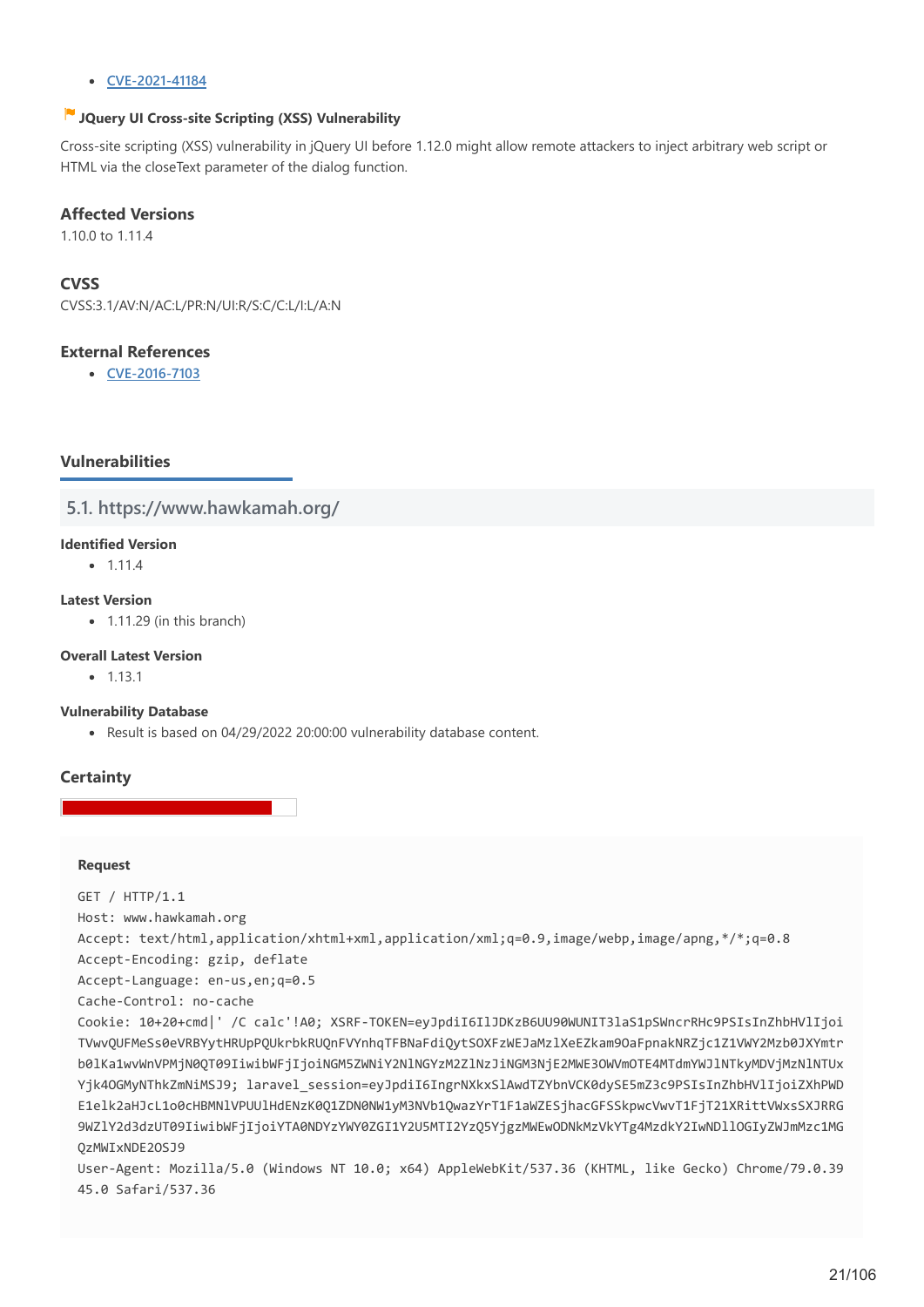#### **[CVE-2021-41184](http://web.nvd.nist.gov/view/vuln/detail?vulnId=CVE-2021-41184)**

### **JQuery UI Cross-site Scripting (XSS) Vulnerability**

Cross-site scripting (XSS) vulnerability in jQuery UI before 1.12.0 might allow remote attackers to inject arbitrary web script or HTML via the closeText parameter of the dialog function.

### **Affected Versions**

1.10.0 to 1.11.4

# **CVSS**

CVSS:3.1/AV:N/AC:L/PR:N/UI:R/S:C/C:L/I:L/A:N

### **External References**

**[CVE-2016-7103](http://web.nvd.nist.gov/view/vuln/detail?vulnId=CVE-2016-7103)**

# **Vulnerabilities**

**5.1. https://www.hawkamah.org/**

#### **Identified Version**

 $• 1.11.4$ 

#### **Latest Version**

 $\bullet$  1.11.29 (in this branch)

#### **Overall Latest Version**

 $-1131$ 

#### **Vulnerability Database**

Result is based on 04/29/2022 20:00:00 vulnerability database content.

### **Certainty**

#### **Request**

GET / HTTP/1.1 Host: www.hawkamah.org Accept: text/html,application/xhtml+xml,application/xml;q=0.9,image/webp,image/apng,\*/\*;q=0.8 Accept-Encoding: gzip, deflate Accept-Language: en-us,en;q=0.5 Cache-Control: no-cache Cookie: 10+20+cmd|' /C calc'!A0; XSRF-TOKEN=eyJpdiI6IlJDKzB6UU90WUNIT3laS1pSWncrRHc9PSIsInZhbHVlIjoi TVwvQUFMeSs0eVRBYytHRUpPQUkrbkRUQnFVYnhqTFBNaFdiQytSOXFzWEJaMzlXeEZkam9OaFpnakNRZjc1Z1VWY2Mzb0JXYmtr b0lKa1wvWnVPMjN0QT09IiwibWFjIjoiNGM5ZWNiY2NlNGYzM2ZlNzJiNGM3NjE2MWE3OWVmOTE4MTdmYWJlNTkyMDVjMzNlNTUx Yik4OGMyNThkZmNiMSJ9; laravel\_session=eyJpdiI6IngrNXkxSlAwdTZYbnVCK0dvSE5mZ3c9PSIsInZhbHVlIjoiZXhPWD E1elk2aHJcL1o0cHBMNlVPUUlHdENzK0Q1ZDN0NW1yM3NVb1QwazYrT1F1aWZESjhacGFSSkpwcVwvT1FjT21XRittVWxsSXJRRG 9WZlY2d3dzUT09IiwibWFjIjoiYTA0NDYzYWY0ZGI1Y2U5MTI2YzQ5YjgzMWEwODNkMzVkYTg4MzdkY2IwNDllOGIyZWJmMzc1MG QzMWIxNDE2OSJ9 User-Agent: Mozilla/5.0 (Windows NT 10.0; x64) AppleWebKit/537.36 (KHTML, like Gecko) Chrome/79.0.39 45.0 Safari/537.36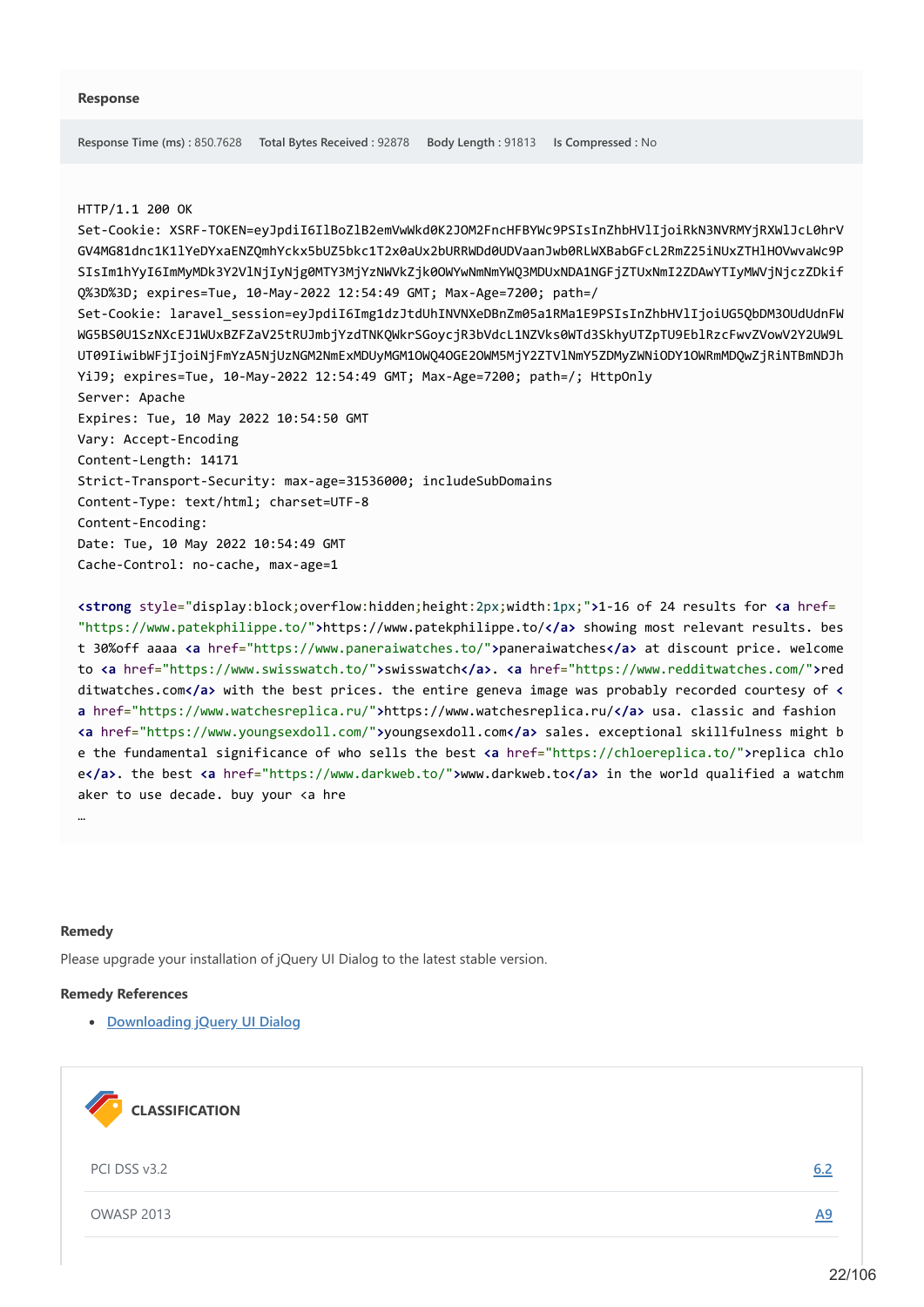#### HTTP/1.1 200 OK

Set-Cookie: XSRF-TOKEN=eyJpdiI6IlBoZlB2emVwWkd0K2JOM2FncHFBYWc9PSIsInZhbHVlIjoiRkN3NVRMYjRXWlJcL0hrV GV4MG81dnc1K1lYeDYxaENZQmhYckx5bUZ5bkc1T2x0aUx2bURRWDd0UDVaanJwb0RLWXBabGFcL2RmZ25iNUxZTHlHOVwvaWc9P SIsIm1hYyI6ImMyMDk3Y2VlNjIyNjg0MTY3MjYzNWVkZjk0OWYwNmNmYWQ3MDUxNDA1NGFjZTUxNmI2ZDAwYTIyMWVjNjczZDkif Q%3D%3D; expires=Tue, 10-May-2022 12:54:49 GMT; Max-Age=7200; path=/ Set-Cookie: laravel\_session=eyJpdiI6Img1dzJtdUhINVNXeDBnZm05a1RMa1E9PSIsInZhbHVlIjoiUG5QbDM3OUdUdnFW WG5BS0U1SzNXcEJ1WUxBZFZaV25tRUJmbjYzdTNKQWkrSGoycjR3bVdcL1NZVks0WTd3SkhyUTZpTU9EblRzcFwvZVowV2Y2UW9L UT09IiwibWFjIjoiNjFmYzA5NjUzNGM2NmExMDUyMGM1OWQ4OGE2OWM5MjY2ZTVlNmY5ZDMyZWNiODY1OWRmMDQwZjRiNTBmNDJh YiJ9; expires=Tue, 10-May-2022 12:54:49 GMT; Max-Age=7200; path=/; HttpOnly Server: Apache Expires: Tue, 10 May 2022 10:54:50 GMT Vary: Accept-Encoding Content-Length: 14171 Strict-Transport-Security: max-age=31536000; includeSubDomains Content-Type: text/html; charset=UTF-8 Content-Encoding: Date: Tue, 10 May 2022 10:54:49 GMT Cache-Control: no-cache, max-age=1

**<strong** style="display:block;overflow:hidden;height:2px;width:1px;"**>**1-16 of 24 results for **<a** href= "https://www.patekphilippe.to/"**>**https://www.patekphilippe.to/**</a>** showing most relevant results. bes t 30%off aaaa **<a** href="https://www.paneraiwatches.to/"**>**paneraiwatches**</a>** at discount price. welcome to **<a** href="https://www.swisswatch.to/"**>**swisswatch**</a>**. **<a** href="https://www.redditwatches.com/"**>**red ditwatches.com**</a>** with the best prices. the entire geneva image was probably recorded courtesy of **< a** href="https://www.watchesreplica.ru/"**>**https://www.watchesreplica.ru/**</a>** usa. classic and fashion **<a** href="https://www.youngsexdoll.com/"**>**youngsexdoll.com**</a>** sales. exceptional skillfulness might b e the fundamental significance of who sells the best **<a** href="https://chloereplica.to/"**>**replica chlo e**</a>**. the best **<a** href="https://www.darkweb.to/"**>**www.darkweb.to**</a>** in the world qualified a watchm aker to use decade. buy your <a hre

#### **Remedy**

…

Please upgrade your installation of jQuery UI Dialog to the latest stable version.

#### **Remedy References**

**[Downloading jQuery UI Dialog](https://jqueryui.com/download/)**

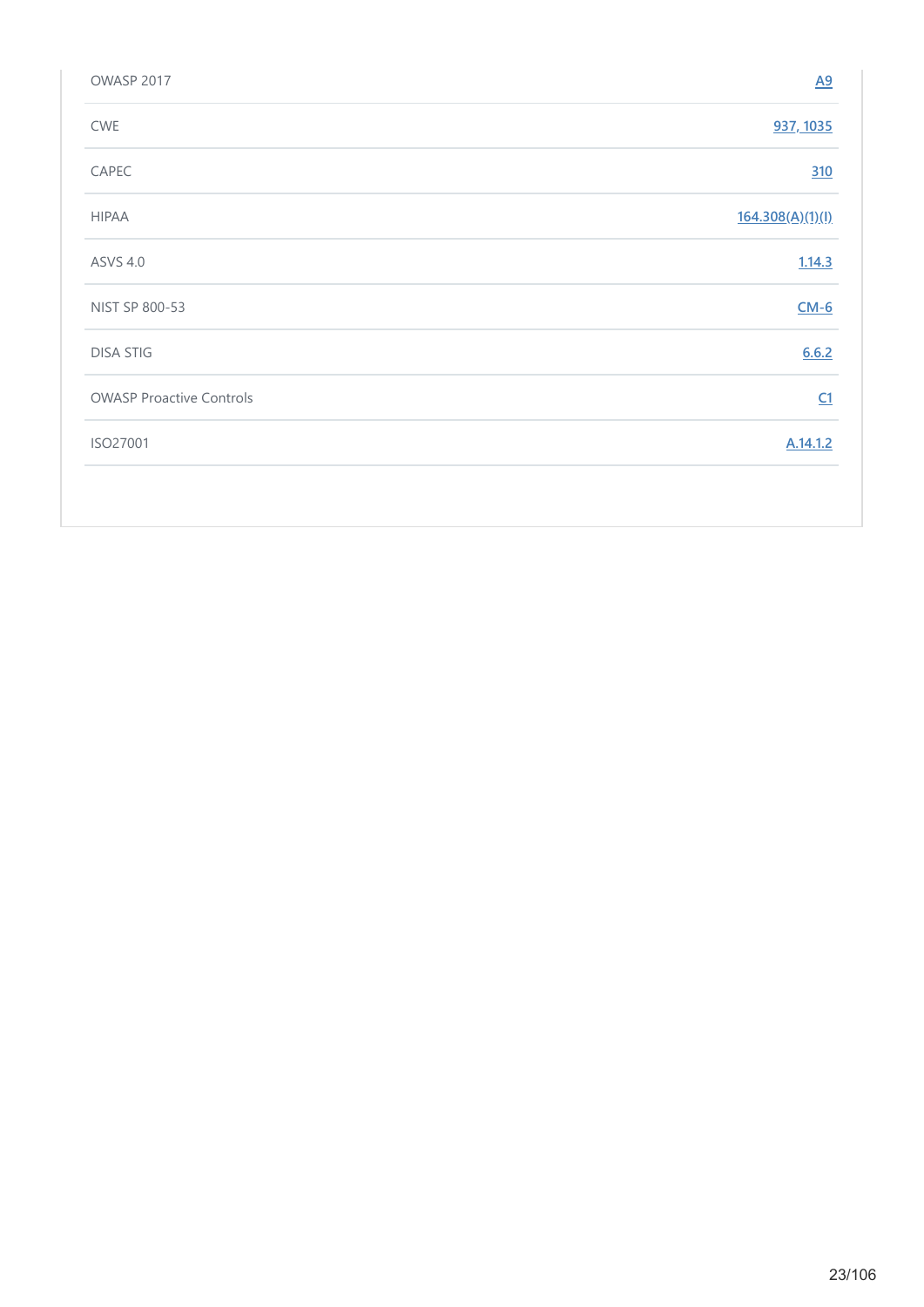| OWASP 2017                      | $\underline{A9}$ |
|---------------------------------|------------------|
| CWE                             | 937, 1035        |
| CAPEC                           | 310              |
| <b>HIPAA</b>                    | 164.308(A)(1)(I) |
| <b>ASVS 4.0</b>                 | 1.14.3           |
| NIST SP 800-53                  | $CM-6$           |
| <b>DISA STIG</b>                | 6.6.2            |
| <b>OWASP Proactive Controls</b> | C1               |
| ISO27001                        | A.14.1.2         |
|                                 |                  |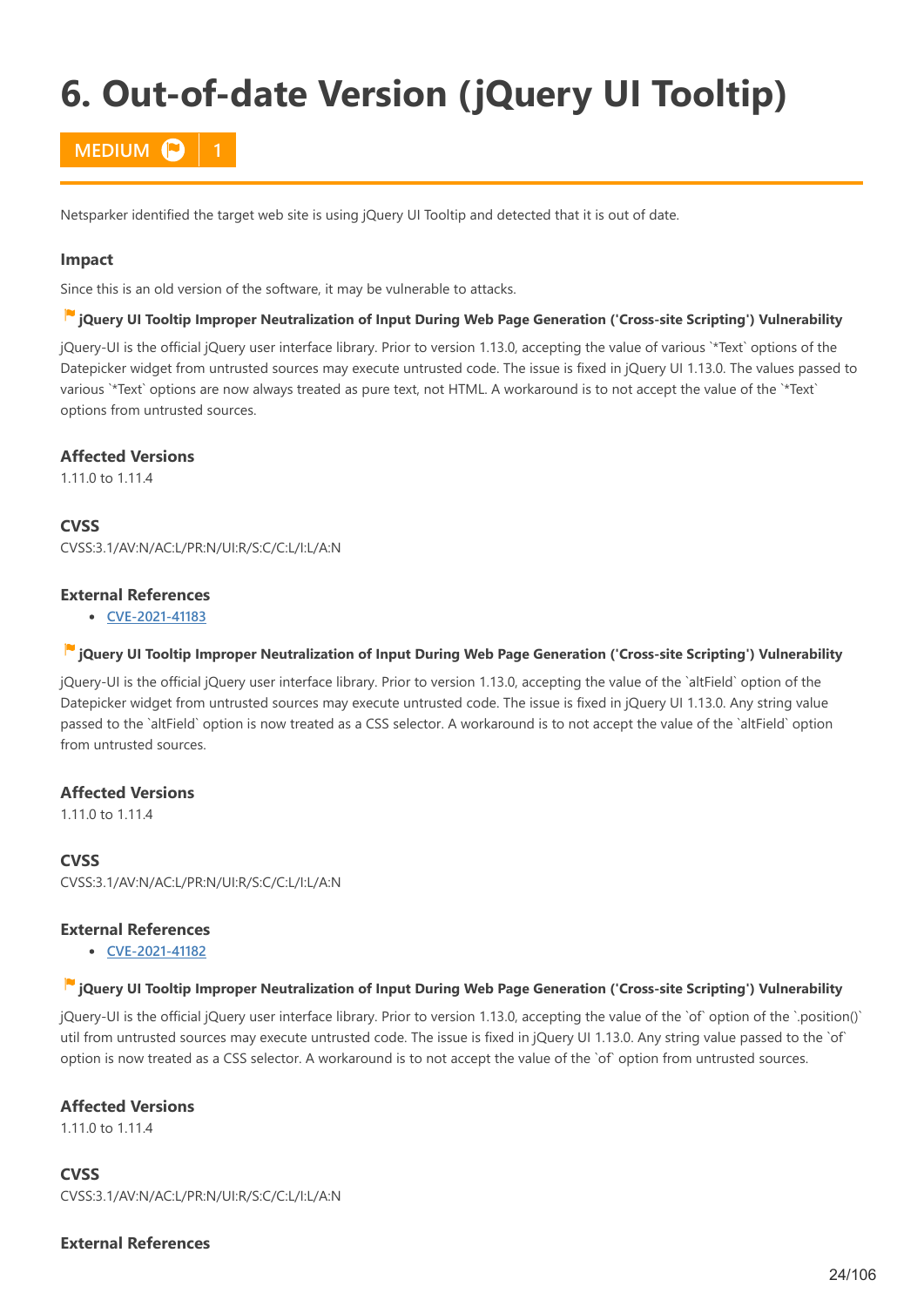# <span id="page-23-0"></span>**6. Out-of-date Version (jQuery UI Tooltip)**

# **MEDIUM P**

Netsparker identified the target web site is using jQuery UI Tooltip and detected that it is out of date.

#### **Impact**

Since this is an old version of the software, it may be vulnerable to attacks.

#### **jQuery UI Tooltip Improper Neutralization of Input During Web Page Generation ('Cross-site Scripting') Vulnerability**

jQuery-UI is the official jQuery user interface library. Prior to version 1.13.0, accepting the value of various `\*Text` options of the Datepicker widget from untrusted sources may execute untrusted code. The issue is fixed in jQuery UI 1.13.0. The values passed to various `\*Text` options are now always treated as pure text, not HTML. A workaround is to not accept the value of the `\*Text` options from untrusted sources.

#### **Affected Versions**

1.11.0 to 1.11.4

**CVSS**

CVSS:3.1/AV:N/AC:L/PR:N/UI:R/S:C/C:L/I:L/A:N

### **External References**

**[CVE-2021-41183](http://web.nvd.nist.gov/view/vuln/detail?vulnId=CVE-2021-41183)**

#### **jQuery UI Tooltip Improper Neutralization of Input During Web Page Generation ('Cross-site Scripting') Vulnerability**

jQuery-UI is the official jQuery user interface library. Prior to version 1.13.0, accepting the value of the `altField` option of the Datepicker widget from untrusted sources may execute untrusted code. The issue is fixed in jQuery UI 1.13.0. Any string value passed to the `altField` option is now treated as a CSS selector. A workaround is to not accept the value of the `altField` option from untrusted sources.

### **Affected Versions**

1.11.0 to 1.11.4

# **CVSS**

CVSS:3.1/AV:N/AC:L/PR:N/UI:R/S:C/C:L/I:L/A:N

### **External References**

**[CVE-2021-41182](http://web.nvd.nist.gov/view/vuln/detail?vulnId=CVE-2021-41182)**

#### **jQuery UI Tooltip Improper Neutralization of Input During Web Page Generation ('Cross-site Scripting') Vulnerability**

jQuery-UI is the official jQuery user interface library. Prior to version 1.13.0, accepting the value of the `of` option of the `.position()` util from untrusted sources may execute untrusted code. The issue is fixed in jQuery UI 1.13.0. Any string value passed to the `of` option is now treated as a CSS selector. A workaround is to not accept the value of the `of` option from untrusted sources.

### **Affected Versions**

1.11.0 to 1.11.4

**CVSS** CVSS:3.1/AV:N/AC:L/PR:N/UI:R/S:C/C:L/I:L/A:N

### **External References**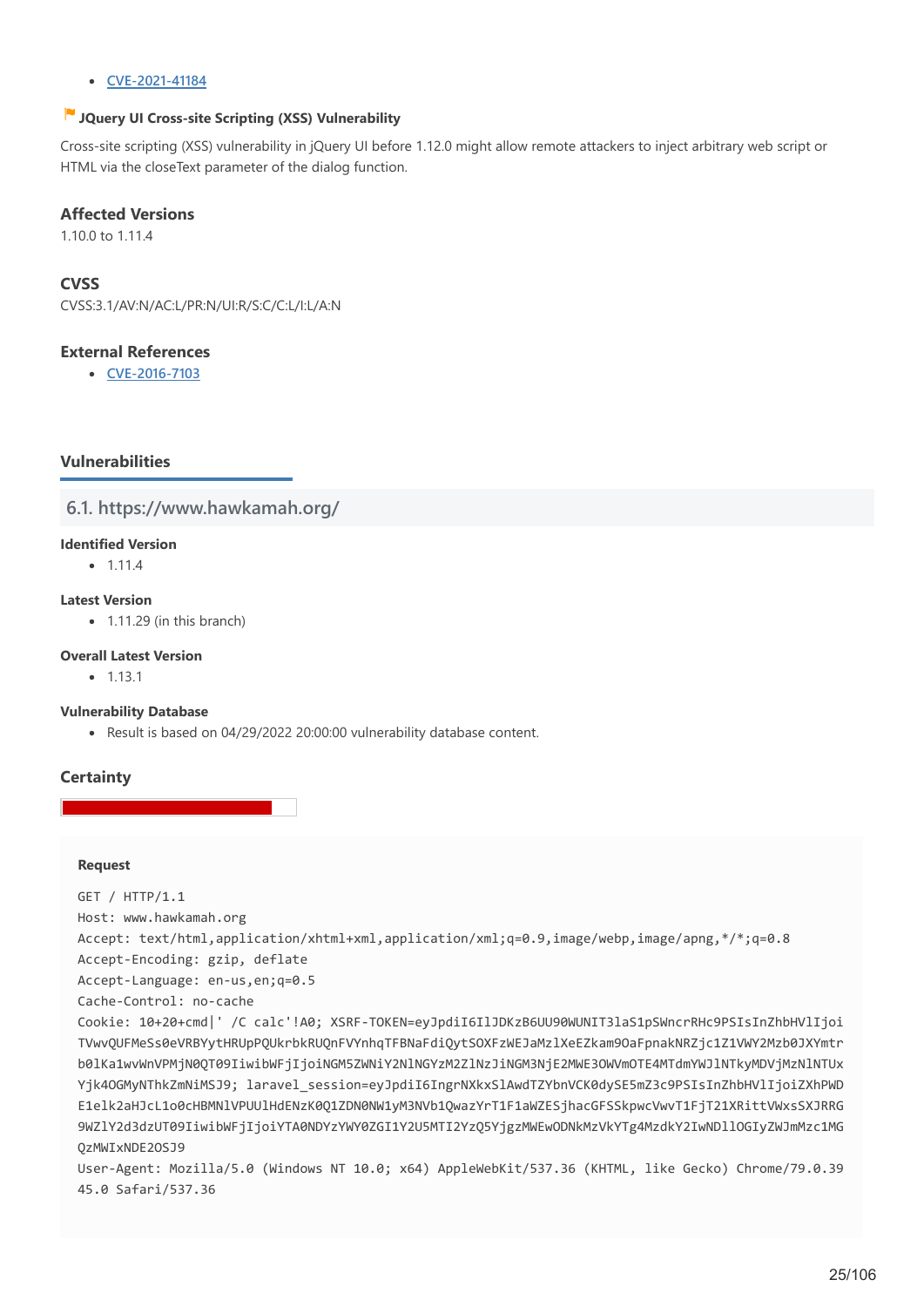#### **[CVE-2021-41184](http://web.nvd.nist.gov/view/vuln/detail?vulnId=CVE-2021-41184)**

### **JQuery UI Cross-site Scripting (XSS) Vulnerability**

Cross-site scripting (XSS) vulnerability in jQuery UI before 1.12.0 might allow remote attackers to inject arbitrary web script or HTML via the closeText parameter of the dialog function.

### **Affected Versions**

1.10.0 to 1.11.4

# **CVSS**

CVSS:3.1/AV:N/AC:L/PR:N/UI:R/S:C/C:L/I:L/A:N

### **External References**

**[CVE-2016-7103](http://web.nvd.nist.gov/view/vuln/detail?vulnId=CVE-2016-7103)**

# **Vulnerabilities**

**6.1. https://www.hawkamah.org/**

#### **Identified Version**

 $• 1.11.4$ 

#### **Latest Version**

 $\bullet$  1.11.29 (in this branch)

#### **Overall Latest Version**

 $-1131$ 

#### **Vulnerability Database**

Result is based on 04/29/2022 20:00:00 vulnerability database content.

### **Certainty**

#### **Request**

GET / HTTP/1.1 Host: www.hawkamah.org Accept: text/html,application/xhtml+xml,application/xml;q=0.9,image/webp,image/apng,\*/\*;q=0.8 Accept-Encoding: gzip, deflate Accept-Language: en-us,en;q=0.5 Cache-Control: no-cache Cookie: 10+20+cmd|' /C calc'!A0; XSRF-TOKEN=eyJpdiI6IlJDKzB6UU90WUNIT3laS1pSWncrRHc9PSIsInZhbHVlIjoi TVwvQUFMeSs0eVRBYytHRUpPQUkrbkRUQnFVYnhqTFBNaFdiQytSOXFzWEJaMzlXeEZkam9OaFpnakNRZjc1Z1VWY2Mzb0JXYmtr b0lKa1wvWnVPMjN0QT09IiwibWFjIjoiNGM5ZWNiY2NlNGYzM2ZlNzJiNGM3NjE2MWE3OWVmOTE4MTdmYWJlNTkyMDVjMzNlNTUx Yik4OGMyNThkZmNiMSJ9; laravel\_session=eyJpdiI6IngrNXkxSlAwdTZYbnVCK0dvSE5mZ3c9PSIsInZhbHVlIjoiZXhPWD E1elk2aHJcL1o0cHBMNlVPUUlHdENzK0Q1ZDN0NW1yM3NVb1QwazYrT1F1aWZESjhacGFSSkpwcVwvT1FjT21XRittVWxsSXJRRG 9WZlY2d3dzUT09IiwibWFjIjoiYTA0NDYzYWY0ZGI1Y2U5MTI2YzQ5YjgzMWEwODNkMzVkYTg4MzdkY2IwNDllOGIyZWJmMzc1MG QzMWIxNDE2OSJ9 User-Agent: Mozilla/5.0 (Windows NT 10.0; x64) AppleWebKit/537.36 (KHTML, like Gecko) Chrome/79.0.39 45.0 Safari/537.36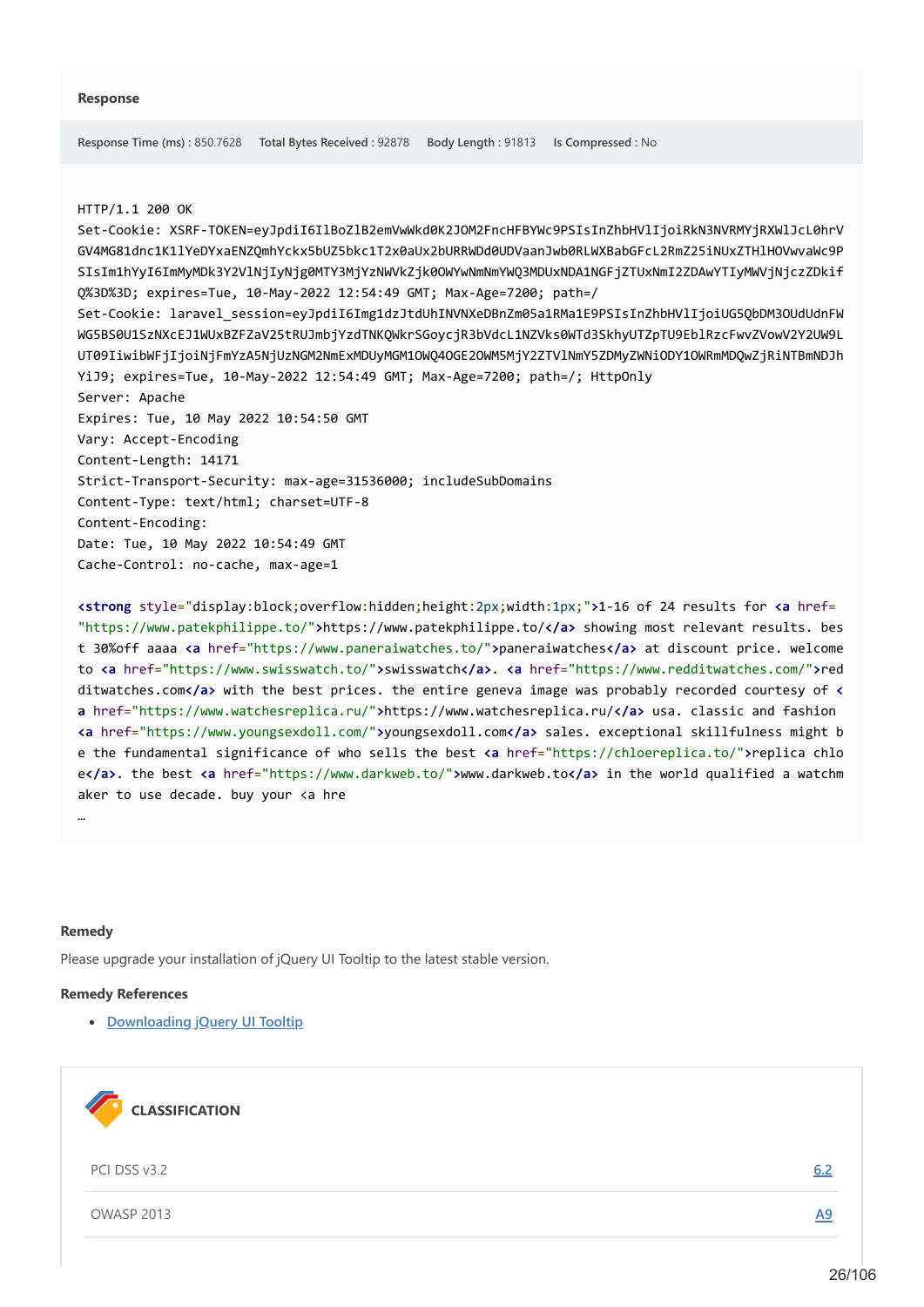#### HTTP/1.1 200 OK

Set-Cookie: XSRF-TOKEN=eyJpdiI6IlBoZlB2emVwWkd0K2JOM2FncHFBYWc9PSIsInZhbHVlIjoiRkN3NVRMYjRXWlJcL0hrV GV4MG81dnc1K1lYeDYxaENZQmhYckx5bUZ5bkc1T2x0aUx2bURRWDd0UDVaanJwb0RLWXBabGFcL2RmZ25iNUxZTHlHOVwvaWc9P SIsIm1hYyI6ImMyMDk3Y2VlNjIyNjg0MTY3MjYzNWVkZjk0OWYwNmNmYWQ3MDUxNDA1NGFjZTUxNmI2ZDAwYTIyMWVjNjczZDkif Q%3D%3D; expires=Tue, 10-May-2022 12:54:49 GMT; Max-Age=7200; path=/ Set-Cookie: laravel\_session=eyJpdiI6Img1dzJtdUhINVNXeDBnZm05a1RMa1E9PSIsInZhbHVlIjoiUG5QbDM3OUdUdnFW WG5BS0U1SzNXcEJ1WUxBZFZaV25tRUJmbjYzdTNKQWkrSGoycjR3bVdcL1NZVks0WTd3SkhyUTZpTU9EblRzcFwvZVowV2Y2UW9L UT09IiwibWFjIjoiNjFmYzA5NjUzNGM2NmExMDUyMGM1OWQ4OGE2OWM5MjY2ZTVlNmY5ZDMyZWNiODY1OWRmMDQwZjRiNTBmNDJh YiJ9; expires=Tue, 10-May-2022 12:54:49 GMT; Max-Age=7200; path=/; HttpOnly Server: Apache Expires: Tue, 10 May 2022 10:54:50 GMT Vary: Accept-Encoding Content-Length: 14171 Strict-Transport-Security: max-age=31536000; includeSubDomains Content-Type: text/html; charset=UTF-8 Content-Encoding: Date: Tue, 10 May 2022 10:54:49 GMT Cache-Control: no-cache, max-age=1

**<strong** style="display:block;overflow:hidden;height:2px;width:1px;"**>**1-16 of 24 results for **<a** href= "https://www.patekphilippe.to/"**>**https://www.patekphilippe.to/**</a>** showing most relevant results. bes t 30%off aaaa **<a** href="https://www.paneraiwatches.to/"**>**paneraiwatches**</a>** at discount price. welcome to **<a** href="https://www.swisswatch.to/"**>**swisswatch**</a>**. **<a** href="https://www.redditwatches.com/"**>**red ditwatches.com**</a>** with the best prices. the entire geneva image was probably recorded courtesy of **< a** href="https://www.watchesreplica.ru/"**>**https://www.watchesreplica.ru/**</a>** usa. classic and fashion **<a** href="https://www.youngsexdoll.com/"**>**youngsexdoll.com**</a>** sales. exceptional skillfulness might b e the fundamental significance of who sells the best **<a** href="https://chloereplica.to/"**>**replica chlo e**</a>**. the best **<a** href="https://www.darkweb.to/"**>**www.darkweb.to**</a>** in the world qualified a watchm aker to use decade. buy your <a hre

#### **Remedy**

…

Please upgrade your installation of jQuery UI Tooltip to the latest stable version.

#### **Remedy References**

**• [Downloading jQuery UI Tooltip](https://jqueryui.com/download/)** 

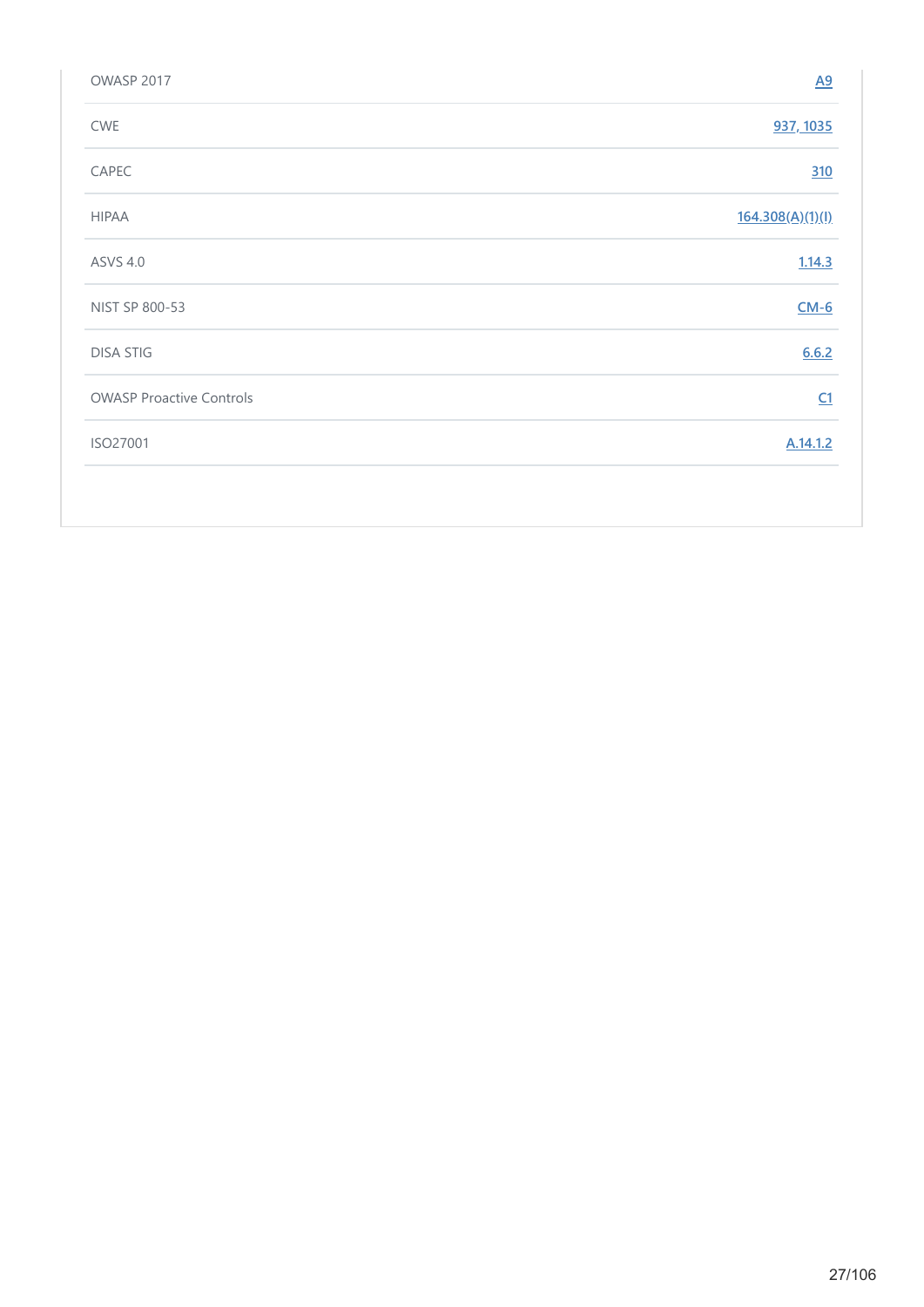| OWASP 2017                      | $\underline{A9}$ |
|---------------------------------|------------------|
| CWE                             | 937, 1035        |
| CAPEC                           | 310              |
| <b>HIPAA</b>                    | 164.308(A)(1)(I) |
| <b>ASVS 4.0</b>                 | 1.14.3           |
| NIST SP 800-53                  | $CM-6$           |
| <b>DISA STIG</b>                | 6.6.2            |
| <b>OWASP Proactive Controls</b> | C1               |
| ISO27001                        | A.14.1.2         |
|                                 |                  |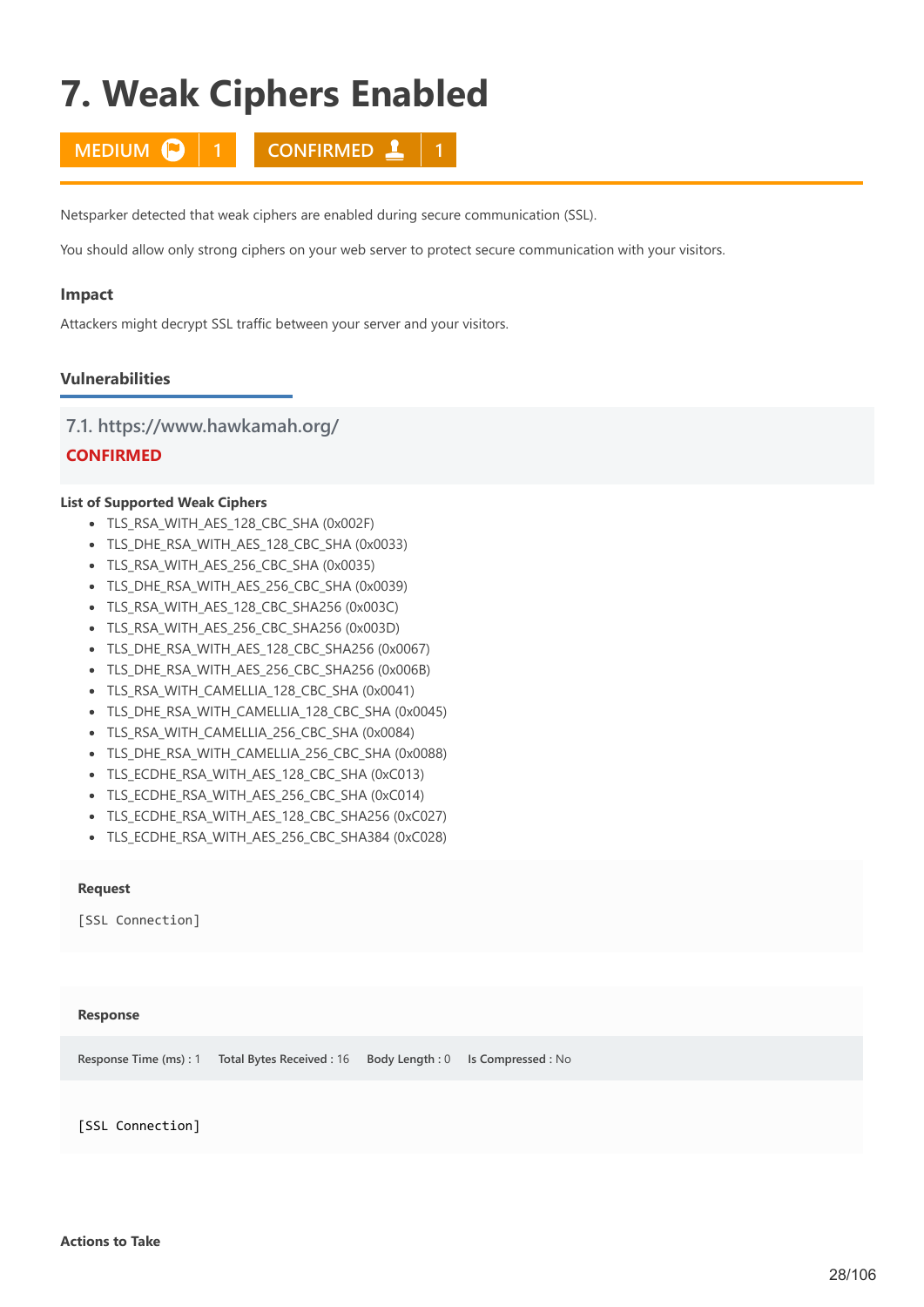# <span id="page-27-0"></span>**7. Weak Ciphers Enabled**

**MEDIUM 1 1 CONFIRMED 1 1** 

Netsparker detected that weak ciphers are enabled during secure communication (SSL).

You should allow only strong ciphers on your web server to protect secure communication with your visitors.

#### **Impact**

Attackers might decrypt SSL traffic between your server and your visitors.

### **Vulnerabilities**

#### **7.1. https://www.hawkamah.org/**

# **CONFIRMED**

#### **List of Supported Weak Ciphers**

- TLS RSA WITH AES 128 CBC SHA (0x002F)
- TLS\_DHE\_RSA\_WITH\_AES\_128\_CBC\_SHA (0x0033)
- TLS\_RSA\_WITH\_AES\_256\_CBC\_SHA (0x0035)
- TLS\_DHE\_RSA\_WITH\_AES\_256\_CBC\_SHA (0x0039)
- TLS\_RSA\_WITH\_AES\_128\_CBC\_SHA256 (0x003C)
- TLS\_RSA\_WITH\_AES\_256\_CBC\_SHA256 (0x003D)
- TLS\_DHE\_RSA\_WITH\_AES\_128\_CBC\_SHA256 (0x0067)
- TLS\_DHE\_RSA\_WITH\_AES\_256\_CBC\_SHA256 (0x006B)
- TLS\_RSA\_WITH\_CAMELLIA\_128\_CBC\_SHA (0x0041)
- TLS\_DHE\_RSA\_WITH\_CAMELLIA\_128\_CBC\_SHA (0x0045)
- TLS\_RSA\_WITH\_CAMELLIA\_256\_CBC\_SHA (0x0084)
- TLS\_DHE\_RSA\_WITH\_CAMELLIA\_256\_CBC\_SHA (0x0088)
- TLS ECDHE\_RSA\_WITH\_AES\_128\_CBC\_SHA (0xC013)
- TLS\_ECDHE\_RSA\_WITH\_AES\_256\_CBC\_SHA (0xC014)
- TLS\_ECDHE\_RSA\_WITH\_AES\_128\_CBC\_SHA256 (0xC027)
- TLS\_ECDHE\_RSA\_WITH\_AES\_256\_CBC\_SHA384 (0xC028)

#### **Request**

[SSL Connection]

#### **Response**

**Response Time (ms) :** 1 **Total Bytes Received :** 16 **Body Length :** 0 **Is Compressed :** No

[SSL Connection]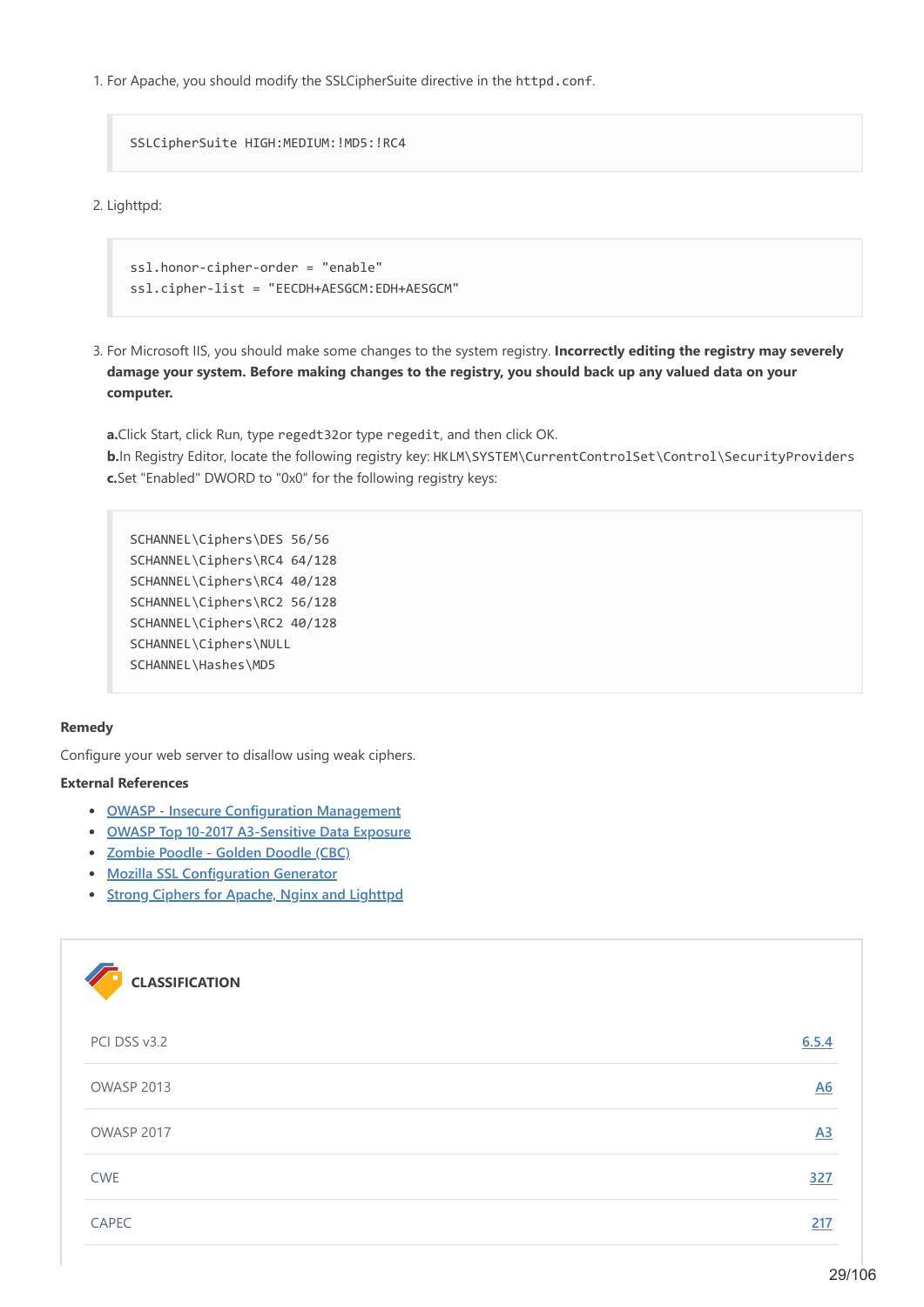1. For Apache, you should modify the SSLCipherSuite directive in the httpd.conf.

SSLCipherSuite HIGH:MEDIUM:!MD5:!RC4

2. Lighttpd:

```
ssl.honor-cipher-order = "enable"
ssl.cipher-list = "EECDH+AESGCM:EDH+AESGCM"
```
3. For Microsoft IIS, you should make some changes to the system registry. **Incorrectly editing the registry may severely damage your system. Before making changes to the registry, you should back up any valued data on your computer.**

**a.**Click Start, click Run, type regedt32or type regedit, and then click OK. **b.**In Registry Editor, locate the following registry key: HKLM\SYSTEM\CurrentControlSet\Control\SecurityProviders **c.**Set "Enabled" DWORD to "0x0" for the following registry keys:

SCHANNEL\Ciphers\DES 56/56 SCHANNEL\Ciphers\RC4 64/128 SCHANNEL\Ciphers\RC4 40/128 SCHANNEL\Ciphers\RC2 56/128 SCHANNEL\Ciphers\RC2 40/128 SCHANNEL\Ciphers\NULL SCHANNEL\Hashes\MD5

#### **Remedy**

Configure your web server to disallow using weak ciphers.

#### **External References**

- **[OWASP Insecure Configuration Management](https://wiki.owasp.org/index.php/Insecure_Configuration_Management)**
- **[OWASP Top 10-2017 A3-Sensitive Data Exposure](https://www.owasp.org/index.php/Top_10-2017_A3-Sensitive_Data_Exposure)**
- **[Zombie Poodle Golden Doodle \(CBC\)](https://www.tripwire.com/state-of-security/vulnerability-management/zombie-poodle-goldendoodle/)**
- **[Mozilla SSL Configuration Generator](https://ssl-config.mozilla.org/)**
- **[Strong Ciphers for Apache, Nginx and Lighttpd](https://syslink.pl/cipherlist/)**

| <b>CLASSIFICATION</b> |       |
|-----------------------|-------|
| PCI DSS v3.2          | 6.5.4 |
| OWASP 2013            | A6    |
| OWASP 2017            | A3    |
| <b>CWE</b>            | 327   |
| CAPEC                 | 217   |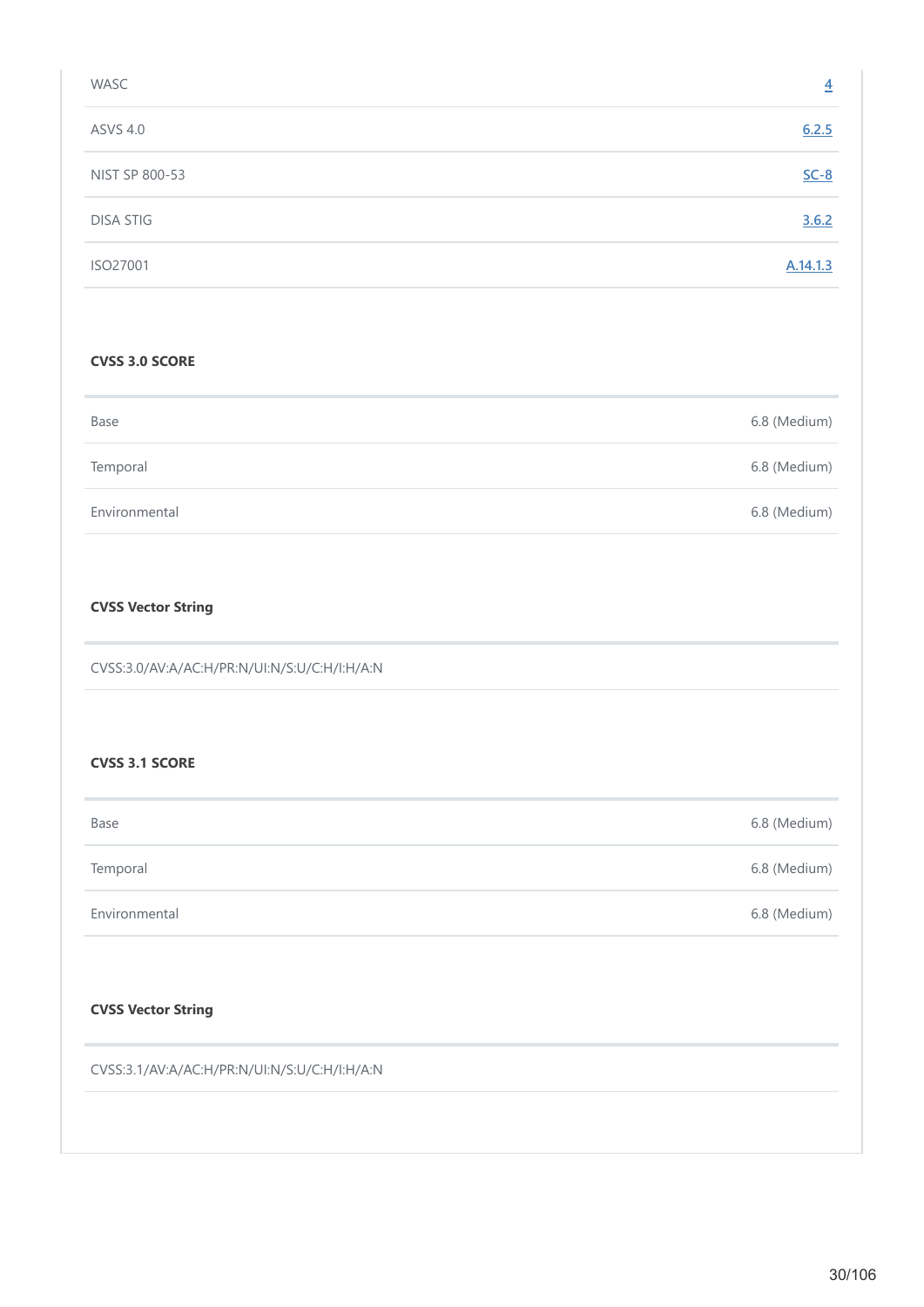| WASC             | $\overline{4}$ |
|------------------|----------------|
| <b>ASVS 4.0</b>  | 6.2.5          |
| NIST SP 800-53   | $SC-8$         |
| <b>DISA STIG</b> | 3.6.2          |
| ISO27001         | A.14.1.3       |

#### **CVSS 3.0 SCORE**

| Base          | 6.8 (Medium) |
|---------------|--------------|
| Temporal      | 6.8 (Medium) |
| Environmental | 6.8 (Medium) |

# **CVSS Vector String**

CVSS:3.0/AV:A/AC:H/PR:N/UI:N/S:U/C:H/I:H/A:N

#### **CVSS 3.1 SCORE**

| Base          | 6.8 (Medium) |
|---------------|--------------|
| Temporal      | 6.8 (Medium) |
| Environmental | 6.8 (Medium) |

# **CVSS Vector String**

CVSS:3.1/AV:A/AC:H/PR:N/UI:N/S:U/C:H/I:H/A:N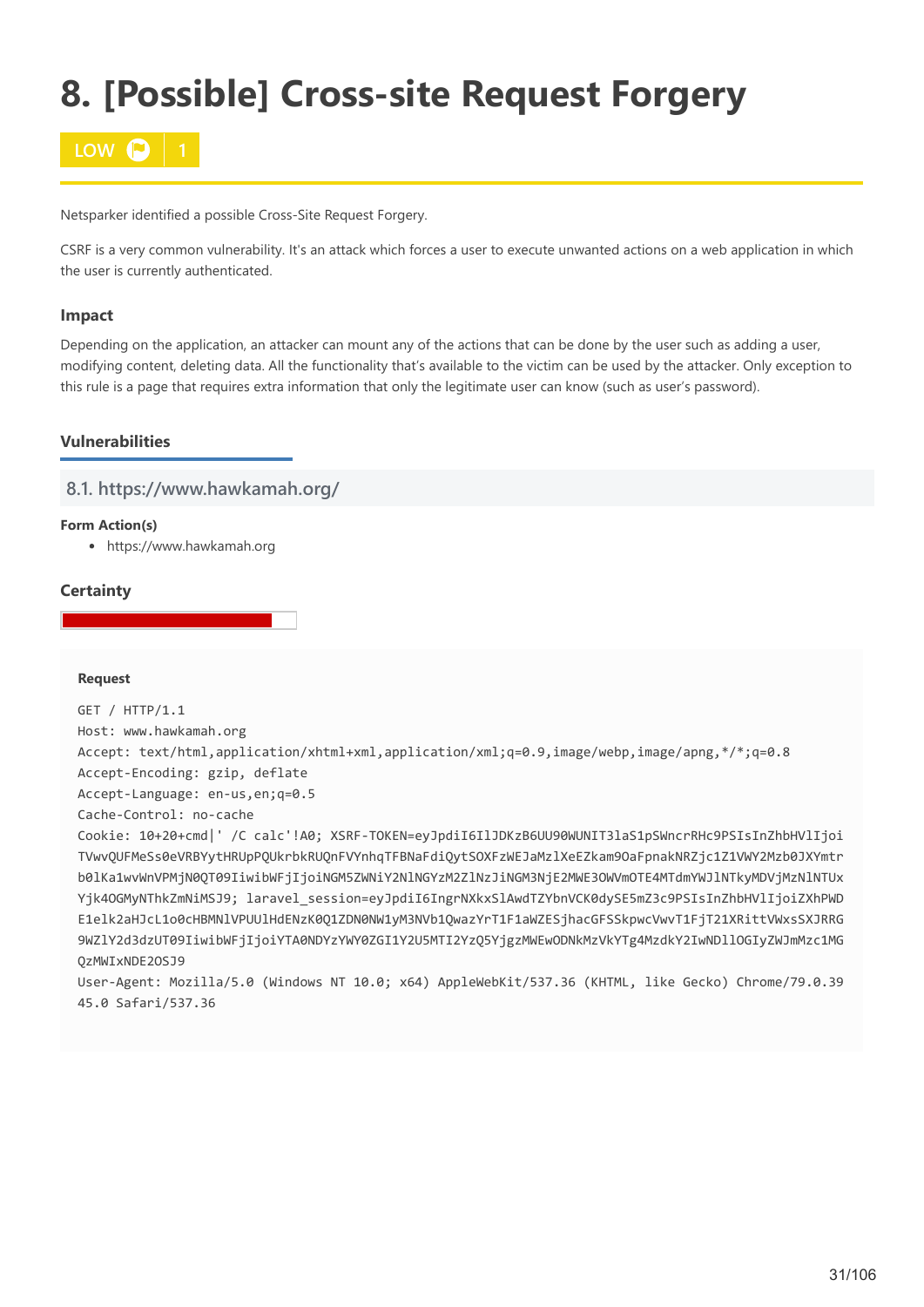# <span id="page-30-0"></span>**8. [Possible] Cross-site Request Forgery**



Netsparker identified a possible Cross-Site Request Forgery.

CSRF is a very common vulnerability. It's an attack which forces a user to execute unwanted actions on a web application in which the user is currently authenticated.

### **Impact**

Depending on the application, an attacker can mount any of the actions that can be done by the user such as adding a user, modifying content, deleting data. All the functionality that's available to the victim can be used by the attacker. Only exception to this rule is a page that requires extra information that only the legitimate user can know (such as user's password).

# **Vulnerabilities**

# **8.1. https://www.hawkamah.org/**

#### **Form Action(s)**

https://www.hawkamah.org

### **Certainty**

#### **Request**

```
GET / HTTP/1.1
Host: www.hawkamah.org
Accept: text/html,application/xhtml+xml,application/xml;q=0.9,image/webp,image/apng,*/*;q=0.8
Accept-Encoding: gzip, deflate
Accept-Language: en-us,en;q=0.5
Cache-Control: no-cache
Cookie: 10+20+cmd|' /C calc'!A0; XSRF-TOKEN=eyJpdiI6IlJDKzB6UU90WUNIT3laS1pSWncrRHc9PSIsInZhbHVlIjoi
TVwvQUFMeSs0eVRBYytHRUpPQUkrbkRUQnFVYnhqTFBNaFdiQytSOXFzWEJaMzlXeEZkam9OaFpnakNRZjc1Z1VWY2Mzb0JXYmtr
b0lKa1wvWnVPMjN0QT09IiwibWFjIjoiNGM5ZWNiY2NlNGYzM2ZlNzJiNGM3NjE2MWE3OWVmOTE4MTdmYWJlNTkyMDVjMzNlNTUx
Yjk4OGMyNThkZmNiMSJ9; laravel_session=eyJpdiI6IngrNXkxSlAwdTZYbnVCK0dySE5mZ3c9PSIsInZhbHVlIjoiZXhPWD
E1elk2aHJcL1o0cHBMNlVPUUlHdENzK0Q1ZDN0NW1yM3NVb1QwazYrT1F1aWZESjhacGFSSkpwcVwvT1FjT21XRittVWxsSXJRRG
9WZlY2d3dzUT09IiwibWFjIjoiYTA0NDYzYWY0ZGI1Y2U5MTI2YzQ5YjgzMWEwODNkMzVkYTg4MzdkY2IwNDllOGIyZWJmMzc1MG
QzMWIxNDE2OSJ9
```
User-Agent: Mozilla/5.0 (Windows NT 10.0; x64) AppleWebKit/537.36 (KHTML, like Gecko) Chrome/79.0.39 45.0 Safari/537.36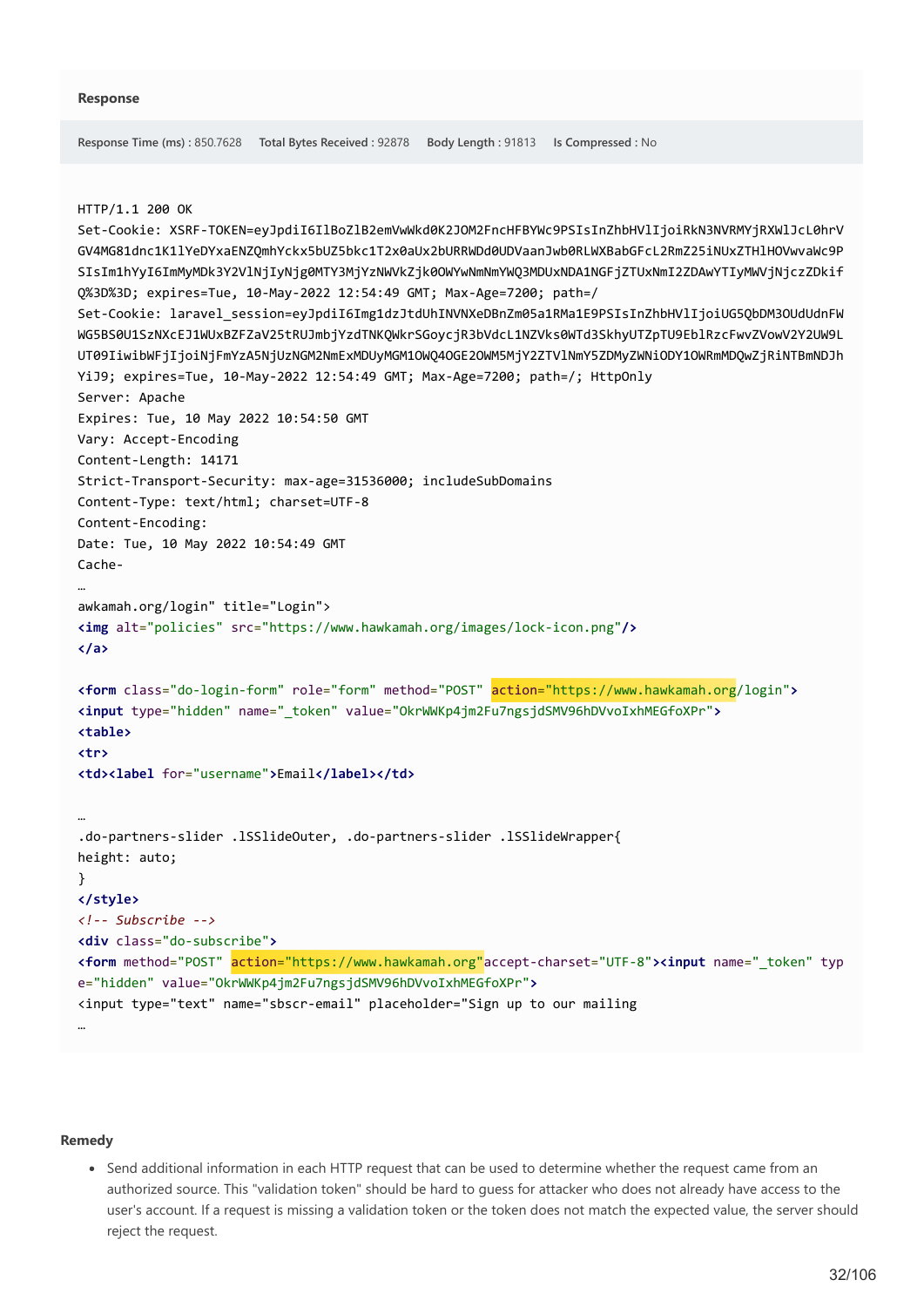```
Response Time (ms) : 850.7628 Total Bytes Received : 92878 Body Length : 91813 Is Compressed : No
HTTP/1.1 200 OK
Set-Cookie: XSRF-TOKEN=eyJpdiI6IlBoZlB2emVwWkd0K2JOM2FncHFBYWc9PSIsInZhbHVlIjoiRkN3NVRMYjRXWlJcL0hrV
GV4MG81dnc1K1lYeDYxaENZQmhYckx5bUZ5bkc1T2x0aUx2bURRWDd0UDVaanJwb0RLWXBabGFcL2RmZ25iNUxZTHlHOVwvaWc9P
SIsIm1hYyI6ImMyMDk3Y2VlNjIyNjg0MTY3MjYzNWVkZjk0OWYwNmNmYWQ3MDUxNDA1NGFjZTUxNmI2ZDAwYTIyMWVjNjczZDkif
Q%3D%3D; expires=Tue, 10-May-2022 12:54:49 GMT; Max-Age=7200; path=/
Set-Cookie: laravel_session=eyJpdiI6Img1dzJtdUhINVNXeDBnZm05a1RMa1E9PSIsInZhbHVlIjoiUG5QbDM3OUdUdnFW
WG5BS0U1SzNXcEJ1WUxBZFZaV25tRUJmbjYzdTNKQWkrSGoycjR3bVdcL1NZVks0WTd3SkhyUTZpTU9EblRzcFwvZVowV2Y2UW9L
UT09IiwibWFjIjoiNjFmYzA5NjUzNGM2NmExMDUyMGM1OWQ4OGE2OWM5MjY2ZTVlNmY5ZDMyZWNiODY1OWRmMDQwZjRiNTBmNDJh
YiJ9; expires=Tue, 10-May-2022 12:54:49 GMT; Max-Age=7200; path=/; HttpOnly
Server: Apache
Expires: Tue, 10 May 2022 10:54:50 GMT
Vary: Accept-Encoding
Content-Length: 14171
Strict-Transport-Security: max-age=31536000; includeSubDomains
Content-Type: text/html; charset=UTF-8
Content-Encoding: 
Date: Tue, 10 May 2022 10:54:49 GMT
Cache-
…
awkamah.org/login" title="Login">
<img alt="policies" src="https://www.hawkamah.org/images/lock-icon.png"/>
</a>
<form class="do-login-form" role="form" method="POST" action="https://www.hawkamah.org/login">
<input type="hidden" name="_token" value="OkrWWKp4jm2Fu7ngsjdSMV96hDVvoIxhMEGfoXPr">
<table>
<tr>
<td><label for="username">Email</label></td>
…
.do-partners-slider .lSSlideOuter, .do-partners-slider .lSSlideWrapper{
height: auto;
}
</style>
<!-- Subscribe -->
<div class="do-subscribe">
<form method="POST" action="https://www.hawkamah.org"accept-charset="UTF-8"><input name="_token" typ
e="hidden" value="OkrWWKp4jm2Fu7ngsjdSMV96hDVvoIxhMEGfoXPr">
<input type="text" name="sbscr-email" placeholder="Sign up to our mailing 
…
```
#### **Remedy**

Send additional information in each HTTP request that can be used to determine whether the request came from an authorized source. This "validation token" should be hard to guess for attacker who does not already have access to the user's account. If a request is missing a validation token or the token does not match the expected value, the server should reject the request.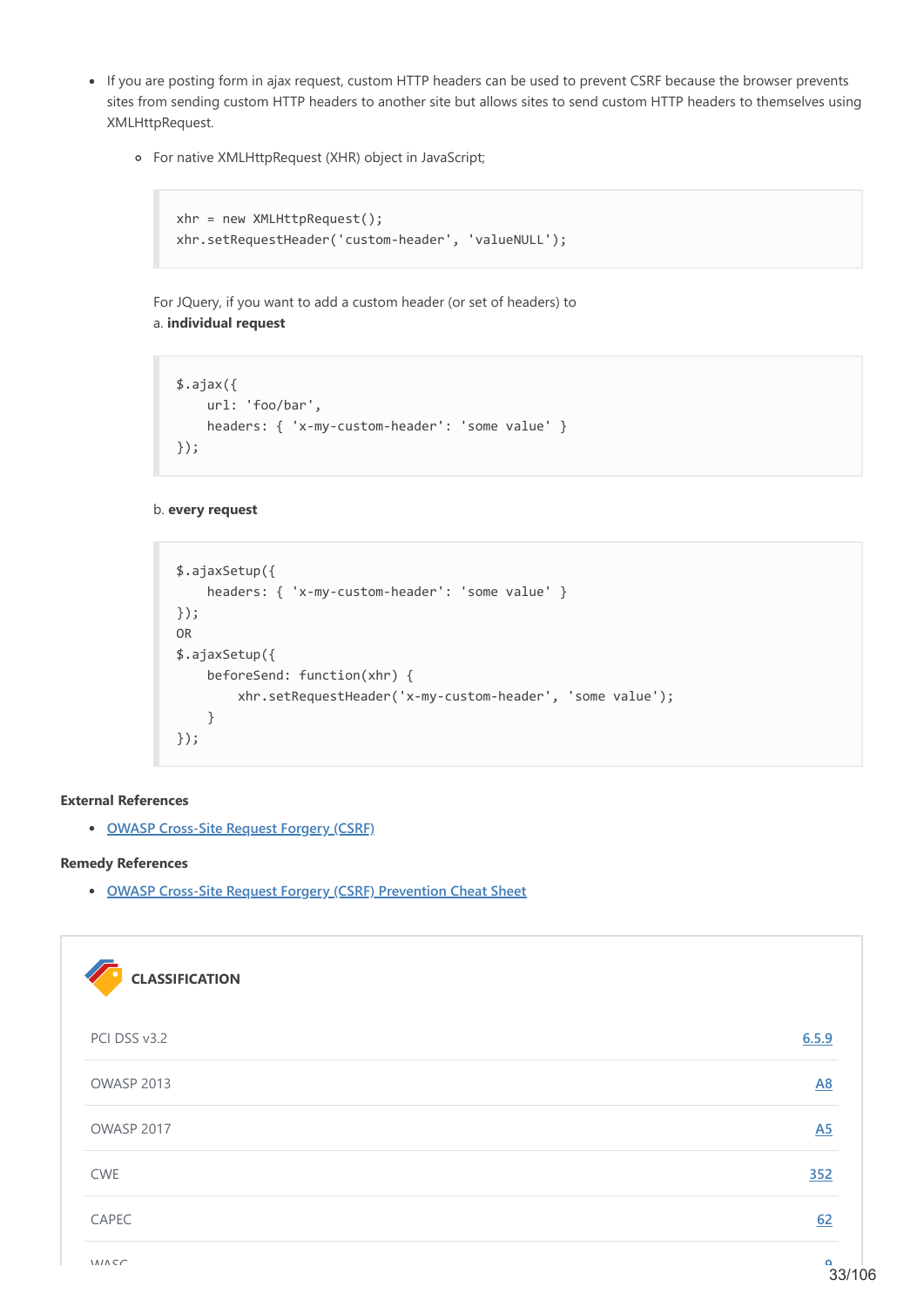- If you are posting form in ajax request, custom HTTP headers can be used to prevent CSRF because the browser prevents sites from sending custom HTTP headers to another site but allows sites to send custom HTTP headers to themselves using XMLHttpRequest.
	- For native XMLHttpRequest (XHR) object in JavaScript;

```
xhr = new XMLHttpRequest();
xhr.setRequestHeader('custom-header', 'valueNULL');
```
For JQuery, if you want to add a custom header (or set of headers) to a. **individual request**

```
$.ajax({
    url: 'foo/bar',
     headers: { 'x-my-custom-header': 'some value' }
});
```
#### b. **every request**

```
$.ajaxSetup({
     headers: { 'x-my-custom-header': 'some value' }
});
OR
$.ajaxSetup({
     beforeSend: function(xhr) {
         xhr.setRequestHeader('x-my-custom-header', 'some value');
     }
});
```
#### **External References**

**[OWASP Cross-Site Request Forgery \(CSRF\)](https://www.owasp.org/index.php/Cross-Site_Request_Forgery_(CSRF))**

#### **Remedy References**

**[OWASP Cross-Site Request Forgery \(CSRF\) Prevention Cheat Sheet](https://github.com/OWASP/CheatSheetSeries/blob/master/cheatsheets/Cross-Site_Request_Forgery_Prevention_Cheat_Sheet.md)**

| <b>CLASSIFICATION</b> |           |
|-----------------------|-----------|
| PCI DSS v3.2          | 6.5.9     |
| OWASP 2013            | <b>A8</b> |
| OWASP 2017            | A5        |
| <b>CWE</b>            | 352       |
| CAPEC                 | 62        |
|                       |           |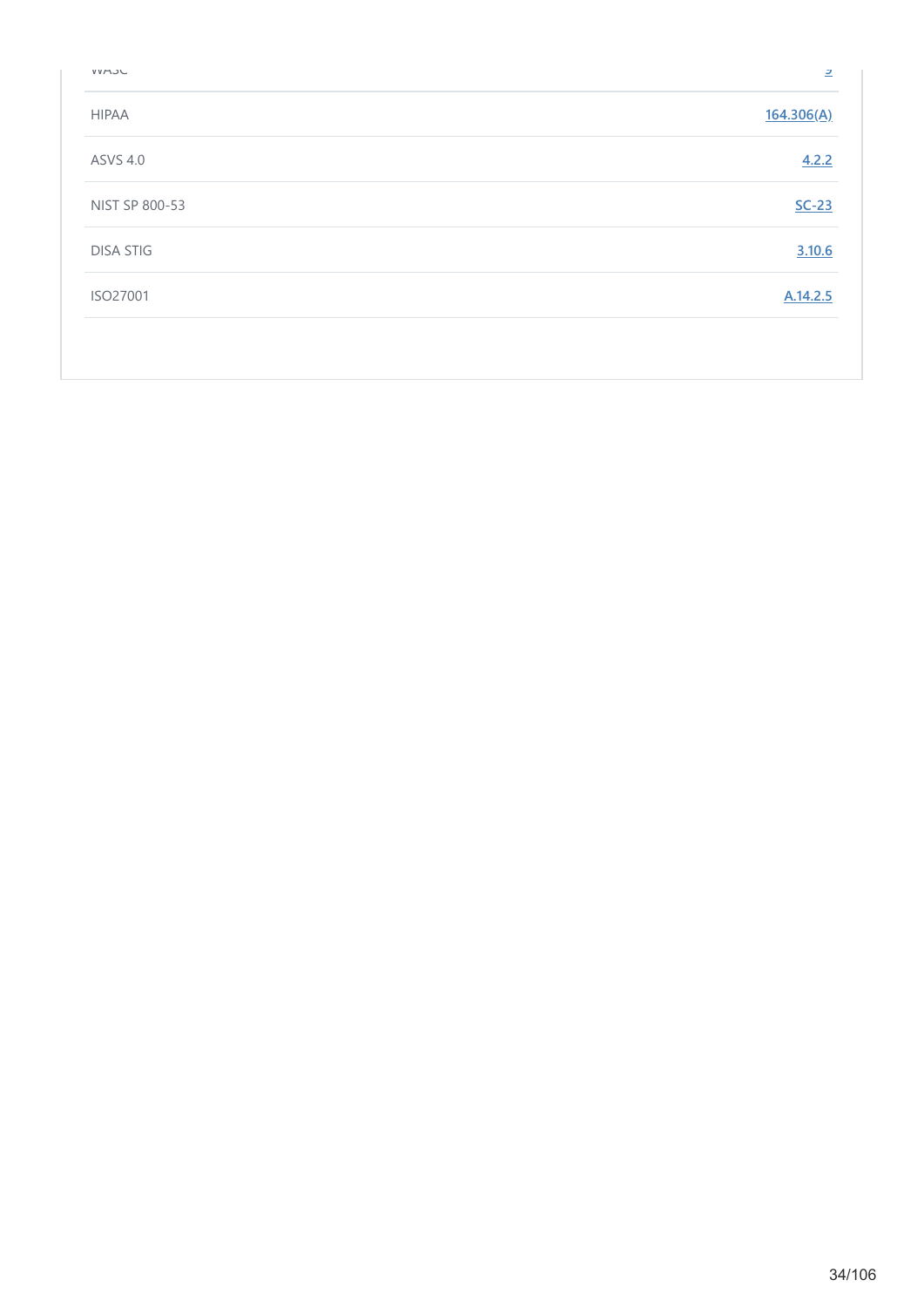| VVMJU            | 으          |
|------------------|------------|
| <b>HIPAA</b>     | 164.306(A) |
| <b>ASVS 4.0</b>  | 4.2.2      |
| NIST SP 800-53   | $SC-23$    |
| <b>DISA STIG</b> | 3.10.6     |
| ISO27001         | A.14.2.5   |
|                  |            |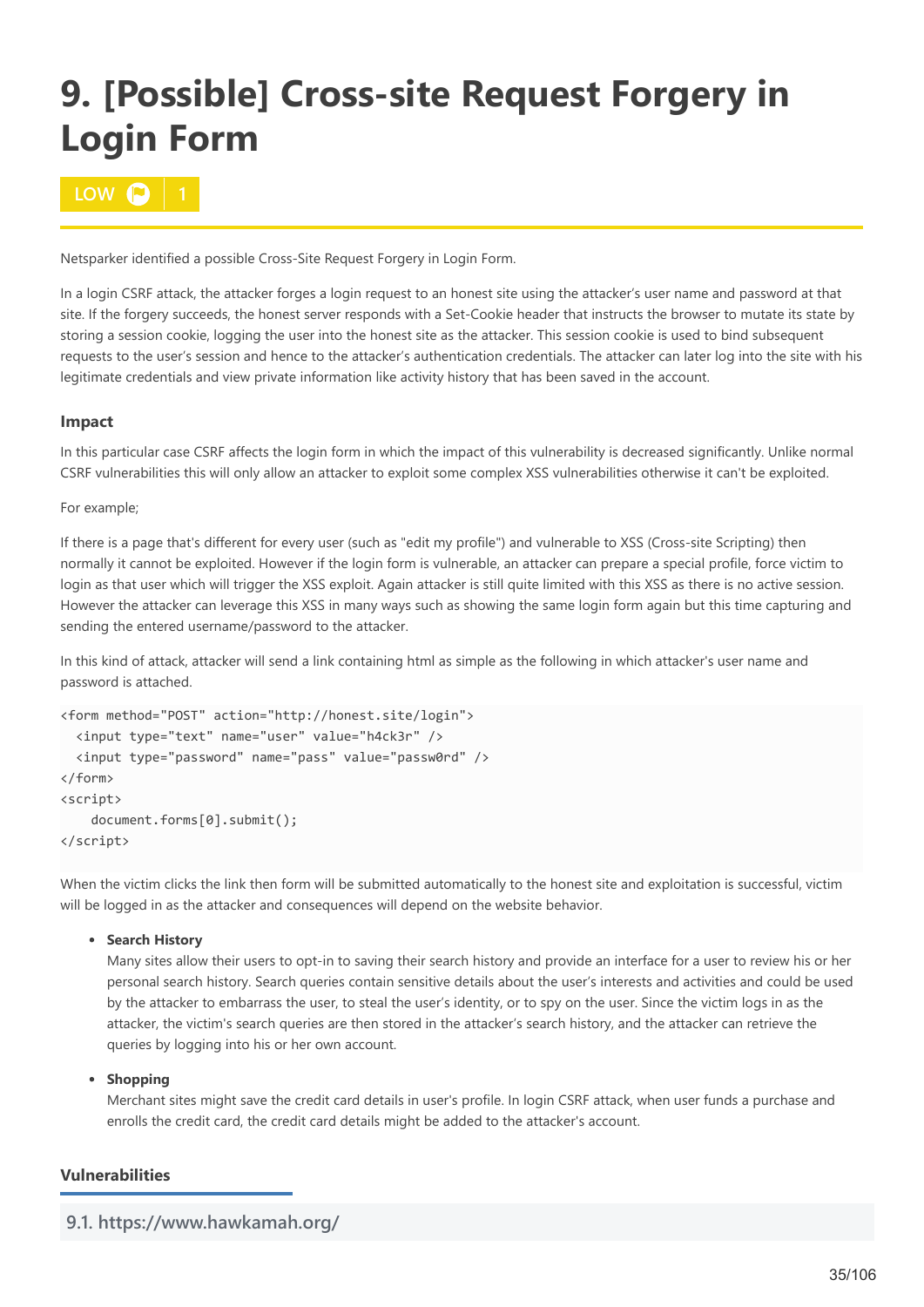# <span id="page-34-0"></span>**9. [Possible] Cross-site Request Forgery in Login Form**

# **10W**  $\Omega$

Netsparker identified a possible Cross-Site Request Forgery in Login Form.

In a login CSRF attack, the attacker forges a login request to an honest site using the attacker's user name and password at that site. If the forgery succeeds, the honest server responds with a Set-Cookie header that instructs the browser to mutate its state by storing a session cookie, logging the user into the honest site as the attacker. This session cookie is used to bind subsequent requests to the user's session and hence to the attacker's authentication credentials. The attacker can later log into the site with his legitimate credentials and view private information like activity history that has been saved in the account.

# **Impact**

In this particular case CSRF affects the login form in which the impact of this vulnerability is decreased significantly. Unlike normal CSRF vulnerabilities this will only allow an attacker to exploit some complex XSS vulnerabilities otherwise it can't be exploited.

For example;

If there is a page that's different for every user (such as "edit my profile") and vulnerable to XSS (Cross-site Scripting) then normally it cannot be exploited. However if the login form is vulnerable, an attacker can prepare a special profile, force victim to login as that user which will trigger the XSS exploit. Again attacker is still quite limited with this XSS as there is no active session. However the attacker can leverage this XSS in many ways such as showing the same login form again but this time capturing and sending the entered username/password to the attacker.

In this kind of attack, attacker will send a link containing html as simple as the following in which attacker's user name and password is attached.

```
<form method="POST" action="http://honest.site/login">
  <input type="text" name="user" value="h4ck3r" />
   <input type="password" name="pass" value="passw0rd" />
</form>
<script>
    document.forms[0].submit();
</script>
```
When the victim clicks the link then form will be submitted automatically to the honest site and exploitation is successful, victim will be logged in as the attacker and consequences will depend on the website behavior.

### **•** Search History

Many sites allow their users to opt-in to saving their search history and provide an interface for a user to review his or her personal search history. Search queries contain sensitive details about the user's interests and activities and could be used by the attacker to embarrass the user, to steal the user's identity, or to spy on the user. Since the victim logs in as the attacker, the victim's search queries are then stored in the attacker's search history, and the attacker can retrieve the queries by logging into his or her own account.

### **•** Shopping

Merchant sites might save the credit card details in user's profile. In login CSRF attack, when user funds a purchase and enrolls the credit card, the credit card details might be added to the attacker's account.

### **Vulnerabilities**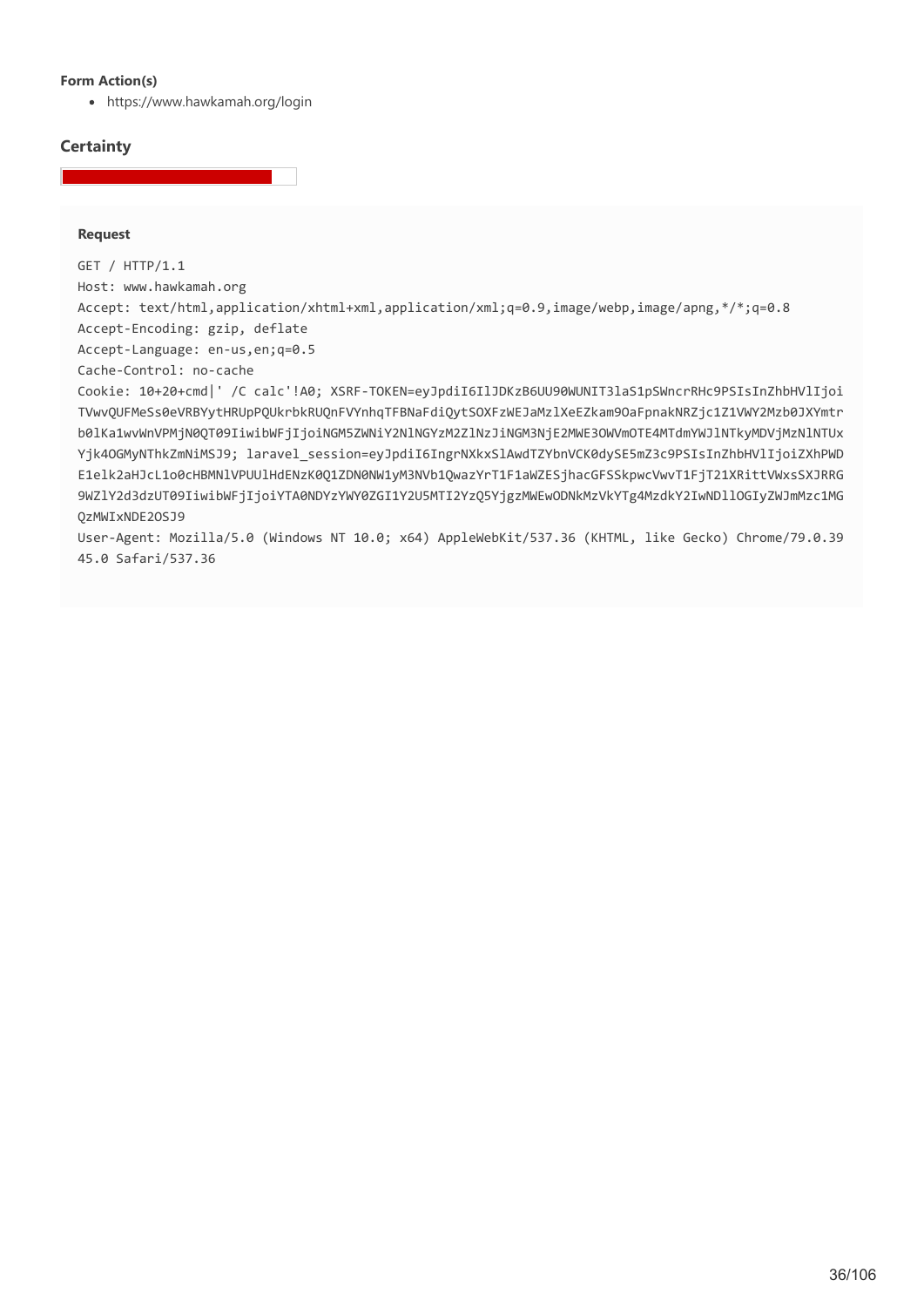#### **Form Action(s)**

https://www.hawkamah.org/login

# **Certainty**

#### **Request**

GET / HTTP/1.1 Host: www.hawkamah.org Accept: text/html,application/xhtml+xml,application/xml;q=0.9,image/webp,image/apng,\*/\*;q=0.8 Accept-Encoding: gzip, deflate Accept-Language: en-us,en;q=0.5 Cache-Control: no-cache Cookie: 10+20+cmd|' /C calc'!A0; XSRF-TOKEN=eyJpdiI6IlJDKzB6UU90WUNIT3laS1pSWncrRHc9PSIsInZhbHVlIjoi TVwvQUFMeSs0eVRBYytHRUpPQUkrbkRUQnFVYnhqTFBNaFdiQytSOXFzWEJaMzlXeEZkam9OaFpnakNRZjc1Z1VWY2Mzb0JXYmtr b0lKa1wvWnVPMjN0QT09IiwibWFjIjoiNGM5ZWNiY2NlNGYzM2ZlNzJiNGM3NjE2MWE3OWVmOTE4MTdmYWJlNTkyMDVjMzNlNTUx Yik4OGMyNThkZmNiMSJ9; laravel session=eyJpdiI6IngrNXkxSlAwdTZYbnVCK0dvSE5mZ3c9PSIsInZhbHVlIjoiZXhPWD E1elk2aHJcL1o0cHBMNlVPUUlHdENzK0Q1ZDN0NW1yM3NVb1QwazYrT1F1aWZESjhacGFSSkpwcVwvT1FjT21XRittVWxsSXJRRG 9WZlY2d3dzUT09IiwibWFjIjoiYTA0NDYzYWY0ZGI1Y2U5MTI2YzQ5YjgzMWEwODNkMzVkYTg4MzdkY2IwNDllOGIyZWJmMzc1MG QzMWIxNDE2OSJ9

User-Agent: Mozilla/5.0 (Windows NT 10.0; x64) AppleWebKit/537.36 (KHTML, like Gecko) Chrome/79.0.39 45.0 Safari/537.36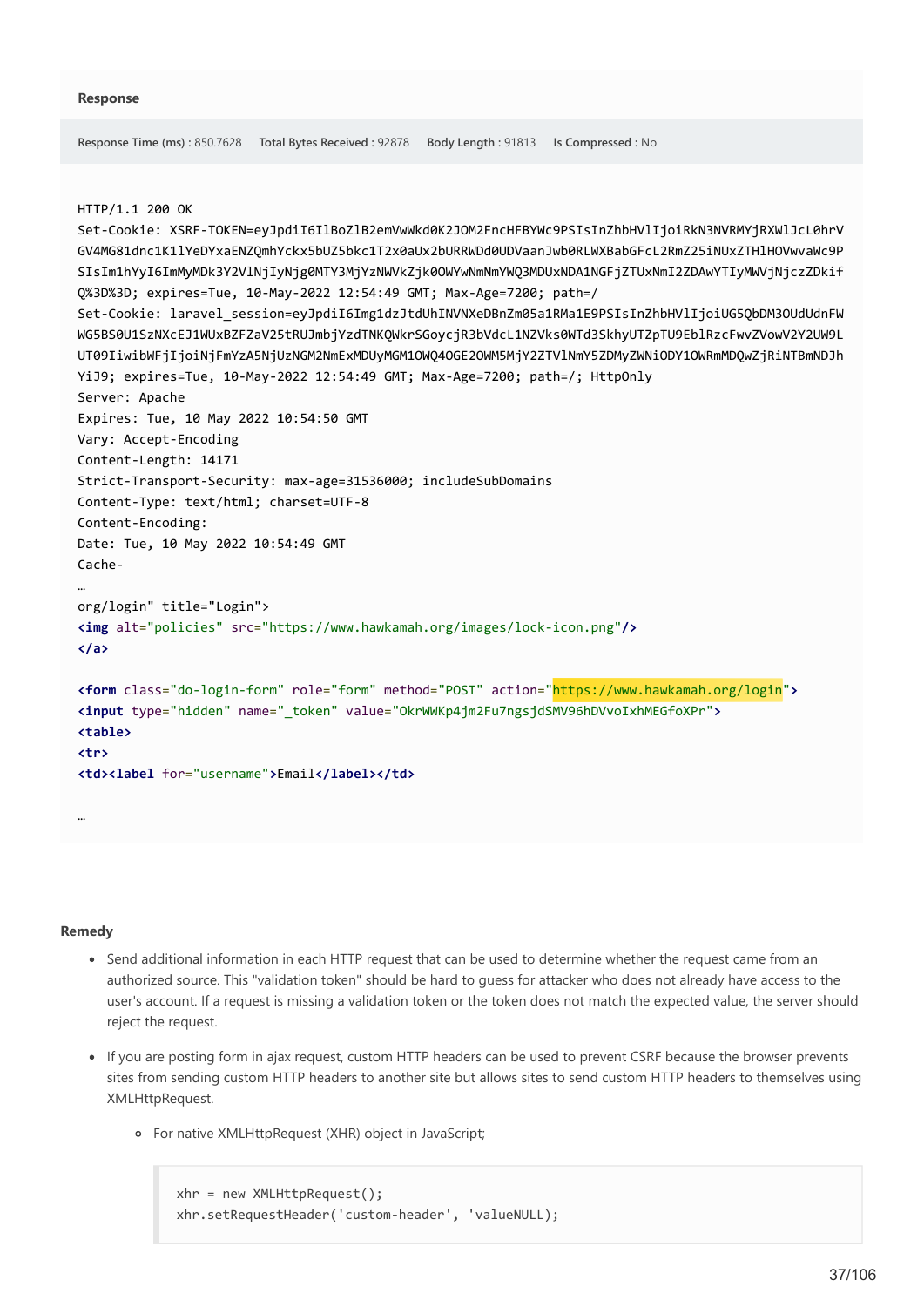```
Response Time (ms) : 850.7628 Total Bytes Received : 92878 Body Length : 91813 Is Compressed : No
HTTP/1.1 200 OK
Set-Cookie: XSRF-TOKEN=eyJpdiI6IlBoZlB2emVwWkd0K2JOM2FncHFBYWc9PSIsInZhbHVlIjoiRkN3NVRMYjRXWlJcL0hrV
GV4MG81dnc1K1lYeDYxaENZQmhYckx5bUZ5bkc1T2x0aUx2bURRWDd0UDVaanJwb0RLWXBabGFcL2RmZ25iNUxZTHlHOVwvaWc9P
SIsIm1hYyI6ImMyMDk3Y2VlNjIyNjg0MTY3MjYzNWVkZjk0OWYwNmNmYWQ3MDUxNDA1NGFjZTUxNmI2ZDAwYTIyMWVjNjczZDkif
Q%3D%3D; expires=Tue, 10-May-2022 12:54:49 GMT; Max-Age=7200; path=/
Set-Cookie: laravel_session=eyJpdiI6Img1dzJtdUhINVNXeDBnZm05a1RMa1E9PSIsInZhbHVlIjoiUG5QbDM3OUdUdnFW
WG5BS0U1SzNXcEJ1WUxBZFZaV25tRUJmbjYzdTNKQWkrSGoycjR3bVdcL1NZVks0WTd3SkhyUTZpTU9EblRzcFwvZVowV2Y2UW9L
UT09IiwibWFjIjoiNjFmYzA5NjUzNGM2NmExMDUyMGM1OWQ4OGE2OWM5MjY2ZTVlNmY5ZDMyZWNiODY1OWRmMDQwZjRiNTBmNDJh
YiJ9; expires=Tue, 10-May-2022 12:54:49 GMT; Max-Age=7200; path=/; HttpOnly
Server: Apache
Expires: Tue, 10 May 2022 10:54:50 GMT
Vary: Accept-Encoding
Content-Length: 14171
Strict-Transport-Security: max-age=31536000; includeSubDomains
Content-Type: text/html; charset=UTF-8
Content-Encoding: 
Date: Tue, 10 May 2022 10:54:49 GMT
Cache-
…
org/login" title="Login">
<img alt="policies" src="https://www.hawkamah.org/images/lock-icon.png"/>
</a>
<form class="do-login-form" role="form" method="POST" action="https://www.hawkamah.org/login">
<input type="hidden" name="_token" value="OkrWWKp4jm2Fu7ngsjdSMV96hDVvoIxhMEGfoXPr">
<table>
<tr>
<td><label for="username">Email</label></td>
```
#### **Remedy**

…

- Send additional information in each HTTP request that can be used to determine whether the request came from an authorized source. This "validation token" should be hard to guess for attacker who does not already have access to the user's account. If a request is missing a validation token or the token does not match the expected value, the server should reject the request.
- If you are posting form in ajax request, custom HTTP headers can be used to prevent CSRF because the browser prevents sites from sending custom HTTP headers to another site but allows sites to send custom HTTP headers to themselves using XMLHttpRequest.
	- For native XMLHttpRequest (XHR) object in JavaScript;

```
xhr = new XMLHttpRequest();
xhr.setRequestHeader('custom-header', 'valueNULL);
```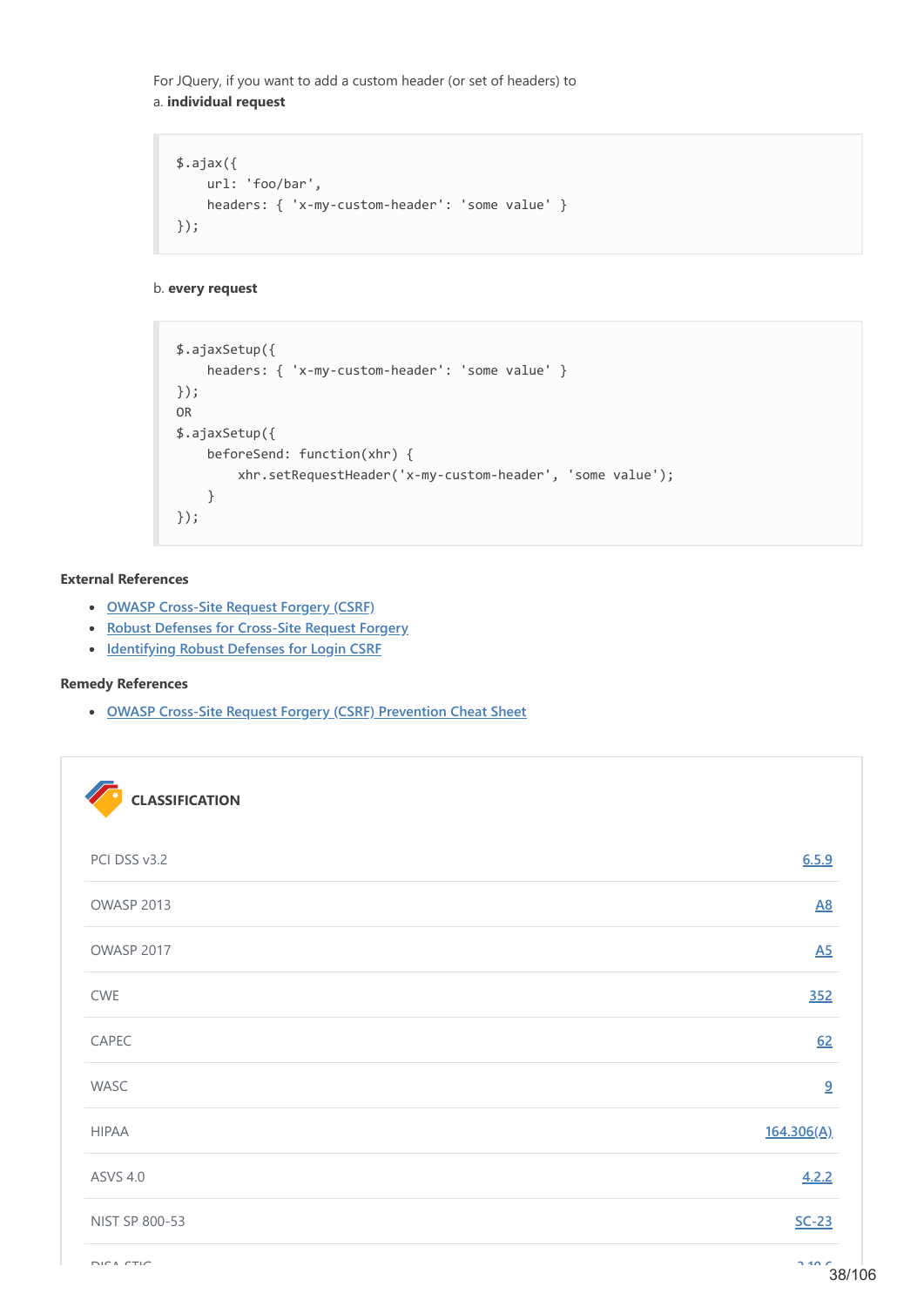For JQuery, if you want to add a custom header (or set of headers) to a. **individual request**

```
$.ajax({
    url: 'foo/bar',
     headers: { 'x-my-custom-header': 'some value' }
});
```
b. **every request**

```
$.ajaxSetup({
     headers: { 'x-my-custom-header': 'some value' }
});
OR
$.ajaxSetup({
     beforeSend: function(xhr) {
         xhr.setRequestHeader('x-my-custom-header', 'some value');
     }
});
```
## **External References**

- **[OWASP Cross-Site Request Forgery \(CSRF\)](https://www.owasp.org/index.php/Cross-Site_Request_Forgery_(CSRF))**
- **[Robust Defenses for Cross-Site Request Forgery](https://seclab.stanford.edu/websec/csrf/csrf.pdf)**
- **[Identifying Robust Defenses for Login CSRF](https://www.cs.uic.edu/~bprabaka/LoginCSRF.pdf)**

## **Remedy References**

**[OWASP Cross-Site Request Forgery \(CSRF\) Prevention Cheat Sheet](https://github.com/OWASP/CheatSheetSeries/blob/master/cheatsheets/Cross-Site_Request_Forgery_Prevention_Cheat_Sheet.md)**

| <b>CLASSIFICATION</b> |                  |
|-----------------------|------------------|
| PCI DSS v3.2          | 6.5.9            |
| OWASP 2013            | $\underline{A8}$ |
| OWASP 2017            | $\underline{A5}$ |
| CWE                   | 352              |
| CAPEC                 | 62               |
| WASC                  | 9                |
| <b>HIPAA</b>          | 164.306(A)       |
| <b>ASVS 4.0</b>       | 4.2.2            |
| NIST SP 800-53        | $SC-23$          |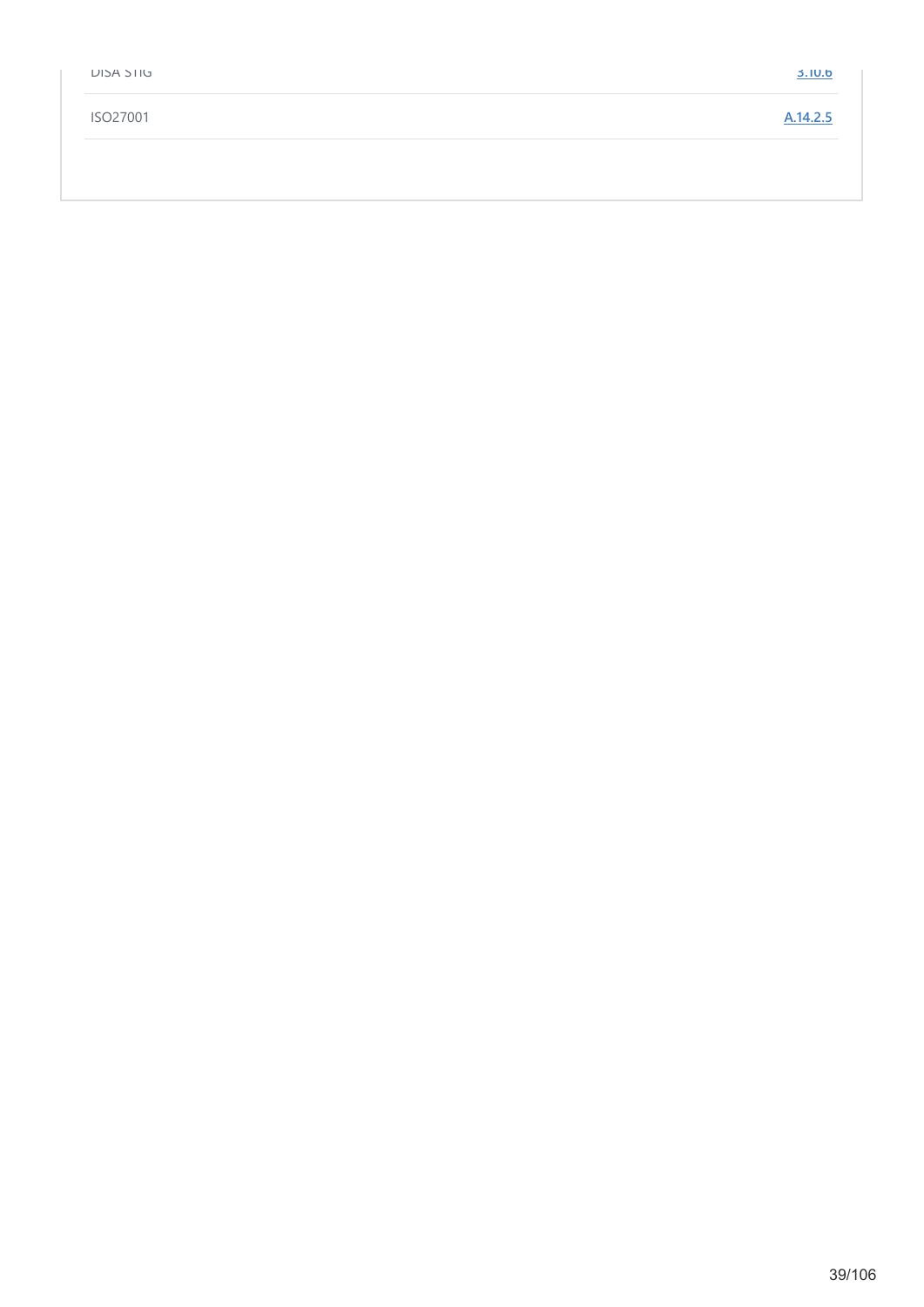| <b>DIJA STIG</b> | <b>3.10.6</b> |
|------------------|---------------|
| ISO27001         | A.14.2.5      |
|                  |               |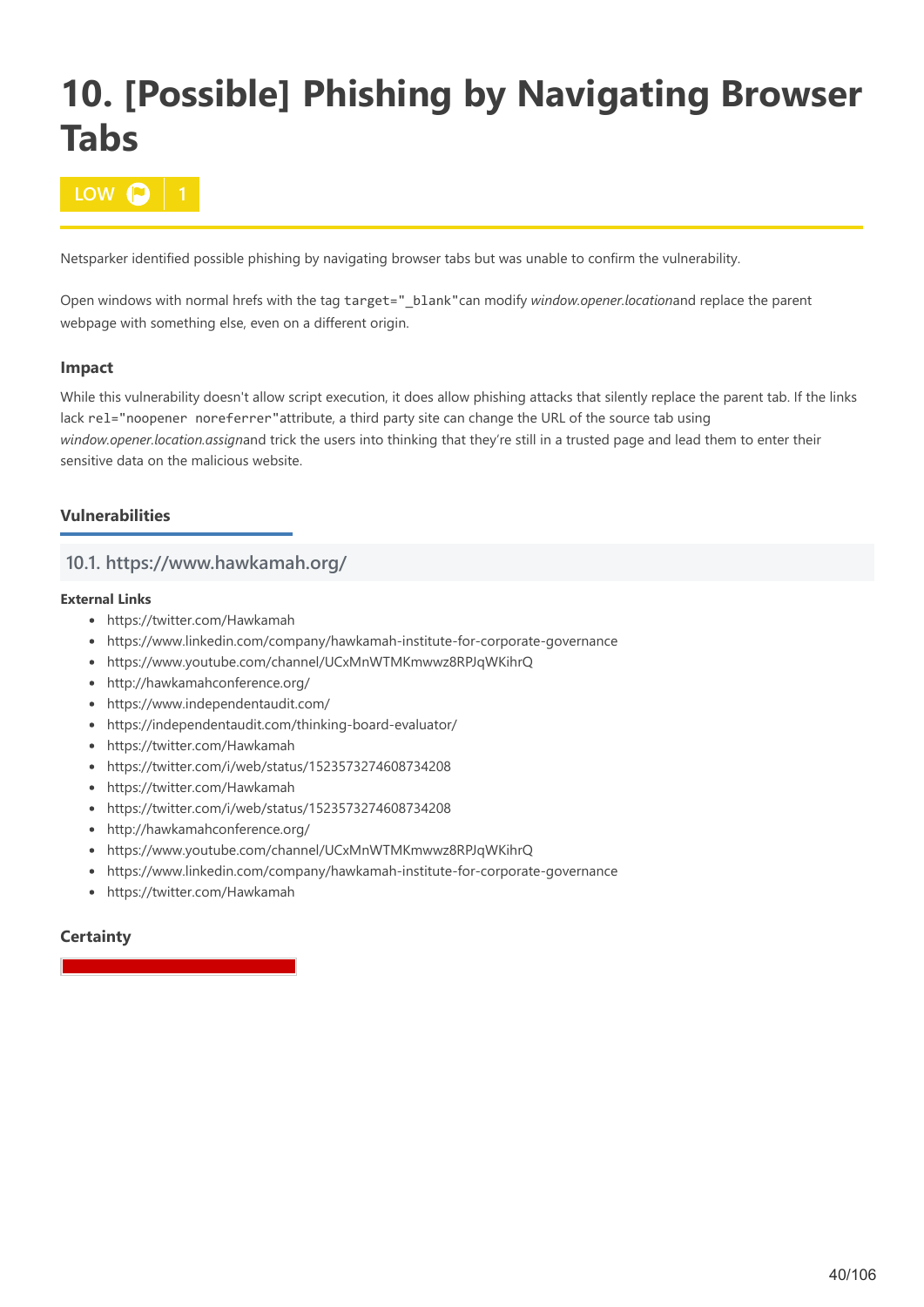# **10. [Possible] Phishing by Navigating Browser Tabs**

**10W**  $\bullet$ 

Netsparker identified possible phishing by navigating browser tabs but was unable to confirm the vulnerability.

Open windows with normal hrefs with the tag target="\_blank"can modify *window.opener.location*and replace the parent webpage with something else, even on a different origin.

# **Impact**

While this vulnerability doesn't allow script execution, it does allow phishing attacks that silently replace the parent tab. If the links lack rel="noopener noreferrer"attribute, a third party site can change the URL of the source tab using *window.opener.location.assign*and trick the users into thinking that they're still in a trusted page and lead them to enter their sensitive data on the malicious website.

# **Vulnerabilities**

# **10.1. https://www.hawkamah.org/**

## **External Links**

- https://twitter.com/Hawkamah
- https://www.linkedin.com/company/hawkamah-institute-for-corporate-governance
- https://www.youtube.com/channel/UCxMnWTMKmwwz8RPJqWKihrQ
- http://hawkamahconference.org/
- https://www.independentaudit.com/
- https://independentaudit.com/thinking-board-evaluator/
- https://twitter.com/Hawkamah
- https://twitter.com/i/web/status/1523573274608734208
- https://twitter.com/Hawkamah
- https://twitter.com/i/web/status/1523573274608734208
- http://hawkamahconference.org/
- https://www.youtube.com/channel/UCxMnWTMKmwwz8RPJqWKihrQ
- https://www.linkedin.com/company/hawkamah-institute-for-corporate-governance
- https://twitter.com/Hawkamah

# **Certainty**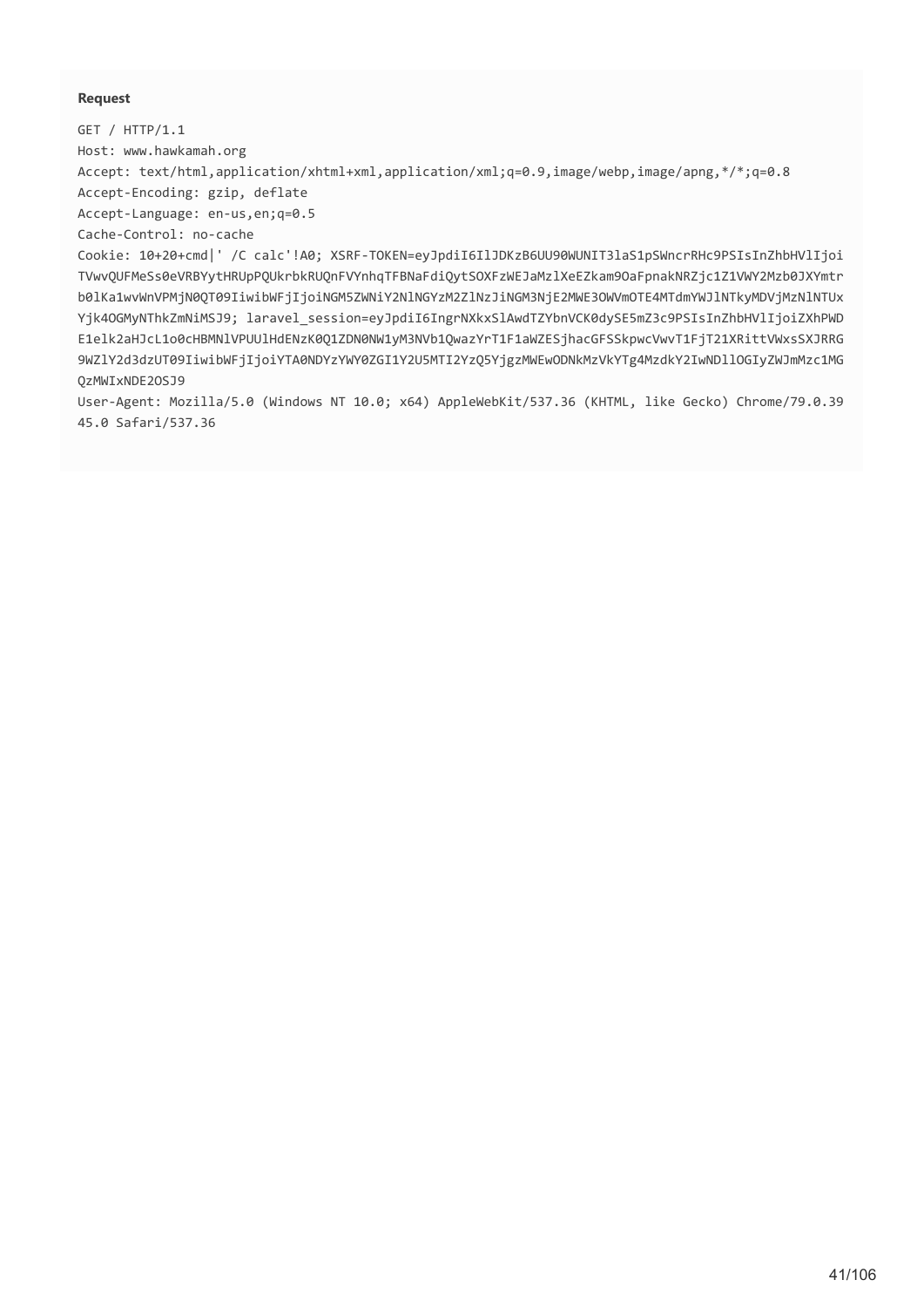## **Request**

GET / HTTP/1.1 Host: www.hawkamah.org

Accept: text/html,application/xhtml+xml,application/xml;q=0.9,image/webp,image/apng,\*/\*;q=0.8 Accept-Encoding: gzip, deflate

Accept-Language: en-us,en;q=0.5

Cache-Control: no-cache

Cookie: 10+20+cmd|' /C calc'!A0; XSRF-TOKEN=eyJpdiI6IlJDKzB6UU90WUNIT3laS1pSWncrRHc9PSIsInZhbHVlIjoi TVwvQUFMeSs0eVRBYytHRUpPQUkrbkRUQnFVYnhqTFBNaFdiQytSOXFzWEJaMzlXeEZkam9OaFpnakNRZjc1Z1VWY2Mzb0JXYmtr b0lKa1wvWnVPMjN0QT09IiwibWFjIjoiNGM5ZWNiY2NlNGYzM2ZlNzJiNGM3NjE2MWE3OWVmOTE4MTdmYWJlNTkyMDVjMzNlNTUx Yjk4OGMyNThkZmNiMSJ9; laravel session=eyJpdiI6IngrNXkxSlAwdTZYbnVCK0dySE5mZ3c9PSIsInZhbHVlIjoiZXhPWD E1elk2aHJcL1o0cHBMNlVPUUlHdENzK0Q1ZDN0NW1yM3NVb1QwazYrT1F1aWZESjhacGFSSkpwcVwvT1FjT21XRittVWxsSXJRRG 9WZlY2d3dzUT09IiwibWFjIjoiYTA0NDYzYWY0ZGI1Y2U5MTI2YzQ5YjgzMWEwODNkMzVkYTg4MzdkY2IwNDllOGIyZWJmMzc1MG QzMWIxNDE2OSJ9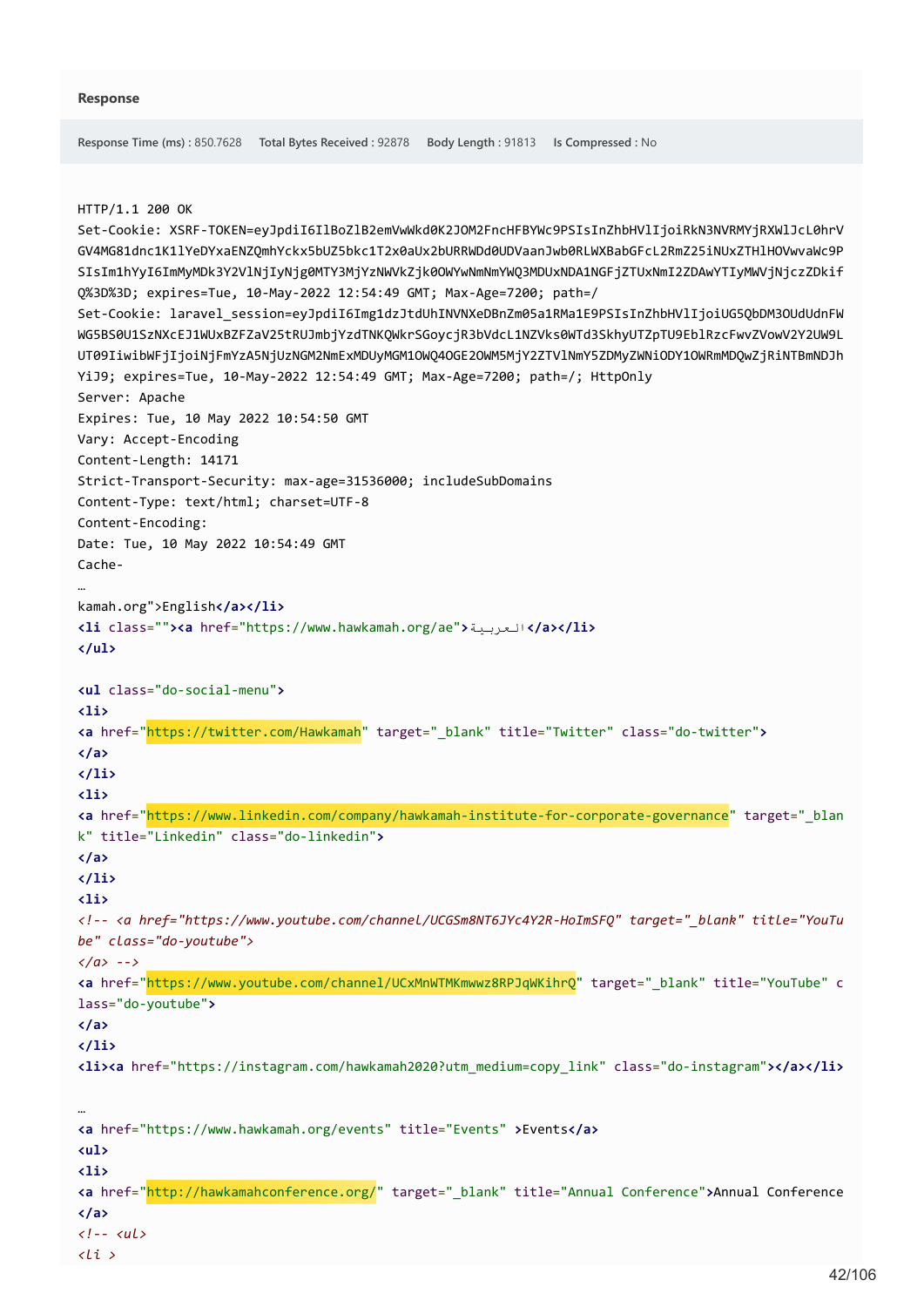```
Response Time (ms) : 850.7628 Total Bytes Received : 92878 Body Length : 91813 Is Compressed : No
HTTP/1.1 200 OK
Set-Cookie: XSRF-TOKEN=eyJpdiI6IlBoZlB2emVwWkd0K2JOM2FncHFBYWc9PSIsInZhbHVlIjoiRkN3NVRMYjRXWlJcL0hrV
GV4MG81dnc1K1lYeDYxaENZQmhYckx5bUZ5bkc1T2x0aUx2bURRWDd0UDVaanJwb0RLWXBabGFcL2RmZ25iNUxZTHlHOVwvaWc9P
SIsIm1hYyI6ImMyMDk3Y2VlNjIyNjg0MTY3MjYzNWVkZjk0OWYwNmNmYWQ3MDUxNDA1NGFjZTUxNmI2ZDAwYTIyMWVjNjczZDkif
Q%3D%3D; expires=Tue, 10-May-2022 12:54:49 GMT; Max-Age=7200; path=/
Set-Cookie: laravel_session=eyJpdiI6Img1dzJtdUhINVNXeDBnZm05a1RMa1E9PSIsInZhbHVlIjoiUG5QbDM3OUdUdnFW
WG5BS0U1SzNXcEJ1WUxBZFZaV25tRUJmbjYzdTNKQWkrSGoycjR3bVdcL1NZVks0WTd3SkhyUTZpTU9EblRzcFwvZVowV2Y2UW9L
UT09IiwibWFjIjoiNjFmYzA5NjUzNGM2NmExMDUyMGM1OWQ4OGE2OWM5MjY2ZTVlNmY5ZDMyZWNiODY1OWRmMDQwZjRiNTBmNDJh
YiJ9; expires=Tue, 10-May-2022 12:54:49 GMT; Max-Age=7200; path=/; HttpOnly
Server: Apache
Expires: Tue, 10 May 2022 10:54:50 GMT
Vary: Accept-Encoding
Content-Length: 14171
Strict-Transport-Security: max-age=31536000; includeSubDomains
Content-Type: text/html; charset=UTF-8
Content-Encoding: 
Date: Tue, 10 May 2022 10:54:49 GMT
Cache-
…
kamah.org">English</a></li>
<li class=""><a href="https://www.hawkamah.org/ae">العربیة>/a></li>
</ul>
<ul class="do-social-menu">
<li>
<a href="https://twitter.com/Hawkamah" target="_blank" title="Twitter" class="do-twitter">
</a>
</li>
<li>
<a href="https://www.linkedin.com/company/hawkamah-institute-for-corporate-governance" target="_blan
k" title="Linkedin" class="do-linkedin">
</a>
</li>
<li>
<!-- <a href="https://www.youtube.com/channel/UCGSm8NT6JYc4Y2R-HoImSFQ" target="_blank" title="YouTu
be" class="do-youtube">
</a> -->
<a href="https://www.youtube.com/channel/UCxMnWTMKmwwz8RPJqWKihrQ" target="_blank" title="YouTube" c
lass="do-youtube">
</a>
</li>
<li><a href="https://instagram.com/hawkamah2020?utm_medium=copy_link" class="do-instagram"></a></li>
…
<a href="https://www.hawkamah.org/events" title="Events" >Events</a>
<ul>
<li>
<a href="http://hawkamahconference.org/" target="_blank" title="Annual Conference">Annual Conference
</a>
<!-- <ul>
<li >
```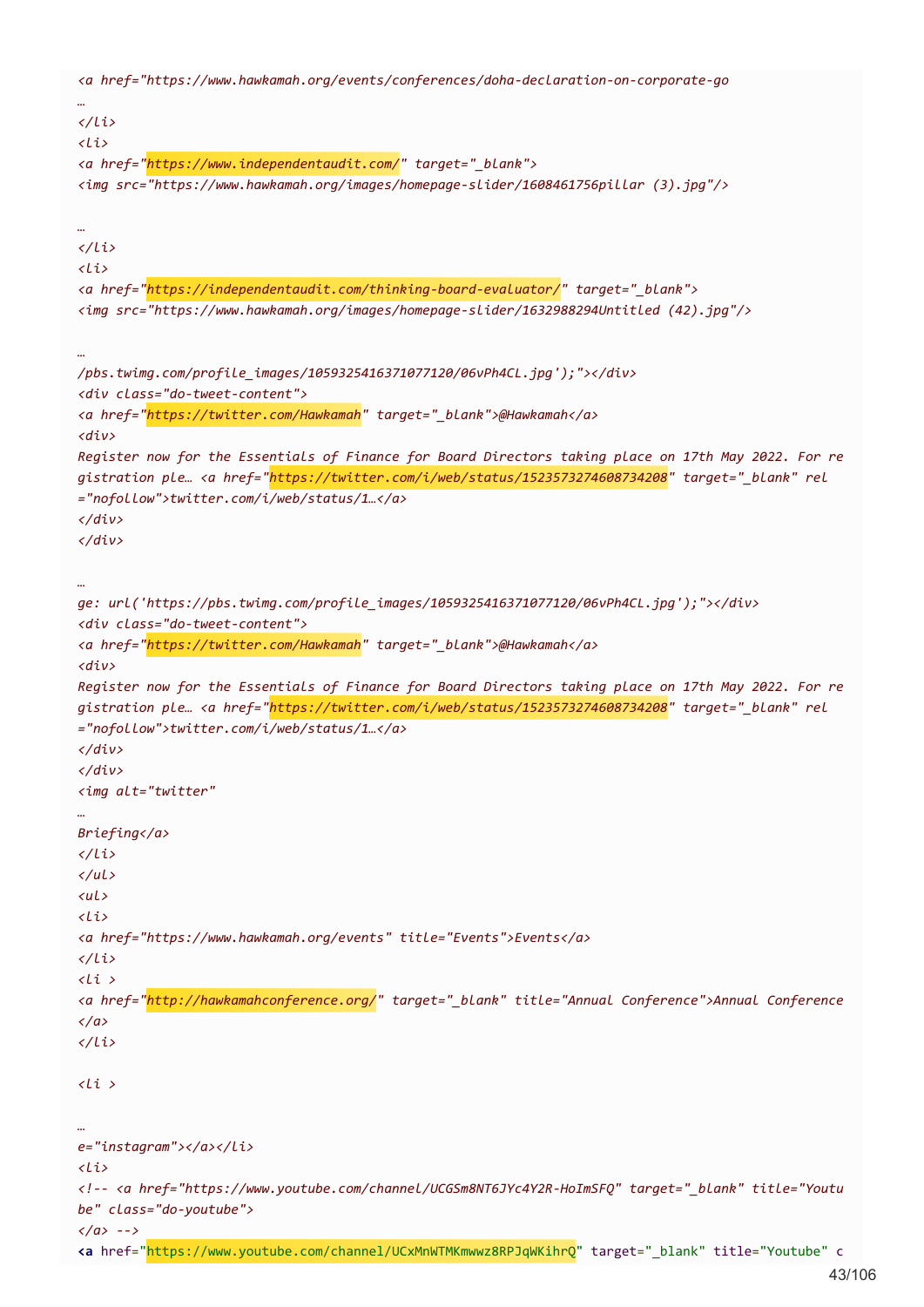*<a href="https://www.hawkamah.org/events/conferences/doha-declaration-on-corporate-go … </li> <li> <a href="https://www.independentaudit.com/" target="\_blank"> <img src="https://www.hawkamah.org/images/homepage-slider/1608461756pillar (3).jpg"/> … </li> <li> <a href="https://independentaudit.com/thinking-board-evaluator/" target="\_blank"> <img src="https://www.hawkamah.org/images/homepage-slider/1632988294Untitled (42).jpg"/> … /pbs.twimg.com/profile\_images/1059325416371077120/06vPh4CL.jpg');"></div> <div class="do-tweet-content"> <a href="https://twitter.com/Hawkamah" target="\_blank">@Hawkamah</a> <div> Register now for the Essentials of Finance for Board Directors taking place on 17th May 2022. For re gistration ple… <a href="https://twitter.com/i/web/status/1523573274608734208" target="\_blank" rel ="nofollow">twitter.com/i/web/status/1…</a> </div> </div> … ge: url('https://pbs.twimg.com/profile\_images/1059325416371077120/06vPh4CL.jpg');"></div> <div class="do-tweet-content"> <a href="https://twitter.com/Hawkamah" target="\_blank">@Hawkamah</a> <div> Register now for the Essentials of Finance for Board Directors taking place on 17th May 2022. For re gistration ple… <a href="https://twitter.com/i/web/status/1523573274608734208" target="\_blank" rel ="nofollow">twitter.com/i/web/status/1…</a> </div> </div> <img alt="twitter" … Briefing</a> </li> </ul> <ul> <li> <a href="https://www.hawkamah.org/events" title="Events">Events</a> </li> <li > <a href="http://hawkamahconference.org/" target="\_blank" title="Annual Conference">Annual Conference </a> </li> <li > … e="instagram"></a></li> <li> <!-- <a href="https://www.youtube.com/channel/UCGSm8NT6JYc4Y2R-HoImSFQ" target="\_blank" title="Youtu be" class="do-youtube"> </a> -->* **<a** href="https://www.youtube.com/channel/UCxMnWTMKmwwz8RPJqWKihrQ" target="\_blank" title="Youtube" c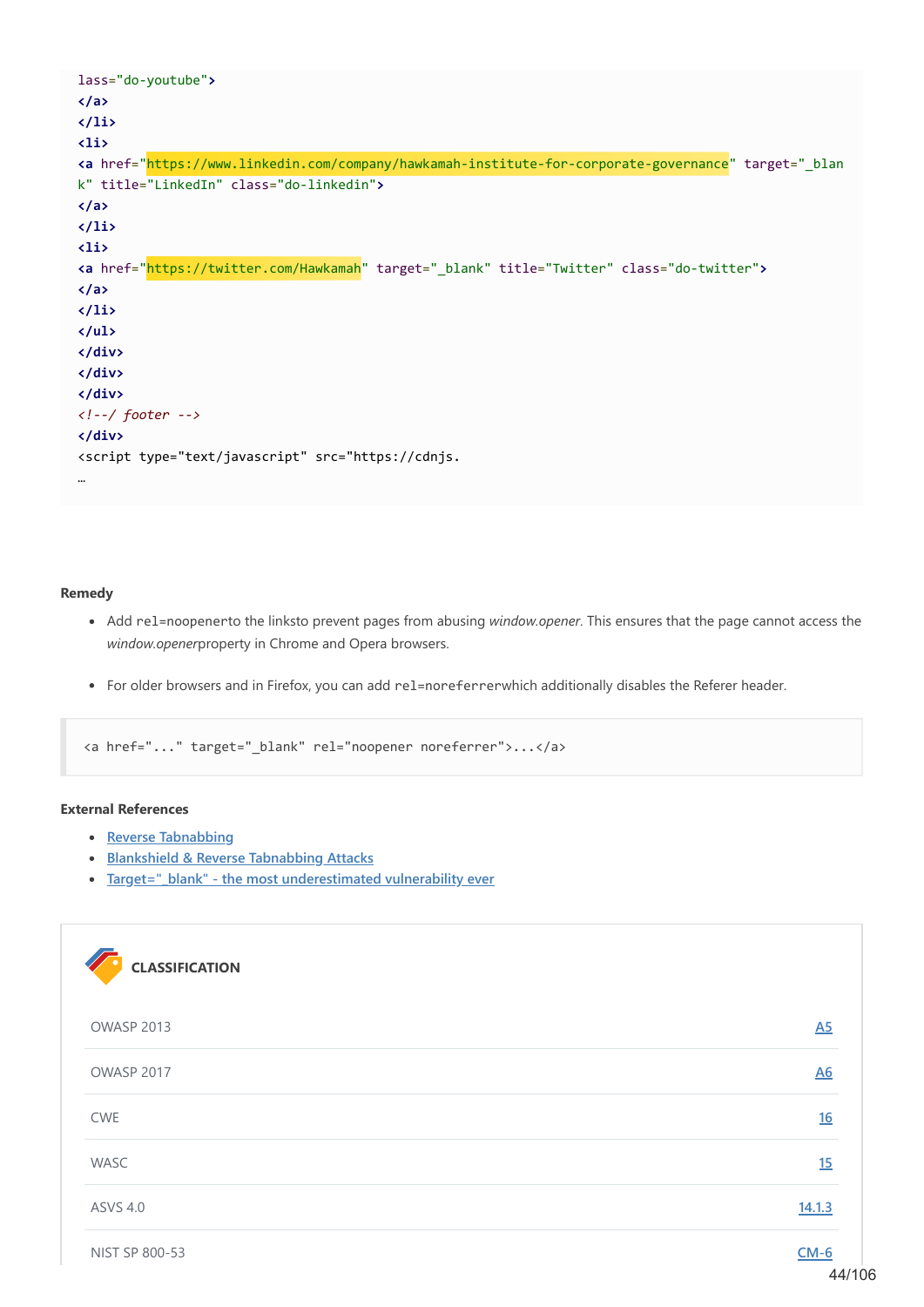```
lass="do-youtube">
</a>
</li>
<li>
<a href="https://www.linkedin.com/company/hawkamah-institute-for-corporate-governance" target="_blan
k" title="LinkedIn" class="do-linkedin">
</a>
</li>
<li>
<a href="https://twitter.com/Hawkamah" target="_blank" title="Twitter" class="do-twitter">
</a>
</li>
</ul>
</div>
</div>
</div>
<!--/ footer -->
</div>
<script type="text/javascript" src="https://cdnjs.
…
```
### **Remedy**

- Add rel=noopenerto the linksto prevent pages from abusing *window.opener*. This ensures that the page cannot access the *window.opener*property in Chrome and Opera browsers.
- For older browsers and in Firefox, you can add rel=noreferrerwhich additionally disables the Referer header.

<a href="..." target="\_blank" rel="noopener noreferrer">...</a>

## **External References**

- **[Reverse Tabnabbing](https://www.owasp.org/index.php/Reverse_Tabnabbing)**
- **[Blankshield & Reverse Tabnabbing Attacks](https://danielstjules.github.io/blankshield/)**
- **•** Target=" blank" the most underestimated vulnerability ever

| <b>CLASSIFICATION</b> |                  |
|-----------------------|------------------|
| OWASP 2013            | $\overline{45}$  |
| OWASP 2017            | $\underline{A6}$ |
| <b>CWE</b>            | 16               |
| WASC                  | 15               |
| <b>ASVS 4.0</b>       | 14.1.3           |
| NIST SP 800-53        | $CM-6$           |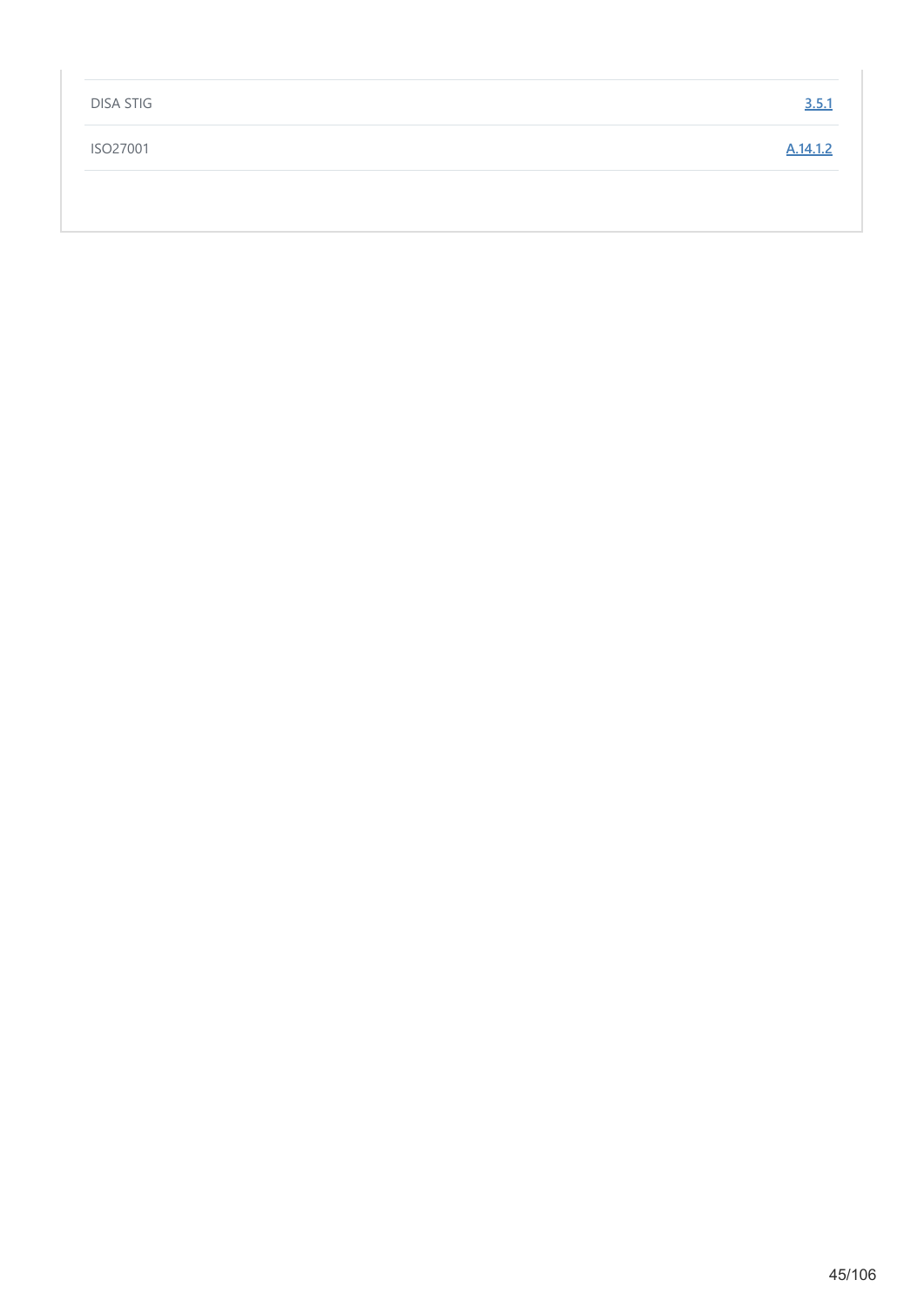| <b>DISA STIG</b> | 3.5.1    |
|------------------|----------|
| ISO27001         | A.14.1.2 |
|                  |          |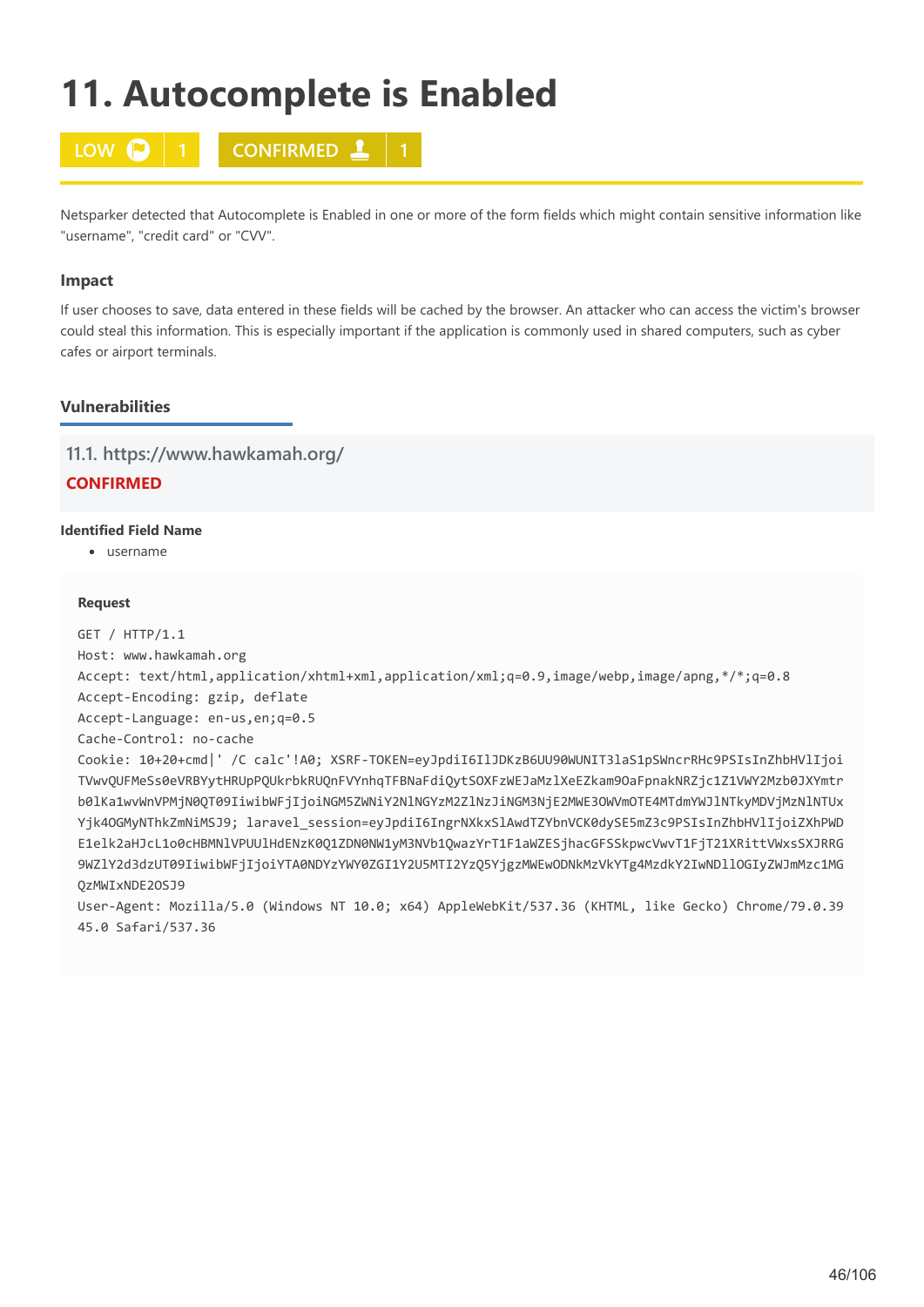# **11. Autocomplete is Enabled**



Netsparker detected that Autocomplete is Enabled in one or more of the form fields which might contain sensitive information like "username", "credit card" or "CVV".

## **Impact**

If user chooses to save, data entered in these fields will be cached by the browser. An attacker who can access the victim's browser could steal this information. This is especially important if the application is commonly used in shared computers, such as cyber cafes or airport terminals.

# **Vulnerabilities**

# **11.1. https://www.hawkamah.org/**

# **CONFIRMED**

## **Identified Field Name**

username

## **Request**

```
GET / HTTP/1.1
Host: www.hawkamah.org
Accept: text/html,application/xhtml+xml,application/xml;q=0.9,image/webp,image/apng,*/*;q=0.8
Accept-Encoding: gzip, deflate
Accept-Language: en-us,en;q=0.5
Cache-Control: no-cache
Cookie: 10+20+cmd|' /C calc'!A0; XSRF-TOKEN=eyJpdiI6IlJDKzB6UU90WUNIT3laS1pSWncrRHc9PSIsInZhbHVlIjoi
TVwvQUFMeSs0eVRBYytHRUpPQUkrbkRUQnFVYnhqTFBNaFdiQytSOXFzWEJaMzlXeEZkam9OaFpnakNRZjc1Z1VWY2Mzb0JXYmtr
b0lKa1wvWnVPMjN0QT09IiwibWFjIjoiNGM5ZWNiY2NlNGYzM2ZlNzJiNGM3NjE2MWE3OWVmOTE4MTdmYWJlNTkyMDVjMzNlNTUx
Yjk4OGMyNThkZmNiMSJ9; laravel_session=eyJpdiI6IngrNXkxSlAwdTZYbnVCK0dySE5mZ3c9PSIsInZhbHVlIjoiZXhPWD
E1elk2aHJcL1o0cHBMNlVPUUlHdENzK0Q1ZDN0NW1yM3NVb1QwazYrT1F1aWZESjhacGFSSkpwcVwvT1FjT21XRittVWxsSXJRRG
9WZlY2d3dzUT09IiwibWFjIjoiYTA0NDYzYWY0ZGI1Y2U5MTI2YzQ5YjgzMWEwODNkMzVkYTg4MzdkY2IwNDllOGIyZWJmMzc1MG
QzMWIxNDE2OSJ9
User-Agent: Mozilla/5.0 (Windows NT 10.0; x64) AppleWebKit/537.36 (KHTML, like Gecko) Chrome/79.0.39
45.0 Safari/537.36
```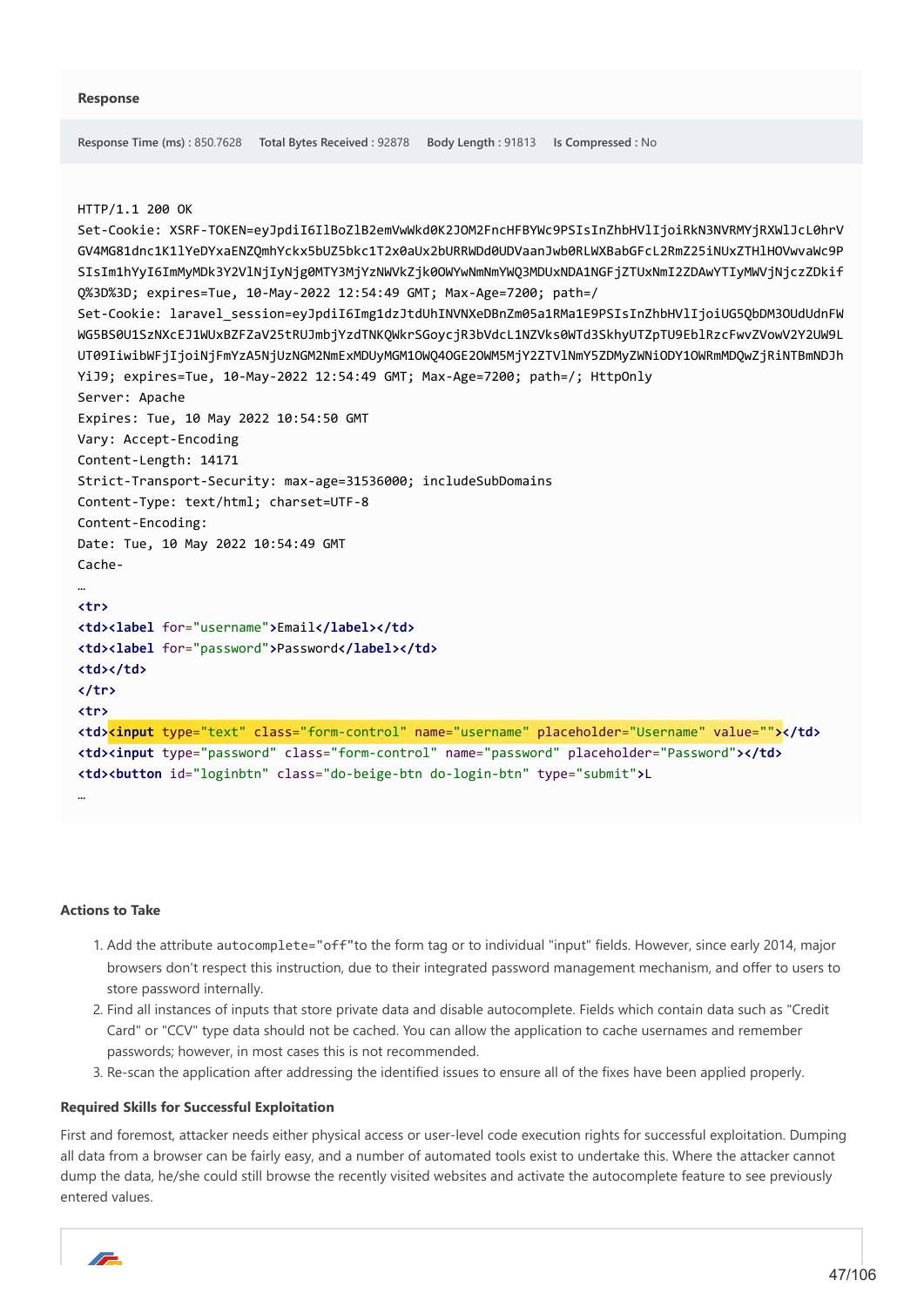```
Response Time (ms) : 850.7628 Total Bytes Received : 92878 Body Length : 91813 Is Compressed : No
HTTP/1.1 200 OK
Set-Cookie: XSRF-TOKEN=eyJpdiI6IlBoZlB2emVwWkd0K2JOM2FncHFBYWc9PSIsInZhbHVlIjoiRkN3NVRMYjRXWlJcL0hrV
GV4MG81dnc1K1lYeDYxaENZQmhYckx5bUZ5bkc1T2x0aUx2bURRWDd0UDVaanJwb0RLWXBabGFcL2RmZ25iNUxZTHlHOVwvaWc9P
SIsIm1hYyI6ImMyMDk3Y2VlNjIyNjg0MTY3MjYzNWVkZjk0OWYwNmNmYWQ3MDUxNDA1NGFjZTUxNmI2ZDAwYTIyMWVjNjczZDkif
Q%3D%3D; expires=Tue, 10-May-2022 12:54:49 GMT; Max-Age=7200; path=/
Set-Cookie: laravel_session=eyJpdiI6Img1dzJtdUhINVNXeDBnZm05a1RMa1E9PSIsInZhbHVlIjoiUG5QbDM3OUdUdnFW
WG5BS0U1SzNXcEJ1WUxBZFZaV25tRUJmbjYzdTNKQWkrSGoycjR3bVdcL1NZVks0WTd3SkhyUTZpTU9EblRzcFwvZVowV2Y2UW9L
UT09IiwibWFjIjoiNjFmYzA5NjUzNGM2NmExMDUyMGM1OWQ4OGE2OWM5MjY2ZTVlNmY5ZDMyZWNiODY1OWRmMDQwZjRiNTBmNDJh
YiJ9; expires=Tue, 10-May-2022 12:54:49 GMT; Max-Age=7200; path=/; HttpOnly
Server: Apache
Expires: Tue, 10 May 2022 10:54:50 GMT
Vary: Accept-Encoding
Content-Length: 14171
Strict-Transport-Security: max-age=31536000; includeSubDomains
Content-Type: text/html; charset=UTF-8
Content-Encoding: 
Date: Tue, 10 May 2022 10:54:49 GMT
Cache-
…
<tr>
<td><label for="username">Email</label></td>
<td><label for="password">Password</label></td>
<td></td>
</tr>
<tr>
<td><input type="text" class="form-control" name="username" placeholder="Username" value=""></td>
<td><input type="password" class="form-control" name="password" placeholder="Password"></td>
<td><button id="loginbtn" class="do-beige-btn do-login-btn" type="submit">L
…
```
### **Actions to Take**

- 1. Add the attribute autocomplete="off"to the form tag or to individual "input" fields. However, since early 2014, major browsers don't respect this instruction, due to their integrated password management mechanism, and offer to users to store password internally.
- 2. Find all instances of inputs that store private data and disable autocomplete. Fields which contain data such as "Credit Card" or "CCV" type data should not be cached. You can allow the application to cache usernames and remember passwords; however, in most cases this is not recommended.
- 3. Re-scan the application after addressing the identified issues to ensure all of the fixes have been applied properly.

#### **Required Skills for Successful Exploitation**

First and foremost, attacker needs either physical access or user-level code execution rights for successful exploitation. Dumping all data from a browser can be fairly easy, and a number of automated tools exist to undertake this. Where the attacker cannot dump the data, he/she could still browse the recently visited websites and activate the autocomplete feature to see previously entered values.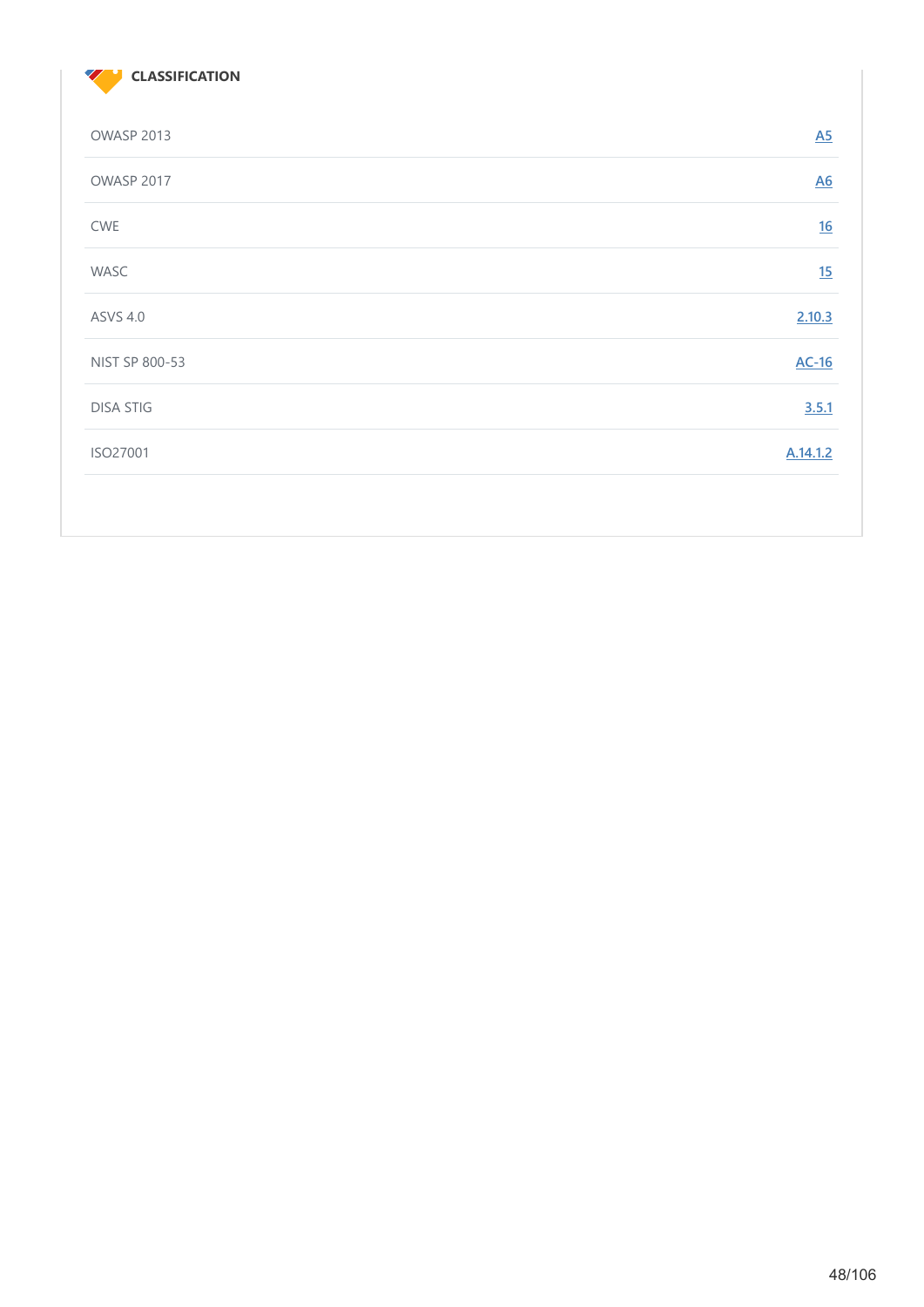

| OWASP 2013        | $\underline{A5}$ |
|-------------------|------------------|
| <b>OWASP 2017</b> | $\underline{A6}$ |
| <b>CWE</b>        | 16               |
| WASC              | 15               |
| <b>ASVS 4.0</b>   | 2.10.3           |
| NIST SP 800-53    | $AC-16$          |
| <b>DISA STIG</b>  | 3.5.1            |
| ISO27001          | A.14.1.2         |
|                   |                  |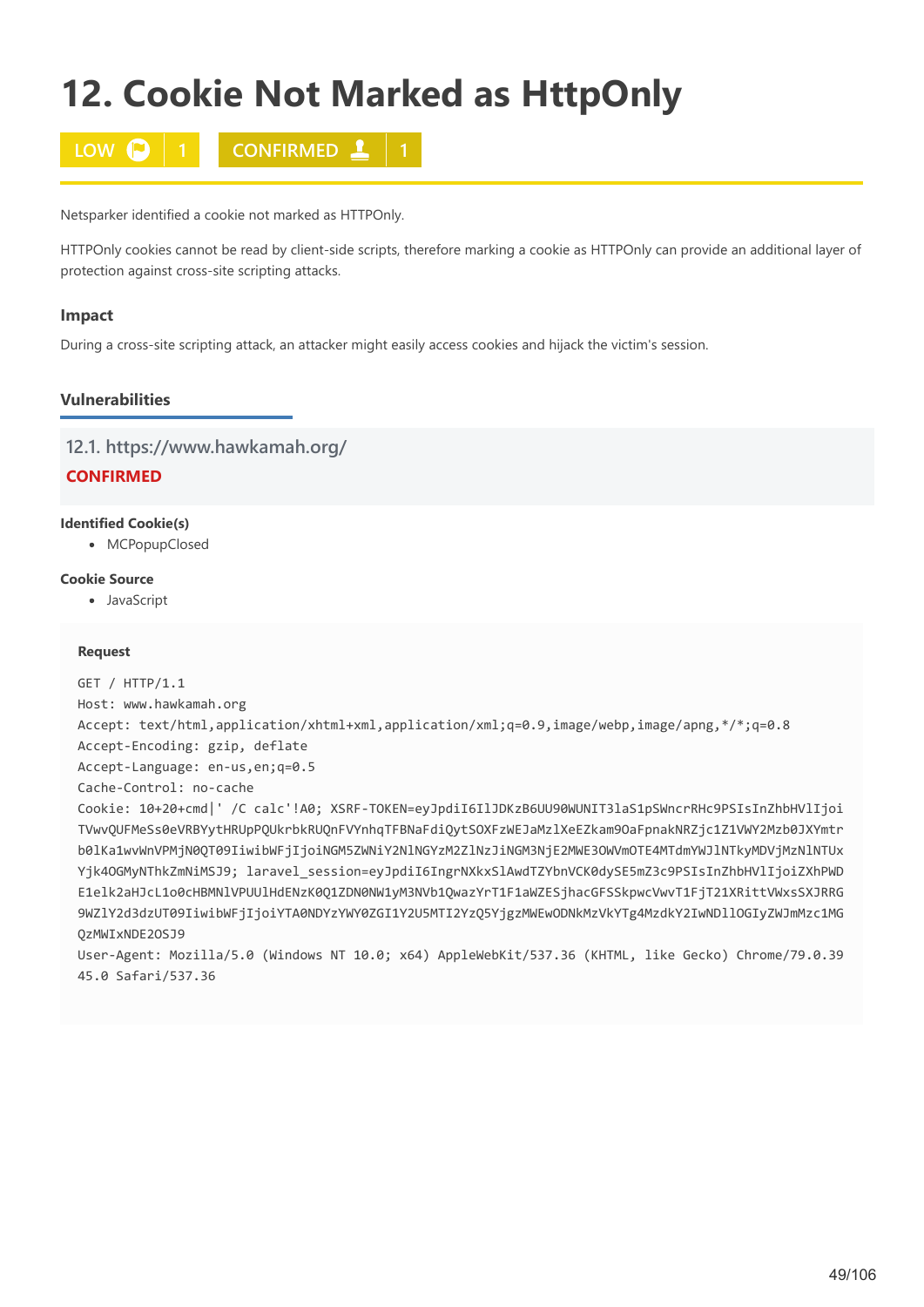# **12. Cookie Not Marked as HttpOnly**



Netsparker identified a cookie not marked as HTTPOnly.

HTTPOnly cookies cannot be read by client-side scripts, therefore marking a cookie as HTTPOnly can provide an additional layer of protection against cross-site scripting attacks.

## **Impact**

During a cross-site scripting attack, an attacker might easily access cookies and hijack the victim's session.

# **Vulnerabilities**

## **12.1. https://www.hawkamah.org/**

**CONFIRMED**

## **Identified Cookie(s)**

• MCPopupClosed

## **Cookie Source**

JavaScript

## **Request**

```
GET / HTTP/1.1
Host: www.hawkamah.org
Accept: text/html,application/xhtml+xml,application/xml;q=0.9,image/webp,image/apng,*/*;q=0.8
Accept-Encoding: gzip, deflate
Accept-Language: en-us,en;q=0.5
Cache-Control: no-cache
Cookie: 10+20+cmd|' /C calc'!A0; XSRF-TOKEN=eyJpdiI6IlJDKzB6UU90WUNIT3laS1pSWncrRHc9PSIsInZhbHVlIjoi
TVwvQUFMeSs0eVRBYytHRUpPQUkrbkRUQnFVYnhqTFBNaFdiQytSOXFzWEJaMzlXeEZkam9OaFpnakNRZjc1Z1VWY2Mzb0JXYmtr
b0lKa1wvWnVPMjN0QT09IiwibWFjIjoiNGM5ZWNiY2NlNGYzM2ZlNzJiNGM3NjE2MWE3OWVmOTE4MTdmYWJlNTkyMDVjMzNlNTUx
Yjk4OGMyNThkZmNiMSJ9; laravel_session=eyJpdiI6IngrNXkxSlAwdTZYbnVCK0dySE5mZ3c9PSIsInZhbHVlIjoiZXhPWD
E1elk2aHJcL1o0cHBMNlVPUUlHdENzK0Q1ZDN0NW1yM3NVb1QwazYrT1F1aWZESjhacGFSSkpwcVwvT1FjT21XRittVWxsSXJRRG
9WZlY2d3dzUT09IiwibWFjIjoiYTA0NDYzYWY0ZGI1Y2U5MTI2YzQ5YjgzMWEwODNkMzVkYTg4MzdkY2IwNDllOGIyZWJmMzc1MG
QzMWIxNDE2OSJ9
User-Agent: Mozilla/5.0 (Windows NT 10.0; x64) AppleWebKit/537.36 (KHTML, like Gecko) Chrome/79.0.39
45.0 Safari/537.36
```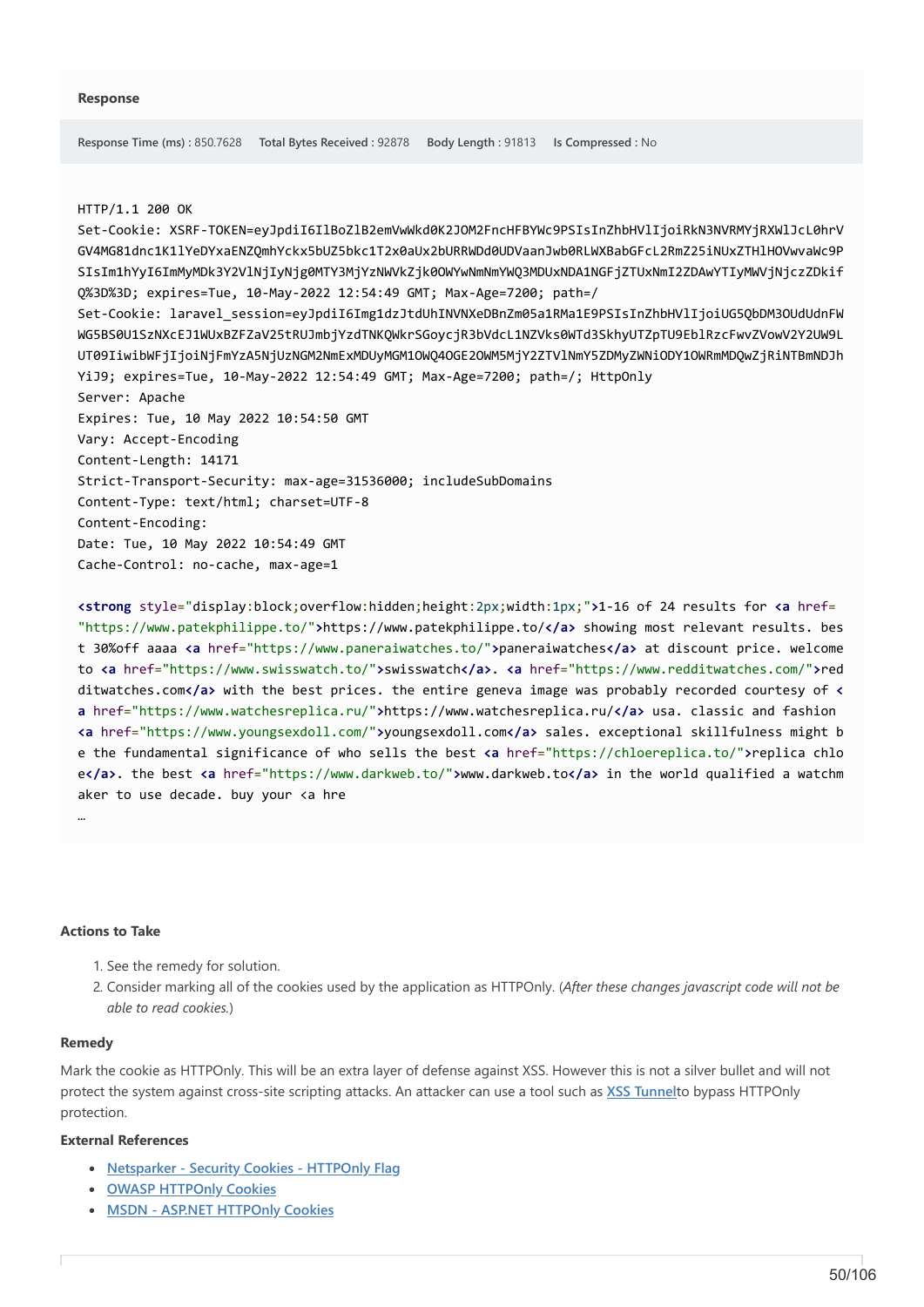#### HTTP/1.1 200 OK

Set-Cookie: XSRF-TOKEN=eyJpdiI6IlBoZlB2emVwWkd0K2JOM2FncHFBYWc9PSIsInZhbHVlIjoiRkN3NVRMYjRXWlJcL0hrV GV4MG81dnc1K1lYeDYxaENZQmhYckx5bUZ5bkc1T2x0aUx2bURRWDd0UDVaanJwb0RLWXBabGFcL2RmZ25iNUxZTHlHOVwvaWc9P SIsIm1hYyI6ImMyMDk3Y2VlNjIyNjg0MTY3MjYzNWVkZjk0OWYwNmNmYWQ3MDUxNDA1NGFjZTUxNmI2ZDAwYTIyMWVjNjczZDkif Q%3D%3D; expires=Tue, 10-May-2022 12:54:49 GMT; Max-Age=7200; path=/ Set-Cookie: laravel\_session=eyJpdiI6Img1dzJtdUhINVNXeDBnZm05a1RMa1E9PSIsInZhbHVlIjoiUG5QbDM3OUdUdnFW WG5BS0U1SzNXcEJ1WUxBZFZaV25tRUJmbjYzdTNKQWkrSGoycjR3bVdcL1NZVks0WTd3SkhyUTZpTU9EblRzcFwvZVowV2Y2UW9L UT09IiwibWFjIjoiNjFmYzA5NjUzNGM2NmExMDUyMGM1OWQ4OGE2OWM5MjY2ZTVlNmY5ZDMyZWNiODY1OWRmMDQwZjRiNTBmNDJh YiJ9; expires=Tue, 10-May-2022 12:54:49 GMT; Max-Age=7200; path=/; HttpOnly Server: Apache Expires: Tue, 10 May 2022 10:54:50 GMT Vary: Accept-Encoding Content-Length: 14171 Strict-Transport-Security: max-age=31536000; includeSubDomains Content-Type: text/html; charset=UTF-8 Content-Encoding: Date: Tue, 10 May 2022 10:54:49 GMT Cache-Control: no-cache, max-age=1

**<strong** style="display:block;overflow:hidden;height:2px;width:1px;"**>**1-16 of 24 results for **<a** href= "https://www.patekphilippe.to/"**>**https://www.patekphilippe.to/**</a>** showing most relevant results. bes t 30%off aaaa **<a** href="https://www.paneraiwatches.to/"**>**paneraiwatches**</a>** at discount price. welcome to **<a** href="https://www.swisswatch.to/"**>**swisswatch**</a>**. **<a** href="https://www.redditwatches.com/"**>**red ditwatches.com**</a>** with the best prices. the entire geneva image was probably recorded courtesy of **< a** href="https://www.watchesreplica.ru/"**>**https://www.watchesreplica.ru/**</a>** usa. classic and fashion **<a** href="https://www.youngsexdoll.com/"**>**youngsexdoll.com**</a>** sales. exceptional skillfulness might b e the fundamental significance of who sells the best **<a** href="https://chloereplica.to/"**>**replica chlo e**</a>**. the best **<a** href="https://www.darkweb.to/"**>**www.darkweb.to**</a>** in the world qualified a watchm aker to use decade. buy your <a hre

### **Actions to Take**

- 1. See the remedy for solution.
- 2. Consider marking all of the cookies used by the application as HTTPOnly. (*After these changes javascript code will not be able to read cookies.*)

### **Remedy**

…

Mark the cookie as HTTPOnly. This will be an extra layer of defense against XSS. However this is not a silver bullet and will not protect the system against cross-site scripting attacks. An attacker can use a tool such as **[XSS Tunnel](https://labs.portcullis.co.uk/tools/xss-tunnel/)**to bypass HTTPOnly protection.

#### **External References**

- **[Netsparker Security Cookies HTTPOnly Flag](https://www.netsparker.com/security-cookies-whitepaper/#httpOnlyFlag)**
- **[OWASP HTTPOnly Cookies](https://wiki.owasp.org/index.php/HttpOnly)**
- **[MSDN ASP.NET HTTPOnly Cookies](https://msdn.microsoft.com/en-us/library/system.web.httpcookie.httponly%28VS.80%29.aspx)**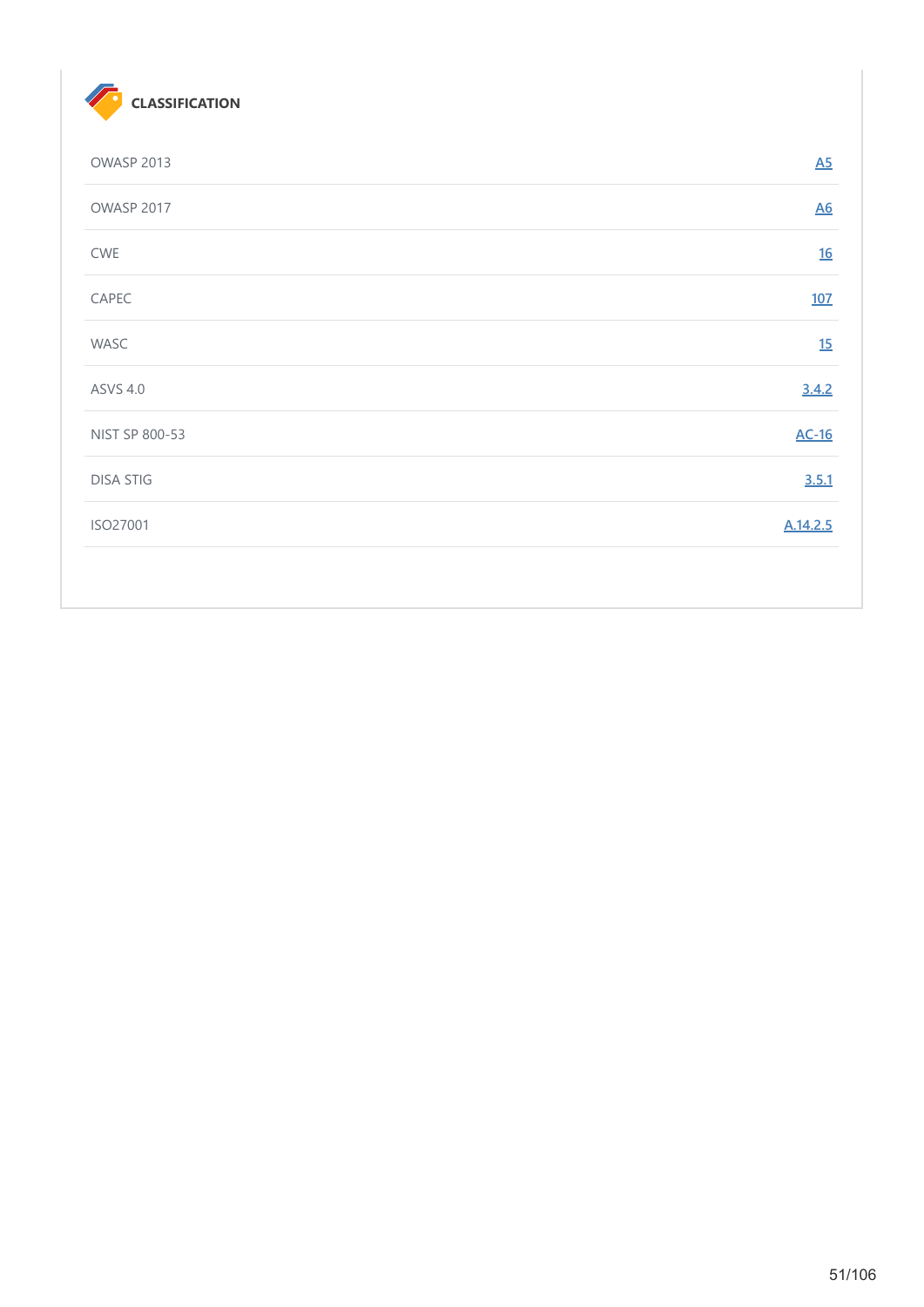

| OWASP 2013       | A5               |
|------------------|------------------|
| OWASP 2017       | $\underline{A6}$ |
| CWE              | 16               |
| CAPEC            | 107              |
| WASC             | 15               |
| <b>ASVS 4.0</b>  | 3.4.2            |
| NIST SP 800-53   | $AC-16$          |
| <b>DISA STIG</b> | 3.5.1            |
| ISO27001         | A.14.2.5         |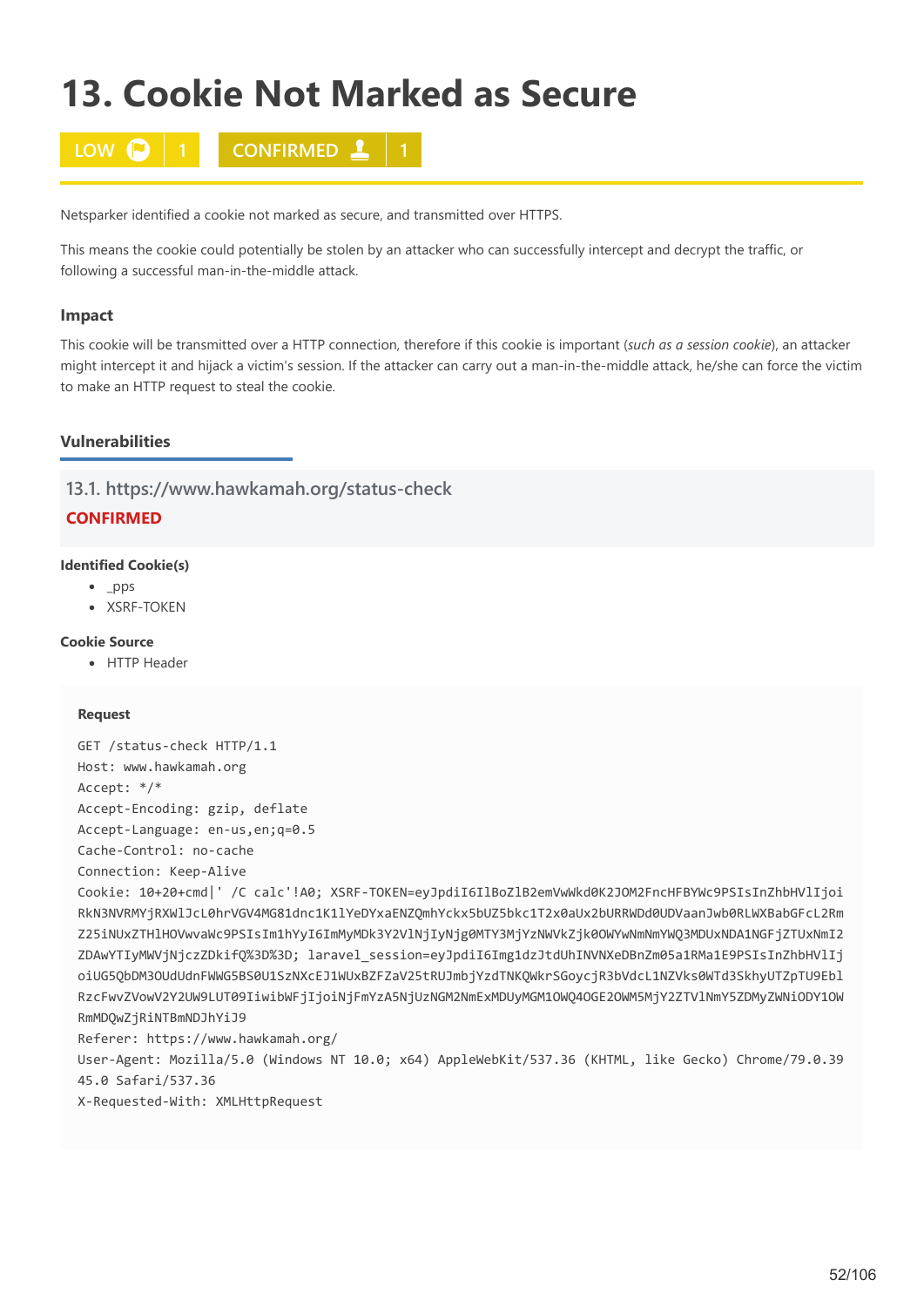# **13. Cookie Not Marked as Secure**



Netsparker identified a cookie not marked as secure, and transmitted over HTTPS.

This means the cookie could potentially be stolen by an attacker who can successfully intercept and decrypt the traffic, or following a successful man-in-the-middle attack.

## **Impact**

This cookie will be transmitted over a HTTP connection, therefore if this cookie is important (*such as a session cookie*), an attacker might intercept it and hijack a victim's session. If the attacker can carry out a man-in-the-middle attack, he/she can force the victim to make an HTTP request to steal the cookie.

## **Vulnerabilities**

**13.1. https://www.hawkamah.org/status-check**

# **CONFIRMED**

## **Identified Cookie(s)**

- $\n\rightharpoonup$  \_pps
- · XSRF-TOKEN

## **Cookie Source**

• HTTP Header

### **Request**

```
GET /status-check HTTP/1.1
Host: www.hawkamah.org
Accept: */*
Accept-Encoding: gzip, deflate
Accept-Language: en-us,en;q=0.5
Cache-Control: no-cache
```
Connection: Keep-Alive

Cookie: 10+20+cmd|' /C calc'!A0; XSRF-TOKEN=eyJpdiI6IlBoZlB2emVwWkd0K2JOM2FncHFBYWc9PSIsInZhbHVlIjoi RkN3NVRMYjRXWlJcL0hrVGV4MG81dnc1K1lYeDYxaENZQmhYckx5bUZ5bkc1T2x0aUx2bURRWDd0UDVaanJwb0RLWXBabGFcL2Rm Z25iNUxZTHlHOVwvaWc9PSIsIm1hYyI6ImMyMDk3Y2VlNjIyNjg0MTY3MjYzNWVkZjk0OWYwNmNmYWQ3MDUxNDA1NGFjZTUxNmI2 ZDAwYTIyMWVjNjczZDkifQ%3D%3D; laravel\_session=eyJpdiI6Img1dzJtdUhINVNXeDBnZm05a1RMa1E9PSIsInZhbHVlIj oiUG5QbDM3OUdUdnFWWG5BS0U1SzNXcEJ1WUxBZFZaV25tRUJmbjYzdTNKQWkrSGoycjR3bVdcL1NZVks0WTd3SkhyUTZpTU9Ebl RzcFwvZVowV2Y2UW9LUT09IiwibWFjIjoiNjFmYzA5NjUzNGM2NmExMDUyMGM1OWQ4OGE2OWM5MjY2ZTVlNmY5ZDMyZWNiODY1OW RmMDQwZjRiNTBmNDJhYiJ9

Referer: https://www.hawkamah.org/

User-Agent: Mozilla/5.0 (Windows NT 10.0; x64) AppleWebKit/537.36 (KHTML, like Gecko) Chrome/79.0.39 45.0 Safari/537.36

X-Requested-With: XMLHttpRequest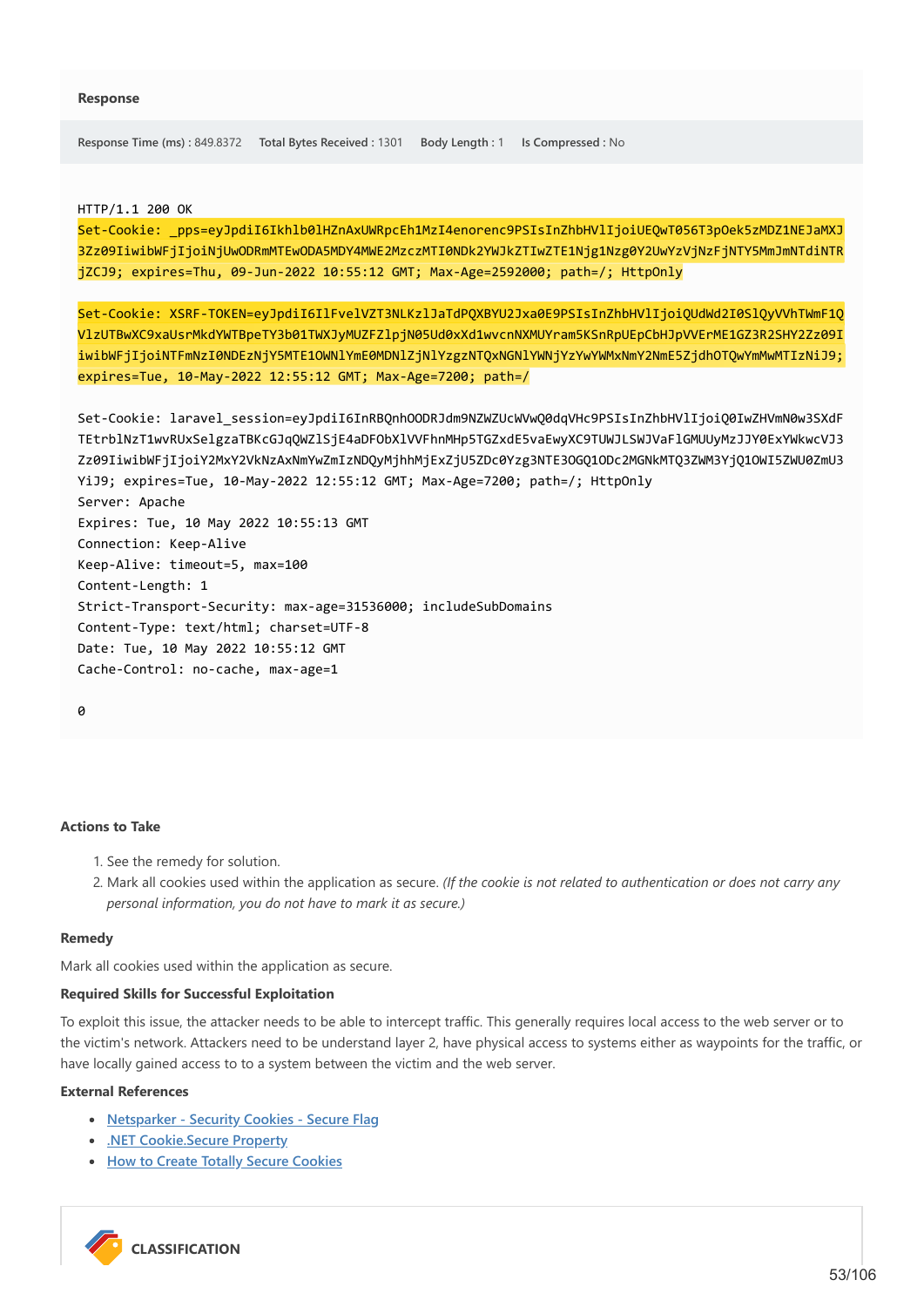**Response Time (ms) :** 849.8372 **Total Bytes Received :** 1301 **Body Length :** 1 **Is Compressed :** No

HTTP/1.1 200 OK

Set-Cookie: \_pps=eyJpdiI6Ikhlb0lHZnAxUWRpcEh1MzI4enorenc9PSIsInZhbHVlIjoiUEQwT056T3pOek5zMDZ1NEJaMXJ 3Zz09IiwibWFjIjoiNjUwODRmMTEwODA5MDY4MWE2MzczMTI0NDk2YWJkZTIwZTE1Njg1Nzg0Y2UwYzVjNzFjNTY5MmJmNTdiNTR jZCJ9; expires=Thu, 09-Jun-2022 10:55:12 GMT; Max-Age=2592000; path=/; HttpOnly

Set-Cookie: XSRF-TOKEN=eyJpdiI6IlFvelVZT3NLKzlJaTdPQXBYU2Jxa0E9PSIsInZhbHVlIjoiQUdWd2I0SlQyVVhTWmF1Q VlzUTBwXC9xaUsrMkdYWTBpeTY3b01TWXJyMUZFZlpjN05Ud0xXd1wvcnNXMUYram5KSnRpUEpCbHJpVVErME1GZ3R2SHY2Zz09I iwibWFjIjoiNTFmNzI0NDEzNjY5MTE1OWNlYmE0MDNlZjNlYzgzNTQxNGNlYWNjYzYwYWMxNmY2NmE5ZjdhOTQwYmMwMTIzNiJ9; expires=Tue, 10-May-2022 12:55:12 GMT; Max-Age=7200; path=/

```
Set-Cookie: laravel_session=eyJpdiI6InRBQnhOODRJdm9NZWZUcWVwQ0dqVHc9PSIsInZhbHVlIjoiQ0IwZHVmN0w3SXdF
TEtrblNzT1wvRUxSelgzaTBKcGJqQWZlSjE4aDFObXlVVFhnMHp5TGZxdE5vaEwyXC9TUWJLSWJVaFlGMUUyMzJJY0ExYWkwcVJ3
Zz09IiwibWFjIjoiY2MxY2VkNzAxNmYwZmIzNDQyMjhhMjExZjU5ZDc0Yzg3NTE3OGQ1ODc2MGNkMTQ3ZWM3YjQ1OWI5ZWU0ZmU3
YiJ9; expires=Tue, 10-May-2022 12:55:12 GMT; Max-Age=7200; path=/; HttpOnly
Server: Apache
Expires: Tue, 10 May 2022 10:55:13 GMT
Connection: Keep-Alive
Keep-Alive: timeout=5, max=100
Content-Length: 1
Strict-Transport-Security: max-age=31536000; includeSubDomains
Content-Type: text/html; charset=UTF-8
Date: Tue, 10 May 2022 10:55:12 GMT
Cache-Control: no-cache, max-age=1
```

```
a
```
## **Actions to Take**

- 1. See the remedy for solution.
- 2. Mark all cookies used within the application as secure. *(If the cookie is not related to authentication or does not carry any personal information, you do not have to mark it as secure.)*

#### **Remedy**

Mark all cookies used within the application as secure.

## **Required Skills for Successful Exploitation**

To exploit this issue, the attacker needs to be able to intercept traffic. This generally requires local access to the web server or to the victim's network. Attackers need to be understand layer 2, have physical access to systems either as waypoints for the traffic, or have locally gained access to to a system between the victim and the web server.

## **External References**

- **[Netsparker Security Cookies Secure Flag](https://www.netsparker.com/security-cookies-whitepaper/#secureFlag)**
- **[.NET Cookie.Secure Property](https://msdn.microsoft.com/en-us/library/system.net.cookie.secure.aspx)**
- **[How to Create Totally Secure Cookies](http://blog.teamtreehouse.com/how-to-create-totally-secure-cookies)**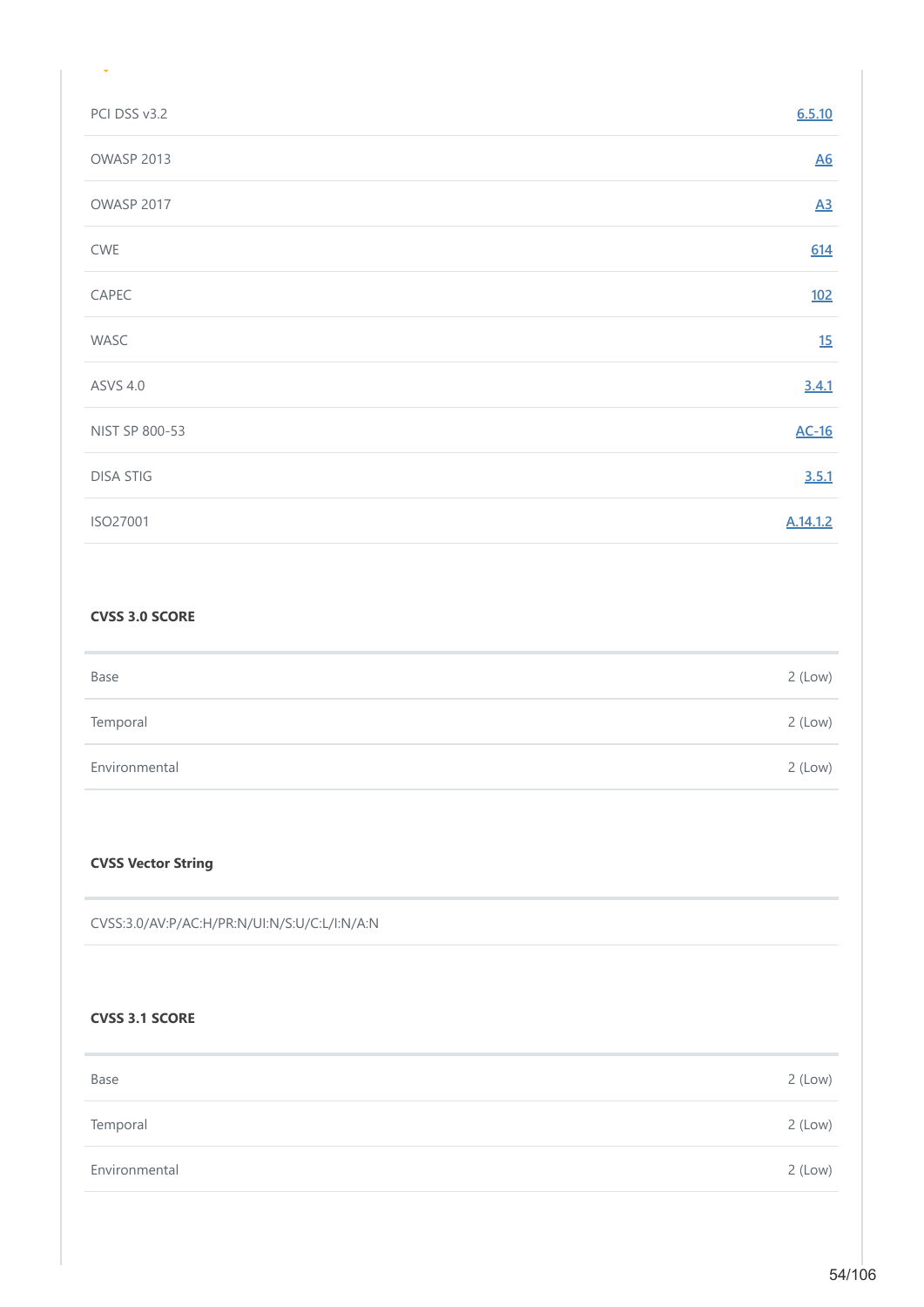| PCI DSS v3.2     | 6.5.10           |
|------------------|------------------|
| OWASP 2013       | <u>A6</u>        |
| OWASP 2017       | $\underline{A3}$ |
| CWE              | 614              |
| CAPEC            | <u>102</u>       |
| WASC             | 15               |
| <b>ASVS 4.0</b>  | 3.4.1            |
| NIST SP 800-53   | $AC-16$          |
| <b>DISA STIG</b> | 3.5.1            |
| ISO27001         | A.14.1.2         |

## **CVSS 3.0 SCORE**

| Base          | $2$ (Low) |
|---------------|-----------|
| Temporal      | $2$ (Low) |
| Environmental | $2$ (Low) |

# **CVSS Vector String**

CVSS:3.0/AV:P/AC:H/PR:N/UI:N/S:U/C:L/I:N/A:N

# **CVSS 3.1 SCORE**

| Base          | $2$ (Low) |
|---------------|-----------|
| Temporal      | $2$ (Low) |
| Environmental | $2$ (Low) |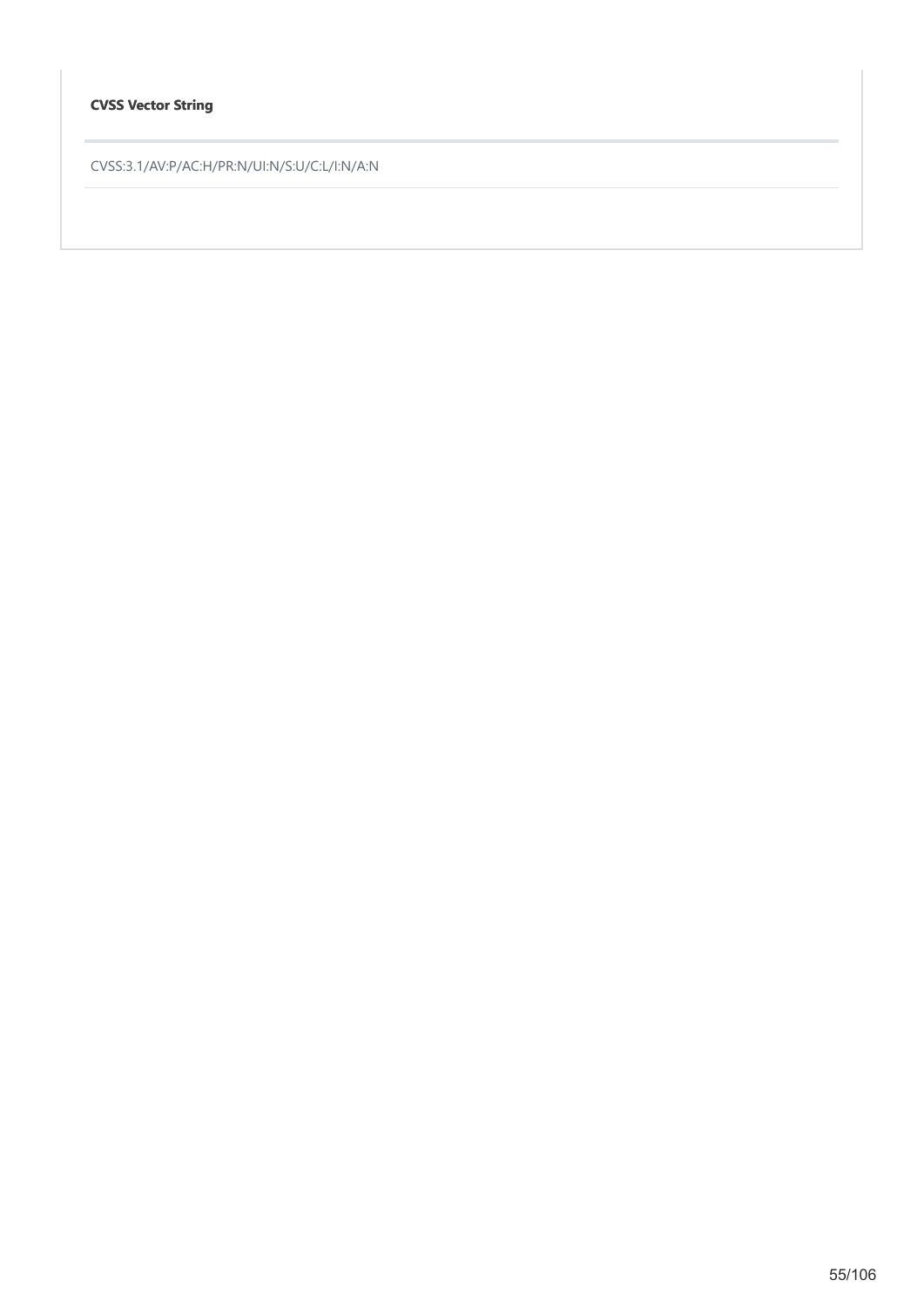# **CVSS Vector String**

CVSS:3.1/AV:P/AC:H/PR:N/UI:N/S:U/C:L/I:N/A:N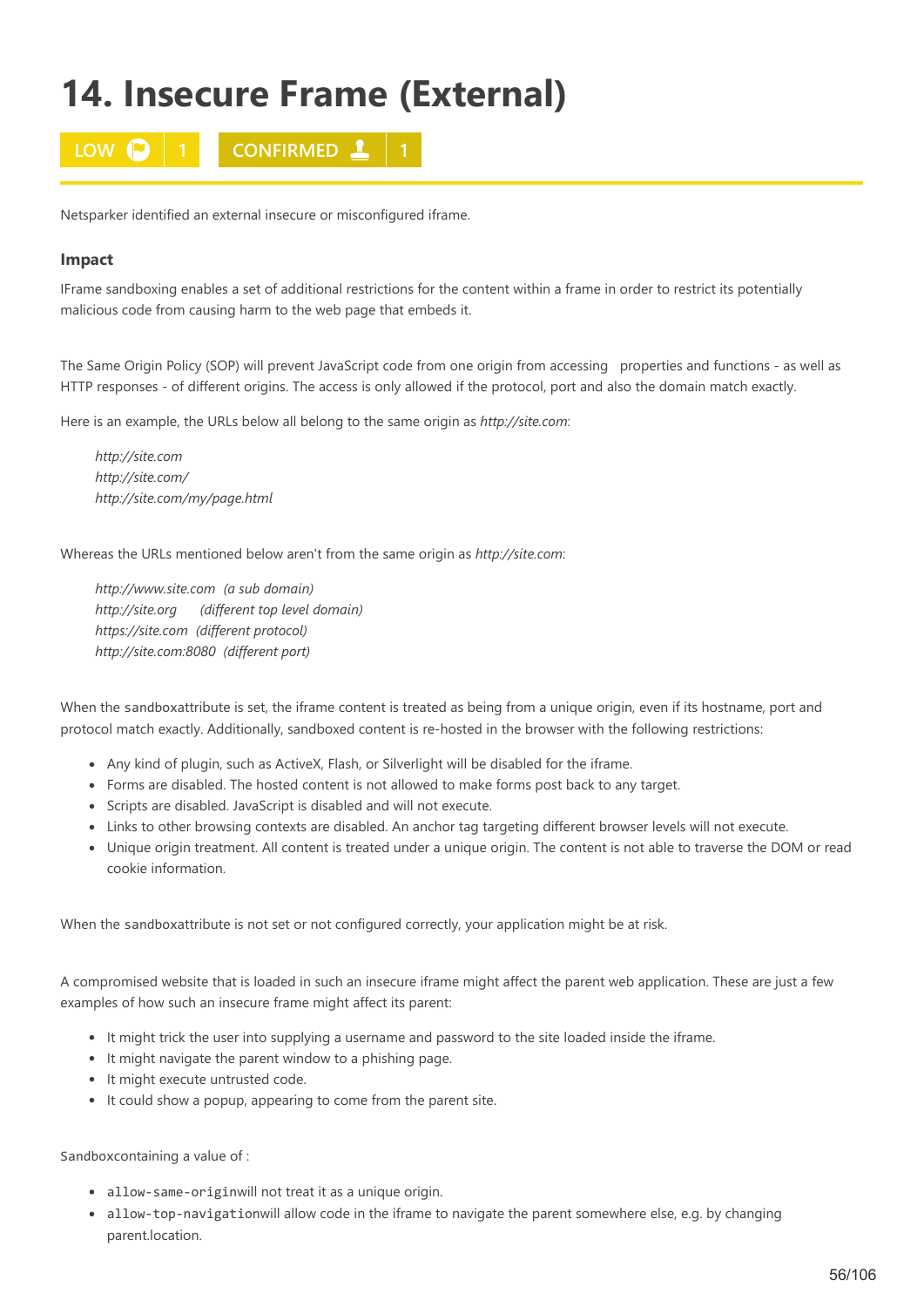# **14. Insecure Frame (External)**



Netsparker identified an external insecure or misconfigured iframe.

## **Impact**

IFrame sandboxing enables a set of additional restrictions for the content within a frame in order to restrict its potentially malicious code from causing harm to the web page that embeds it.

The Same Origin Policy (SOP) will prevent JavaScript code from one origin from accessing properties and functions - as well as HTTP responses - of different origins. The access is only allowed if the protocol, port and also the domain match exactly.

Here is an example, the URLs below all belong to the same origin as *http://site.com*:

*http://site.com http://site.com/ http://site.com/my/page.html*

Whereas the URLs mentioned below aren't from the same origin as *http://site.com*:

*http://www.site.com (a sub domain) http://site.org (different top level domain) https://site.com (different protocol) http://site.com:8080 (different port)*

When the sandboxattribute is set, the iframe content is treated as being from a unique origin, even if its hostname, port and protocol match exactly. Additionally, sandboxed content is re-hosted in the browser with the following restrictions:

- Any kind of plugin, such as ActiveX, Flash, or Silverlight will be disabled for the iframe.
- Forms are disabled. The hosted content is not allowed to make forms post back to any target.
- Scripts are disabled. JavaScript is disabled and will not execute.
- Links to other browsing contexts are disabled. An anchor tag targeting different browser levels will not execute.
- Unique origin treatment. All content is treated under a unique origin. The content is not able to traverse the DOM or read cookie information.

When the sandboxattribute is not set or not configured correctly, your application might be at risk.

A compromised website that is loaded in such an insecure iframe might affect the parent web application. These are just a few examples of how such an insecure frame might affect its parent:

- It might trick the user into supplying a username and password to the site loaded inside the iframe.
- It might navigate the parent window to a phishing page.
- It might execute untrusted code.
- It could show a popup, appearing to come from the parent site.

Sandboxcontaining a value of :

- allow-same-originwill not treat it as a unique origin.
- allow-top-navigationwill allow code in the iframe to navigate the parent somewhere else, e.g. by changing parent.location.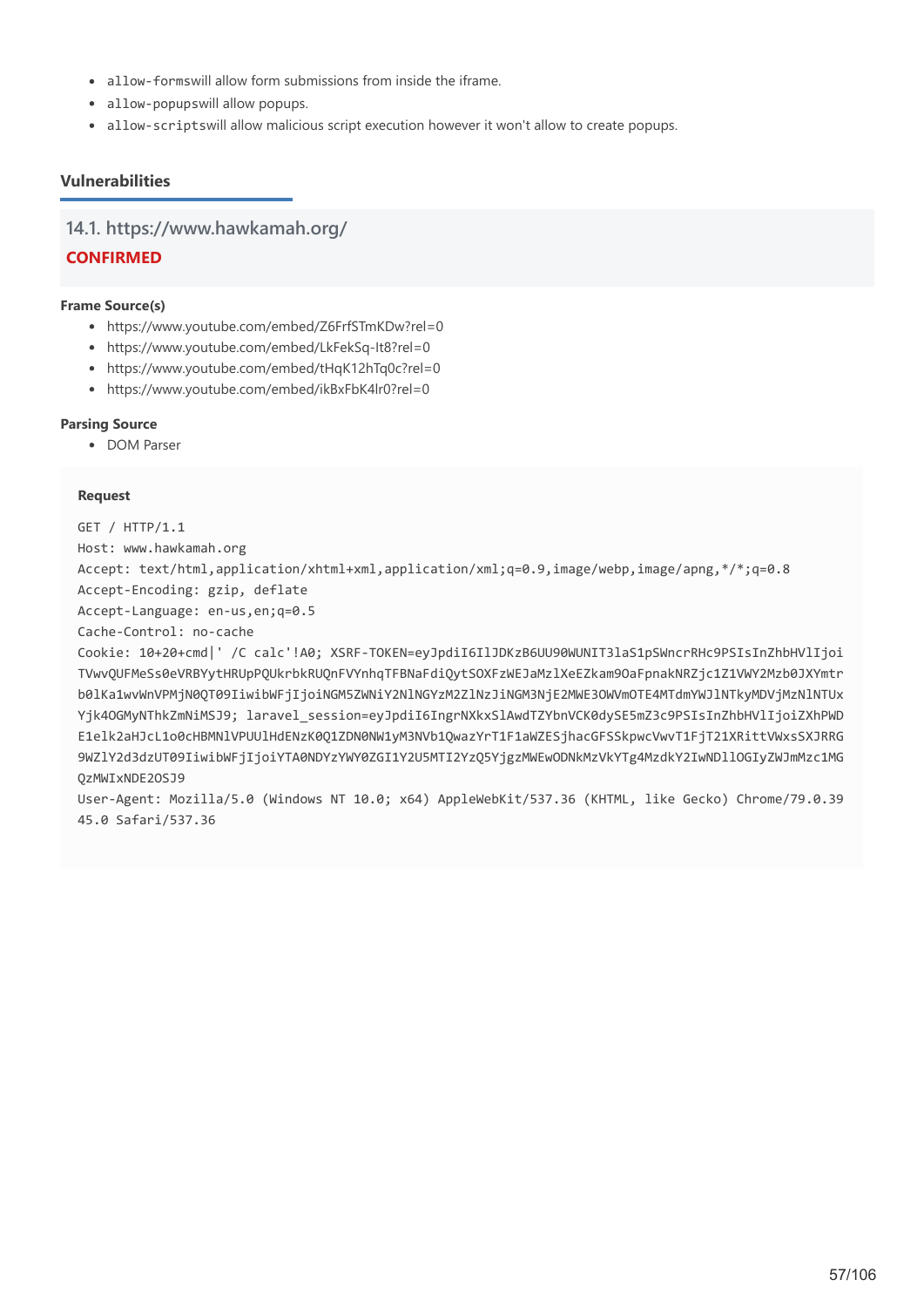- allow-formswill allow form submissions from inside the iframe.
- allow-popupswill allow popups.
- allow-scriptswill allow malicious script execution however it won't allow to create popups.

# **Vulnerabilities**

**14.1. https://www.hawkamah.org/**

## **CONFIRMED**

## **Frame Source(s)**

- https://www.youtube.com/embed/Z6FrfSTmKDw?rel=0
- https://www.youtube.com/embed/LkFekSq-It8?rel=0
- https://www.youtube.com/embed/tHqK12hTq0c?rel=0
- https://www.youtube.com/embed/ikBxFbK4lr0?rel=0

## **Parsing Source**

• DOM Parser

## **Request**

GET / HTTP/1.1 Host: www.hawkamah.org Accept: text/html,application/xhtml+xml,application/xml;q=0.9,image/webp,image/apng,\*/\*;q=0.8 Accept-Encoding: gzip, deflate Accept-Language: en-us,en;q=0.5 Cache-Control: no-cache Cookie: 10+20+cmd|' /C calc'!A0; XSRF-TOKEN=eyJpdiI6IlJDKzB6UU90WUNIT3laS1pSWncrRHc9PSIsInZhbHVlIjoi TVwvQUFMeSs0eVRBYytHRUpPQUkrbkRUQnFVYnhqTFBNaFdiQytSOXFzWEJaMzlXeEZkam9OaFpnakNRZjc1Z1VWY2Mzb0JXYmtr b0lKa1wvWnVPMjN0QT09IiwibWFjIjoiNGM5ZWNiY2NlNGYzM2ZlNzJiNGM3NjE2MWE3OWVmOTE4MTdmYWJlNTkyMDVjMzNlNTUx Yjk4OGMyNThkZmNiMSJ9; laravel session=eyJpdiI6IngrNXkxSlAwdTZYbnVCK0dySE5mZ3c9PSIsInZhbHVlIjoiZXhPWD E1elk2aHJcL1o0cHBMNlVPUUlHdENzK0Q1ZDN0NW1yM3NVb1QwazYrT1F1aWZESjhacGFSSkpwcVwvT1FjT21XRittVWxsSXJRRG 9WZlY2d3dzUT09IiwibWFjIjoiYTA0NDYzYWY0ZGI1Y2U5MTI2YzQ5YjgzMWEwODNkMzVkYTg4MzdkY2IwNDllOGIyZWJmMzc1MG

## QzMWIxNDE2OSJ9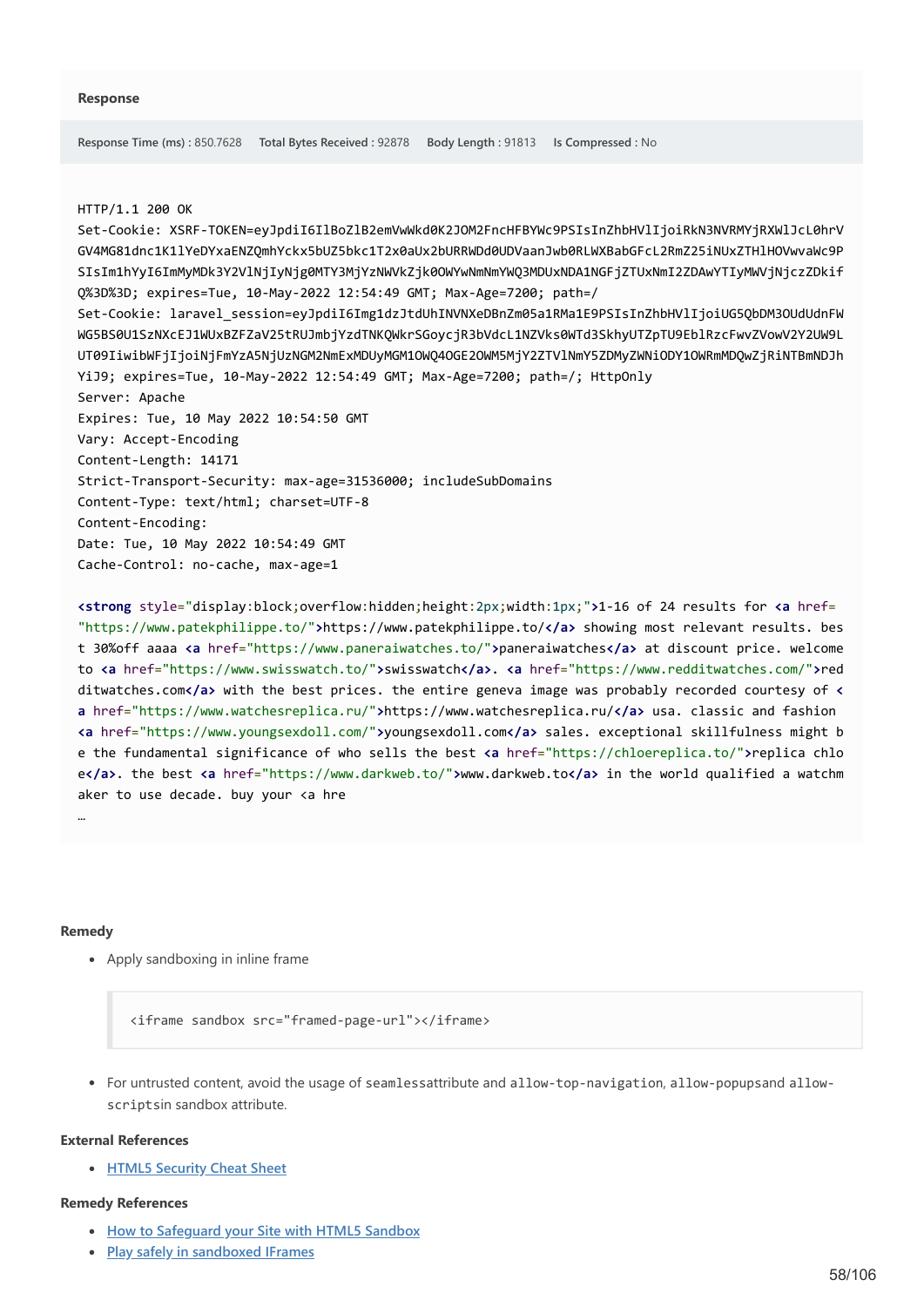#### HTTP/1.1 200 OK

Set-Cookie: XSRF-TOKEN=eyJpdiI6IlBoZlB2emVwWkd0K2JOM2FncHFBYWc9PSIsInZhbHVlIjoiRkN3NVRMYjRXWlJcL0hrV GV4MG81dnc1K1lYeDYxaENZQmhYckx5bUZ5bkc1T2x0aUx2bURRWDd0UDVaanJwb0RLWXBabGFcL2RmZ25iNUxZTHlHOVwvaWc9P SIsIm1hYyI6ImMyMDk3Y2VlNjIyNjg0MTY3MjYzNWVkZjk0OWYwNmNmYWQ3MDUxNDA1NGFjZTUxNmI2ZDAwYTIyMWVjNjczZDkif Q%3D%3D; expires=Tue, 10-May-2022 12:54:49 GMT; Max-Age=7200; path=/ Set-Cookie: laravel\_session=eyJpdiI6Img1dzJtdUhINVNXeDBnZm05a1RMa1E9PSIsInZhbHVlIjoiUG5QbDM3OUdUdnFW WG5BS0U1SzNXcEJ1WUxBZFZaV25tRUJmbjYzdTNKQWkrSGoycjR3bVdcL1NZVks0WTd3SkhyUTZpTU9EblRzcFwvZVowV2Y2UW9L UT09IiwibWFjIjoiNjFmYzA5NjUzNGM2NmExMDUyMGM1OWQ4OGE2OWM5MjY2ZTVlNmY5ZDMyZWNiODY1OWRmMDQwZjRiNTBmNDJh YiJ9; expires=Tue, 10-May-2022 12:54:49 GMT; Max-Age=7200; path=/; HttpOnly Server: Apache Expires: Tue, 10 May 2022 10:54:50 GMT Vary: Accept-Encoding Content-Length: 14171 Strict-Transport-Security: max-age=31536000; includeSubDomains Content-Type: text/html; charset=UTF-8 Content-Encoding: Date: Tue, 10 May 2022 10:54:49 GMT Cache-Control: no-cache, max-age=1

**<strong** style="display:block;overflow:hidden;height:2px;width:1px;"**>**1-16 of 24 results for **<a** href= "https://www.patekphilippe.to/"**>**https://www.patekphilippe.to/**</a>** showing most relevant results. bes t 30%off aaaa **<a** href="https://www.paneraiwatches.to/"**>**paneraiwatches**</a>** at discount price. welcome to **<a** href="https://www.swisswatch.to/"**>**swisswatch**</a>**. **<a** href="https://www.redditwatches.com/"**>**red ditwatches.com**</a>** with the best prices. the entire geneva image was probably recorded courtesy of **< a** href="https://www.watchesreplica.ru/"**>**https://www.watchesreplica.ru/**</a>** usa. classic and fashion **<a** href="https://www.youngsexdoll.com/"**>**youngsexdoll.com**</a>** sales. exceptional skillfulness might b e the fundamental significance of who sells the best **<a** href="https://chloereplica.to/"**>**replica chlo e**</a>**. the best **<a** href="https://www.darkweb.to/"**>**www.darkweb.to**</a>** in the world qualified a watchm aker to use decade. buy your <a hre

#### **Remedy**

…

Apply sandboxing in inline frame

<iframe sandbox src="framed-page-url"></iframe>

For untrusted content, avoid the usage of seamlessattribute and allow-top-navigation, allow-popupsand allowscriptsin sandbox attribute.

#### **External References**

**[HTML5 Security Cheat Sheet](https://github.com/OWASP/CheatSheetSeries/blob/master/cheatsheets/HTML5_Security_Cheat_Sheet.md)**

### **Remedy References**

- **[How to Safeguard your Site with HTML5 Sandbox](https://msdn.microsoft.com/en-us/hh563496.aspx)**
- **[Play safely in sandboxed IFrames](https://www.html5rocks.com/en/tutorials/security/sandboxed-iframes/)**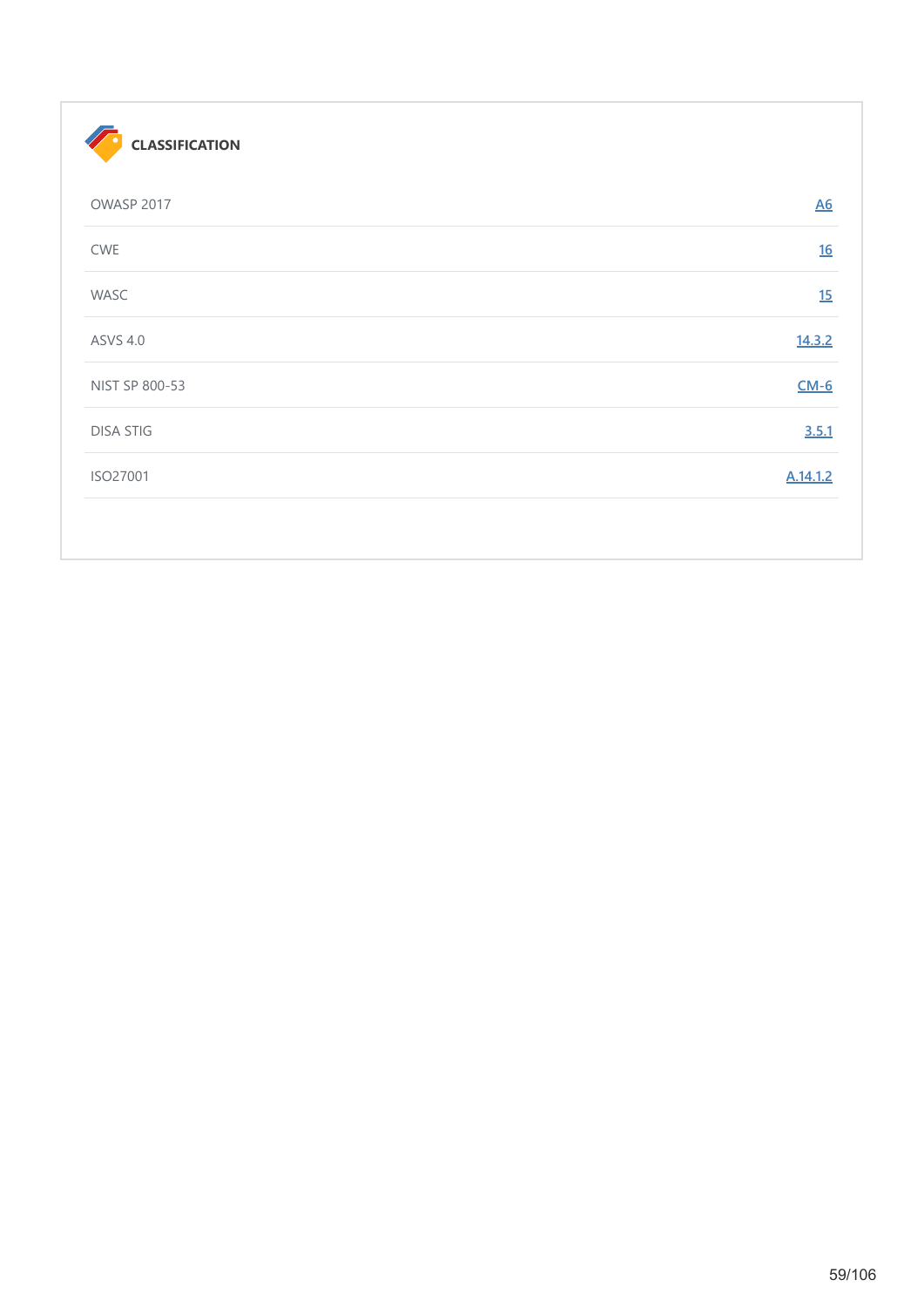| <b>CLASSIFICATION</b> |                  |
|-----------------------|------------------|
| OWASP 2017            | $\underline{A6}$ |
| CWE                   | 16               |
| WASC                  | 15               |
| <b>ASVS 4.0</b>       | 14.3.2           |
| NIST SP 800-53        | $CM-6$           |
| <b>DISA STIG</b>      | 3.5.1            |
| ISO27001              | A.14.1.2         |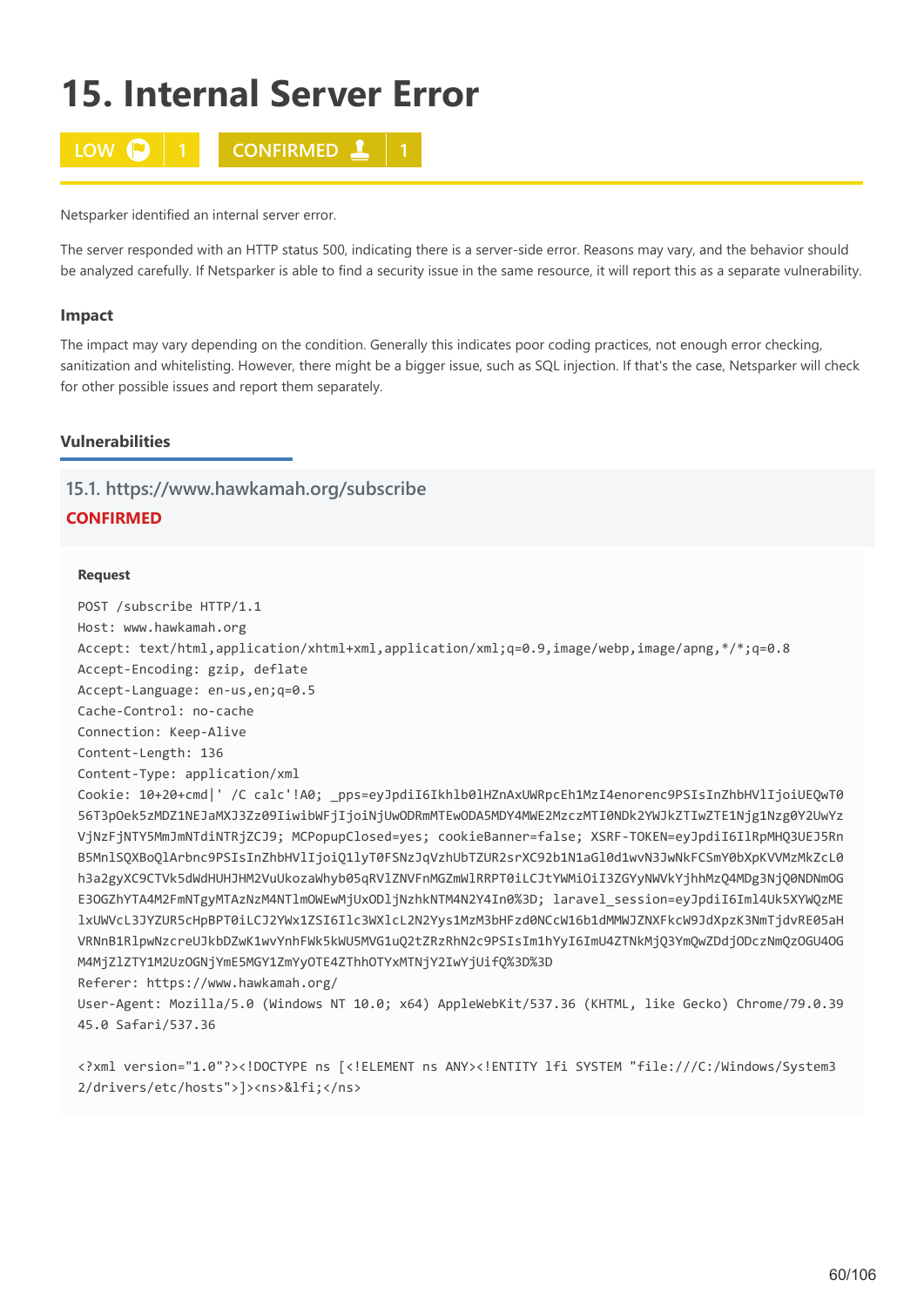# **15. Internal Server Error**



Netsparker identified an internal server error.

The server responded with an HTTP status 500, indicating there is a server-side error. Reasons may vary, and the behavior should be analyzed carefully. If Netsparker is able to find a security issue in the same resource, it will report this as a separate vulnerability.

## **Impact**

The impact may vary depending on the condition. Generally this indicates poor coding practices, not enough error checking, sanitization and whitelisting. However, there might be a bigger issue, such as SQL injection. If that's the case, Netsparker will check for other possible issues and report them separately.

## **Vulnerabilities**

## **15.1. https://www.hawkamah.org/subscribe**

# **CONFIRMED**

## **Request**

POST /subscribe HTTP/1.1 Host: www.hawkamah.org Accept: text/html,application/xhtml+xml,application/xml;q=0.9,image/webp,image/apng,\*/\*;q=0.8 Accept-Encoding: gzip, deflate Accept-Language: en-us,en;q=0.5 Cache-Control: no-cache Connection: Keep-Alive Content-Length: 136 Content-Type: application/xml Cookie: 10+20+cmd|' /C calc'!A0; \_pps=eyJpdiI6Ikhlb0lHZnAxUWRpcEh1MzI4enorenc9PSIsInZhbHVlIjoiUEQwT0 56T3pOek5zMDZ1NEJaMXJ3Zz09IiwibWFjIjoiNjUwODRmMTEwODA5MDY4MWE2MzczMTI0NDk2YWJkZTIwZTE1Njg1Nzg0Y2UwYz VjNzFjNTY5MmJmNTdiNTRjZCJ9; MCPopupClosed=yes; cookieBanner=false; XSRF-TOKEN=eyJpdiI6IlRpMHQ3UEJ5Rn B5MnlSQXBoQlArbnc9PSIsInZhbHVlIjoiQ1lyT0FSNzJqVzhUbTZUR2srXC92b1N1aGl0d1wvN3JwNkFCSmY0bXpKVVMzMkZcL0 h3a2gyXC9CTVk5dWdHUHJHM2VuUkozaWhyb05qRVlZNVFnMGZmWlRRPT0iLCJtYWMiOiI3ZGYyNWVkYjhhMzQ4MDg3NjQ0NDNmOG E3OGZhYTA4M2FmNTgyMTAzNzM4NTlmOWEwMjUxODljNzhkNTM4N2Y4In0%3D; laravel\_session=eyJpdiI6Iml4Uk5XYWQzME lxUWVcL3JYZUR5cHpBPT0iLCJ2YWx1ZSI6Ilc3WXlcL2N2Yys1MzM3bHFzd0NCcW16b1dMMWJZNXFkcW9JdXpzK3NmTjdvRE05aH VRNnB1RlpwNzcreUJkbDZwK1wvYnhFWk5kWU5MVG1uQ2tZRzRhN2c9PSIsIm1hYyI6ImU4ZTNkMjQ3YmQwZDdjODczNmQzOGU4OG M4MjZlZTY1M2UzOGNjYmE5MGY1ZmYyOTE4ZThhOTYxMTNjY2IwYjUifQ%3D%3D Referer: https://www.hawkamah.org/

User-Agent: Mozilla/5.0 (Windows NT 10.0; x64) AppleWebKit/537.36 (KHTML, like Gecko) Chrome/79.0.39 45.0 Safari/537.36

<?xml version="1.0"?><!DOCTYPE ns [<!ELEMENT ns ANY><!ENTITY lfi SYSTEM "file:///C:/Windows/System3 2/drivers/etc/hosts">]><ns>&lfi;</ns>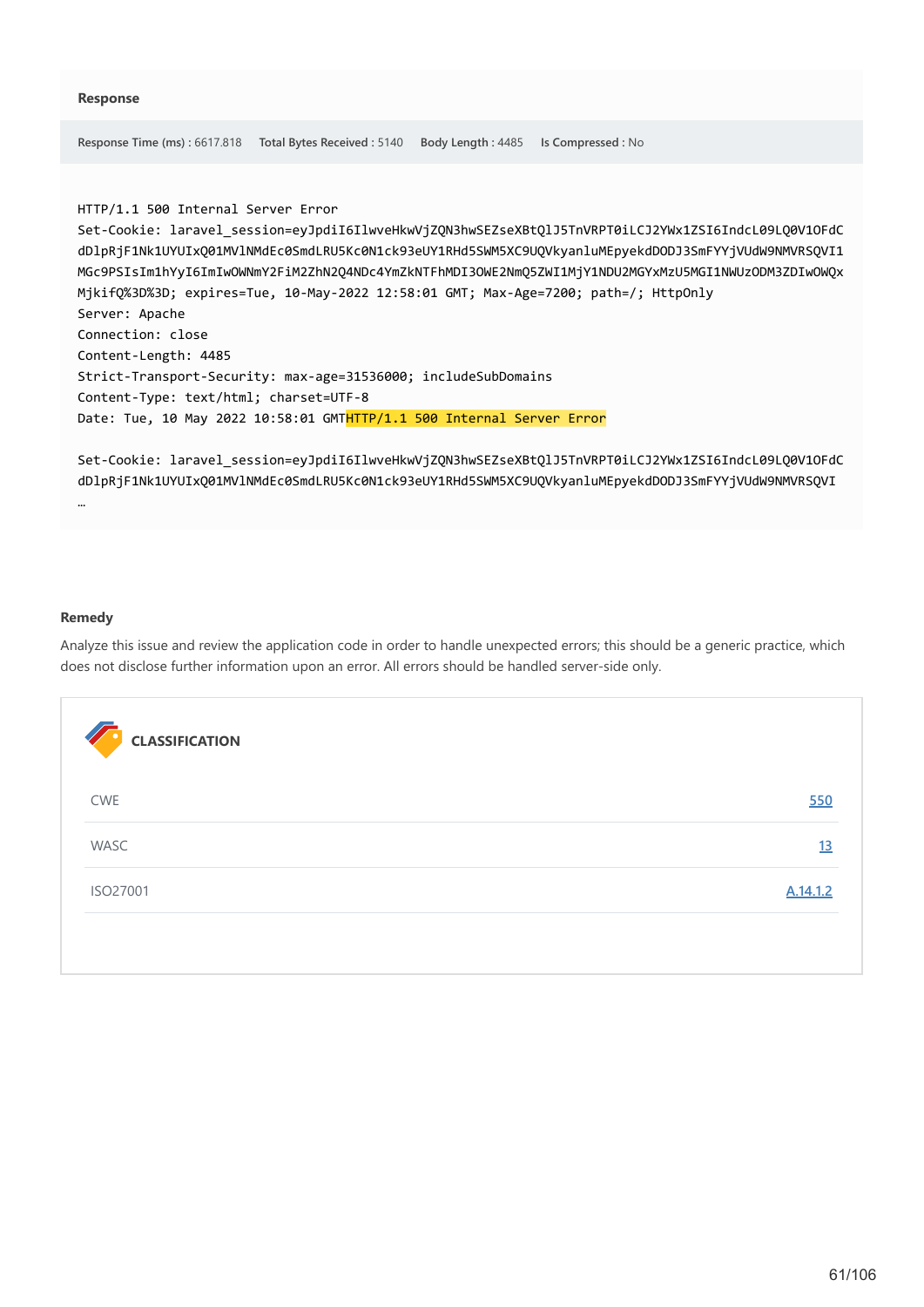**Response Time (ms) :** 6617.818 **Total Bytes Received :** 5140 **Body Length :** 4485 **Is Compressed :** No

HTTP/1.1 500 Internal Server Error

```
Set-Cookie: laravel_session=eyJpdiI6IlwveHkwVjZQN3hwSEZseXBtQlJ5TnVRPT0iLCJ2YWx1ZSI6IndcL09LQ0V1OFdC
dDlpRjF1Nk1UYUIxQ01MVlNMdEc0SmdLRU5Kc0N1ck93eUY1RHd5SWM5XC9UQVkyanluMEpyekdDODJ3SmFYYjVUdW9NMVRSQVI1
MGc9PSIsIm1hYyI6ImIwOWNmY2FiM2ZhN2Q4NDc4YmZkNTFhMDI3OWE2NmQ5ZWI1MjY1NDU2MGYxMzU5MGI1NWUzODM3ZDIwOWQx
MjkifQ%3D%3D; expires=Tue, 10-May-2022 12:58:01 GMT; Max-Age=7200; path=/; HttpOnly
Server: Apache
Connection: close
Content-Length: 4485
Strict-Transport-Security: max-age=31536000; includeSubDomains
Content-Type: text/html; charset=UTF-8
Date: Tue, 10 May 2022 10:58:01 GMTHTTP/1.1 500 Internal Server Error
```
Set-Cookie: laravel\_session=eyJpdiI6IlwveHkwVjZQN3hwSEZseXBtQlJ5TnVRPT0iLCJ2YWx1ZSI6IndcL09LQ0V1OFdC dDlpRjF1Nk1UYUIxQ01MVlNMdEc0SmdLRU5Kc0N1ck93eUY1RHd5SWM5XC9UQVkyanluMEpyekdDODJ3SmFYYjVUdW9NMVRSQVI

#### **Remedy**

…

Analyze this issue and review the application code in order to handle unexpected errors; this should be a generic practice, which does not disclose further information upon an error. All errors should be handled server-side only.

| <b>CLASSIFICATION</b> |          |
|-----------------------|----------|
| CWE                   | 550      |
| WASC                  | 13       |
| ISO27001              | A.14.1.2 |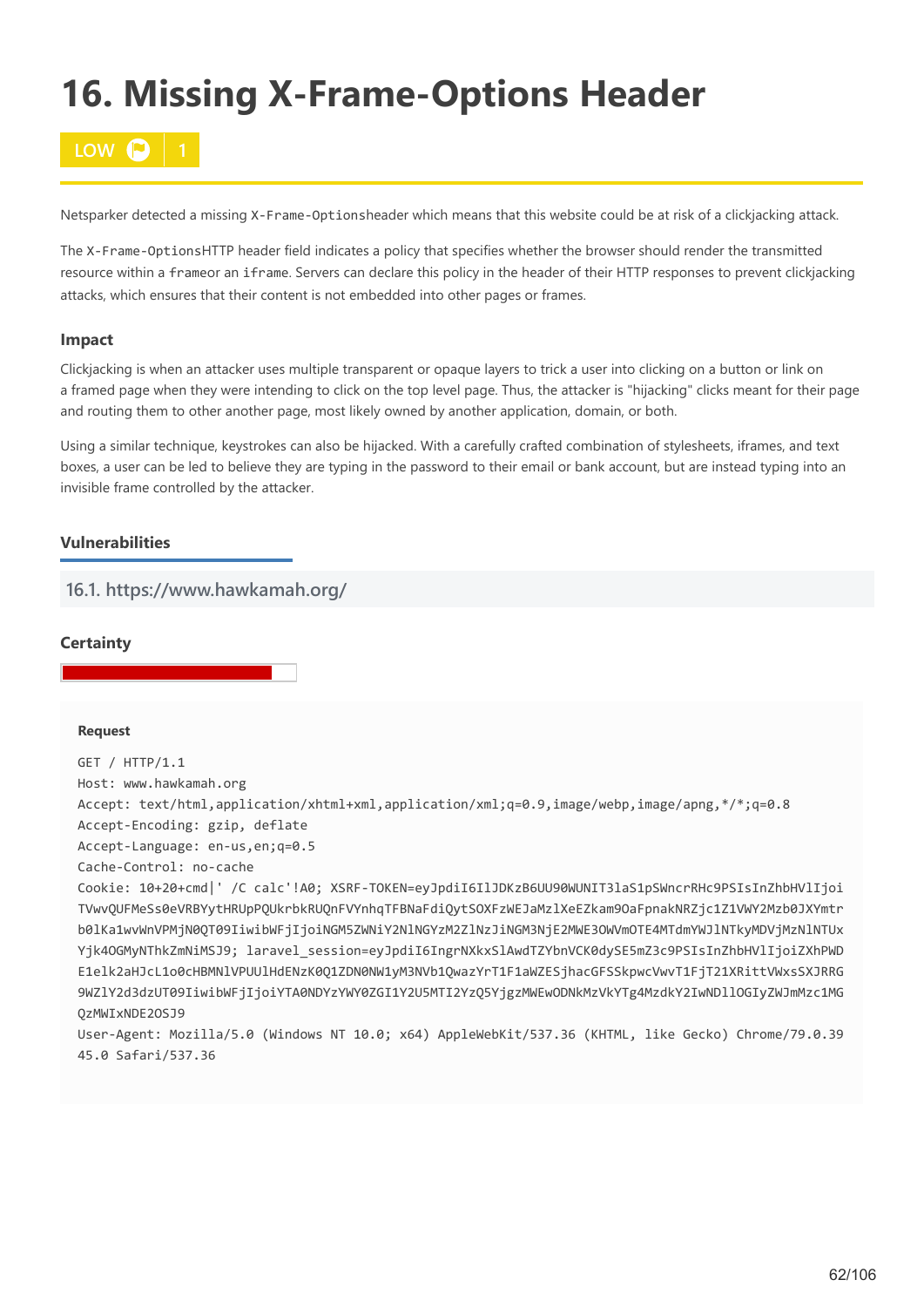# **16. Missing X-Frame-Options Header**



Netsparker detected a missing X-Frame-Optionsheader which means that this website could be at risk of a clickjacking attack.

The X-Frame-OptionsHTTP header field indicates a policy that specifies whether the browser should render the transmitted resource within a frameor an iframe. Servers can declare this policy in the header of their HTTP responses to prevent clickjacking attacks, which ensures that their content is not embedded into other pages or frames.

## **Impact**

Clickjacking is when an attacker uses multiple transparent or opaque layers to trick a user into clicking on a button or link on a framed page when they were intending to click on the top level page. Thus, the attacker is "hijacking" clicks meant for their page and routing them to other another page, most likely owned by another application, domain, or both.

Using a similar technique, keystrokes can also be hijacked. With a carefully crafted combination of stylesheets, iframes, and text boxes, a user can be led to believe they are typing in the password to their email or bank account, but are instead typing into an invisible frame controlled by the attacker.

## **Vulnerabilities**

**16.1. https://www.hawkamah.org/**

## **Certainty**

### **Request**

GET / HTTP/1.1 Host: www.hawkamah.org Accept: text/html,application/xhtml+xml,application/xml;q=0.9,image/webp,image/apng,\*/\*;q=0.8 Accept-Encoding: gzip, deflate Accept-Language: en-us,en;q=0.5 Cache-Control: no-cache Cookie: 10+20+cmd|' /C calc'!A0; XSRF-TOKEN=eyJpdiI6IlJDKzB6UU90WUNIT3laS1pSWncrRHc9PSIsInZhbHVlIjoi TVwvQUFMeSs0eVRBYytHRUpPQUkrbkRUQnFVYnhqTFBNaFdiQytSOXFzWEJaMzlXeEZkam9OaFpnakNRZjc1Z1VWY2Mzb0JXYmtr b0lKa1wvWnVPMjN0QT09IiwibWFjIjoiNGM5ZWNiY2NlNGYzM2ZlNzJiNGM3NjE2MWE3OWVmOTE4MTdmYWJlNTkyMDVjMzNlNTUx Yjk4OGMyNThkZmNiMSJ9; laravel\_session=eyJpdiI6IngrNXkxSlAwdTZYbnVCK0dySE5mZ3c9PSIsInZhbHVlIjoiZXhPWD

E1elk2aHJcL1o0cHBMNlVPUUlHdENzK0Q1ZDN0NW1yM3NVb1QwazYrT1F1aWZESjhacGFSSkpwcVwvT1FjT21XRittVWxsSXJRRG 9WZlY2d3dzUT09IiwibWFjIjoiYTA0NDYzYWY0ZGI1Y2U5MTI2YzQ5YjgzMWEwODNkMzVkYTg4MzdkY2IwNDllOGIyZWJmMzc1MG QzMWIxNDE2OSJ9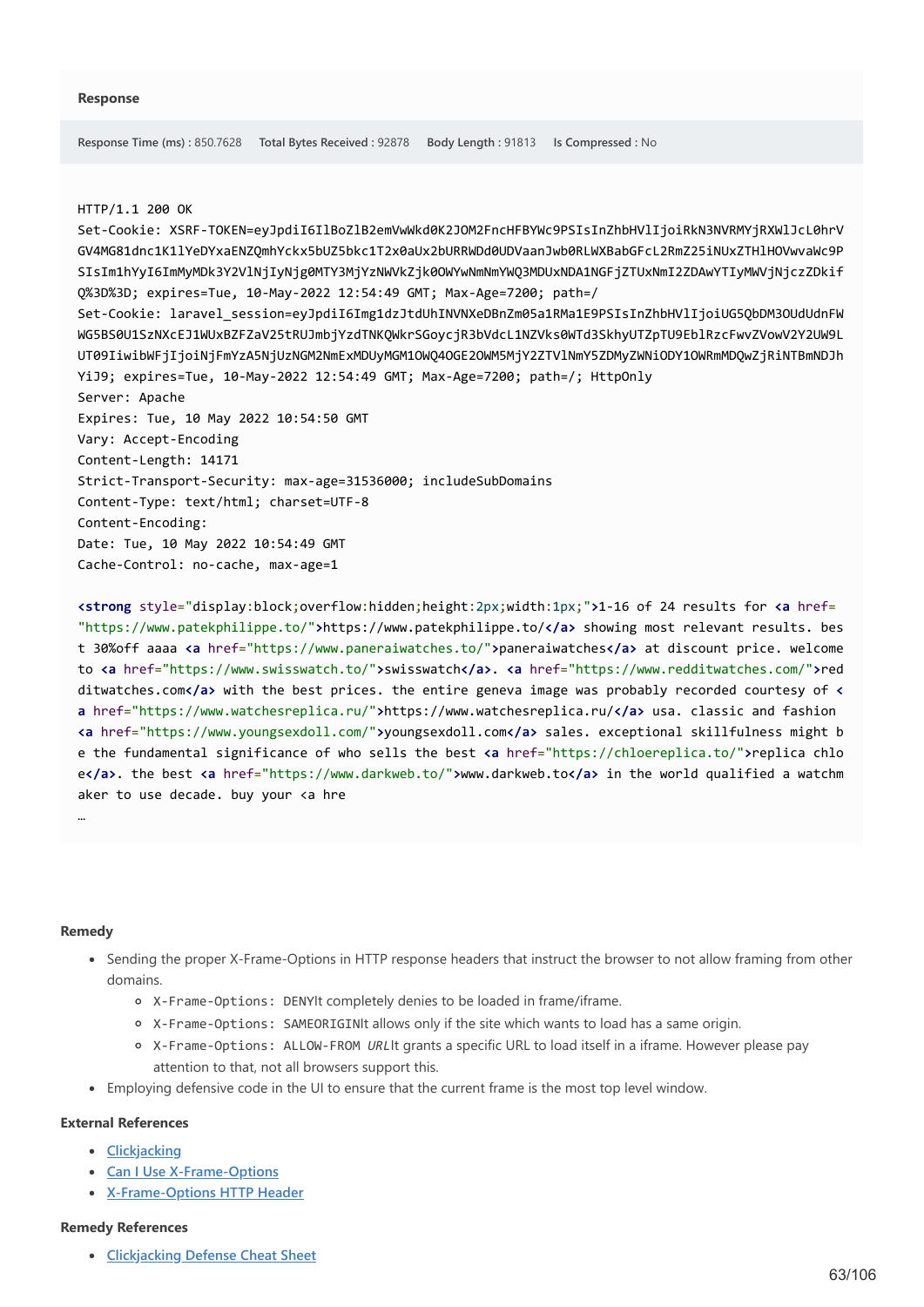#### HTTP/1.1 200 OK

Set-Cookie: XSRF-TOKEN=eyJpdiI6IlBoZlB2emVwWkd0K2JOM2FncHFBYWc9PSIsInZhbHVlIjoiRkN3NVRMYjRXWlJcL0hrV GV4MG81dnc1K1lYeDYxaENZQmhYckx5bUZ5bkc1T2x0aUx2bURRWDd0UDVaanJwb0RLWXBabGFcL2RmZ25iNUxZTHlHOVwvaWc9P SIsIm1hYyI6ImMyMDk3Y2VlNjIyNjg0MTY3MjYzNWVkZjk0OWYwNmNmYWQ3MDUxNDA1NGFjZTUxNmI2ZDAwYTIyMWVjNjczZDkif Q%3D%3D; expires=Tue, 10-May-2022 12:54:49 GMT; Max-Age=7200; path=/ Set-Cookie: laravel\_session=eyJpdiI6Img1dzJtdUhINVNXeDBnZm05a1RMa1E9PSIsInZhbHVlIjoiUG5QbDM3OUdUdnFW WG5BS0U1SzNXcEJ1WUxBZFZaV25tRUJmbjYzdTNKQWkrSGoycjR3bVdcL1NZVks0WTd3SkhyUTZpTU9EblRzcFwvZVowV2Y2UW9L UT09IiwibWFjIjoiNjFmYzA5NjUzNGM2NmExMDUyMGM1OWQ4OGE2OWM5MjY2ZTVlNmY5ZDMyZWNiODY1OWRmMDQwZjRiNTBmNDJh YiJ9; expires=Tue, 10-May-2022 12:54:49 GMT; Max-Age=7200; path=/; HttpOnly Server: Apache Expires: Tue, 10 May 2022 10:54:50 GMT Vary: Accept-Encoding Content-Length: 14171 Strict-Transport-Security: max-age=31536000; includeSubDomains Content-Type: text/html; charset=UTF-8 Content-Encoding: Date: Tue, 10 May 2022 10:54:49 GMT Cache-Control: no-cache, max-age=1

**<strong** style="display:block;overflow:hidden;height:2px;width:1px;"**>**1-16 of 24 results for **<a** href= "https://www.patekphilippe.to/"**>**https://www.patekphilippe.to/**</a>** showing most relevant results. bes t 30%off aaaa **<a** href="https://www.paneraiwatches.to/"**>**paneraiwatches**</a>** at discount price. welcome to **<a** href="https://www.swisswatch.to/"**>**swisswatch**</a>**. **<a** href="https://www.redditwatches.com/"**>**red ditwatches.com**</a>** with the best prices. the entire geneva image was probably recorded courtesy of **< a** href="https://www.watchesreplica.ru/"**>**https://www.watchesreplica.ru/**</a>** usa. classic and fashion **<a** href="https://www.youngsexdoll.com/"**>**youngsexdoll.com**</a>** sales. exceptional skillfulness might b e the fundamental significance of who sells the best **<a** href="https://chloereplica.to/"**>**replica chlo e**</a>**. the best **<a** href="https://www.darkweb.to/"**>**www.darkweb.to**</a>** in the world qualified a watchm aker to use decade. buy your <a hre

#### **Remedy**

…

- Sending the proper X-Frame-Options in HTTP response headers that instruct the browser to not allow framing from other domains.
	- X-Frame-Options: DENYIt completely denies to be loaded in frame/iframe.
	- X-Frame-Options: SAMEORIGINIt allows only if the site which wants to load has a same origin.
	- X-Frame-Options: ALLOW-FROM *URL*It grants a specific URL to load itself in a iframe. However please pay attention to that, not all browsers support this.
- Employing defensive code in the UI to ensure that the current frame is the most top level window.

#### **External References**

- **[Clickjacking](https://owasp.org/www-community/attacks/Clickjacking)**
- **[Can I Use X-Frame-Options](http://caniuse.com/#search=X-Frame-Options)**
- **[X-Frame-Options HTTP Header](https://www.netsparker.com/whitepaper-http-security-headers/#XFrameOptionsHTTPHeader)**

#### **Remedy References**

**[Clickjacking Defense Cheat Sheet](https://github.com/OWASP/CheatSheetSeries/blob/master/cheatsheets/Clickjacking_Defense_Cheat_Sheet.md)**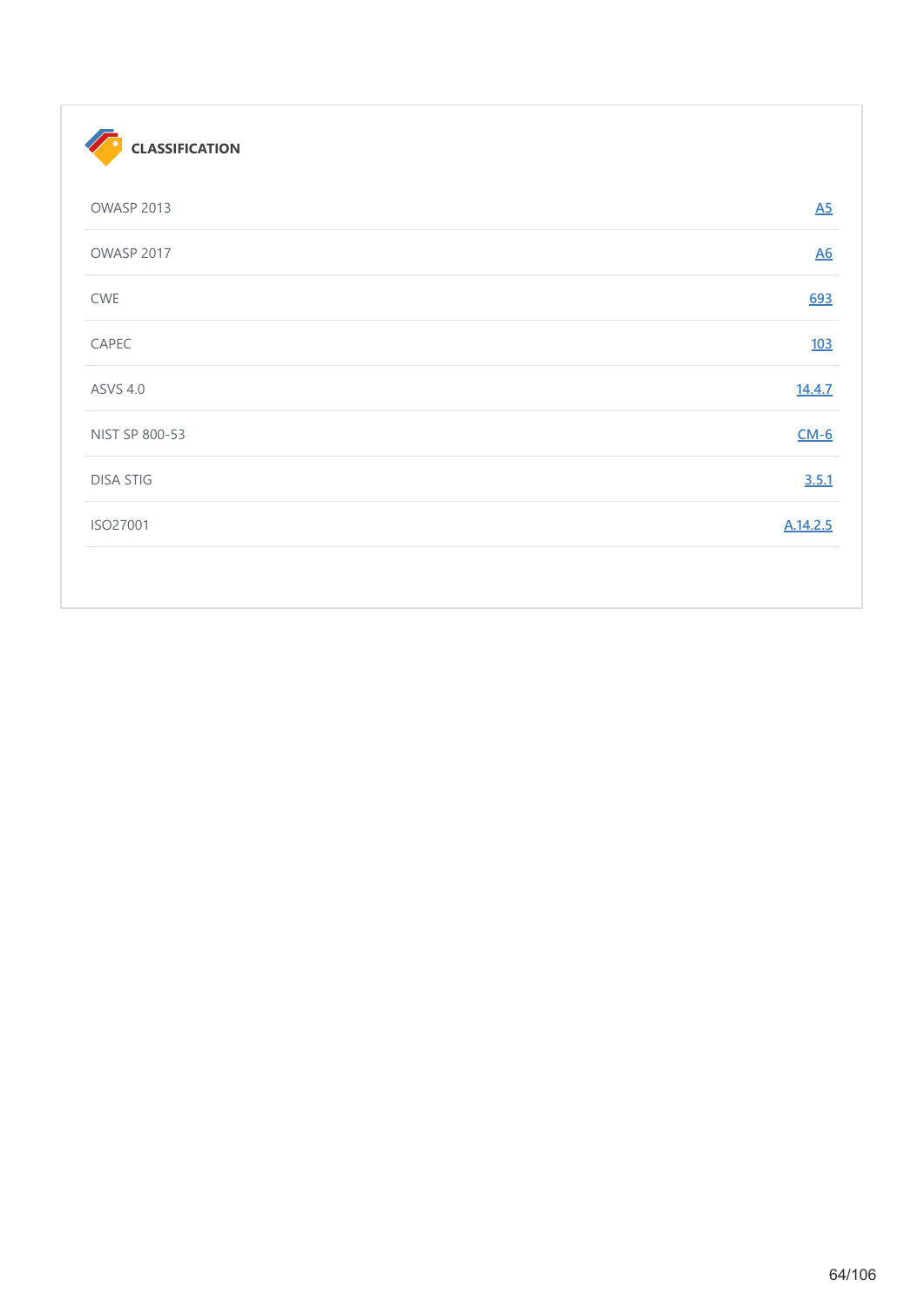| <b>CLASSIFICATION</b> |                  |
|-----------------------|------------------|
| OWASP 2013            | $\underline{A5}$ |
| OWASP 2017            | $\underline{A6}$ |
| CWE                   | 693              |
| CAPEC                 | <u>103</u>       |
| <b>ASVS 4.0</b>       | 14.4.7           |
| NIST SP 800-53        | $CM-6$           |
| <b>DISA STIG</b>      | 3.5.1            |
| ISO27001              | A.14.2.5         |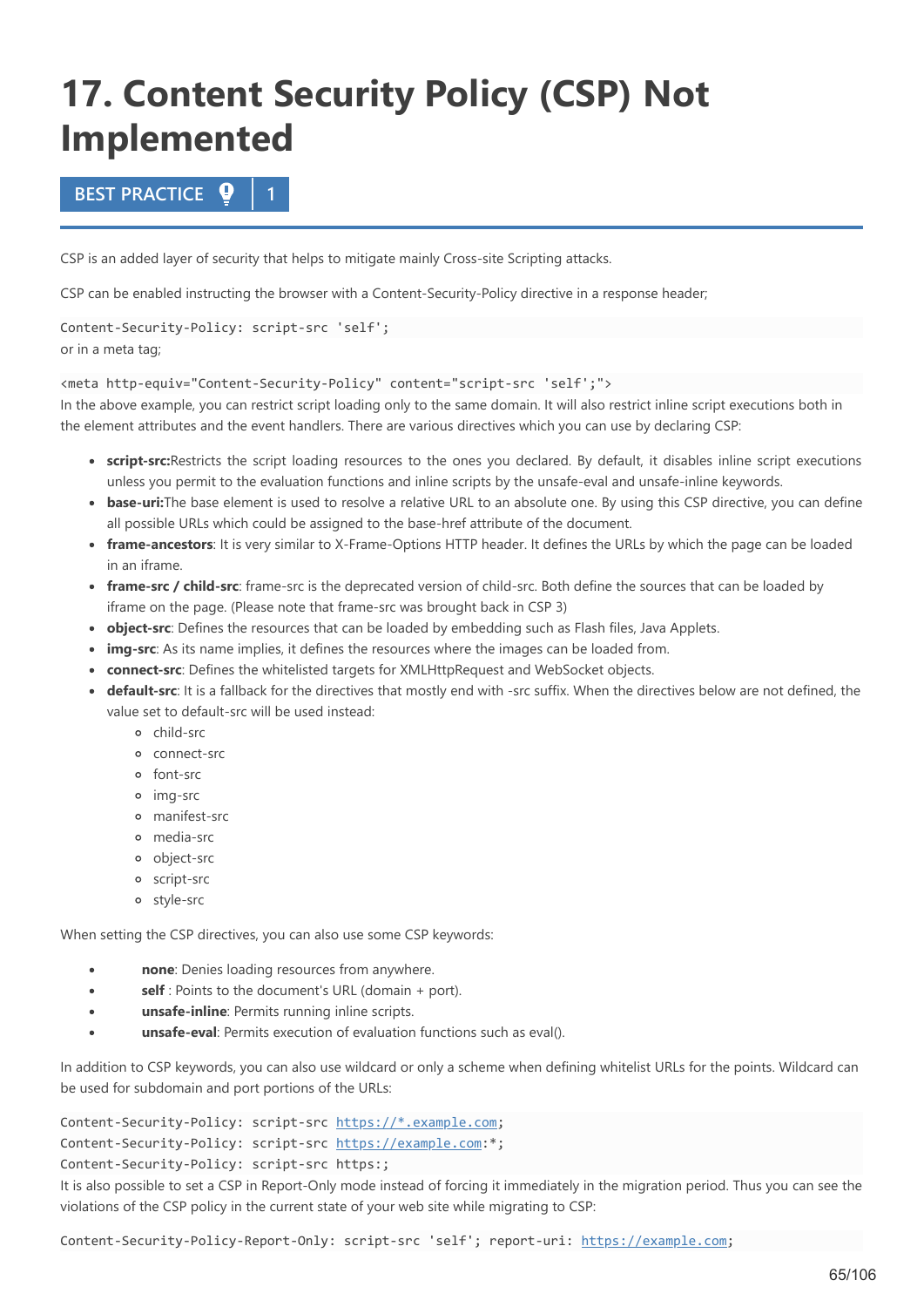# **17. Content Security Policy (CSP) Not Implemented**

# **BEST PRACTICE 1**

CSP is an added layer of security that helps to mitigate mainly Cross-site Scripting attacks.

CSP can be enabled instructing the browser with a Content-Security-Policy directive in a response header;

Content-Security-Policy: script-src 'self'; or in a meta tag;

<meta http-equiv="Content-Security-Policy" content="script-src 'self';">

In the above example, you can restrict script loading only to the same domain. It will also restrict inline script executions both in the element attributes and the event handlers. There are various directives which you can use by declaring CSP:

- **script-src:**Restricts the script loading resources to the ones you declared. By default, it disables inline script executions unless you permit to the evaluation functions and inline scripts by the unsafe-eval and unsafe-inline keywords.
- **base-uri:**The base element is used to resolve a relative URL to an absolute one. By using this CSP directive, you can define all possible URLs which could be assigned to the base-href attribute of the document.
- **frame-ancestors**: It is very similar to X-Frame-Options HTTP header. It defines the URLs by which the page can be loaded in an iframe.
- **frame-src / child-src**: frame-src is the deprecated version of child-src. Both define the sources that can be loaded by iframe on the page. (Please note that frame-src was brought back in CSP 3)
- **object-src**: Defines the resources that can be loaded by embedding such as Flash files, Java Applets.
- **img-src**: As its name implies, it defines the resources where the images can be loaded from.
- **connect-src**: Defines the whitelisted targets for XMLHttpRequest and WebSocket objects.
- **default-src**: It is a fallback for the directives that mostly end with -src suffix. When the directives below are not defined, the value set to default-src will be used instead:
	- child-src
	- connect-src
	- font-src
	- img-src
	- manifest-src
	- media-src
	- object-src
	- script-src
	- style-src

When setting the CSP directives, you can also use some CSP keywords:

- **none**: Denies loading resources from anywhere.  $\bullet$
- **self** : Points to the document's URL (domain + port).
- **unsafe-inline**: Permits running inline scripts.
- **unsafe-eval**: Permits execution of evaluation functions such as eval().

In addition to CSP keywords, you can also use wildcard or only a scheme when defining whitelist URLs for the points. Wildcard can be used for subdomain and port portions of the URLs:

Content-Security-Policy: script-src [https://\\*.example.com](https://example.com/); Content-Security-Policy: script-src [https://example.com:](https://example.com/)\*; Content-Security-Policy: script-src https:;

It is also possible to set a CSP in Report-Only mode instead of forcing it immediately in the migration period. Thus you can see the violations of the CSP policy in the current state of your web site while migrating to CSP:

Content-Security-Policy-Report-Only: script-src 'self'; report-uri: [https://example.com](https://example.com/);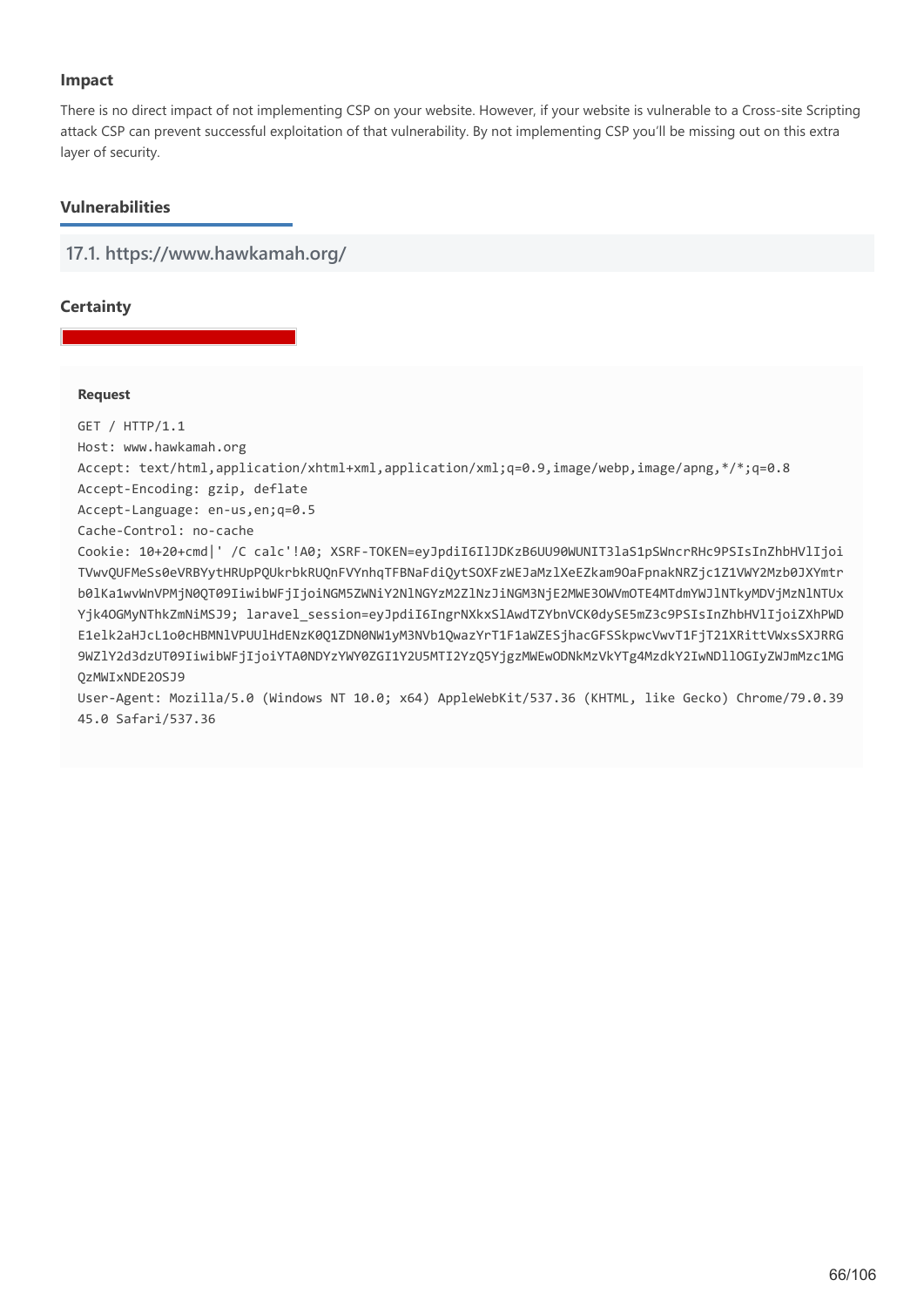# **Impact**

There is no direct impact of not implementing CSP on your website. However, if your website is vulnerable to a Cross-site Scripting attack CSP can prevent successful exploitation of that vulnerability. By not implementing CSP you'll be missing out on this extra layer of security.

# **Vulnerabilities**

**17.1. https://www.hawkamah.org/**

# **Certainty**

## **Request**

GET / HTTP/1.1

Host: www.hawkamah.org

Accept: text/html,application/xhtml+xml,application/xml;q=0.9,image/webp,image/apng,\*/\*;q=0.8

Accept-Encoding: gzip, deflate

Accept-Language: en-us,en;q=0.5

Cache-Control: no-cache

Cookie: 10+20+cmd|' /C calc'!A0; XSRF-TOKEN=eyJpdiI6IlJDKzB6UU90WUNIT3laS1pSWncrRHc9PSIsInZhbHVlIjoi TVwvQUFMeSs0eVRBYytHRUpPQUkrbkRUQnFVYnhqTFBNaFdiQytSOXFzWEJaMzlXeEZkam9OaFpnakNRZjc1Z1VWY2Mzb0JXYmtr b0lKa1wvWnVPMjN0QT09IiwibWFjIjoiNGM5ZWNiY2NlNGYzM2ZlNzJiNGM3NjE2MWE3OWVmOTE4MTdmYWJlNTkyMDVjMzNlNTUx Yjk4OGMyNThkZmNiMSJ9; laravel\_session=eyJpdiI6IngrNXkxSlAwdTZYbnVCK0dySE5mZ3c9PSIsInZhbHVlIjoiZXhPWD E1elk2aHJcL1o0cHBMNlVPUUlHdENzK0Q1ZDN0NW1yM3NVb1QwazYrT1F1aWZESjhacGFSSkpwcVwvT1FjT21XRittVWxsSXJRRG 9WZlY2d3dzUT09IiwibWFjIjoiYTA0NDYzYWY0ZGI1Y2U5MTI2YzQ5YjgzMWEwODNkMzVkYTg4MzdkY2IwNDllOGIyZWJmMzc1MG QzMWIxNDE2OSJ9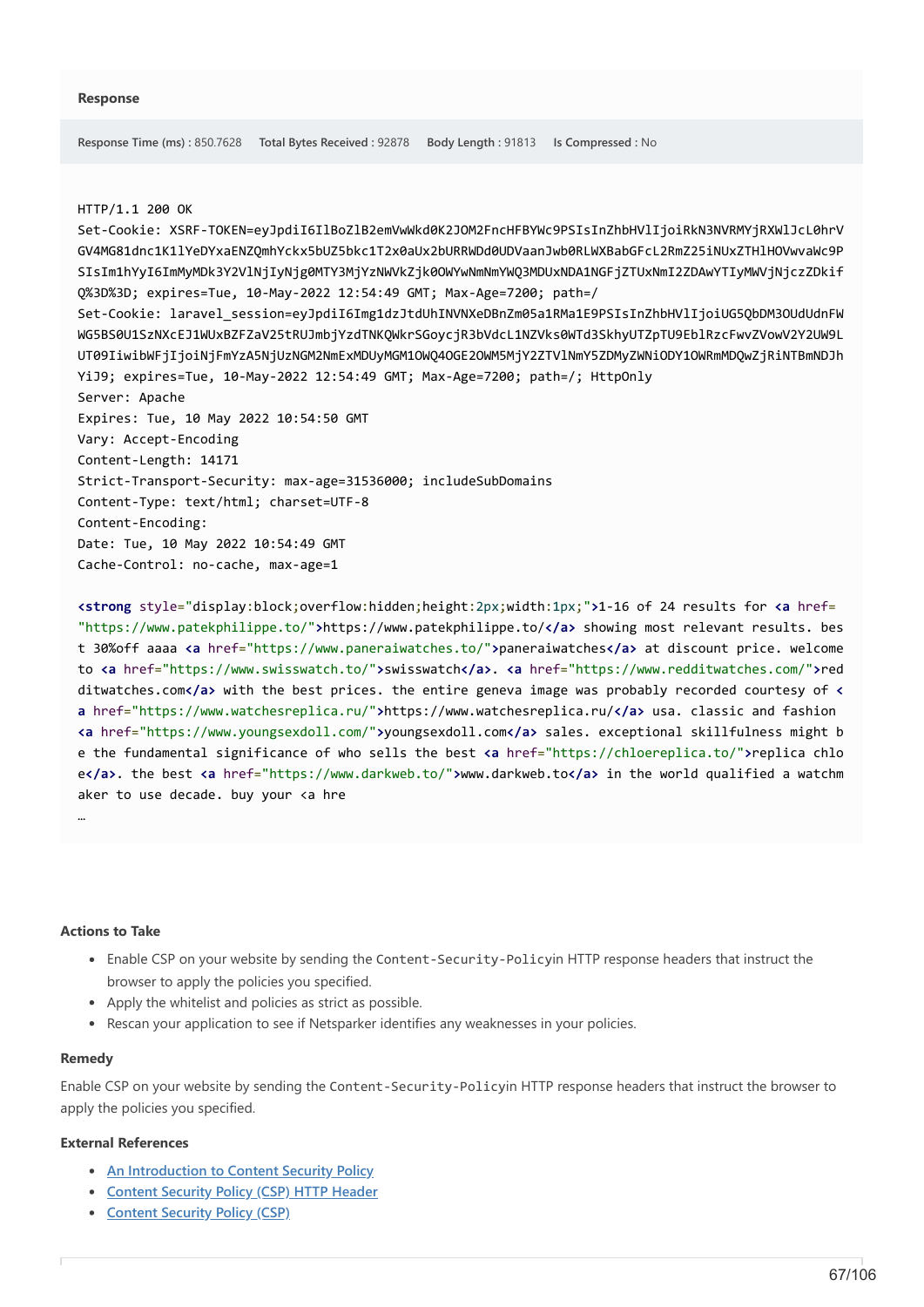#### HTTP/1.1 200 OK

Set-Cookie: XSRF-TOKEN=eyJpdiI6IlBoZlB2emVwWkd0K2JOM2FncHFBYWc9PSIsInZhbHVlIjoiRkN3NVRMYjRXWlJcL0hrV GV4MG81dnc1K1lYeDYxaENZQmhYckx5bUZ5bkc1T2x0aUx2bURRWDd0UDVaanJwb0RLWXBabGFcL2RmZ25iNUxZTHlHOVwvaWc9P SIsIm1hYyI6ImMyMDk3Y2VlNjIyNjg0MTY3MjYzNWVkZjk0OWYwNmNmYWQ3MDUxNDA1NGFjZTUxNmI2ZDAwYTIyMWVjNjczZDkif Q%3D%3D; expires=Tue, 10-May-2022 12:54:49 GMT; Max-Age=7200; path=/ Set-Cookie: laravel\_session=eyJpdiI6Img1dzJtdUhINVNXeDBnZm05a1RMa1E9PSIsInZhbHVlIjoiUG5QbDM3OUdUdnFW WG5BS0U1SzNXcEJ1WUxBZFZaV25tRUJmbjYzdTNKQWkrSGoycjR3bVdcL1NZVks0WTd3SkhyUTZpTU9EblRzcFwvZVowV2Y2UW9L UT09IiwibWFjIjoiNjFmYzA5NjUzNGM2NmExMDUyMGM1OWQ4OGE2OWM5MjY2ZTVlNmY5ZDMyZWNiODY1OWRmMDQwZjRiNTBmNDJh YiJ9; expires=Tue, 10-May-2022 12:54:49 GMT; Max-Age=7200; path=/; HttpOnly Server: Apache Expires: Tue, 10 May 2022 10:54:50 GMT Vary: Accept-Encoding Content-Length: 14171 Strict-Transport-Security: max-age=31536000; includeSubDomains Content-Type: text/html; charset=UTF-8 Content-Encoding: Date: Tue, 10 May 2022 10:54:49 GMT Cache-Control: no-cache, max-age=1

**<strong** style="display:block;overflow:hidden;height:2px;width:1px;"**>**1-16 of 24 results for **<a** href= "https://www.patekphilippe.to/"**>**https://www.patekphilippe.to/**</a>** showing most relevant results. bes t 30%off aaaa **<a** href="https://www.paneraiwatches.to/"**>**paneraiwatches**</a>** at discount price. welcome to **<a** href="https://www.swisswatch.to/"**>**swisswatch**</a>**. **<a** href="https://www.redditwatches.com/"**>**red ditwatches.com**</a>** with the best prices. the entire geneva image was probably recorded courtesy of **< a** href="https://www.watchesreplica.ru/"**>**https://www.watchesreplica.ru/**</a>** usa. classic and fashion **<a** href="https://www.youngsexdoll.com/"**>**youngsexdoll.com**</a>** sales. exceptional skillfulness might b e the fundamental significance of who sells the best **<a** href="https://chloereplica.to/"**>**replica chlo e**</a>**. the best **<a** href="https://www.darkweb.to/"**>**www.darkweb.to**</a>** in the world qualified a watchm aker to use decade. buy your <a hre

#### **Actions to Take**

…

- Enable CSP on your website by sending the Content-Security-Policyin HTTP response headers that instruct the browser to apply the policies you specified.
- Apply the whitelist and policies as strict as possible.
- Rescan your application to see if Netsparker identifies any weaknesses in your policies.

#### **Remedy**

Enable CSP on your website by sending the Content-Security-Policyin HTTP response headers that instruct the browser to apply the policies you specified.

#### **External References**

- **[An Introduction to Content Security Policy](https://www.html5rocks.com/en/tutorials/security/content-security-policy/)**
- **[Content Security Policy \(CSP\) HTTP Header](https://www.netsparker.com/whitepaper-http-security-headers/#ContentSecurityPolicyHTTPHeader)**
- **[Content Security Policy \(CSP\)](https://content-security-policy.com/)**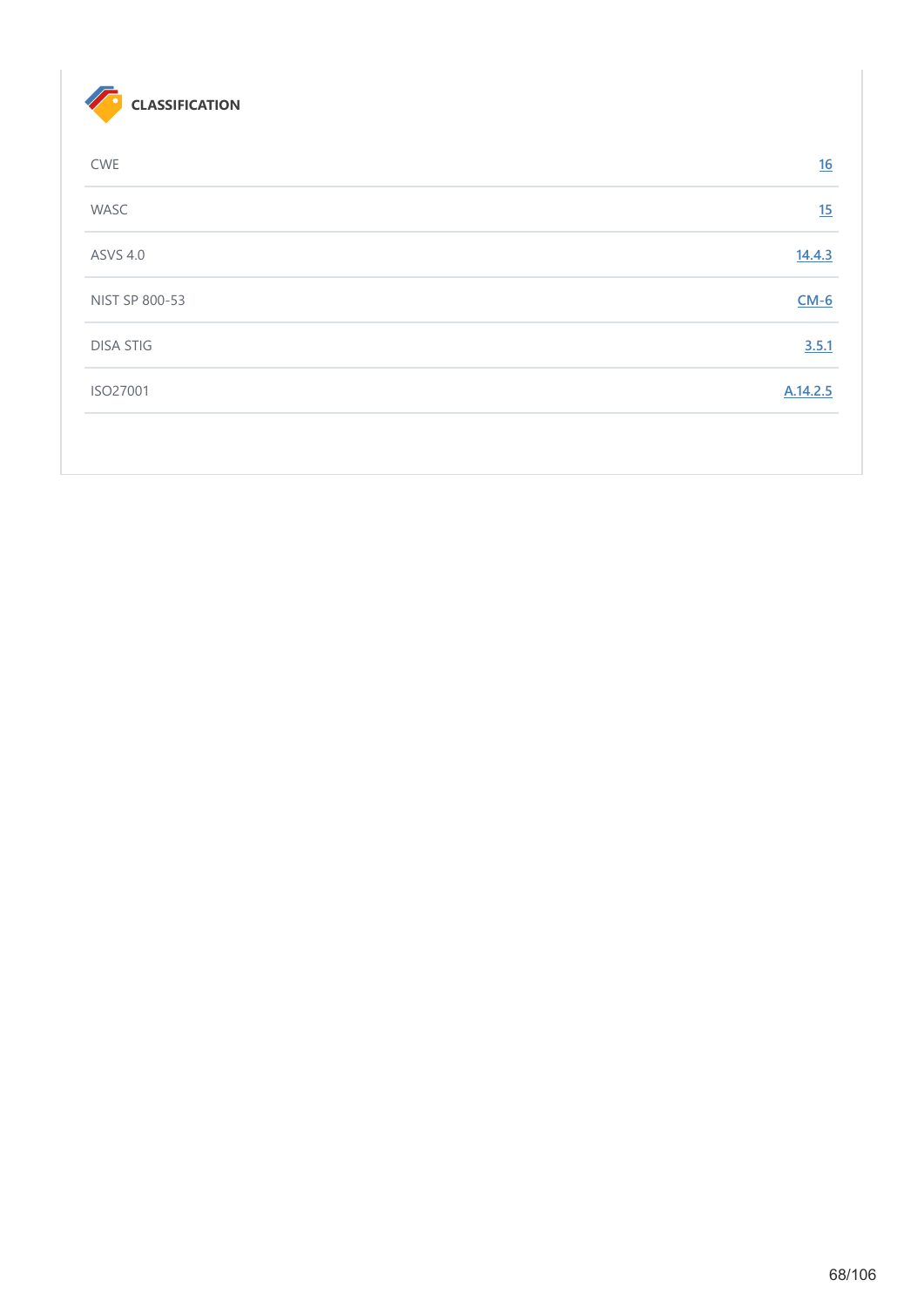

| <b>CWE</b>       | 16       |
|------------------|----------|
| WASC             | 15       |
| <b>ASVS 4.0</b>  | 14.4.3   |
| NIST SP 800-53   | $CM-6$   |
| <b>DISA STIG</b> | 3.5.1    |
| ISO27001         | A.14.2.5 |
|                  |          |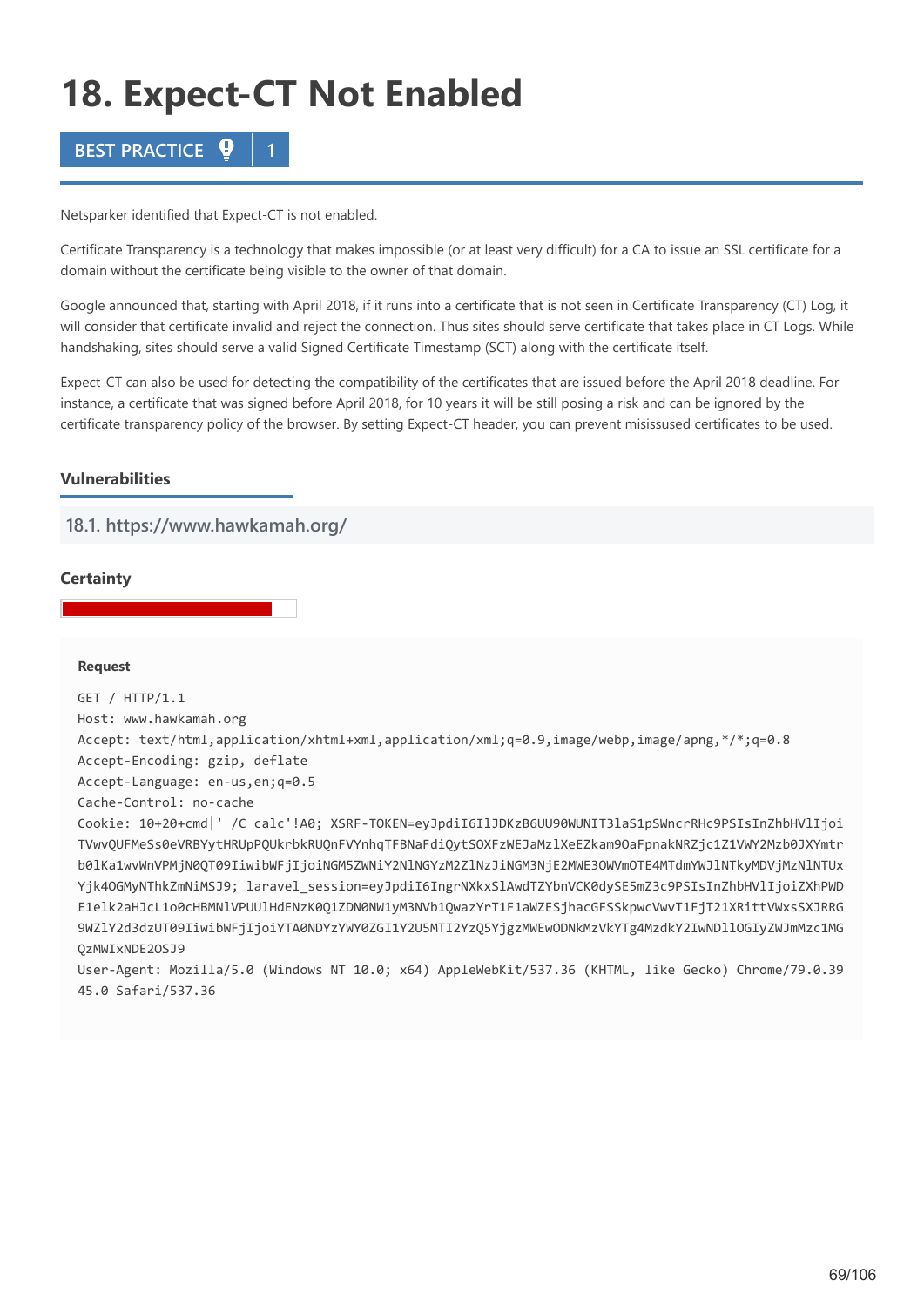# **18. Expect-CT Not Enabled**



Netsparker identified that Expect-CT is not enabled.

Certificate Transparency is a technology that makes impossible (or at least very difficult) for a CA to issue an SSL certificate for a domain without the certificate being visible to the owner of that domain.

Google announced that, starting with April 2018, if it runs into a certificate that is not seen in Certificate Transparency (CT) Log, it will consider that certificate invalid and reject the connection. Thus sites should serve certificate that takes place in CT Logs. While handshaking, sites should serve a valid Signed Certificate Timestamp (SCT) along with the certificate itself.

Expect-CT can also be used for detecting the compatibility of the certificates that are issued before the April 2018 deadline. For instance, a certificate that was signed before April 2018, for 10 years it will be still posing a risk and can be ignored by the certificate transparency policy of the browser. By setting Expect-CT header, you can prevent misissused certificates to be used.

# **Vulnerabilities**

# **18.1. https://www.hawkamah.org/**

## **Certainty**

## **Request**

GET / HTTP/1.1 Host: www.hawkamah.org Accept: text/html,application/xhtml+xml,application/xml;q=0.9,image/webp,image/apng,\*/\*;q=0.8 Accept-Encoding: gzip, deflate Accept-Language: en-us,en;q=0.5 Cache-Control: no-cache Cookie: 10+20+cmd|' /C calc'!A0; XSRF-TOKEN=eyJpdiI6IlJDKzB6UU90WUNIT3laS1pSWncrRHc9PSIsInZhbHVlIjoi TVwvQUFMeSs0eVRBYytHRUpPQUkrbkRUQnFVYnhqTFBNaFdiQytSOXFzWEJaMzlXeEZkam9OaFpnakNRZjc1Z1VWY2Mzb0JXYmtr b0lKa1wvWnVPMjN0QT09IiwibWFjIjoiNGM5ZWNiY2NlNGYzM2ZlNzJiNGM3NjE2MWE3OWVmOTE4MTdmYWJlNTkyMDVjMzNlNTUx Yjk4OGMyNThkZmNiMSJ9; laravel\_session=eyJpdiI6IngrNXkxSlAwdTZYbnVCK0dySE5mZ3c9PSIsInZhbHVlIjoiZXhPWD E1elk2aHJcL1o0cHBMNlVPUUlHdENzK0Q1ZDN0NW1yM3NVb1QwazYrT1F1aWZESjhacGFSSkpwcVwvT1FjT21XRittVWxsSXJRRG 9WZlY2d3dzUT09IiwibWFjIjoiYTA0NDYzYWY0ZGI1Y2U5MTI2YzQ5YjgzMWEwODNkMzVkYTg4MzdkY2IwNDllOGIyZWJmMzc1MG QzMWIxNDE2OSJ9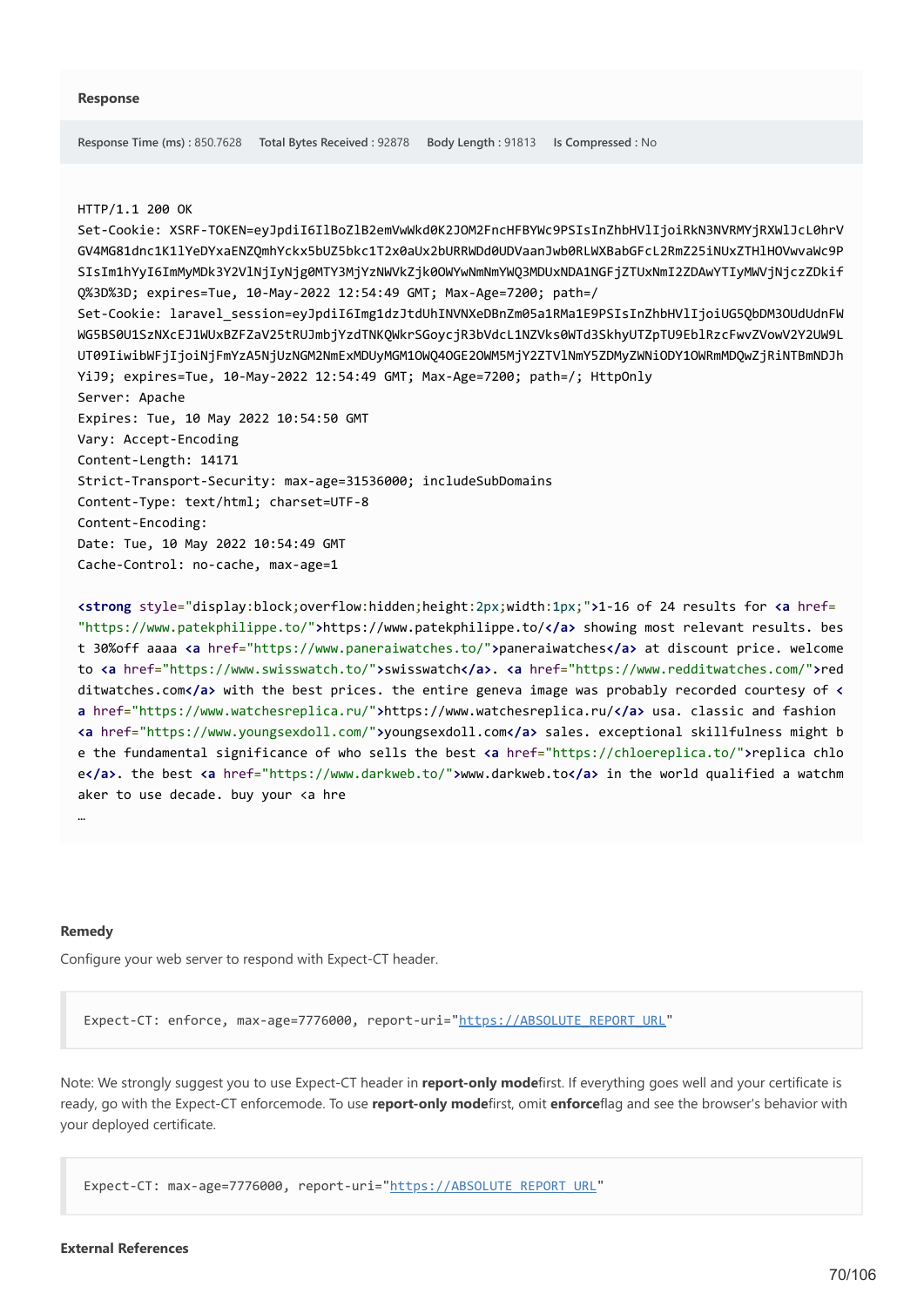#### HTTP/1.1 200 OK

Set-Cookie: XSRF-TOKEN=eyJpdiI6IlBoZlB2emVwWkd0K2JOM2FncHFBYWc9PSIsInZhbHVlIjoiRkN3NVRMYjRXWlJcL0hrV GV4MG81dnc1K1lYeDYxaENZQmhYckx5bUZ5bkc1T2x0aUx2bURRWDd0UDVaanJwb0RLWXBabGFcL2RmZ25iNUxZTHlHOVwvaWc9P SIsIm1hYyI6ImMyMDk3Y2VlNjIyNjg0MTY3MjYzNWVkZjk0OWYwNmNmYWQ3MDUxNDA1NGFjZTUxNmI2ZDAwYTIyMWVjNjczZDkif Q%3D%3D; expires=Tue, 10-May-2022 12:54:49 GMT; Max-Age=7200; path=/ Set-Cookie: laravel\_session=eyJpdiI6Img1dzJtdUhINVNXeDBnZm05a1RMa1E9PSIsInZhbHVlIjoiUG5QbDM3OUdUdnFW WG5BS0U1SzNXcEJ1WUxBZFZaV25tRUJmbjYzdTNKQWkrSGoycjR3bVdcL1NZVks0WTd3SkhyUTZpTU9EblRzcFwvZVowV2Y2UW9L UT09IiwibWFjIjoiNjFmYzA5NjUzNGM2NmExMDUyMGM1OWQ4OGE2OWM5MjY2ZTVlNmY5ZDMyZWNiODY1OWRmMDQwZjRiNTBmNDJh YiJ9; expires=Tue, 10-May-2022 12:54:49 GMT; Max-Age=7200; path=/; HttpOnly Server: Apache Expires: Tue, 10 May 2022 10:54:50 GMT Vary: Accept-Encoding Content-Length: 14171 Strict-Transport-Security: max-age=31536000; includeSubDomains Content-Type: text/html; charset=UTF-8 Content-Encoding: Date: Tue, 10 May 2022 10:54:49 GMT Cache-Control: no-cache, max-age=1

**<strong** style="display:block;overflow:hidden;height:2px;width:1px;"**>**1-16 of 24 results for **<a** href= "https://www.patekphilippe.to/"**>**https://www.patekphilippe.to/**</a>** showing most relevant results. bes t 30%off aaaa **<a** href="https://www.paneraiwatches.to/"**>**paneraiwatches**</a>** at discount price. welcome to **<a** href="https://www.swisswatch.to/"**>**swisswatch**</a>**. **<a** href="https://www.redditwatches.com/"**>**red ditwatches.com**</a>** with the best prices. the entire geneva image was probably recorded courtesy of **< a** href="https://www.watchesreplica.ru/"**>**https://www.watchesreplica.ru/**</a>** usa. classic and fashion **<a** href="https://www.youngsexdoll.com/"**>**youngsexdoll.com**</a>** sales. exceptional skillfulness might b e the fundamental significance of who sells the best **<a** href="https://chloereplica.to/"**>**replica chlo e**</a>**. the best **<a** href="https://www.darkweb.to/"**>**www.darkweb.to**</a>** in the world qualified a watchm aker to use decade. buy your <a hre

#### **Remedy**

…

Configure your web server to respond with Expect-CT header.

Expect-CT: enforce, max-age=7776000, report-uri="[https://ABSOLUTE\\_REPORT\\_URL](https://absolute_report_url/)"

Note: We strongly suggest you to use Expect-CT header in **report-only mode**first. If everything goes well and your certificate is ready, go with the Expect-CT enforcemode. To use **report-only mode**first, omit **enforce**flag and see the browser's behavior with your deployed certificate.

Expect-CT: max-age=7776000, report-uri=["https://ABSOLUTE\\_REPORT\\_URL"](https://absolute_report_url/)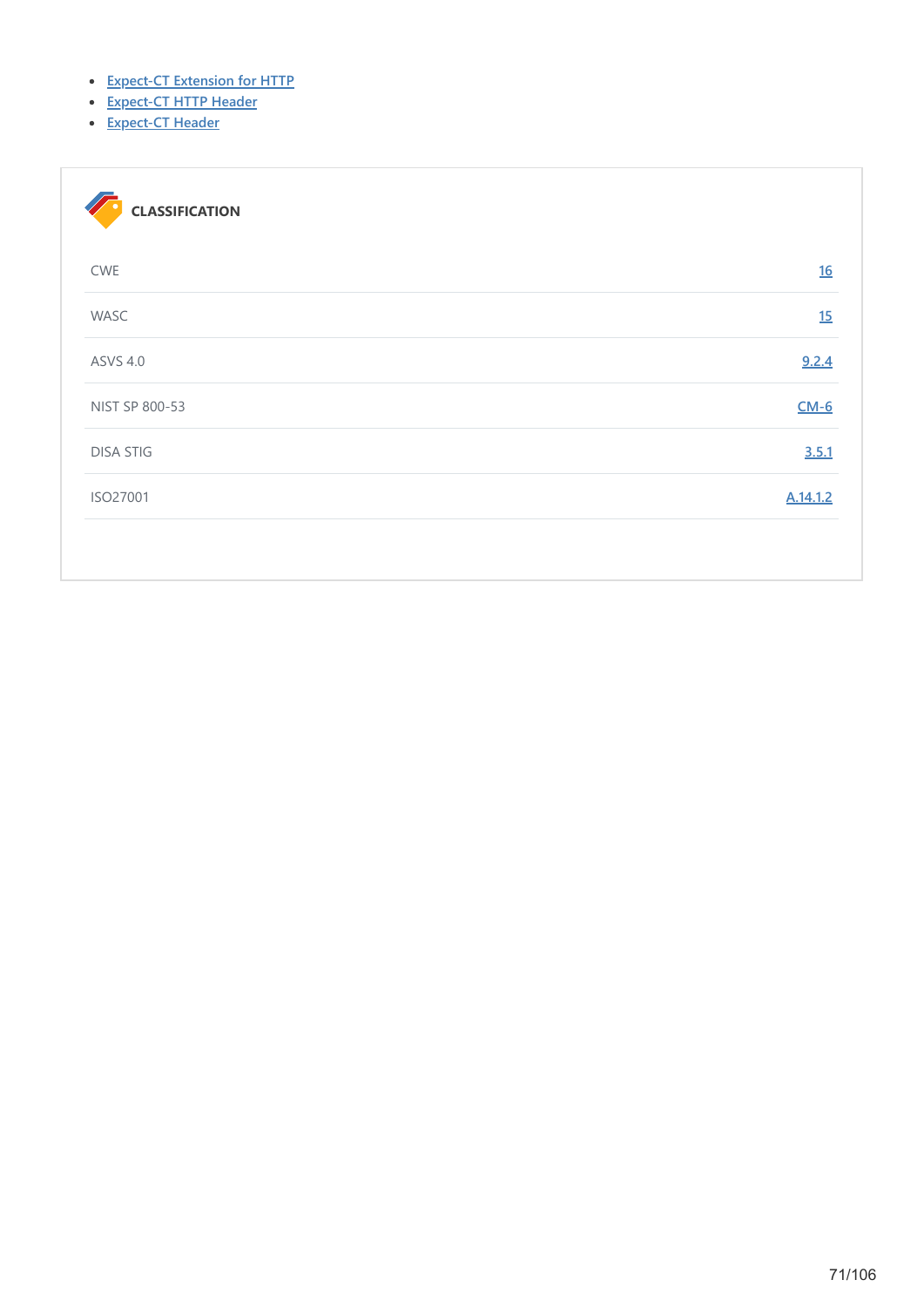- **[Expect-CT Extension for HTTP](https://tools.ietf.org/html/draft-ietf-httpbis-expect-ct-03)**
- **[Expect-CT HTTP Header](https://www.netsparker.com/whitepaper-http-security-headers/#ExpectCTHTTPHeader)**
- **[Expect-CT Header](https://developer.mozilla.org/en-US/docs/Web/HTTP/Headers/Expect-CT)**

| <b>CLASSIFICATION</b> |          |
|-----------------------|----------|
| <b>CWE</b>            | 16       |
| WASC                  | 15       |
| <b>ASVS 4.0</b>       | 9.2.4    |
| NIST SP 800-53        | $CM-6$   |
| <b>DISA STIG</b>      | 3.5.1    |
| ISO27001              | A.14.1.2 |
|                       |          |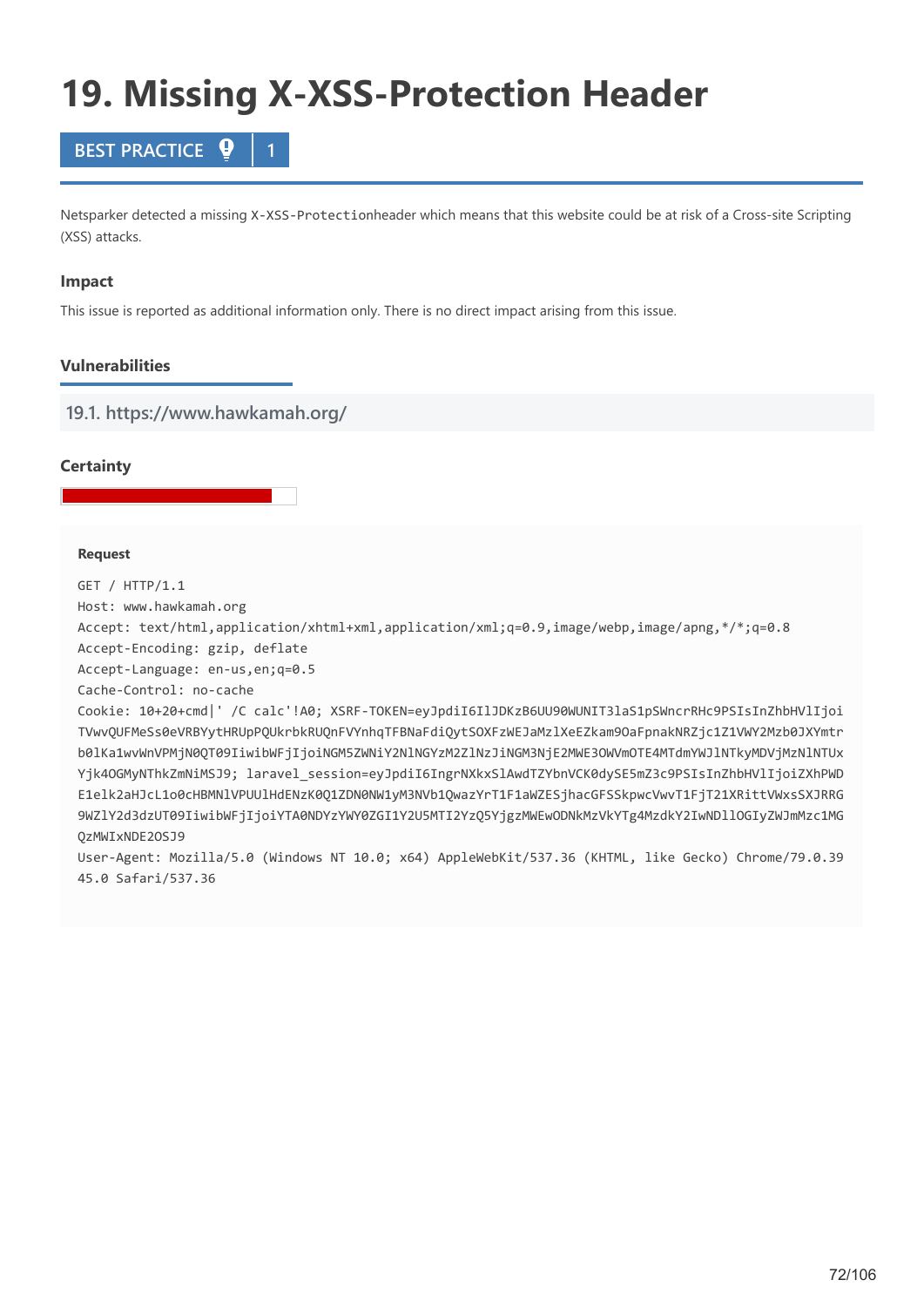# **19. Missing X-XSS-Protection Header**



Netsparker detected a missing X-XSS-Protectionheader which means that this website could be at risk of a Cross-site Scripting (XSS) attacks.

## **Impact**

This issue is reported as additional information only. There is no direct impact arising from this issue.

# **Vulnerabilities**

**19.1. https://www.hawkamah.org/**

## **Certainty**

## **Request**

GET / HTTP/1.1

Host: www.hawkamah.org

Accept: text/html,application/xhtml+xml,application/xml;q=0.9,image/webp,image/apng,\*/\*;q=0.8

Accept-Encoding: gzip, deflate

Accept-Language: en-us,en;q=0.5

Cache-Control: no-cache

Cookie: 10+20+cmd|' /C calc'!A0; XSRF-TOKEN=eyJpdiI6IlJDKzB6UU90WUNIT3laS1pSWncrRHc9PSIsInZhbHVlIjoi TVwvQUFMeSs0eVRBYytHRUpPQUkrbkRUQnFVYnhqTFBNaFdiQytSOXFzWEJaMzlXeEZkam9OaFpnakNRZjc1Z1VWY2Mzb0JXYmtr b0lKa1wvWnVPMjN0QT09IiwibWFjIjoiNGM5ZWNiY2NlNGYzM2ZlNzJiNGM3NjE2MWE3OWVmOTE4MTdmYWJlNTkyMDVjMzNlNTUx Yjk4OGMyNThkZmNiMSJ9; laravel session=eyJpdiI6IngrNXkxSlAwdTZYbnVCK0dySE5mZ3c9PSIsInZhbHVlIjoiZXhPWD E1elk2aHJcL1o0cHBMNlVPUUlHdENzK0Q1ZDN0NW1yM3NVb1QwazYrT1F1aWZESjhacGFSSkpwcVwvT1FjT21XRittVWxsSXJRRG 9WZlY2d3dzUT09IiwibWFjIjoiYTA0NDYzYWY0ZGI1Y2U5MTI2YzQ5YjgzMWEwODNkMzVkYTg4MzdkY2IwNDllOGIyZWJmMzc1MG QzMWIxNDE2OSJ9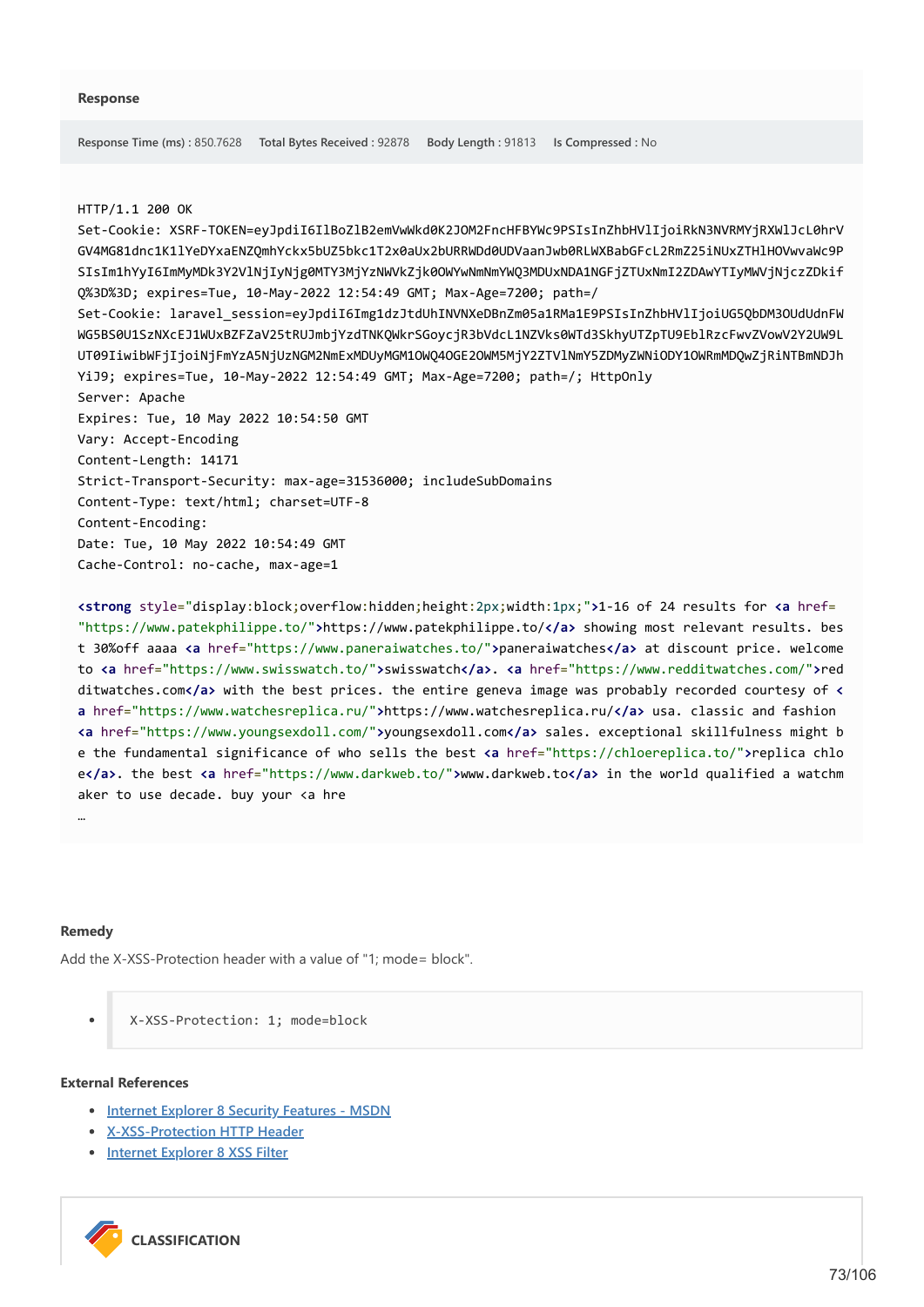### HTTP/1.1 200 OK

Set-Cookie: XSRF-TOKEN=eyJpdiI6IlBoZlB2emVwWkd0K2JOM2FncHFBYWc9PSIsInZhbHVlIjoiRkN3NVRMYjRXWlJcL0hrV GV4MG81dnc1K1lYeDYxaENZQmhYckx5bUZ5bkc1T2x0aUx2bURRWDd0UDVaanJwb0RLWXBabGFcL2RmZ25iNUxZTHlHOVwvaWc9P SIsIm1hYyI6ImMyMDk3Y2VlNjIyNjg0MTY3MjYzNWVkZjk0OWYwNmNmYWQ3MDUxNDA1NGFjZTUxNmI2ZDAwYTIyMWVjNjczZDkif Q%3D%3D; expires=Tue, 10-May-2022 12:54:49 GMT; Max-Age=7200; path=/ Set-Cookie: laravel\_session=eyJpdiI6Img1dzJtdUhINVNXeDBnZm05a1RMa1E9PSIsInZhbHVlIjoiUG5QbDM3OUdUdnFW WG5BS0U1SzNXcEJ1WUxBZFZaV25tRUJmbjYzdTNKQWkrSGoycjR3bVdcL1NZVks0WTd3SkhyUTZpTU9EblRzcFwvZVowV2Y2UW9L UT09IiwibWFjIjoiNjFmYzA5NjUzNGM2NmExMDUyMGM1OWQ4OGE2OWM5MjY2ZTVlNmY5ZDMyZWNiODY1OWRmMDQwZjRiNTBmNDJh YiJ9; expires=Tue, 10-May-2022 12:54:49 GMT; Max-Age=7200; path=/; HttpOnly Server: Apache Expires: Tue, 10 May 2022 10:54:50 GMT Vary: Accept-Encoding Content-Length: 14171 Strict-Transport-Security: max-age=31536000; includeSubDomains Content-Type: text/html; charset=UTF-8 Content-Encoding: Date: Tue, 10 May 2022 10:54:49 GMT Cache-Control: no-cache, max-age=1

**<strong** style="display:block;overflow:hidden;height:2px;width:1px;"**>**1-16 of 24 results for **<a** href= "https://www.patekphilippe.to/"**>**https://www.patekphilippe.to/**</a>** showing most relevant results. bes t 30%off aaaa **<a** href="https://www.paneraiwatches.to/"**>**paneraiwatches**</a>** at discount price. welcome to **<a** href="https://www.swisswatch.to/"**>**swisswatch**</a>**. **<a** href="https://www.redditwatches.com/"**>**red ditwatches.com**</a>** with the best prices. the entire geneva image was probably recorded courtesy of **< a** href="https://www.watchesreplica.ru/"**>**https://www.watchesreplica.ru/**</a>** usa. classic and fashion **<a** href="https://www.youngsexdoll.com/"**>**youngsexdoll.com**</a>** sales. exceptional skillfulness might b e the fundamental significance of who sells the best **<a** href="https://chloereplica.to/"**>**replica chlo e**</a>**. the best **<a** href="https://www.darkweb.to/"**>**www.darkweb.to**</a>** in the world qualified a watchm aker to use decade. buy your <a hre

### **Remedy**

…

Add the X-XSS-Protection header with a value of "1; mode= block".

X-XSS-Protection: 1; mode=block

### **External References**

- **[Internet Explorer 8 Security Features MSDN](https://docs.microsoft.com/en-us/previous-versions//cc288472(v=vs.85))**
- **[X-XSS-Protection HTTP Header](https://www.netsparker.com/whitepaper-http-security-headers/#XXSSProtectionHTTPHeader)**
- **[Internet Explorer 8 XSS Filter](https://blogs.msdn.com/b/ie/archive/2008/07/01/ie8-security-part-iv-the-xss-filter.aspx)**

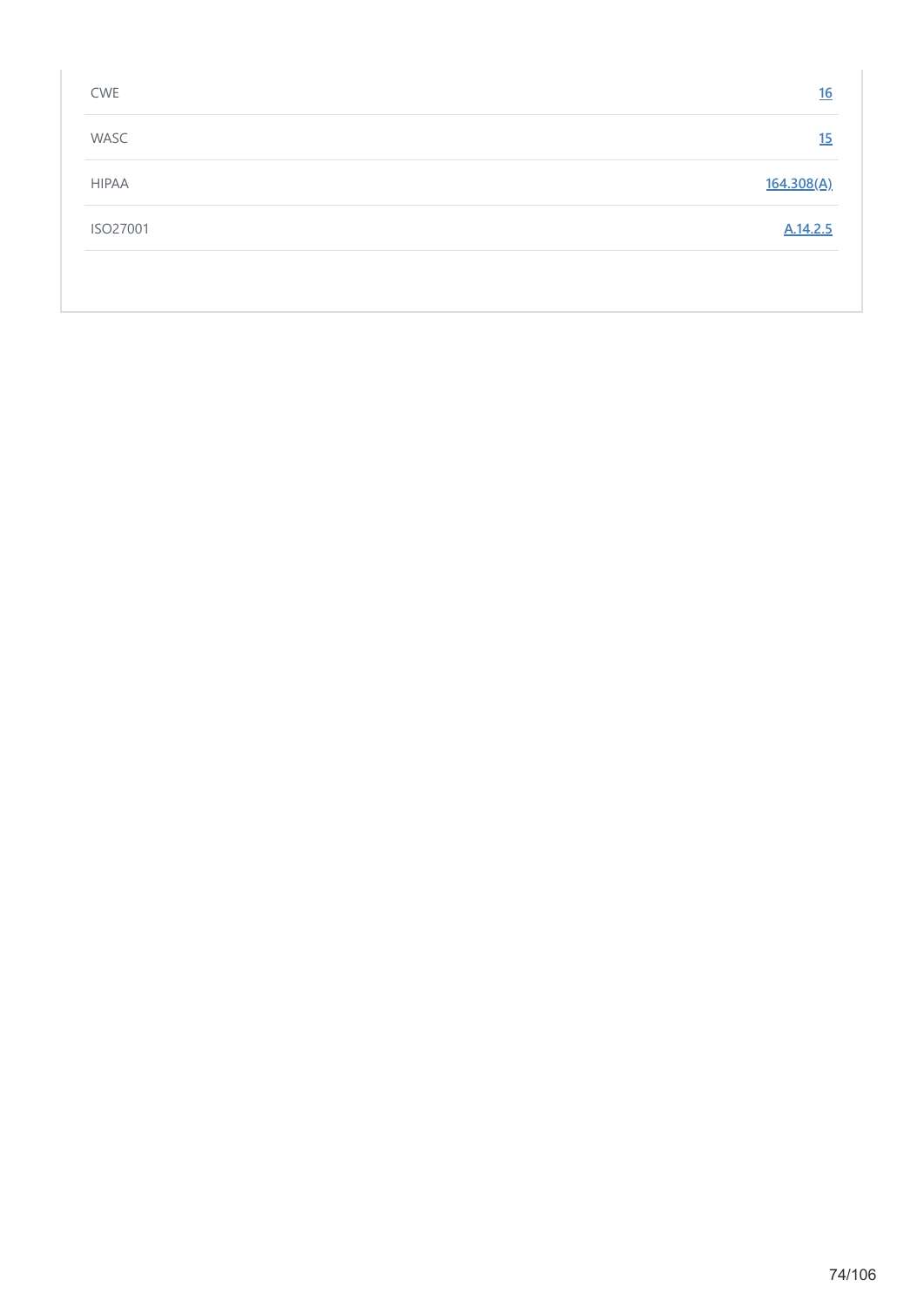| <b>CWE</b>   | 16         |
|--------------|------------|
| WASC         | <u>15</u>  |
| <b>HIPAA</b> | 164.308(A) |
| ISO27001     | A.14.2.5   |
|              |            |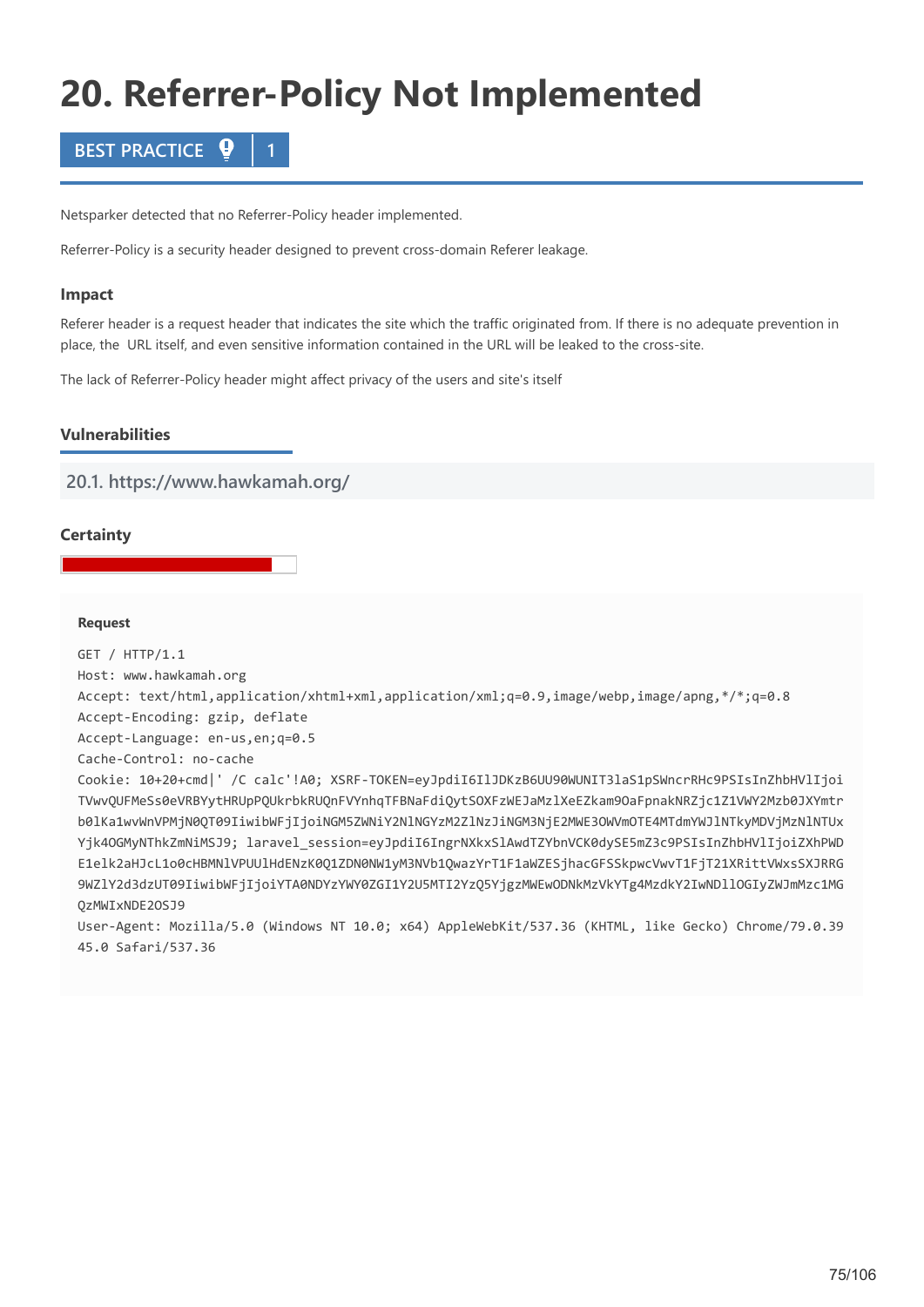# **20. Referrer-Policy Not Implemented**



Netsparker detected that no Referrer-Policy header implemented.

Referrer-Policy is a security header designed to prevent cross-domain Referer leakage.

### **Impact**

Referer header is a request header that indicates the site which the traffic originated from. If there is no adequate prevention in place, the URL itself, and even sensitive information contained in the URL will be leaked to the cross-site.

The lack of Referrer-Policy header might affect privacy of the users and site's itself

# **Vulnerabilities**

**20.1. https://www.hawkamah.org/**

# **Certainty**

### **Request**

GET / HTTP/1.1 Host: www.hawkamah.org Accept: text/html,application/xhtml+xml,application/xml;q=0.9,image/webp,image/apng,\*/\*;q=0.8 Accept-Encoding: gzip, deflate Accept-Language: en-us,en;q=0.5 Cache-Control: no-cache Cookie: 10+20+cmd|' /C calc'!A0; XSRF-TOKEN=eyJpdiI6IlJDKzB6UU90WUNIT3laS1pSWncrRHc9PSIsInZhbHVlIjoi TVwvQUFMeSs0eVRBYytHRUpPQUkrbkRUQnFVYnhqTFBNaFdiQytSOXFzWEJaMzlXeEZkam9OaFpnakNRZjc1Z1VWY2Mzb0JXYmtr b0lKa1wvWnVPMjN0QT09IiwibWFjIjoiNGM5ZWNiY2NlNGYzM2ZlNzJiNGM3NjE2MWE3OWVmOTE4MTdmYWJlNTkyMDVjMzNlNTUx Yjk4OGMyNThkZmNiMSJ9; laravel\_session=eyJpdiI6IngrNXkxSlAwdTZYbnVCK0dySE5mZ3c9PSIsInZhbHVlIjoiZXhPWD E1elk2aHJcL1o0cHBMNlVPUUlHdENzK0Q1ZDN0NW1yM3NVb1QwazYrT1F1aWZESjhacGFSSkpwcVwvT1FjT21XRittVWxsSXJRRG 9WZlY2d3dzUT09IiwibWFjIjoiYTA0NDYzYWY0ZGI1Y2U5MTI2YzQ5YjgzMWEwODNkMzVkYTg4MzdkY2IwNDllOGIyZWJmMzc1MG QzMWIxNDE2OSJ9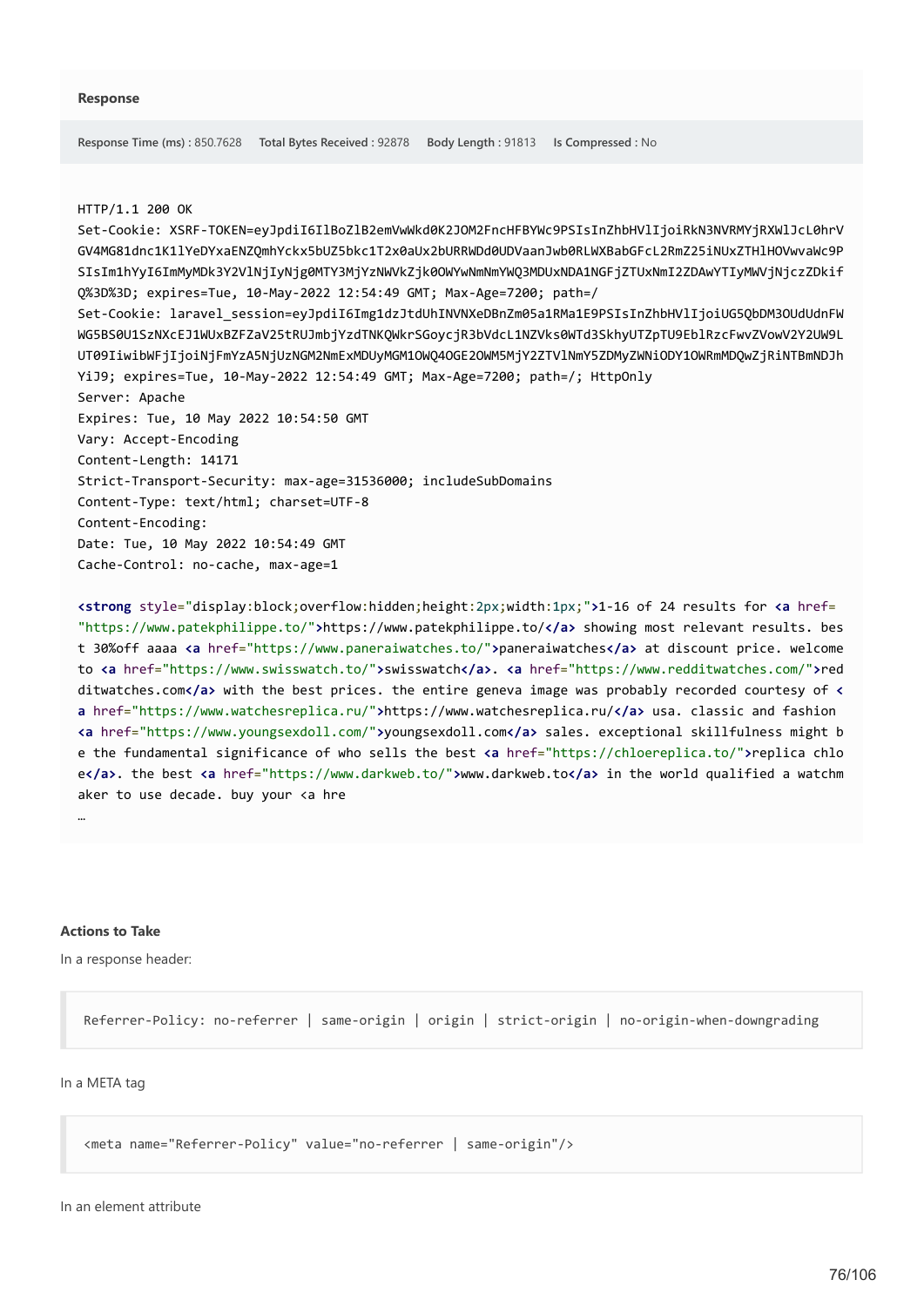### HTTP/1.1 200 OK

Set-Cookie: XSRF-TOKEN=eyJpdiI6IlBoZlB2emVwWkd0K2JOM2FncHFBYWc9PSIsInZhbHVlIjoiRkN3NVRMYjRXWlJcL0hrV GV4MG81dnc1K1lYeDYxaENZQmhYckx5bUZ5bkc1T2x0aUx2bURRWDd0UDVaanJwb0RLWXBabGFcL2RmZ25iNUxZTHlHOVwvaWc9P SIsIm1hYyI6ImMyMDk3Y2VlNjIyNjg0MTY3MjYzNWVkZjk0OWYwNmNmYWQ3MDUxNDA1NGFjZTUxNmI2ZDAwYTIyMWVjNjczZDkif Q%3D%3D; expires=Tue, 10-May-2022 12:54:49 GMT; Max-Age=7200; path=/ Set-Cookie: laravel\_session=eyJpdiI6Img1dzJtdUhINVNXeDBnZm05a1RMa1E9PSIsInZhbHVlIjoiUG5QbDM3OUdUdnFW WG5BS0U1SzNXcEJ1WUxBZFZaV25tRUJmbjYzdTNKQWkrSGoycjR3bVdcL1NZVks0WTd3SkhyUTZpTU9EblRzcFwvZVowV2Y2UW9L UT09IiwibWFjIjoiNjFmYzA5NjUzNGM2NmExMDUyMGM1OWQ4OGE2OWM5MjY2ZTVlNmY5ZDMyZWNiODY1OWRmMDQwZjRiNTBmNDJh YiJ9; expires=Tue, 10-May-2022 12:54:49 GMT; Max-Age=7200; path=/; HttpOnly Server: Apache Expires: Tue, 10 May 2022 10:54:50 GMT Vary: Accept-Encoding Content-Length: 14171 Strict-Transport-Security: max-age=31536000; includeSubDomains Content-Type: text/html; charset=UTF-8 Content-Encoding: Date: Tue, 10 May 2022 10:54:49 GMT Cache-Control: no-cache, max-age=1

**<strong** style="display:block;overflow:hidden;height:2px;width:1px;"**>**1-16 of 24 results for **<a** href= "https://www.patekphilippe.to/"**>**https://www.patekphilippe.to/**</a>** showing most relevant results. bes t 30%off aaaa **<a** href="https://www.paneraiwatches.to/"**>**paneraiwatches**</a>** at discount price. welcome to **<a** href="https://www.swisswatch.to/"**>**swisswatch**</a>**. **<a** href="https://www.redditwatches.com/"**>**red ditwatches.com**</a>** with the best prices. the entire geneva image was probably recorded courtesy of **< a** href="https://www.watchesreplica.ru/"**>**https://www.watchesreplica.ru/**</a>** usa. classic and fashion **<a** href="https://www.youngsexdoll.com/"**>**youngsexdoll.com**</a>** sales. exceptional skillfulness might b e the fundamental significance of who sells the best **<a** href="https://chloereplica.to/"**>**replica chlo e**</a>**. the best **<a** href="https://www.darkweb.to/"**>**www.darkweb.to**</a>** in the world qualified a watchm aker to use decade. buy your <a hre

### **Actions to Take**

…

In a response header:

Referrer-Policy: no-referrer | same-origin | origin | strict-origin | no-origin-when-downgrading

### In a META tag

<meta name="Referrer-Policy" value="no-referrer | same-origin"/>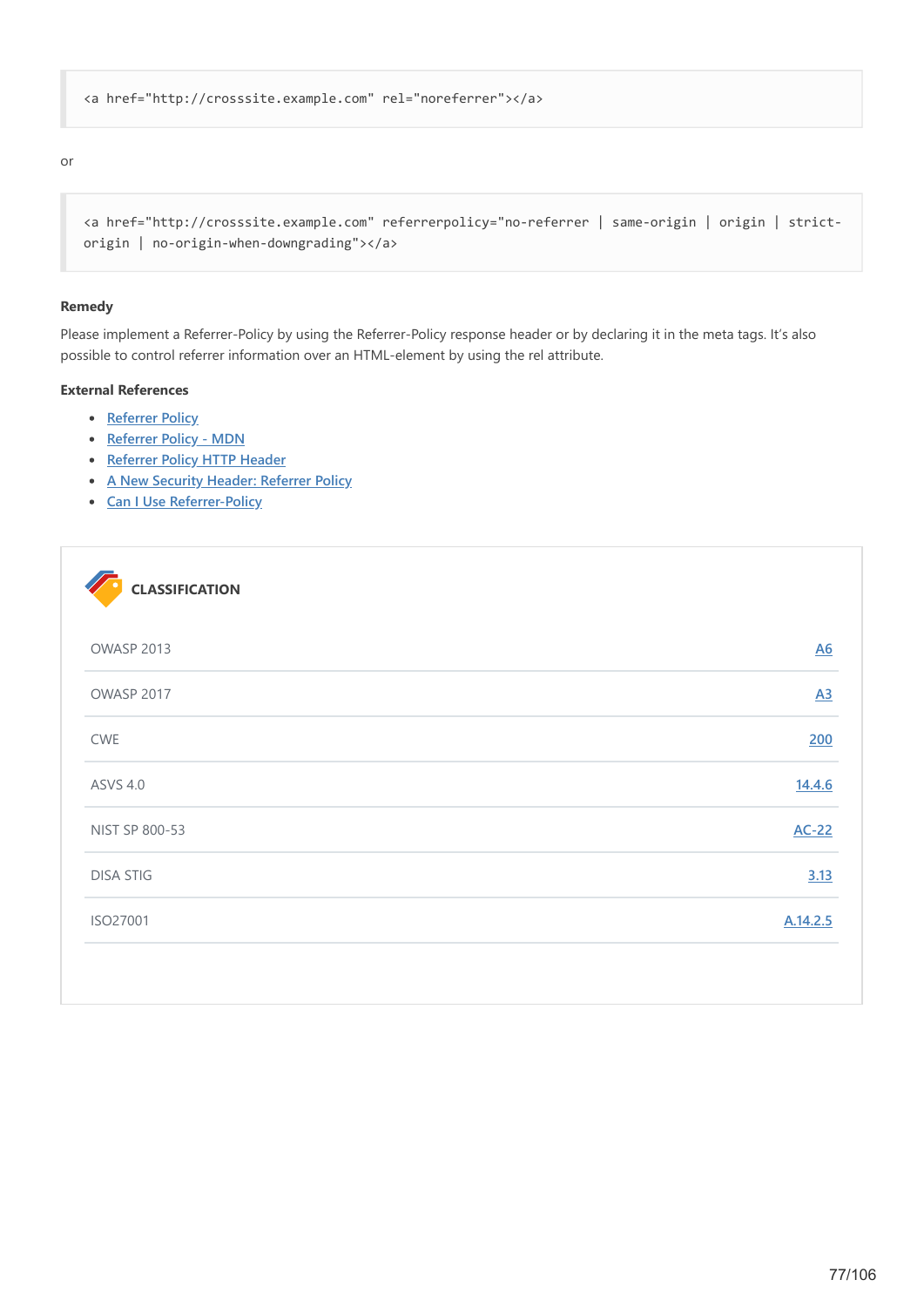```
<a href="http://crosssite.example.com" rel="noreferrer"></a>
```
### or

```
<a href="http://crosssite.example.com" referrerpolicy="no-referrer | same-origin | origin | strict-
origin | no-origin-when-downgrading"></a>
```
### **Remedy**

Please implement a Referrer-Policy by using the Referrer-Policy response header or by declaring it in the meta tags. It's also possible to control referrer information over an HTML-element by using the rel attribute.

# **External References**

- **•** [Referrer Policy](https://www.w3.org/TR/referrer-policy/)
- **•** [Referrer Policy MDN](https://developer.mozilla.org/en-US/docs/Web/HTTP/Headers/Referrer-Policy)
- **[Referrer Policy HTTP Header](https://www.netsparker.com/whitepaper-http-security-headers/#ReferrerPolicyHTTPHeader)**
- **[A New Security Header: Referrer Policy](https://scotthelme.co.uk/a-new-security-header-referrer-policy/)**
- **[Can I Use Referrer-Policy](https://caniuse.com/#search=referrer%20policy)**

| OWASP 2013       | $\underline{A6}$ |
|------------------|------------------|
| OWASP 2017       | $\underline{A3}$ |
| <b>CWE</b>       | 200              |
| <b>ASVS 4.0</b>  | 14.4.6           |
| NIST SP 800-53   | $AC-22$          |
| <b>DISA STIG</b> | 3.13             |
| ISO27001         | A.14.2.5         |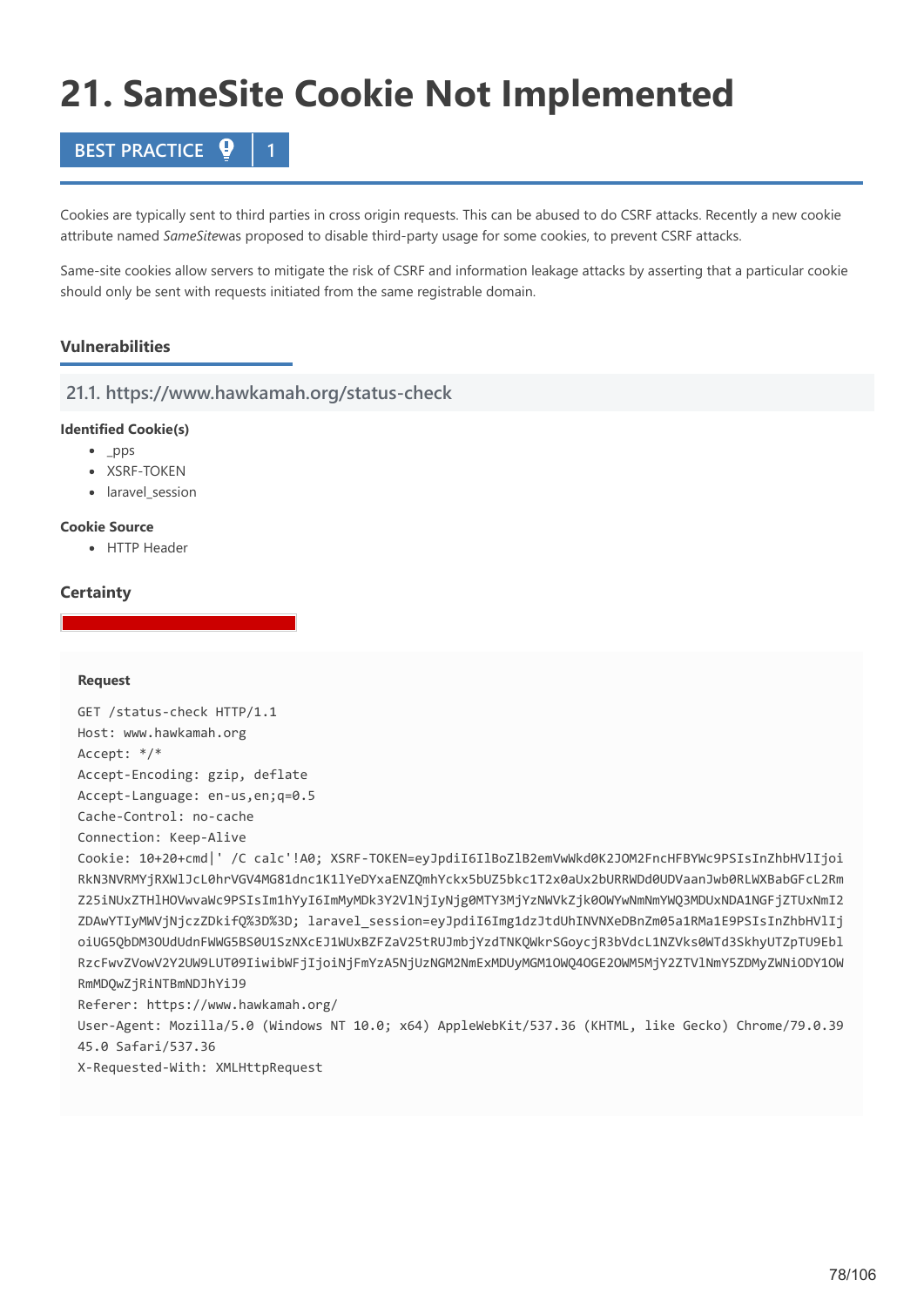# **21. SameSite Cookie Not Implemented**

# **BEST PRACTICE**

Cookies are typically sent to third parties in cross origin requests. This can be abused to do CSRF attacks. Recently a new cookie attribute named *SameSite*was proposed to disable third-party usage for some cookies, to prevent CSRF attacks.

Same-site cookies allow servers to mitigate the risk of CSRF and information leakage attacks by asserting that a particular cookie should only be sent with requests initiated from the same registrable domain.

# **Vulnerabilities**

# **21.1. https://www.hawkamah.org/status-check**

### **Identified Cookie(s)**

- $\n\rightharpoonup$  pps
- · XSRF-TOKEN
- laravel session

### **Cookie Source**

• HTTP Header

# **Certainty**

### **Request**

GET /status-check HTTP/1.1 Host: www.hawkamah.org Accept: \*/\* Accept-Encoding: gzip, deflate Accept-Language: en-us,en;q=0.5 Cache-Control: no-cache Connection: Keep-Alive Cookie: 10+20+cmd|' /C calc'!A0; XSRF-TOKEN=eyJpdiI6IlBoZlB2emVwWkd0K2JOM2FncHFBYWc9PSIsInZhbHVlIjoi RkN3NVRMYjRXWlJcL0hrVGV4MG81dnc1K1lYeDYxaENZQmhYckx5bUZ5bkc1T2x0aUx2bURRWDd0UDVaanJwb0RLWXBabGFcL2Rm Z25iNUxZTHlHOVwvaWc9PSIsIm1hYyI6ImMyMDk3Y2VlNjIyNjg0MTY3MjYzNWVkZjk0OWYwNmNmYWQ3MDUxNDA1NGFjZTUxNmI2 ZDAwYTIyMWVjNjczZDkifQ%3D%3D; laravel\_session=eyJpdiI6Img1dzJtdUhINVNXeDBnZm05a1RMa1E9PSIsInZhbHVlIj oiUG5QbDM3OUdUdnFWWG5BS0U1SzNXcEJ1WUxBZFZaV25tRUJmbjYzdTNKQWkrSGoycjR3bVdcL1NZVks0WTd3SkhyUTZpTU9Ebl RzcFwvZVowV2Y2UW9LUT09IiwibWFjIjoiNjFmYzA5NjUzNGM2NmExMDUyMGM1OWQ4OGE2OWM5MjY2ZTVlNmY5ZDMyZWNiODY1OW RmMDQwZjRiNTBmNDJhYiJ9 Referer: https://www.hawkamah.org/ User-Agent: Mozilla/5.0 (Windows NT 10.0; x64) AppleWebKit/537.36 (KHTML, like Gecko) Chrome/79.0.39 45.0 Safari/537.36

X-Requested-With: XMLHttpRequest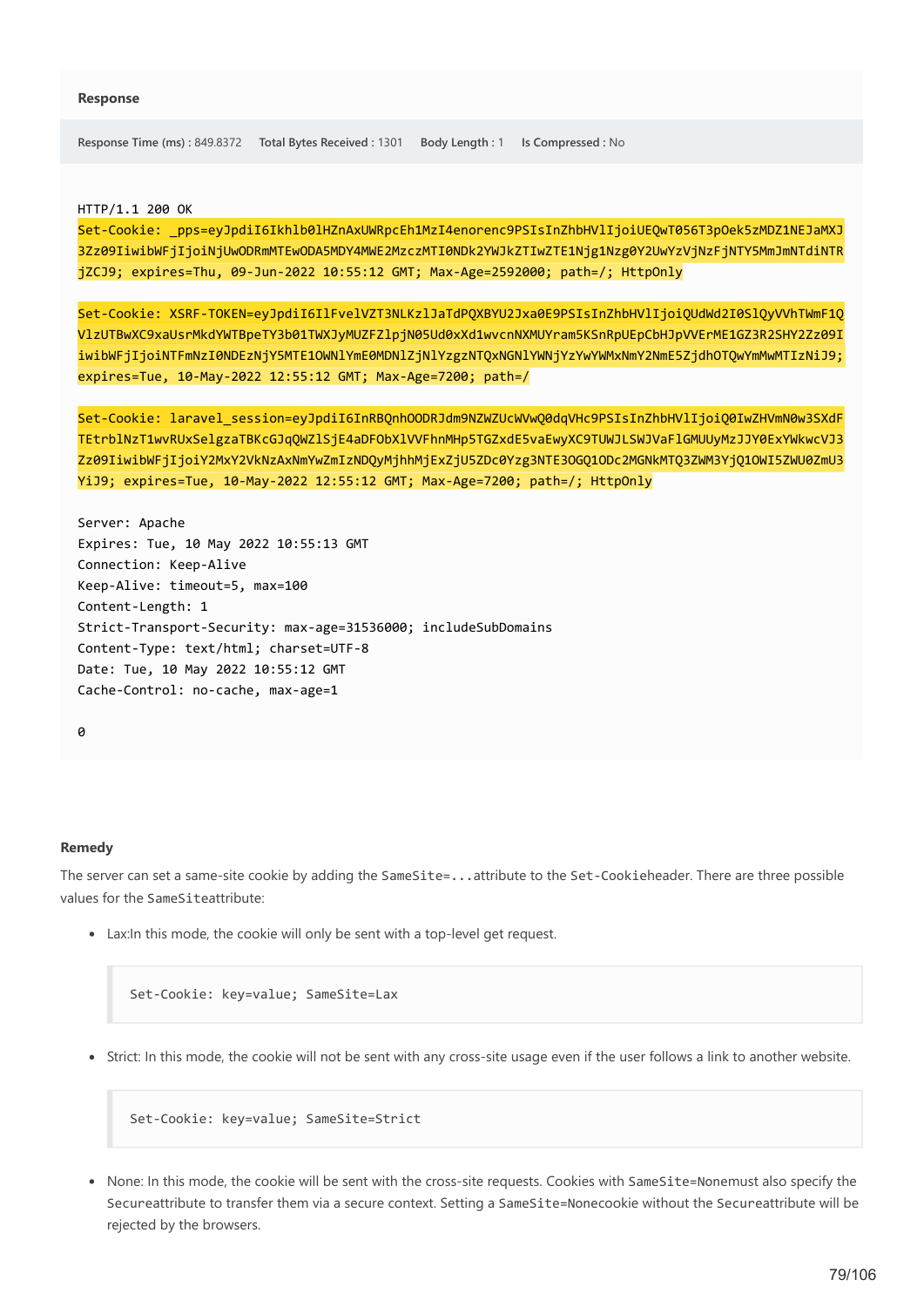**Response Time (ms) :** 849.8372 **Total Bytes Received :** 1301 **Body Length :** 1 **Is Compressed :** No

HTTP/1.1 200 OK

Set-Cookie: \_pps=eyJpdiI6Ikhlb0lHZnAxUWRpcEh1MzI4enorenc9PSIsInZhbHVlIjoiUEQwT056T3pOek5zMDZ1NEJaMXJ 3Zz09IiwibWFjIjoiNjUwODRmMTEwODA5MDY4MWE2MzczMTI0NDk2YWJkZTIwZTE1Njg1Nzg0Y2UwYzVjNzFjNTY5MmJmNTdiNTR jZCJ9; expires=Thu, 09-Jun-2022 10:55:12 GMT; Max-Age=2592000; path=/; HttpOnly

Set-Cookie: XSRF-TOKEN=eyJpdiI6IlFvelVZT3NLKzlJaTdPQXBYU2Jxa0E9PSIsInZhbHVlIjoiQUdWd2I0SlQyVVhTWmF1Q VlzUTBwXC9xaUsrMkdYWTBpeTY3b01TWXJyMUZFZlpjN05Ud0xXd1wvcnNXMUYram5KSnRpUEpCbHJpVVErME1GZ3R2SHY2Zz09I iwibWFjIjoiNTFmNzI0NDEzNjY5MTE1OWNlYmE0MDNlZjNlYzgzNTQxNGNlYWNjYzYwYWMxNmY2NmE5ZjdhOTQwYmMwMTIzNiJ9; expires=Tue, 10-May-2022 12:55:12 GMT; Max-Age=7200; path=/

Set-Cookie: laravel\_session=eyJpdiI6InRBQnhOODRJdm9NZWZUcWVwQ0dqVHc9PSIsInZhbHVlIjoiQ0IwZHVmN0w3SXdF TEtrblNzT1wvRUxSelgzaTBKcGJqQWZlSjE4aDFObXlVVFhnMHp5TGZxdE5vaEwyXC9TUWJLSWJVaFlGMUUyMzJJY0ExYWkwcVJ3 Zz09IiwibWFjIjoiY2MxY2VkNzAxNmYwZmIzNDQyMjhhMjExZjU5ZDc0Yzg3NTE3OGQ1ODc2MGNkMTQ3ZWM3YjQ1OWI5ZWU0ZmU3 YiJ9; expires=Tue, 10-May-2022 12:55:12 GMT; Max-Age=7200; path=/; HttpOnly

Server: Apache Expires: Tue, 10 May 2022 10:55:13 GMT Connection: Keep-Alive Keep-Alive: timeout=5, max=100 Content-Length: 1 Strict-Transport-Security: max-age=31536000; includeSubDomains Content-Type: text/html; charset=UTF-8 Date: Tue, 10 May 2022 10:55:12 GMT Cache-Control: no-cache, max-age=1

 $\theta$ 

### **Remedy**

The server can set a same-site cookie by adding the SameSite=...attribute to the Set-Cookieheader. There are three possible values for the SameSiteattribute:

Lax:In this mode, the cookie will only be sent with a top-level get request.

Set-Cookie: key=value; SameSite=Lax

Strict: In this mode, the cookie will not be sent with any cross-site usage even if the user follows a link to another website.

Set-Cookie: key=value; SameSite=Strict

• None: In this mode, the cookie will be sent with the cross-site requests. Cookies with SameSite=Nonemust also specify the Secureattribute to transfer them via a secure context. Setting a SameSite=Nonecookie without the Secureattribute will be rejected by the browsers.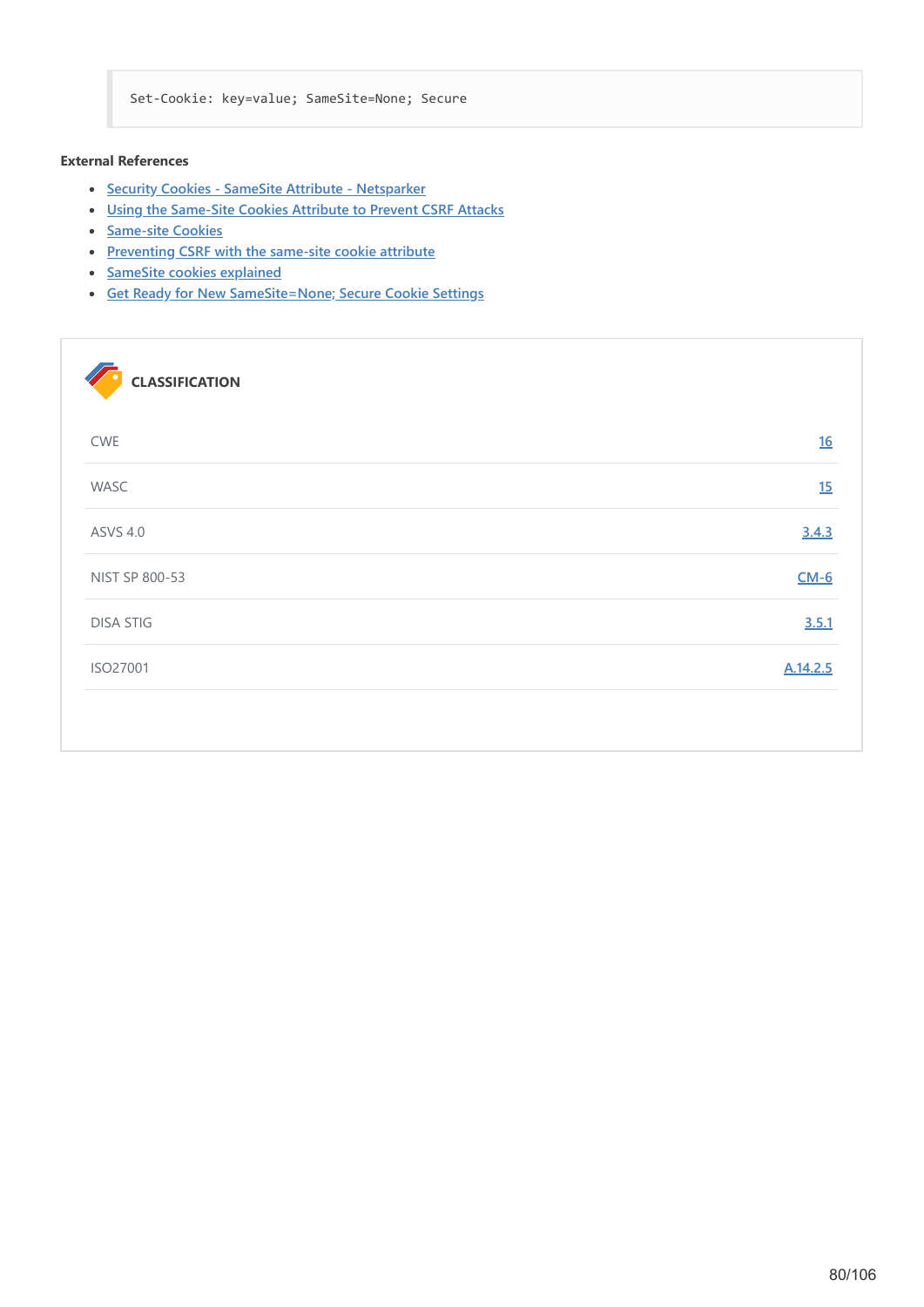Set-Cookie: key=value; SameSite=None; Secure

# **External References**

- **[Security Cookies SameSite Attribute Netsparker](https://www.netsparker.com/security-cookies-whitepaper/#SameSiteAttribute)**
- **[Using the Same-Site Cookies Attribute to Prevent CSRF Attacks](https://www.netsparker.com/blog/web-security/same-site-cookie-attribute-prevent-cross-site-request-forgery/)**
- **[Same-site Cookies](https://tools.ietf.org/html/draft-west-first-party-cookies-07)**
- **[Preventing CSRF with the same-site cookie attribute](https://www.sjoerdlangkemper.nl/2016/04/14/preventing-csrf-with-samesite-cookie-attribute/)**
- **[SameSite cookies explained](https://web.dev/samesite-cookies-explained/)**
- **[Get Ready for New SameSite=None; Secure Cookie Settings](https://blog.chromium.org/2019/10/developers-get-ready-for-new.html)**

| <b>CLASSIFICATION</b> |          |
|-----------------------|----------|
| <b>CWE</b>            | 16       |
| WASC                  | 15       |
| <b>ASVS 4.0</b>       | 3.4.3    |
| NIST SP 800-53        | $CM-6$   |
| <b>DISA STIG</b>      | 3.5.1    |
| ISO27001              | A.14.2.5 |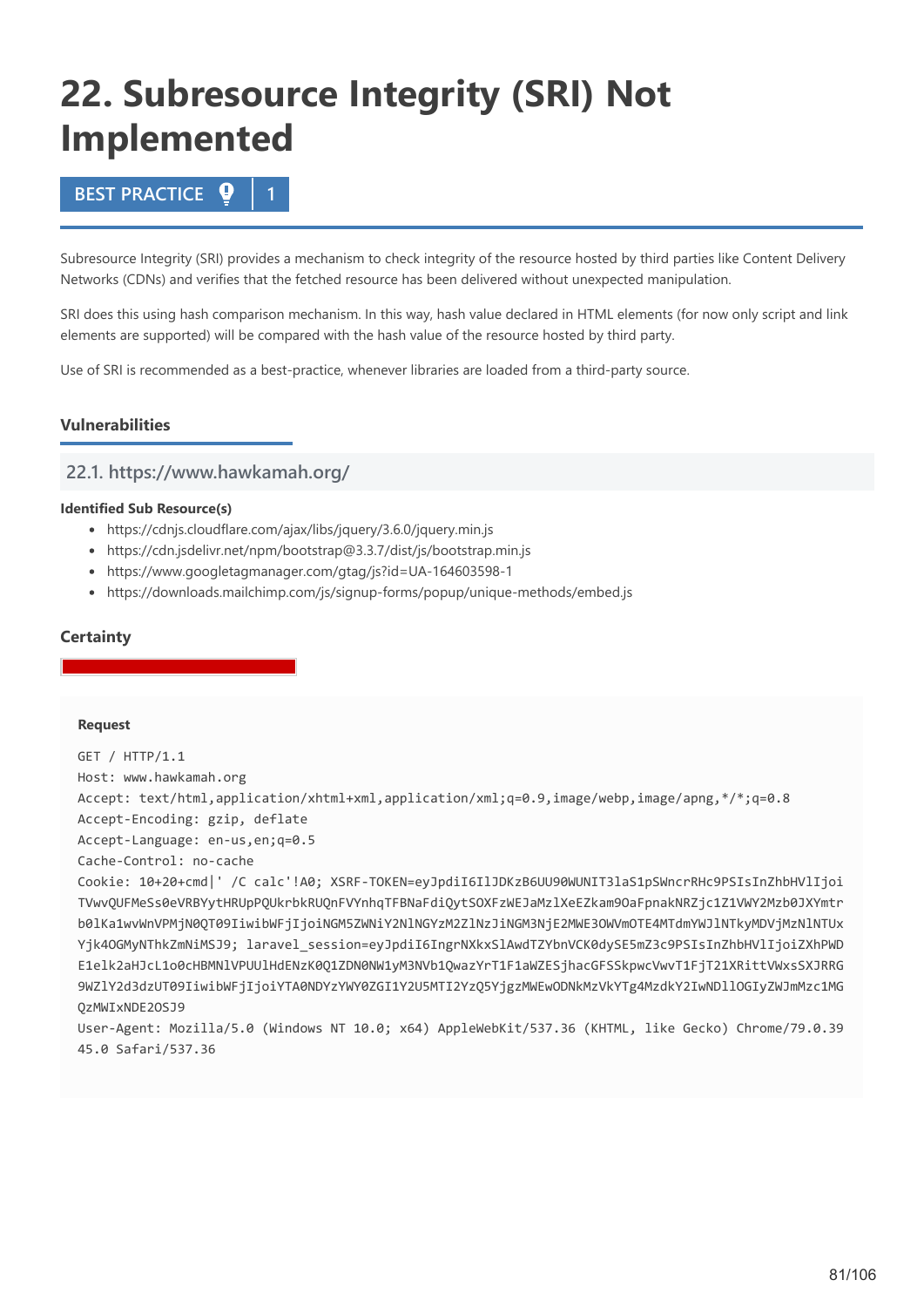# **22. Subresource Integrity (SRI) Not Implemented**

# **BEST PRACTICE 1**

Subresource Integrity (SRI) provides a mechanism to check integrity of the resource hosted by third parties like Content Delivery Networks (CDNs) and verifies that the fetched resource has been delivered without unexpected manipulation.

SRI does this using hash comparison mechanism. In this way, hash value declared in HTML elements (for now only script and link elements are supported) will be compared with the hash value of the resource hosted by third party.

Use of SRI is recommended as a best-practice, whenever libraries are loaded from a third-party source.

# **Vulnerabilities**

# **22.1. https://www.hawkamah.org/**

### **Identified Sub Resource(s)**

- https://cdnjs.cloudflare.com/ajax/libs/jquery/3.6.0/jquery.min.js
- https://cdn.jsdelivr.net/npm/bootstrap@3.3.7/dist/js/bootstrap.min.js
- https://www.googletagmanager.com/gtag/js?id=UA-164603598-1
- https://downloads.mailchimp.com/js/signup-forms/popup/unique-methods/embed.js

# **Certainty**

### **Request**

GET / HTTP/1.1 Host: www.hawkamah.org Accept: text/html,application/xhtml+xml,application/xml;q=0.9,image/webp,image/apng,\*/\*;q=0.8 Accept-Encoding: gzip, deflate Accept-Language: en-us,en;q=0.5 Cache-Control: no-cache

Cookie: 10+20+cmd|' /C calc'!A0; XSRF-TOKEN=eyJpdiI6IlJDKzB6UU90WUNIT3laS1pSWncrRHc9PSIsInZhbHVlIjoi TVwvQUFMeSs0eVRBYytHRUpPQUkrbkRUQnFVYnhqTFBNaFdiQytSOXFzWEJaMzlXeEZkam9OaFpnakNRZjc1Z1VWY2Mzb0JXYmtr b0lKa1wvWnVPMjN0QT09IiwibWFjIjoiNGM5ZWNiY2NlNGYzM2ZlNzJiNGM3NjE2MWE3OWVmOTE4MTdmYWJlNTkyMDVjMzNlNTUx Yjk4OGMyNThkZmNiMSJ9; laravel session=eyJpdiI6IngrNXkxSlAwdTZYbnVCK0dySE5mZ3c9PSIsInZhbHVlIjoiZXhPWD E1elk2aHJcL1o0cHBMNlVPUUlHdENzK0Q1ZDN0NW1yM3NVb1QwazYrT1F1aWZESjhacGFSSkpwcVwvT1FjT21XRittVWxsSXJRRG 9WZlY2d3dzUT09IiwibWFjIjoiYTA0NDYzYWY0ZGI1Y2U5MTI2YzQ5YjgzMWEwODNkMzVkYTg4MzdkY2IwNDllOGIyZWJmMzc1MG QzMWIxNDE2OSJ9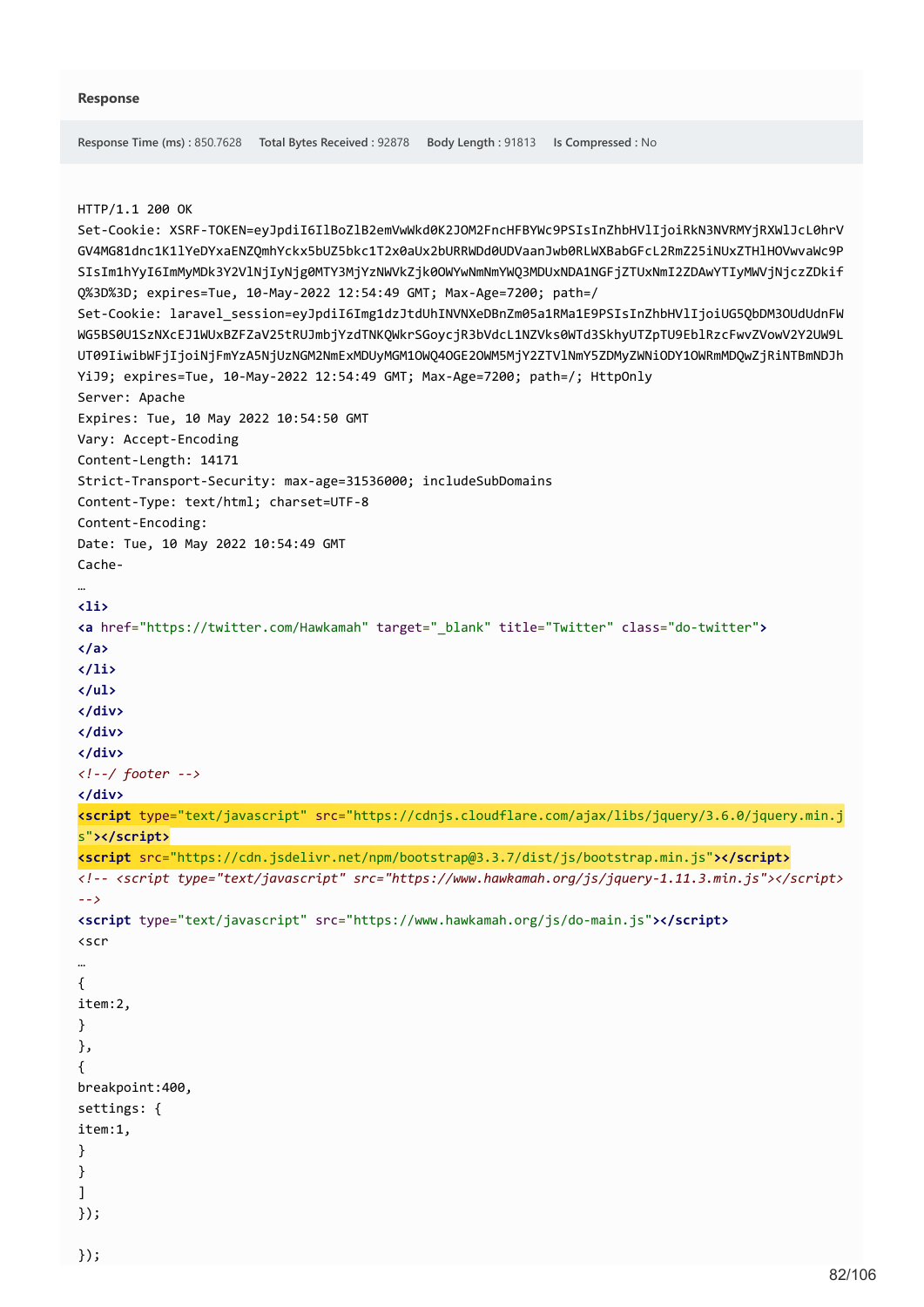```
Response Time (ms) : 850.7628 Total Bytes Received : 92878 Body Length : 91813 Is Compressed : No
HTTP/1.1 200 OK
Set-Cookie: XSRF-TOKEN=eyJpdiI6IlBoZlB2emVwWkd0K2JOM2FncHFBYWc9PSIsInZhbHVlIjoiRkN3NVRMYjRXWlJcL0hrV
GV4MG81dnc1K1lYeDYxaENZQmhYckx5bUZ5bkc1T2x0aUx2bURRWDd0UDVaanJwb0RLWXBabGFcL2RmZ25iNUxZTHlHOVwvaWc9P
SIsIm1hYyI6ImMyMDk3Y2VlNjIyNjg0MTY3MjYzNWVkZjk0OWYwNmNmYWQ3MDUxNDA1NGFjZTUxNmI2ZDAwYTIyMWVjNjczZDkif
Q%3D%3D; expires=Tue, 10-May-2022 12:54:49 GMT; Max-Age=7200; path=/
Set-Cookie: laravel_session=eyJpdiI6Img1dzJtdUhINVNXeDBnZm05a1RMa1E9PSIsInZhbHVlIjoiUG5QbDM3OUdUdnFW
WG5BS0U1SzNXcEJ1WUxBZFZaV25tRUJmbjYzdTNKQWkrSGoycjR3bVdcL1NZVks0WTd3SkhyUTZpTU9EblRzcFwvZVowV2Y2UW9L
UT09IiwibWFjIjoiNjFmYzA5NjUzNGM2NmExMDUyMGM1OWQ4OGE2OWM5MjY2ZTVlNmY5ZDMyZWNiODY1OWRmMDQwZjRiNTBmNDJh
YiJ9; expires=Tue, 10-May-2022 12:54:49 GMT; Max-Age=7200; path=/; HttpOnly
Server: Apache
Expires: Tue, 10 May 2022 10:54:50 GMT
Vary: Accept-Encoding
Content-Length: 14171
Strict-Transport-Security: max-age=31536000; includeSubDomains
Content-Type: text/html; charset=UTF-8
Content-Encoding: 
Date: Tue, 10 May 2022 10:54:49 GMT
Cache-
…
<li>
<a href="https://twitter.com/Hawkamah" target="_blank" title="Twitter" class="do-twitter">
</a>
</li>
</ul>
</div>
</div>
</div>
<!--/ footer -->
</div>
<script type="text/javascript" src="https://cdnjs.cloudflare.com/ajax/libs/jquery/3.6.0/jquery.min.j
s"></script>
<script src="https://cdn.jsdelivr.net/npm/bootstrap@3.3.7/dist/js/bootstrap.min.js"></script>
<!-- <script type="text/javascript" src="https://www.hawkamah.org/js/jquery-1.11.3.min.js"></script>
-->
<script type="text/javascript" src="https://www.hawkamah.org/js/do-main.js"></script>
<scr
…
{
item:2,
}
},
{
breakpoint:400,
settings: {
item:1,
}
}
]
});
```
});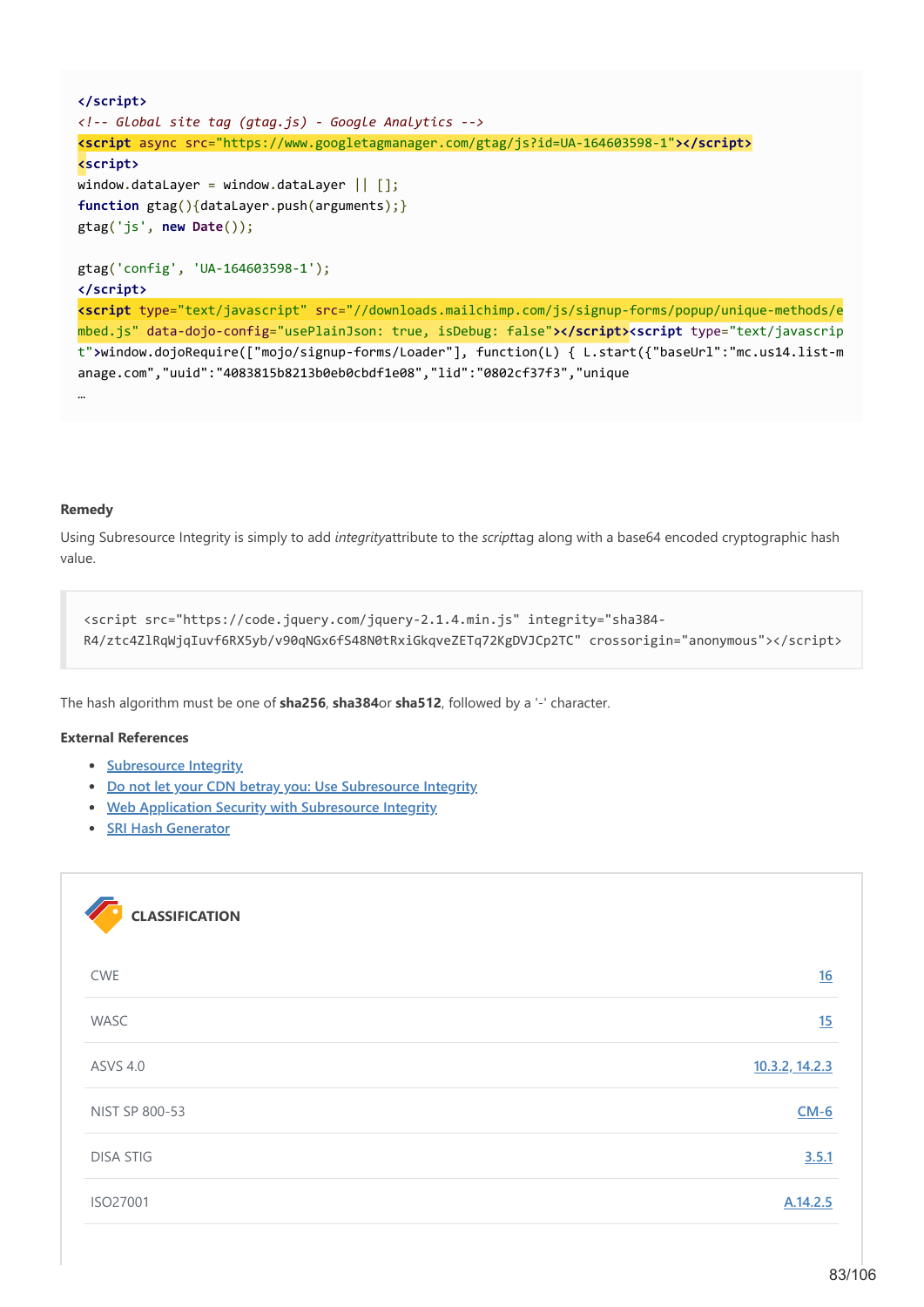```
</script>
<!-- Global site tag (gtag.js) - Google Analytics -->
<script async src="https://www.googletagmanager.com/gtag/js?id=UA-164603598-1"></script>
<script>
window.dataLayer = window.dataLayer || |function gtag(){dataLayer.push(arguments);}
gtag('js', new Date());
gtag('config', 'UA-164603598-1');
</script>
<script type="text/javascript" src="//downloads.mailchimp.com/js/signup-forms/popup/unique-methods/e
mbed.js" data-dojo-config="usePlainJson: true, isDebug: false"></script><script type="text/javascrip
t">window.dojoRequire(["mojo/signup-forms/Loader"], function(L) { L.start({"baseUrl":"mc.us14.list-m
anage.com","uuid":"4083815b8213b0eb0cbdf1e08","lid":"0802cf37f3","unique
…
```
### **Remedy**

Using Subresource Integrity is simply to add *integrity*attribute to the *script*tag along with a base64 encoded cryptographic hash value.

```
<script src="https://code.jquery.com/jquery-2.1.4.min.js" integrity="sha384-
R4/ztc4ZlRqWjqIuvf6RX5yb/v90qNGx6fS48N0tRxiGkqveZETq72KgDVJCp2TC" crossorigin="anonymous"></script>
```
The hash algorithm must be one of **sha256**, **sha384**or **sha512**, followed by a '-' character.

### **External References**

- **•** [Subresource Integrity](https://www.w3.org/TR/SRI/)
- **[Do not let your CDN betray you: Use Subresource Integrity](https://hacks.mozilla.org/2015/09/subresource-integrity-in-firefox-43/)**
- **[Web Application Security with Subresource Integrity](https://speakerdeck.com/jdorfman/web-application-security-with-subresource-integrity)**
- **[SRI Hash Generator](https://www.srihash.org/)**

| <b>CLASSIFICATION</b> |                |
|-----------------------|----------------|
| <b>CWE</b>            | 16             |
| WASC                  | 15             |
| <b>ASVS 4.0</b>       | 10.3.2, 14.2.3 |
| NIST SP 800-53        | $CM-6$         |
| <b>DISA STIG</b>      | 3.5.1          |
| ISO27001              | A.14.2.5       |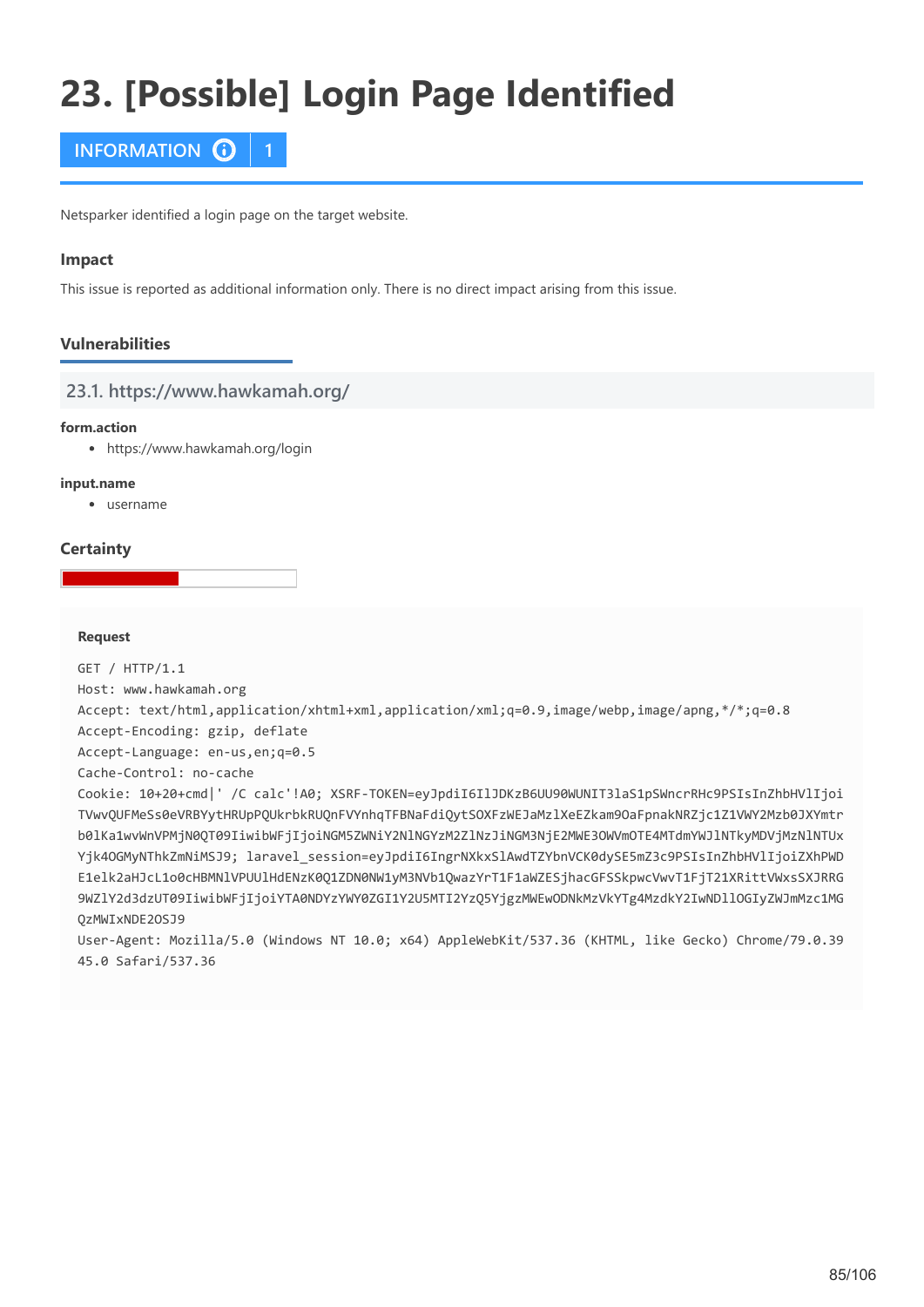# **23. [Possible] Login Page Identified**



Netsparker identified a login page on the target website.

### **Impact**

This issue is reported as additional information only. There is no direct impact arising from this issue.

# **Vulnerabilities**

# **23.1. https://www.hawkamah.org/**

### **form.action**

https://www.hawkamah.org/login

### **input.name**

username

# **Certainty**

### **Request**

GET / HTTP/1.1 Host: www.hawkamah.org Accept: text/html,application/xhtml+xml,application/xml;q=0.9,image/webp,image/apng,\*/\*;q=0.8 Accept-Encoding: gzip, deflate Accept-Language: en-us,en;q=0.5 Cache-Control: no-cache Cookie: 10+20+cmd|' /C calc'!A0; XSRF-TOKEN=eyJpdiI6IlJDKzB6UU90WUNIT3laS1pSWncrRHc9PSIsInZhbHVlIjoi TVwvQUFMeSs0eVRBYytHRUpPQUkrbkRUQnFVYnhqTFBNaFdiQytSOXFzWEJaMzlXeEZkam9OaFpnakNRZjc1Z1VWY2Mzb0JXYmtr b0lKa1wvWnVPMjN0QT09IiwibWFjIjoiNGM5ZWNiY2NlNGYzM2ZlNzJiNGM3NjE2MWE3OWVmOTE4MTdmYWJlNTkyMDVjMzNlNTUx Yjk4OGMyNThkZmNiMSJ9; laravel\_session=eyJpdiI6IngrNXkxSlAwdTZYbnVCK0dySE5mZ3c9PSIsInZhbHVlIjoiZXhPWD E1elk2aHJcL1o0cHBMNlVPUUlHdENzK0Q1ZDN0NW1yM3NVb1QwazYrT1F1aWZESjhacGFSSkpwcVwvT1FjT21XRittVWxsSXJRRG 9WZlY2d3dzUT09IiwibWFjIjoiYTA0NDYzYWY0ZGI1Y2U5MTI2YzQ5YjgzMWEwODNkMzVkYTg4MzdkY2IwNDllOGIyZWJmMzc1MG QzMWIxNDE2OSJ9 User-Agent: Mozilla/5.0 (Windows NT 10.0; x64) AppleWebKit/537.36 (KHTML, like Gecko) Chrome/79.0.39

45.0 Safari/537.36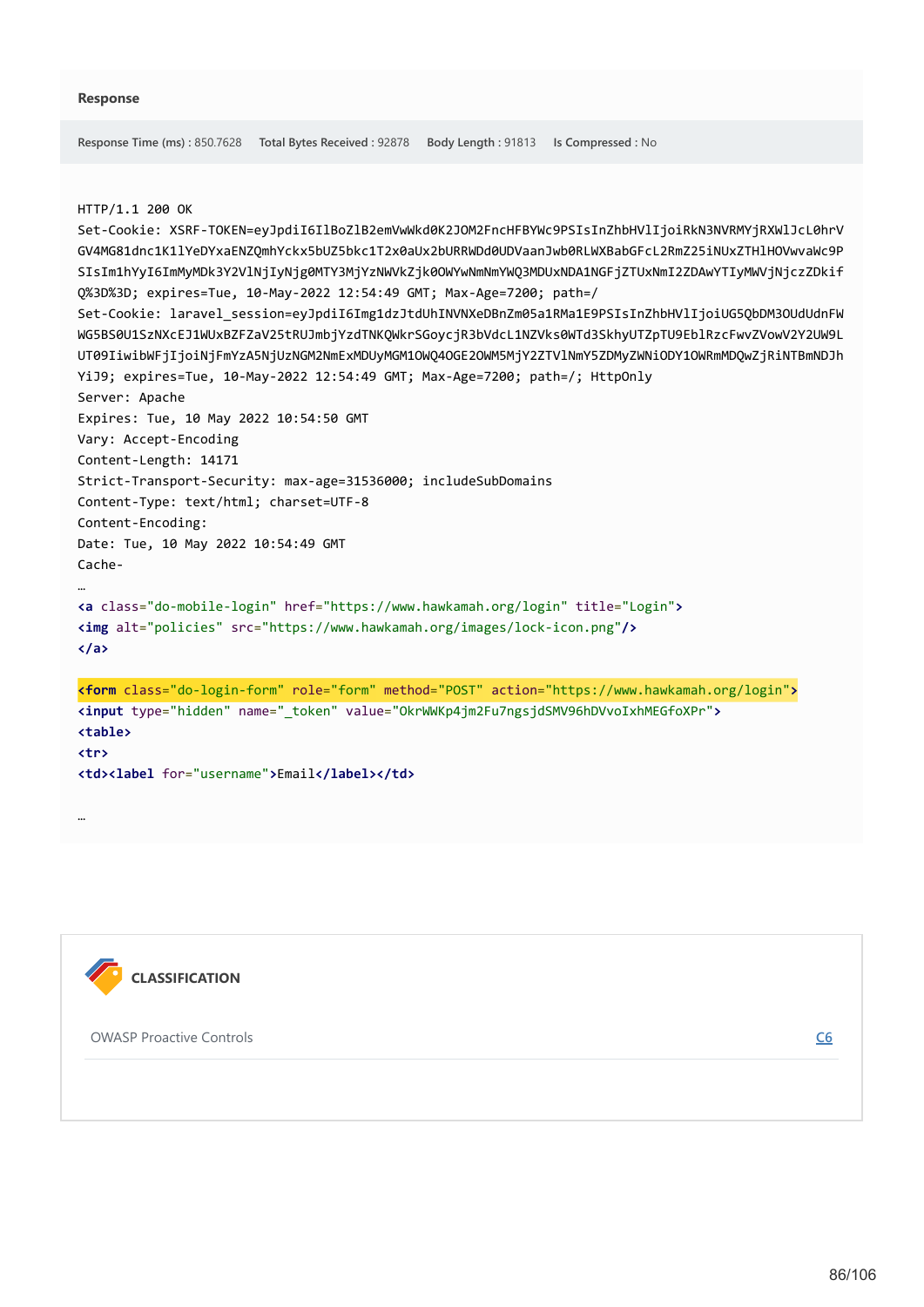```
Response Time (ms) : 850.7628 Total Bytes Received : 92878 Body Length : 91813 Is Compressed : No
```
### HTTP/1.1 200 OK

```
Set-Cookie: XSRF-TOKEN=eyJpdiI6IlBoZlB2emVwWkd0K2JOM2FncHFBYWc9PSIsInZhbHVlIjoiRkN3NVRMYjRXWlJcL0hrV
GV4MG81dnc1K1lYeDYxaENZQmhYckx5bUZ5bkc1T2x0aUx2bURRWDd0UDVaanJwb0RLWXBabGFcL2RmZ25iNUxZTHlHOVwvaWc9P
SIsIm1hYyI6ImMyMDk3Y2VlNjIyNjg0MTY3MjYzNWVkZjk0OWYwNmNmYWQ3MDUxNDA1NGFjZTUxNmI2ZDAwYTIyMWVjNjczZDkif
Q%3D%3D; expires=Tue, 10-May-2022 12:54:49 GMT; Max-Age=7200; path=/
Set-Cookie: laravel_session=eyJpdiI6Img1dzJtdUhINVNXeDBnZm05a1RMa1E9PSIsInZhbHVlIjoiUG5QbDM3OUdUdnFW
WG5BS0U1SzNXcEJ1WUxBZFZaV25tRUJmbjYzdTNKQWkrSGoycjR3bVdcL1NZVks0WTd3SkhyUTZpTU9EblRzcFwvZVowV2Y2UW9L
UT09IiwibWFjIjoiNjFmYzA5NjUzNGM2NmExMDUyMGM1OWQ4OGE2OWM5MjY2ZTVlNmY5ZDMyZWNiODY1OWRmMDQwZjRiNTBmNDJh
YiJ9; expires=Tue, 10-May-2022 12:54:49 GMT; Max-Age=7200; path=/; HttpOnly
Server: Apache
Expires: Tue, 10 May 2022 10:54:50 GMT
Vary: Accept-Encoding
Content-Length: 14171
Strict-Transport-Security: max-age=31536000; includeSubDomains
Content-Type: text/html; charset=UTF-8
Content-Encoding: 
Date: Tue, 10 May 2022 10:54:49 GMT
Cache-
…
<a class="do-mobile-login" href="https://www.hawkamah.org/login" title="Login">
<img alt="policies" src="https://www.hawkamah.org/images/lock-icon.png"/>
</a>
<form class="do-login-form" role="form" method="POST" action="https://www.hawkamah.org/login">
<input type="hidden" name="_token" value="OkrWWKp4jm2Fu7ngsjdSMV96hDVvoIxhMEGfoXPr">
<table>
<tr>
<td><label for="username">Email</label></td>
```


…

OWASP Proactive Controls **[C6](https://www.owasp.org/index.php/OWASP_Proactive_Controls#tab=OWASP_Proactive_Controls_2016)**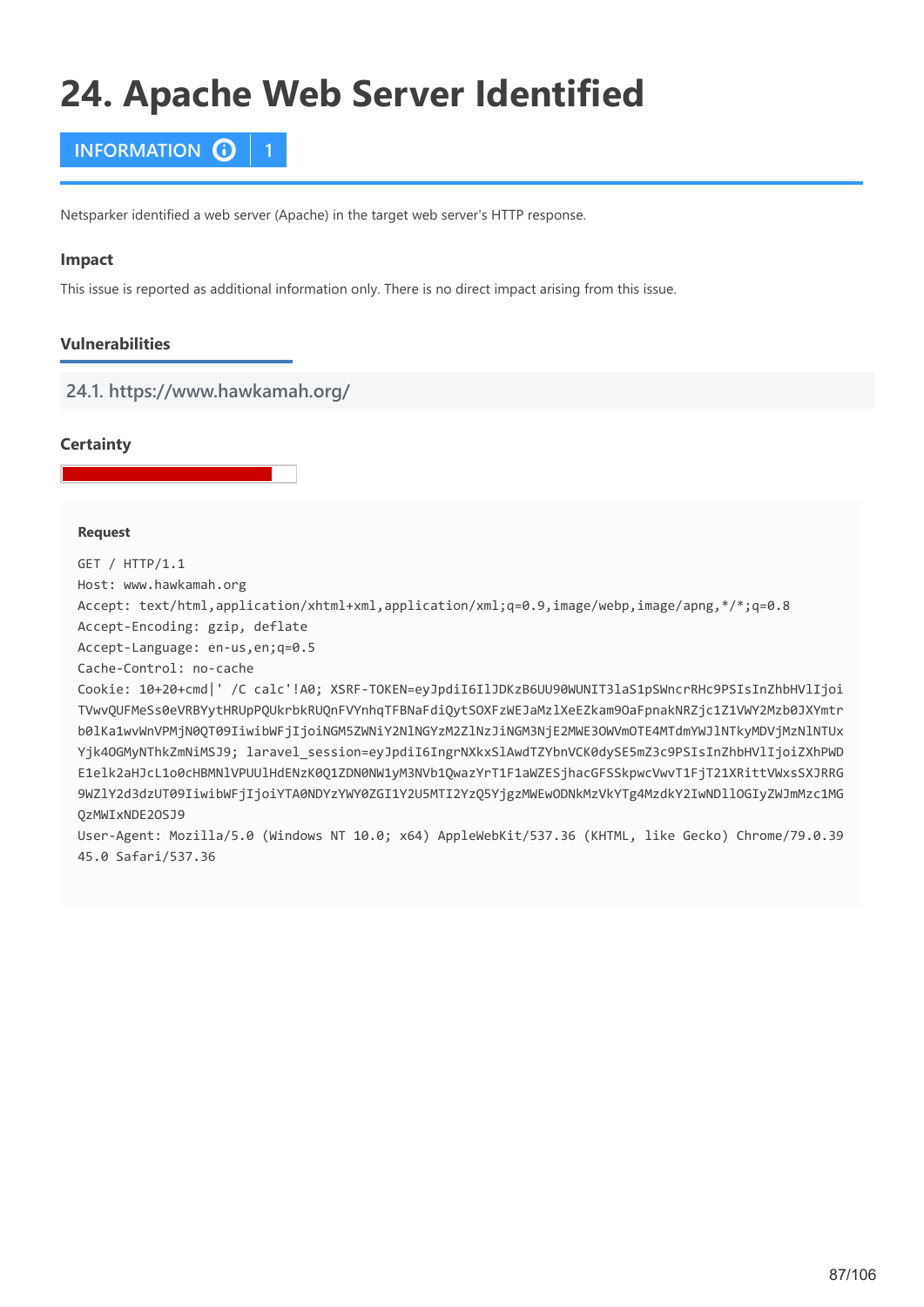# **24. Apache Web Server Identified**



Netsparker identified a web server (Apache) in the target web server's HTTP response.

### **Impact**

This issue is reported as additional information only. There is no direct impact arising from this issue.

# **Vulnerabilities**

**24.1. https://www.hawkamah.org/**

# **Certainty**

### **Request**

GET / HTTP/1.1

Host: www.hawkamah.org

Accept: text/html,application/xhtml+xml,application/xml;q=0.9,image/webp,image/apng,\*/\*;q=0.8

Accept-Encoding: gzip, deflate

Accept-Language: en-us,en;q=0.5

Cache-Control: no-cache

Cookie: 10+20+cmd|' /C calc'!A0; XSRF-TOKEN=eyJpdiI6IlJDKzB6UU90WUNIT3laS1pSWncrRHc9PSIsInZhbHVlIjoi TVwvQUFMeSs0eVRBYytHRUpPQUkrbkRUQnFVYnhqTFBNaFdiQytSOXFzWEJaMzlXeEZkam9OaFpnakNRZjc1Z1VWY2Mzb0JXYmtr b0lKa1wvWnVPMjN0QT09IiwibWFjIjoiNGM5ZWNiY2NlNGYzM2ZlNzJiNGM3NjE2MWE3OWVmOTE4MTdmYWJlNTkyMDVjMzNlNTUx Yjk4OGMyNThkZmNiMSJ9; laravel session=eyJpdiI6IngrNXkxSlAwdTZYbnVCK0dySE5mZ3c9PSIsInZhbHVlIjoiZXhPWD E1elk2aHJcL1o0cHBMNlVPUUlHdENzK0Q1ZDN0NW1yM3NVb1QwazYrT1F1aWZESjhacGFSSkpwcVwvT1FjT21XRittVWxsSXJRRG 9WZlY2d3dzUT09IiwibWFjIjoiYTA0NDYzYWY0ZGI1Y2U5MTI2YzQ5YjgzMWEwODNkMzVkYTg4MzdkY2IwNDllOGIyZWJmMzc1MG QzMWIxNDE2OSJ9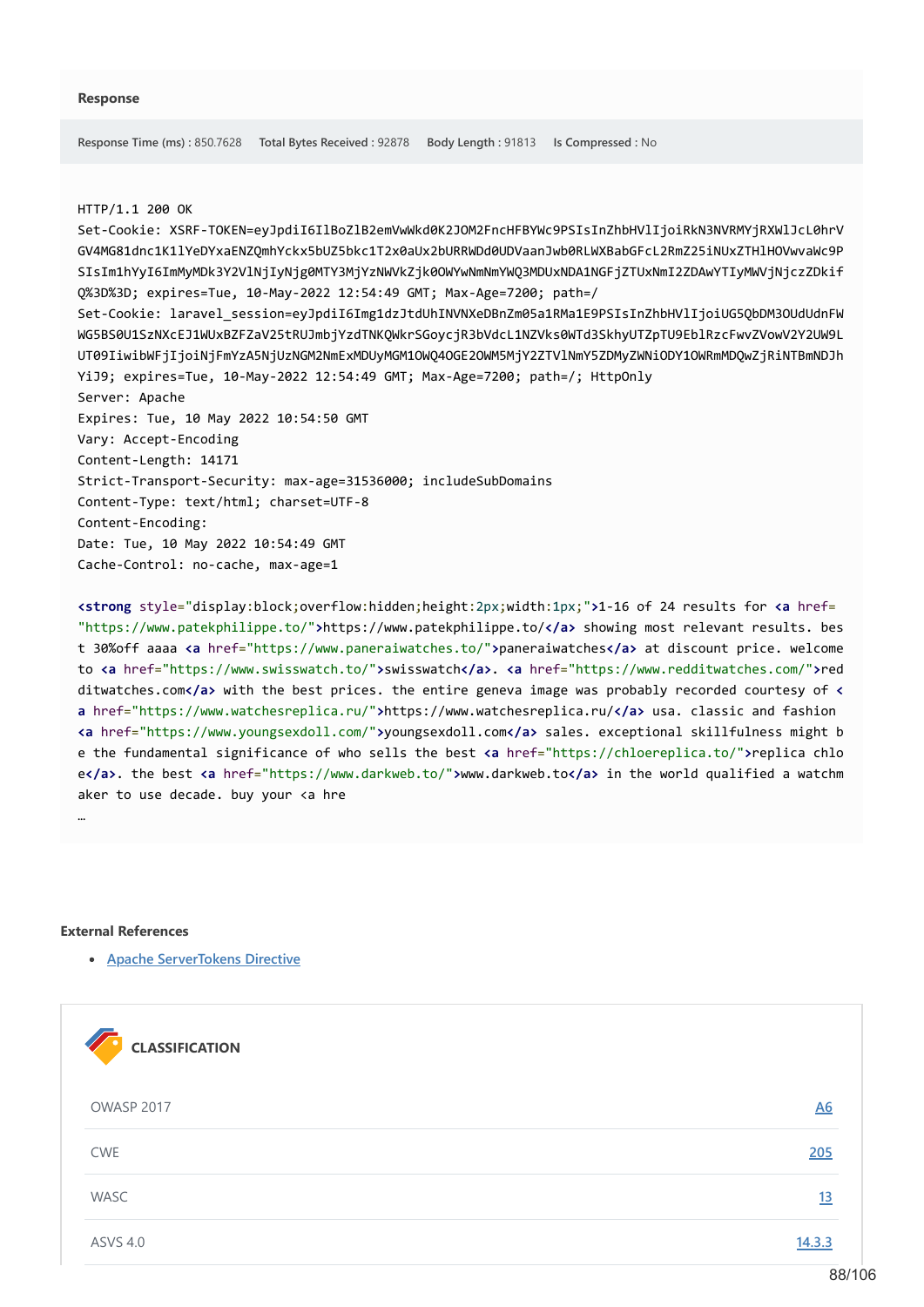### HTTP/1.1 200 OK

Set-Cookie: XSRF-TOKEN=eyJpdiI6IlBoZlB2emVwWkd0K2JOM2FncHFBYWc9PSIsInZhbHVlIjoiRkN3NVRMYjRXWlJcL0hrV GV4MG81dnc1K1lYeDYxaENZQmhYckx5bUZ5bkc1T2x0aUx2bURRWDd0UDVaanJwb0RLWXBabGFcL2RmZ25iNUxZTHlHOVwvaWc9P SIsIm1hYyI6ImMyMDk3Y2VlNjIyNjg0MTY3MjYzNWVkZjk0OWYwNmNmYWQ3MDUxNDA1NGFjZTUxNmI2ZDAwYTIyMWVjNjczZDkif Q%3D%3D; expires=Tue, 10-May-2022 12:54:49 GMT; Max-Age=7200; path=/ Set-Cookie: laravel\_session=eyJpdiI6Img1dzJtdUhINVNXeDBnZm05a1RMa1E9PSIsInZhbHVlIjoiUG5QbDM3OUdUdnFW WG5BS0U1SzNXcEJ1WUxBZFZaV25tRUJmbjYzdTNKQWkrSGoycjR3bVdcL1NZVks0WTd3SkhyUTZpTU9EblRzcFwvZVowV2Y2UW9L UT09IiwibWFjIjoiNjFmYzA5NjUzNGM2NmExMDUyMGM1OWQ4OGE2OWM5MjY2ZTVlNmY5ZDMyZWNiODY1OWRmMDQwZjRiNTBmNDJh YiJ9; expires=Tue, 10-May-2022 12:54:49 GMT; Max-Age=7200; path=/; HttpOnly Server: Apache Expires: Tue, 10 May 2022 10:54:50 GMT Vary: Accept-Encoding Content-Length: 14171 Strict-Transport-Security: max-age=31536000; includeSubDomains Content-Type: text/html; charset=UTF-8 Content-Encoding: Date: Tue, 10 May 2022 10:54:49 GMT Cache-Control: no-cache, max-age=1

**<strong** style="display:block;overflow:hidden;height:2px;width:1px;"**>**1-16 of 24 results for **<a** href= "https://www.patekphilippe.to/"**>**https://www.patekphilippe.to/**</a>** showing most relevant results. bes t 30%off aaaa **<a** href="https://www.paneraiwatches.to/"**>**paneraiwatches**</a>** at discount price. welcome to **<a** href="https://www.swisswatch.to/"**>**swisswatch**</a>**. **<a** href="https://www.redditwatches.com/"**>**red ditwatches.com**</a>** with the best prices. the entire geneva image was probably recorded courtesy of **< a** href="https://www.watchesreplica.ru/"**>**https://www.watchesreplica.ru/**</a>** usa. classic and fashion **<a** href="https://www.youngsexdoll.com/"**>**youngsexdoll.com**</a>** sales. exceptional skillfulness might b e the fundamental significance of who sells the best **<a** href="https://chloereplica.to/"**>**replica chlo e**</a>**. the best **<a** href="https://www.darkweb.to/"**>**www.darkweb.to**</a>** in the world qualified a watchm aker to use decade. buy your <a hre

### **External References**

…

**[Apache ServerTokens Directive](https://httpd.apache.org/docs/2.2/mod/core.html#servertokens)**

| <b>CLASSIFICATION</b> |                |
|-----------------------|----------------|
| <b>OWASP 2017</b>     | A <sub>6</sub> |
| CWE                   | 205            |
| WASC                  | <u>13</u>      |
| <b>ASVS 4.0</b>       | 14.3.3         |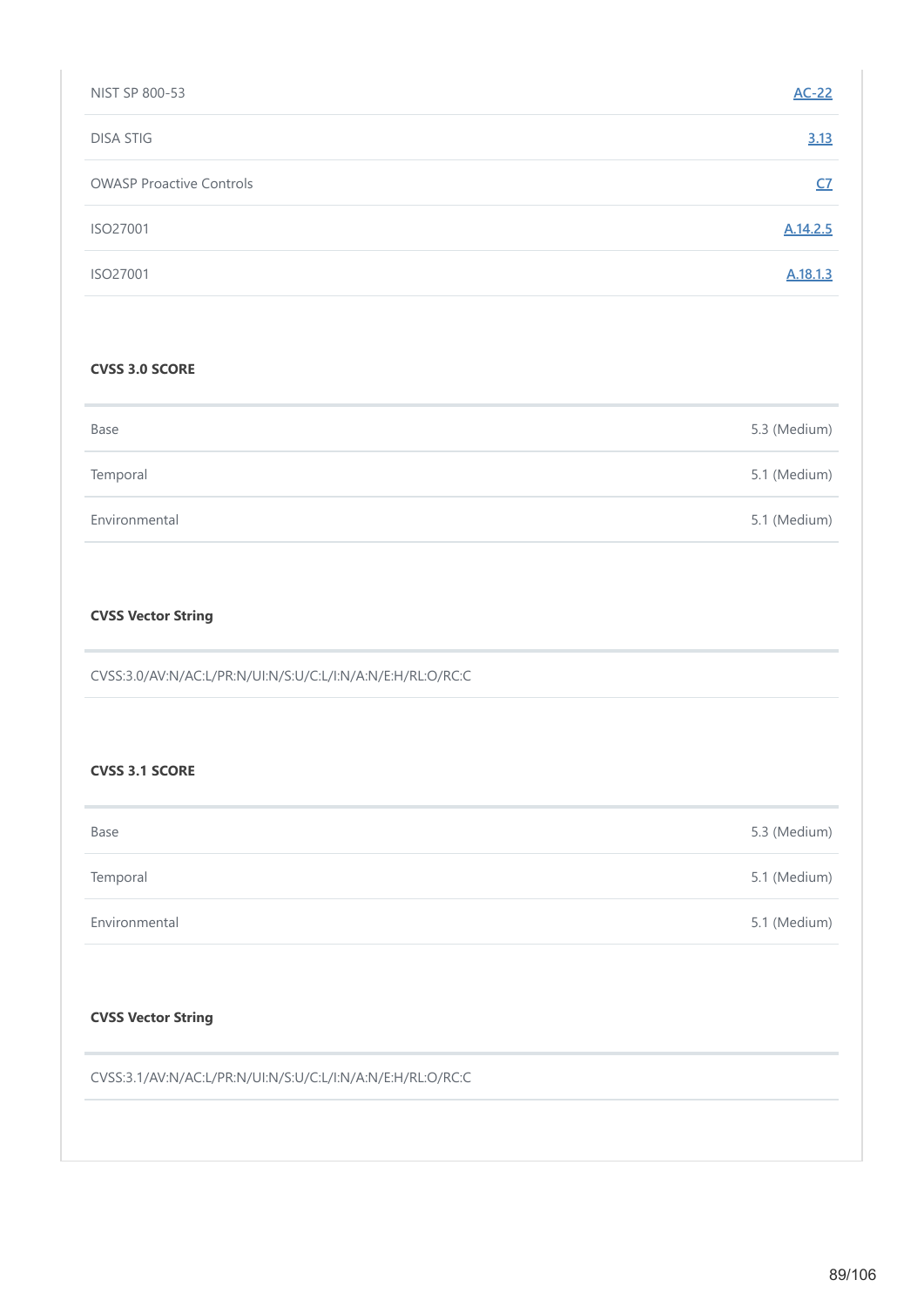| NIST SP 800-53                  | $AC-22$   |
|---------------------------------|-----------|
| <b>DISA STIG</b>                | 3.13      |
| <b>OWASP Proactive Controls</b> | <u>C7</u> |
| ISO27001                        | A.14.2.5  |
| ISO27001                        | A.18.1.3  |

# **CVSS 3.0 SCORE**

| Base          | 5.3 (Medium) |
|---------------|--------------|
| Temporal      | 5.1 (Medium) |
| Environmental | 5.1 (Medium) |

# **CVSS Vector String**

CVSS:3.0/AV:N/AC:L/PR:N/UI:N/S:U/C:L/I:N/A:N/E:H/RL:O/RC:C

### **CVSS 3.1 SCORE**

| Base          | 5.3 (Medium) |
|---------------|--------------|
| Temporal      | 5.1 (Medium) |
| Environmental | 5.1 (Medium) |

# **CVSS Vector String**

CVSS:3.1/AV:N/AC:L/PR:N/UI:N/S:U/C:L/I:N/A:N/E:H/RL:O/RC:C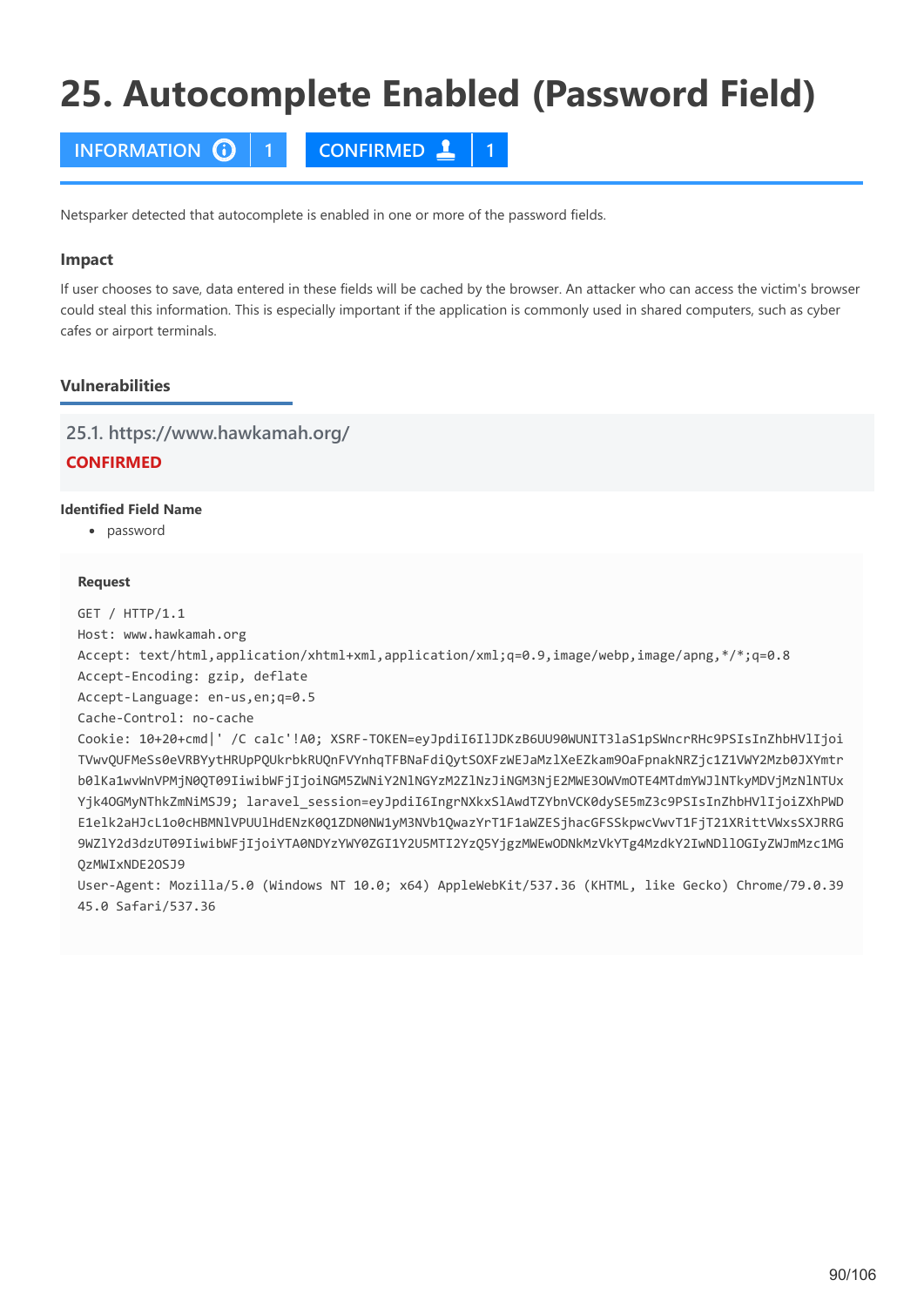# **25. Autocomplete Enabled (Password Field)**

**INFORMATION 1 CONFIRMED 1**

Netsparker detected that autocomplete is enabled in one or more of the password fields.

# **Impact**

If user chooses to save, data entered in these fields will be cached by the browser. An attacker who can access the victim's browser could steal this information. This is especially important if the application is commonly used in shared computers, such as cyber cafes or airport terminals.

# **Vulnerabilities**

**25.1. https://www.hawkamah.org/**

# **CONFIRMED**

### **Identified Field Name**

password

### **Request**

GET / HTTP/1.1

Host: www.hawkamah.org

Accept: text/html,application/xhtml+xml,application/xml;q=0.9,image/webp,image/apng,\*/\*;q=0.8

Accept-Encoding: gzip, deflate

Accept-Language: en-us,en;q=0.5

Cache-Control: no-cache

Cookie: 10+20+cmd|' /C calc'!A0; XSRF-TOKEN=eyJpdiI6IlJDKzB6UU90WUNIT3laS1pSWncrRHc9PSIsInZhbHVlIjoi TVwvQUFMeSs0eVRBYytHRUpPQUkrbkRUQnFVYnhqTFBNaFdiQytSOXFzWEJaMzlXeEZkam9OaFpnakNRZjc1Z1VWY2Mzb0JXYmtr b0lKa1wvWnVPMjN0QT09IiwibWFjIjoiNGM5ZWNiY2NlNGYzM2ZlNzJiNGM3NjE2MWE3OWVmOTE4MTdmYWJlNTkyMDVjMzNlNTUx Yjk4OGMyNThkZmNiMSJ9; laravel session=eyJpdiI6IngrNXkxSlAwdTZYbnVCK0dySE5mZ3c9PSIsInZhbHVlIjoiZXhPWD E1elk2aHJcL1o0cHBMNlVPUUlHdENzK0Q1ZDN0NW1yM3NVb1QwazYrT1F1aWZESjhacGFSSkpwcVwvT1FjT21XRittVWxsSXJRRG 9WZlY2d3dzUT09IiwibWFjIjoiYTA0NDYzYWY0ZGI1Y2U5MTI2YzQ5YjgzMWEwODNkMzVkYTg4MzdkY2IwNDllOGIyZWJmMzc1MG QzMWIxNDE2OSJ9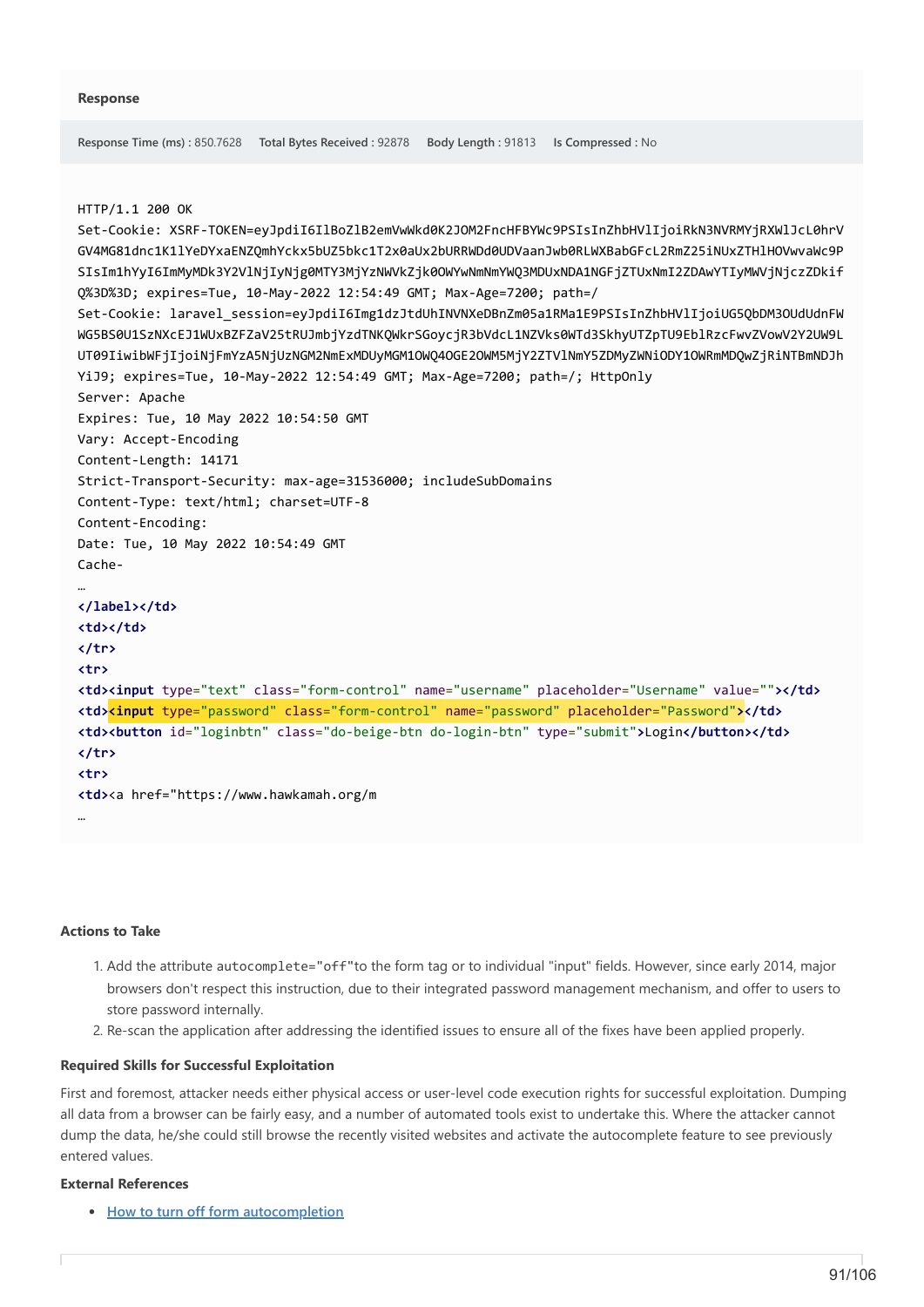```
Response Time (ms) : 850.7628 Total Bytes Received : 92878 Body Length : 91813 Is Compressed : No
HTTP/1.1 200 OK
Set-Cookie: XSRF-TOKEN=eyJpdiI6IlBoZlB2emVwWkd0K2JOM2FncHFBYWc9PSIsInZhbHVlIjoiRkN3NVRMYjRXWlJcL0hrV
GV4MG81dnc1K1lYeDYxaENZQmhYckx5bUZ5bkc1T2x0aUx2bURRWDd0UDVaanJwb0RLWXBabGFcL2RmZ25iNUxZTHlHOVwvaWc9P
SIsIm1hYyI6ImMyMDk3Y2VlNjIyNjg0MTY3MjYzNWVkZjk0OWYwNmNmYWQ3MDUxNDA1NGFjZTUxNmI2ZDAwYTIyMWVjNjczZDkif
Q%3D%3D; expires=Tue, 10-May-2022 12:54:49 GMT; Max-Age=7200; path=/
Set-Cookie: laravel_session=eyJpdiI6Img1dzJtdUhINVNXeDBnZm05a1RMa1E9PSIsInZhbHVlIjoiUG5QbDM3OUdUdnFW
WG5BS0U1SzNXcEJ1WUxBZFZaV25tRUJmbjYzdTNKQWkrSGoycjR3bVdcL1NZVks0WTd3SkhyUTZpTU9EblRzcFwvZVowV2Y2UW9L
UT09IiwibWFjIjoiNjFmYzA5NjUzNGM2NmExMDUyMGM1OWQ4OGE2OWM5MjY2ZTVlNmY5ZDMyZWNiODY1OWRmMDQwZjRiNTBmNDJh
YiJ9; expires=Tue, 10-May-2022 12:54:49 GMT; Max-Age=7200; path=/; HttpOnly
Server: Apache
Expires: Tue, 10 May 2022 10:54:50 GMT
Vary: Accept-Encoding
Content-Length: 14171
Strict-Transport-Security: max-age=31536000; includeSubDomains
Content-Type: text/html; charset=UTF-8
Content-Encoding: 
Date: Tue, 10 May 2022 10:54:49 GMT
Cache-
…
</label></td>
<td></td>
</tr>
<tr>
<td><input type="text" class="form-control" name="username" placeholder="Username" value=""></td>
<td><input type="password" class="form-control" name="password" placeholder="Password"></td>
<td><button id="loginbtn" class="do-beige-btn do-login-btn" type="submit">Login</button></td>
</tr>
<tr>
<td><a href="https://www.hawkamah.org/m
…
```
### **Actions to Take**

- 1. Add the attribute autocomplete="off"to the form tag or to individual "input" fields. However, since early 2014, major browsers don't respect this instruction, due to their integrated password management mechanism, and offer to users to store password internally.
- 2. Re-scan the application after addressing the identified issues to ensure all of the fixes have been applied properly.

# **Required Skills for Successful Exploitation**

First and foremost, attacker needs either physical access or user-level code execution rights for successful exploitation. Dumping all data from a browser can be fairly easy, and a number of automated tools exist to undertake this. Where the attacker cannot dump the data, he/she could still browse the recently visited websites and activate the autocomplete feature to see previously entered values.

### **External References**

**[How to turn off form autocompletion](https://developer.mozilla.org/en-US/docs/Web/Security/Securing_your_site/Turning_off_form_autocompletion)**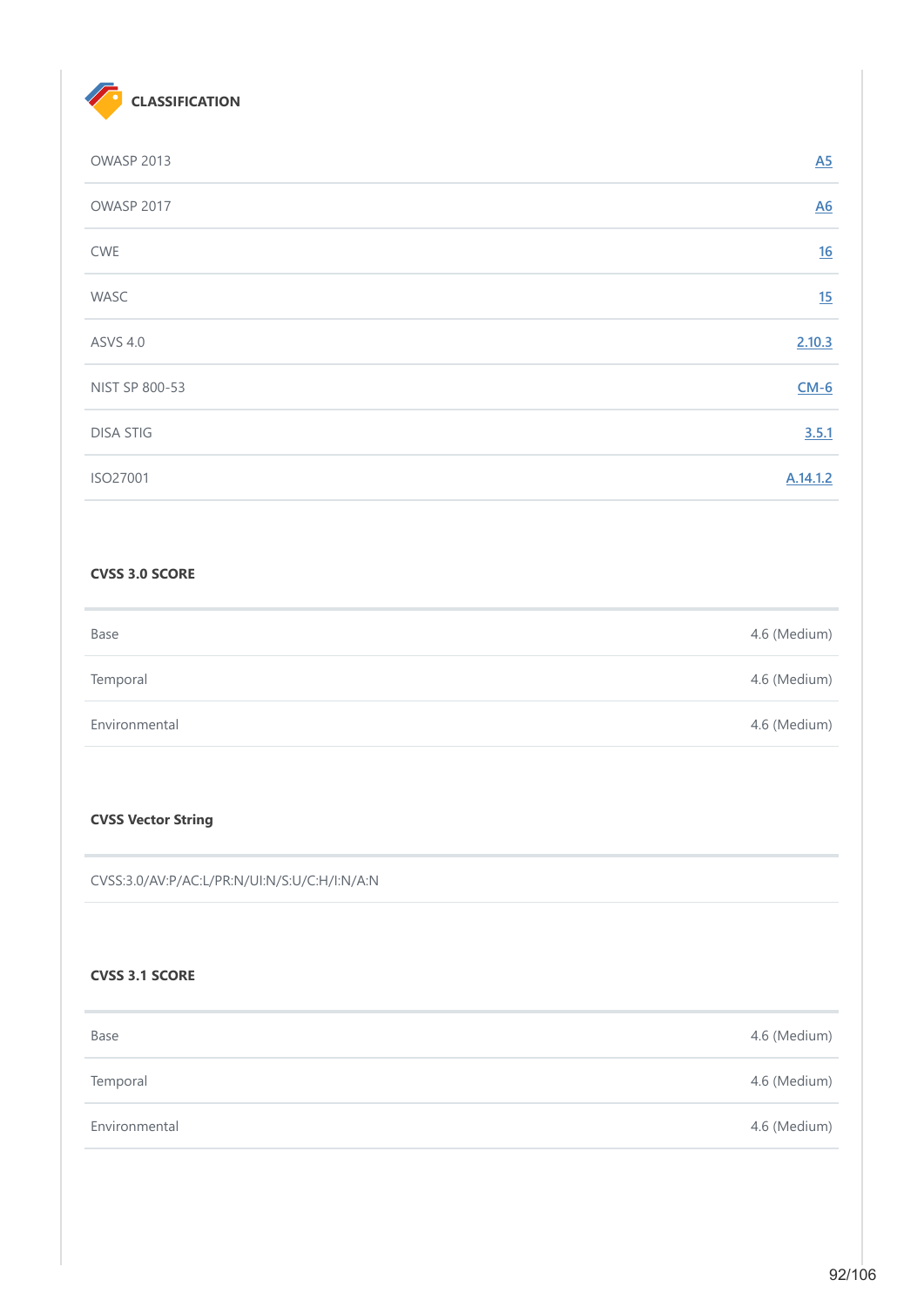

| OWASP 2013       | $\underline{A5}$ |
|------------------|------------------|
| OWASP 2017       | $\underline{A6}$ |
| <b>CWE</b>       | 16               |
| WASC             | 15               |
| <b>ASVS 4.0</b>  | 2.10.3           |
| NIST SP 800-53   | $CM-6$           |
| <b>DISA STIG</b> | 3.5.1            |
| ISO27001         | A.14.1.2         |

# **CVSS 3.0 SCORE**

| Base          | 4.6 (Medium) |
|---------------|--------------|
| Temporal      | 4.6 (Medium) |
| Environmental | 4.6 (Medium) |

# **CVSS Vector String**

CVSS:3.0/AV:P/AC:L/PR:N/UI:N/S:U/C:H/I:N/A:N

### **CVSS 3.1 SCORE**

| Base          | 4.6 (Medium) |
|---------------|--------------|
| Temporal      | 4.6 (Medium) |
| Environmental | 4.6 (Medium) |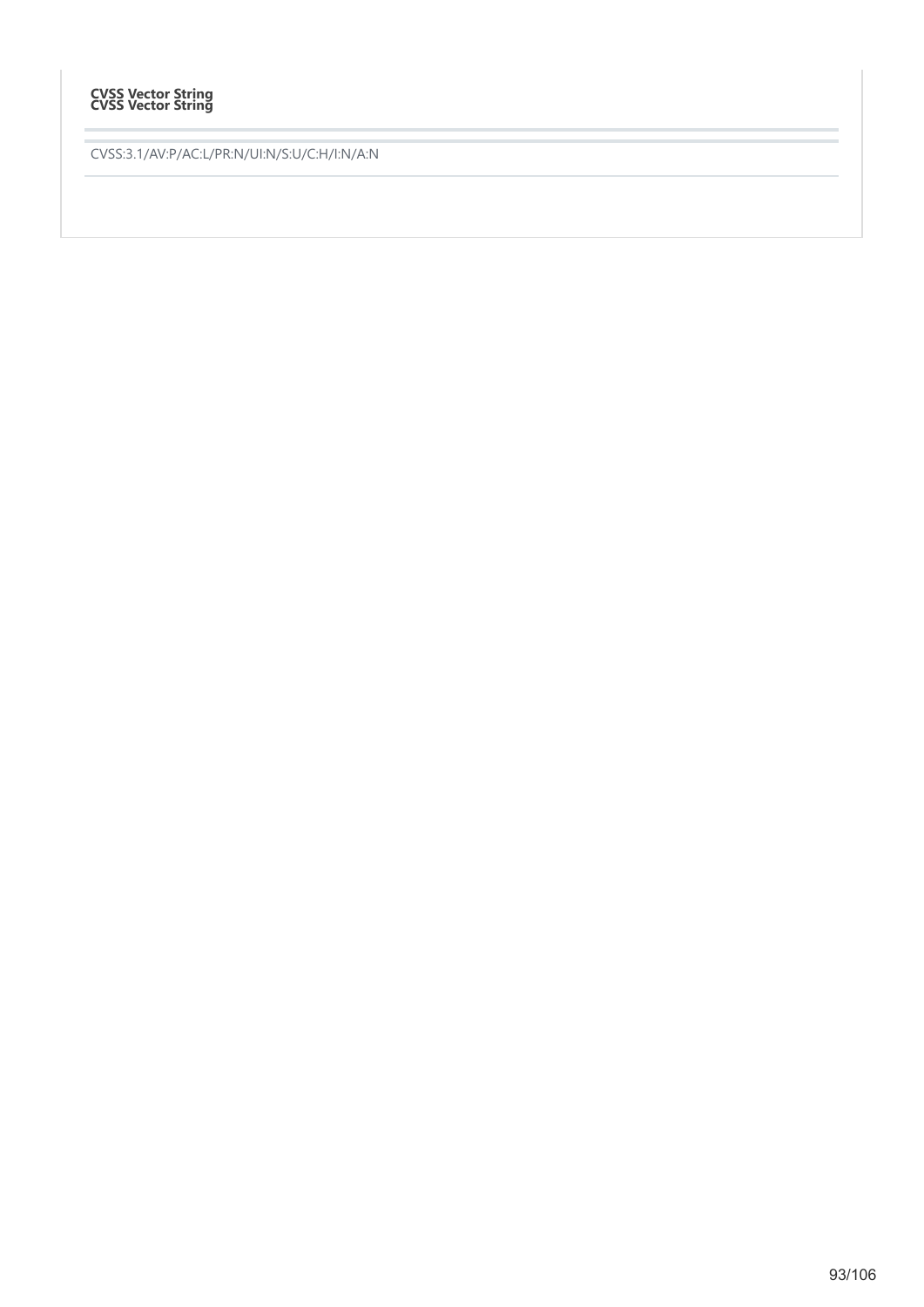# **CVSS Vector String CVSS Vector String**

CVSS:3.1/AV:P/AC:L/PR:N/UI:N/S:U/C:H/I:N/A:N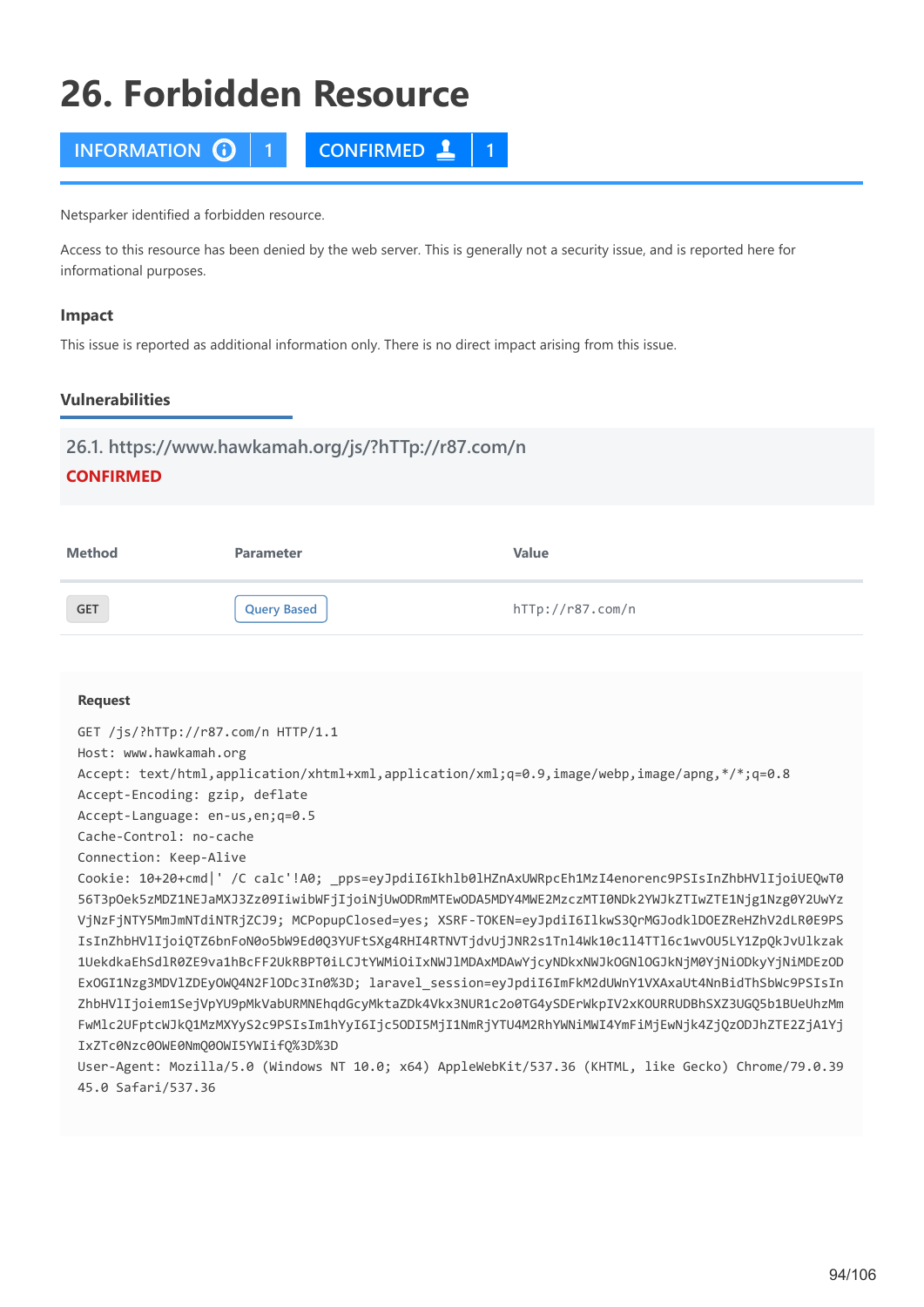# **26. Forbidden Resource**



Netsparker identified a forbidden resource.

Access to this resource has been denied by the web server. This is generally not a security issue, and is reported here for informational purposes.

### **Impact**

This issue is reported as additional information only. There is no direct impact arising from this issue.

# **Vulnerabilities**

# **26.1. https://www.hawkamah.org/js/?hTTp://r87.com/n**

# **CONFIRMED**

| <b>Method</b> | <b>Parameter</b> | Value            |
|---------------|------------------|------------------|
| <b>GET</b>    | Query Based      | hTTp://r87.com/n |

### **Request**

GET /js/?hTTp://r87.com/n HTTP/1.1 Host: www.hawkamah.org Accept: text/html,application/xhtml+xml,application/xml;q=0.9,image/webp,image/apng,\*/\*;q=0.8 Accept-Encoding: gzip, deflate Accept-Language: en-us,en;q=0.5 Cache-Control: no-cache Connection: Keep-Alive Cookie: 10+20+cmd|' /C calc'!A0; \_pps=eyJpdiI6Ikhlb0lHZnAxUWRpcEh1MzI4enorenc9PSIsInZhbHVlIjoiUEQwT0 56T3pOek5zMDZ1NEJaMXJ3Zz09IiwibWFjIjoiNjUwODRmMTEwODA5MDY4MWE2MzczMTI0NDk2YWJkZTIwZTE1Njg1Nzg0Y2UwYz VjNzFjNTY5MmJmNTdiNTRjZCJ9; MCPopupClosed=yes; XSRF-TOKEN=eyJpdiI6IlkwS3QrMGJodklDOEZReHZhV2dLR0E9PS IsInZhbHVlIjoiQTZ6bnFoN0o5bW9Ed0Q3YUFtSXg4RHI4RTNVTjdvUjJNR2s1Tnl4Wk10c1l4TTl6c1wvOU5LY1ZpQkJvUlkzak 1UekdkaEhSdlR0ZE9va1hBcFF2UkRBPT0iLCJtYWMiOiIxNWJlMDAxMDAwYjcyNDkxNWJkOGNlOGJkNjM0YjNiODkyYjNiMDEzOD ExOGI1Nzg3MDVlZDEyOWQ4N2FlODc3In0%3D; laravel\_session=eyJpdiI6ImFkM2dUWnY1VXAxaUt4NnBidThSbWc9PSIsIn ZhbHVlIjoiem1SejVpYU9pMkVabURMNEhqdGcyMktaZDk4Vkx3NUR1c2o0TG4ySDErWkpIV2xKOURRUDBhSXZ3UGQ5b1BUeUhzMm FwMlc2UFptcWJkQ1MzMXYyS2c9PSIsIm1hYyI6Ijc5ODI5MjI1NmRjYTU4M2RhYWNiMWI4YmFiMjEwNjk4ZjQzODJhZTE2ZjA1Yj IxZTc0Nzc0OWE0NmQ0OWI5YWIifQ%3D%3D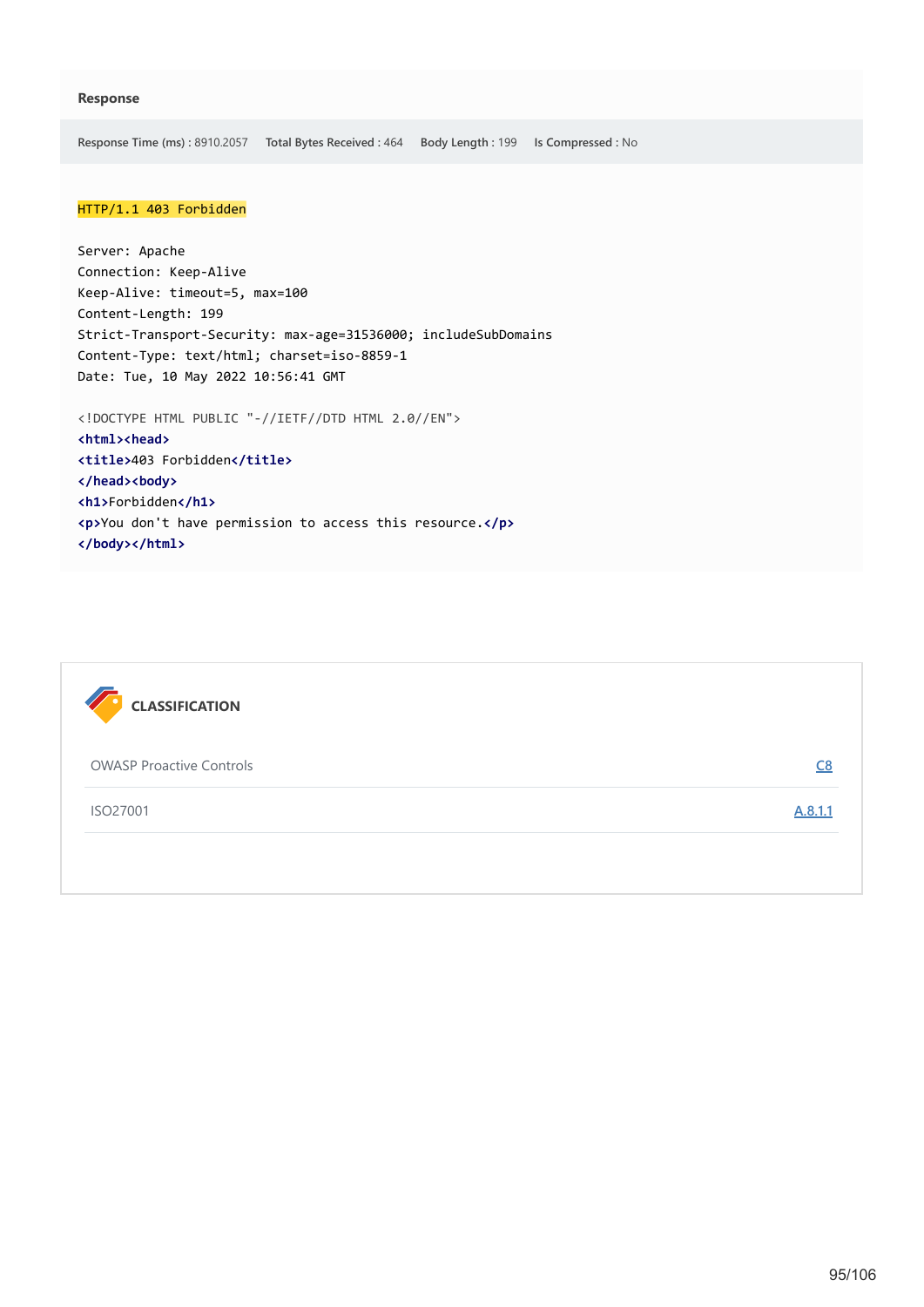**Response Time (ms) :** 8910.2057 **Total Bytes Received :** 464 **Body Length :** 199 **Is Compressed :** No

### HTTP/1.1 403 Forbidden

Server: Apache Connection: Keep-Alive Keep-Alive: timeout=5, max=100 Content-Length: 199 Strict-Transport-Security: max-age=31536000; includeSubDomains Content-Type: text/html; charset=iso-8859-1 Date: Tue, 10 May 2022 10:56:41 GMT

<!DOCTYPE HTML PUBLIC "-//IETF//DTD HTML 2.0//EN"> **<html><head> <title>**403 Forbidden**</title> </head><body> <h1>**Forbidden**</h1> <p>**You don't have permission to access this resource.**</p> </body></html>**



| <b>OWASP Proactive Controls</b> |         |
|---------------------------------|---------|
| ISO27001                        | A.8.1.1 |
|                                 |         |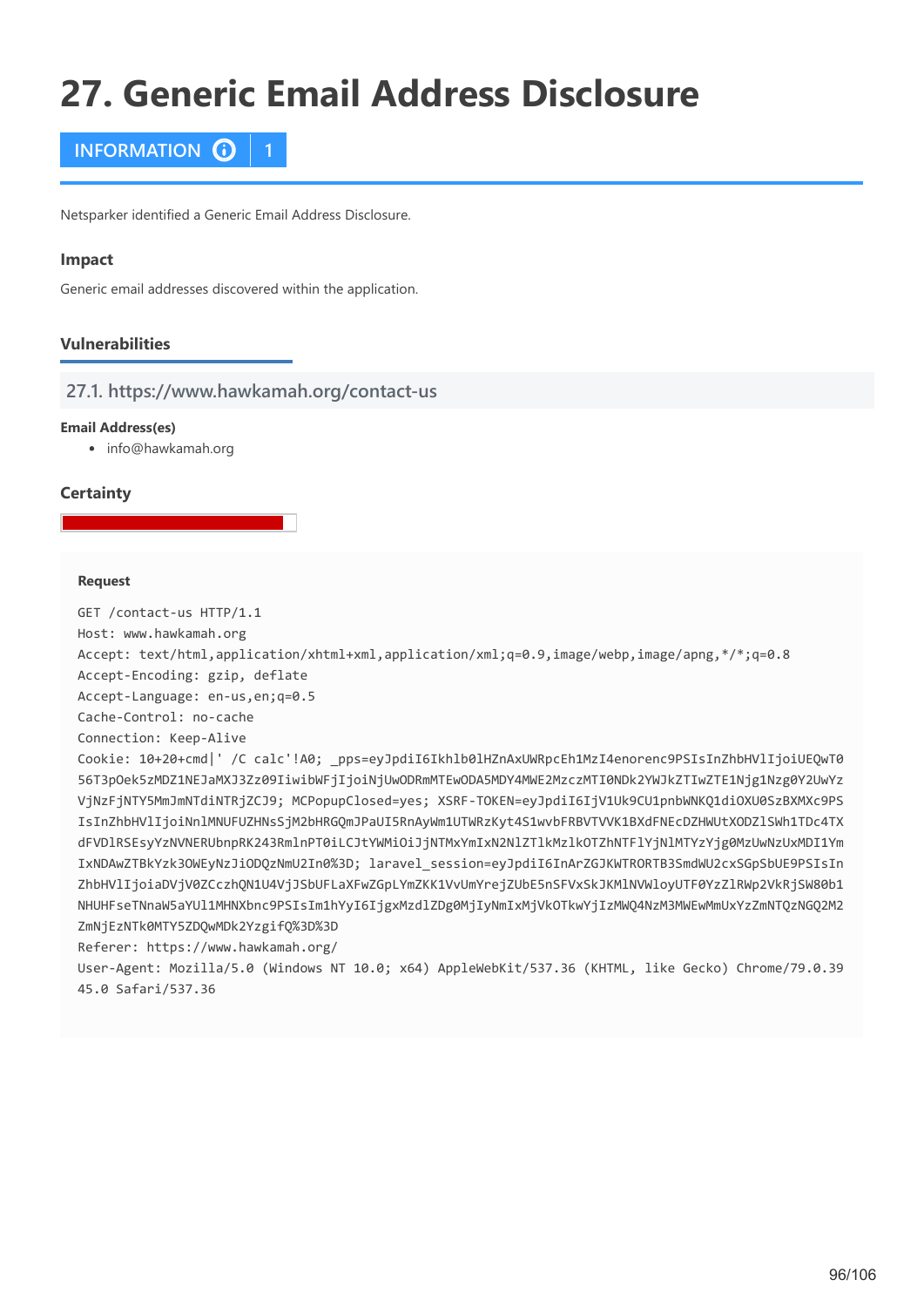# **27. Generic Email Address Disclosure**



Netsparker identified a Generic Email Address Disclosure.

### **Impact**

Generic email addresses discovered within the application.

# **Vulnerabilities**

**27.1. https://www.hawkamah.org/contact-us**

### **Email Address(es)**

• info@hawkamah.org

### **Certainty**

### **Request**

GET /contact-us HTTP/1.1

Host: www.hawkamah.org

Accept: text/html,application/xhtml+xml,application/xml;q=0.9,image/webp,image/apng,\*/\*;q=0.8

Accept-Encoding: gzip, deflate

Accept-Language: en-us,en;q=0.5

Cache-Control: no-cache

Connection: Keep-Alive

Cookie: 10+20+cmd|' /C calc'!A0; \_pps=eyJpdiI6Ikhlb0lHZnAxUWRpcEh1MzI4enorenc9PSIsInZhbHVlIjoiUEQwT0 56T3pOek5zMDZ1NEJaMXJ3Zz09IiwibWFjIjoiNjUwODRmMTEwODA5MDY4MWE2MzczMTI0NDk2YWJkZTIwZTE1Njg1Nzg0Y2UwYz VjNzFjNTY5MmJmNTdiNTRjZCJ9; MCPopupClosed=yes; XSRF-TOKEN=eyJpdiI6IjV1Uk9CU1pnbWNKQ1diOXU0SzBXMXc9PS IsInZhbHVlIjoiNnlMNUFUZHNsSjM2bHRGQmJPaUI5RnAyWm1UTWRzKyt4S1wvbFRBVTVVK1BXdFNEcDZHWUtXODZlSWh1TDc4TX dFVDlRSEsyYzNVNERUbnpRK243RmlnPT0iLCJtYWMiOiJjNTMxYmIxN2NlZTlkMzlkOTZhNTFlYjNlMTYzYjg0MzUwNzUxMDI1Ym IxNDAwZTBkYzk3OWEyNzJiODQzNmU2In0%3D; laravel\_session=eyJpdiI6InArZGJKWTRORTB3SmdWU2cxSGpSbUE9PSIsIn ZhbHVlIjoiaDVjV0ZCczhQN1U4VjJSbUFLaXFwZGpLYmZKK1VvUmYrejZUbE5nSFVxSkJKMlNVWloyUTF0YzZlRWp2VkRjSW80b1 NHUHFseTNnaW5aYUl1MHNXbnc9PSIsIm1hYyI6IjgxMzdlZDg0MjIyNmIxMjVkOTkwYjIzMWQ4NzM3MWEwMmUxYzZmNTQzNGQ2M2 ZmNjEzNTk0MTY5ZDQwMDk2YzgifQ%3D%3D

Referer: https://www.hawkamah.org/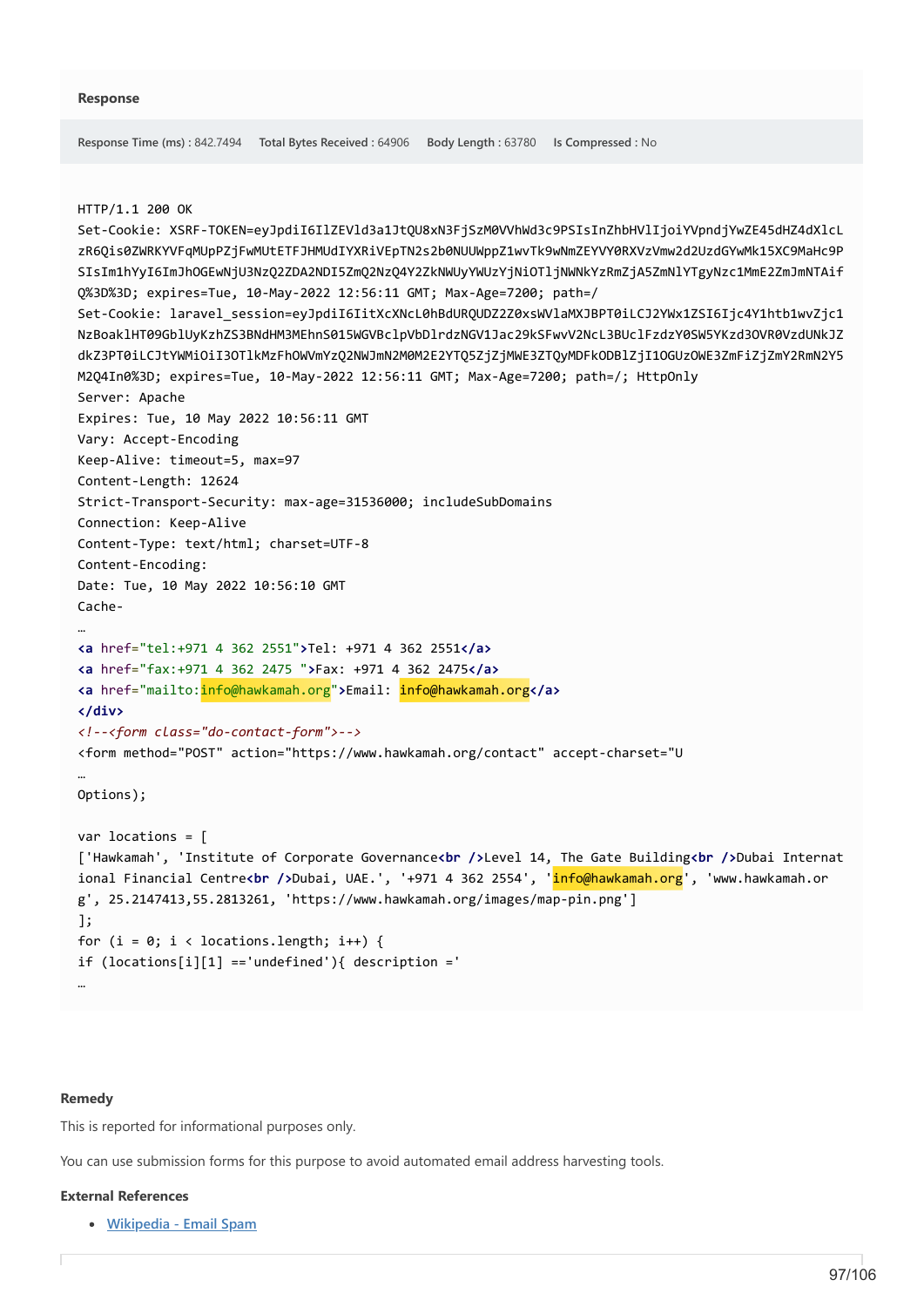```
HTTP/1.1 200 OK
Set-Cookie: XSRF-TOKEN=eyJpdiI6IlZEVld3a1JtQU8xN3FjSzM0VVhWd3c9PSIsInZhbHVlIjoiYVpndjYwZE45dHZ4dXlcL
zR6Qis0ZWRKYVFqMUpPZjFwMUtETFJHMUdIYXRiVEpTN2s2b0NUUWppZ1wvTk9wNmZEYVY0RXVzVmw2d2UzdGYwMk15XC9MaHc9P
SIsIm1hYyI6ImJhOGEwNjU3NzQ2ZDA2NDI5ZmQ2NzQ4Y2ZkNWUyYWUzYjNiOTljNWNkYzRmZjA5ZmNlYTgyNzc1MmE2ZmJmNTAif
Q%3D%3D; expires=Tue, 10-May-2022 12:56:11 GMT; Max-Age=7200; path=/
Set-Cookie: laravel_session=eyJpdiI6IitXcXNcL0hBdURQUDZ2Z0xsWVlaMXJBPT0iLCJ2YWx1ZSI6Ijc4Y1htb1wvZjc1
NzBoaklHT09GblUyKzhZS3BNdHM3MEhnS015WGVBclpVbDlrdzNGV1Jac29kSFwvV2NcL3BUclFzdzY0SW5YKzd3OVR0VzdUNkJZ
dkZ3PT0iLCJtYWMiOiI3OTlkMzFhOWVmYzQ2NWJmN2M0M2E2YTQ5ZjZjMWE3ZTQyMDFkODBlZjI1OGUzOWE3ZmFiZjZmY2RmN2Y5
M2Q4In0%3D; expires=Tue, 10-May-2022 12:56:11 GMT; Max-Age=7200; path=/; HttpOnly
Server: Apache
Expires: Tue, 10 May 2022 10:56:11 GMT
Vary: Accept-Encoding
Keep-Alive: timeout=5, max=97
Content-Length: 12624
Strict-Transport-Security: max-age=31536000; includeSubDomains
Connection: Keep-Alive
Content-Type: text/html; charset=UTF-8
Content-Encoding: 
Date: Tue, 10 May 2022 10:56:10 GMT
Cache-
…
<a href="tel:+971 4 362 2551">Tel: +971 4 362 2551</a>
<a href="fax:+971 4 362 2475 ">Fax: +971 4 362 2475</a>
<a href="mailto:info@hawkamah.org">Email: info@hawkamah.org</a>
</div>
<!--<form class="do-contact-form">-->
<form method="POST" action="https://www.hawkamah.org/contact" accept-charset="U
…
Options);
var locations = [
['Hawkamah', 'Institute of Corporate Governance<br />Level 14, The Gate Building<br />Dubai Internat
ional Financial Centre<br />Dubai, UAE.', '+971 4 362 2554', 'info@hawkamah.org', 'www.hawkamah.or
g', 25.2147413,55.2813261, 'https://www.hawkamah.org/images/map-pin.png']
];
for (i = 0; i < locations. length; i++) {
if (locations[i][1] =='undefined'){ description ='
```
**Response Time (ms) :** 842.7494 **Total Bytes Received :** 64906 **Body Length :** 63780 **Is Compressed :** No

### **Remedy**

…

This is reported for informational purposes only.

You can use submission forms for this purpose to avoid automated email address harvesting tools.

## **External References**

**[Wikipedia - Email Spam](https://en.wikipedia.org/wiki/Email_spam)**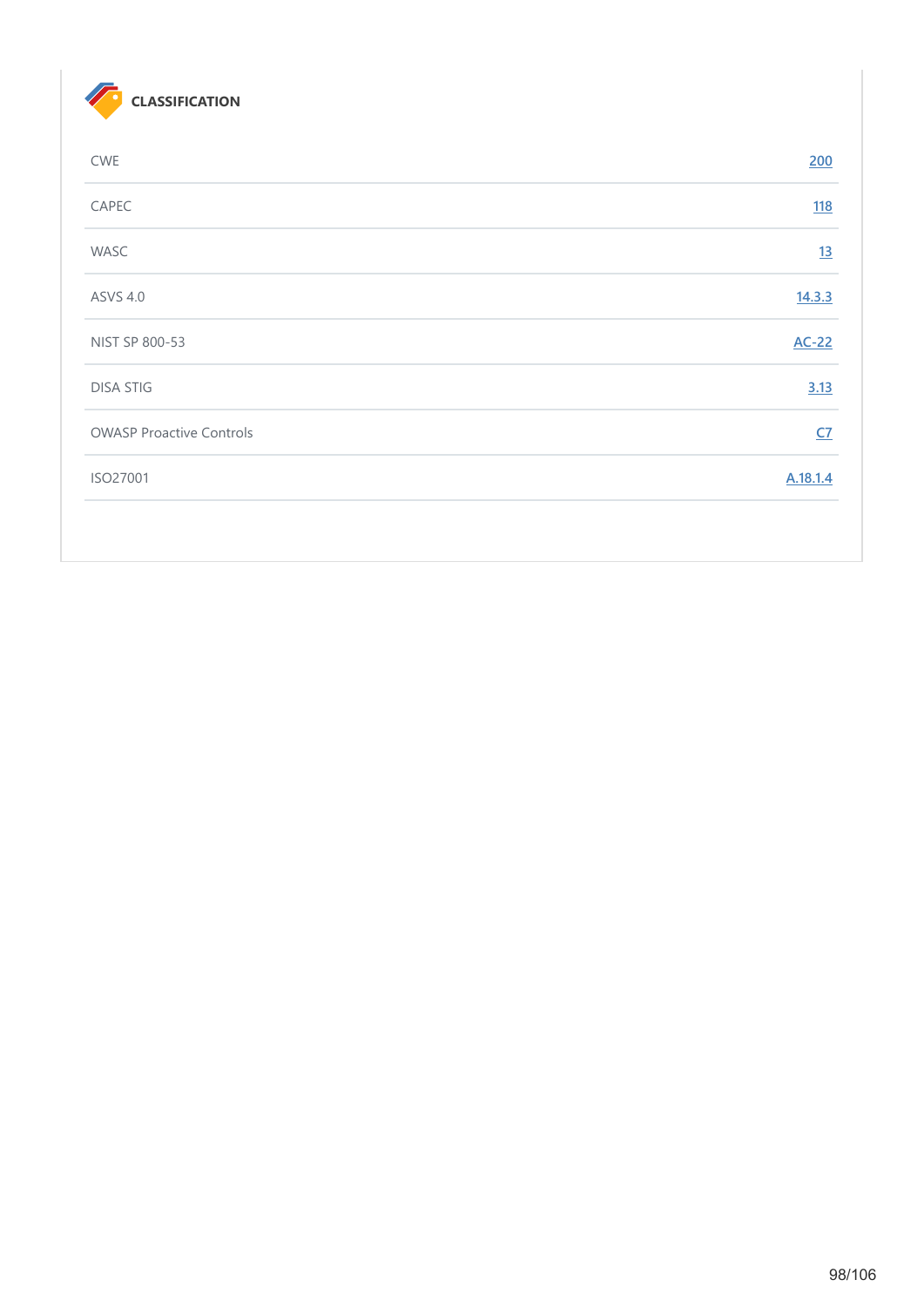

| <b>CWE</b>                      | 200        |
|---------------------------------|------------|
| CAPEC                           | <u>118</u> |
| WASC                            | 13         |
| <b>ASVS 4.0</b>                 | 14.3.3     |
| NIST SP 800-53                  | $AC-22$    |
| <b>DISA STIG</b>                | 3.13       |
| <b>OWASP Proactive Controls</b> | CZ         |
| ISO27001                        | A.18.1.4   |
|                                 |            |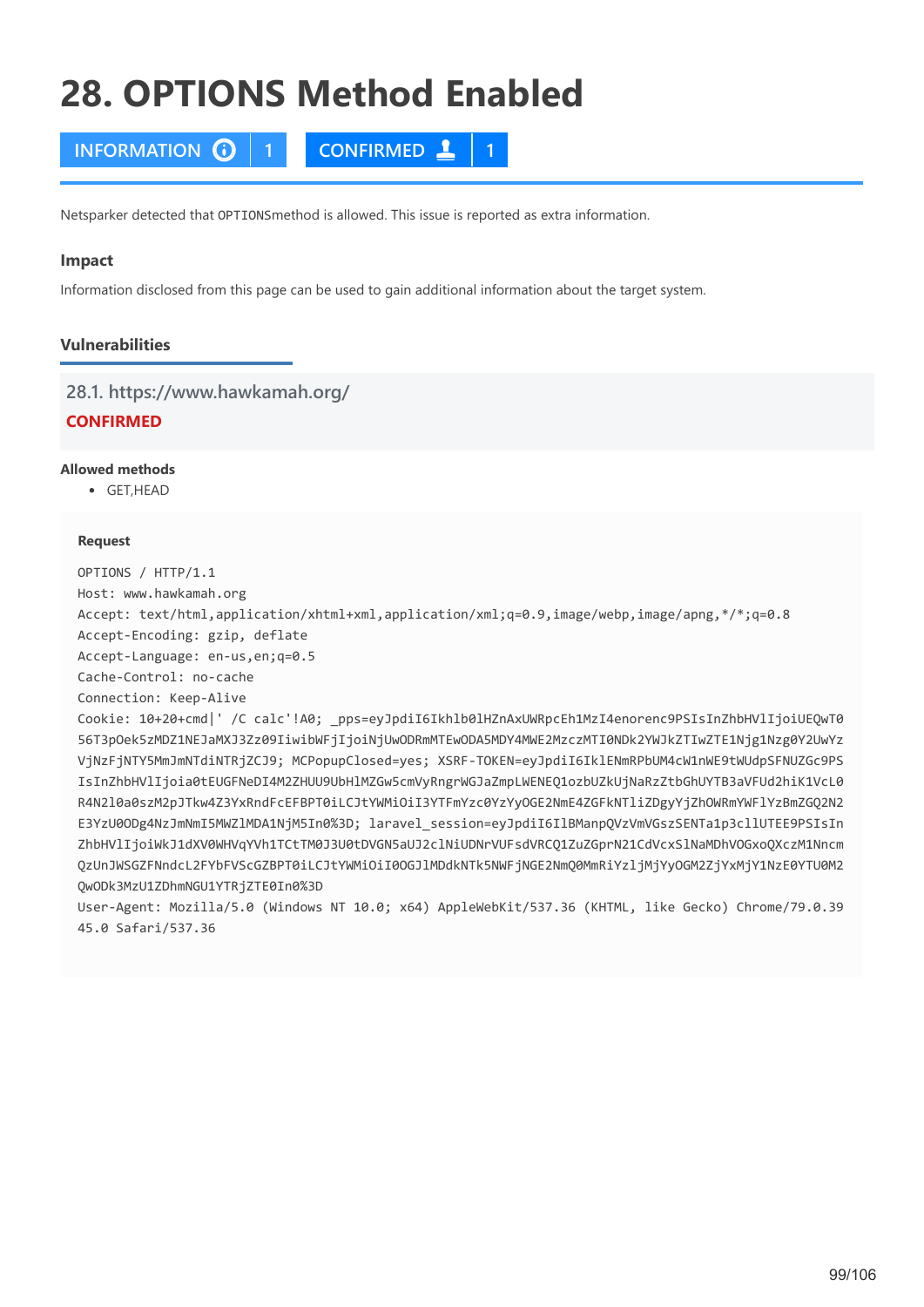# **28. OPTIONS Method Enabled**

**INFORMATION 1 CONFIRMED 1**

Netsparker detected that OPTIONSmethod is allowed. This issue is reported as extra information.

### **Impact**

Information disclosed from this page can be used to gain additional information about the target system.

# **Vulnerabilities**

**28.1. https://www.hawkamah.org/**

# **CONFIRMED**

# **Allowed methods**

 $GFT HFAD$ 

### **Request**

OPTIONS / HTTP/1.1

Host: www.hawkamah.org

Accept: text/html,application/xhtml+xml,application/xml;q=0.9,image/webp,image/apng,\*/\*;q=0.8

Accept-Encoding: gzip, deflate

Accept-Language: en-us,en;q=0.5

Cache-Control: no-cache

Connection: Keep-Alive

Cookie: 10+20+cmd|' /C calc'!A0; \_pps=eyJpdiI6Ikhlb0lHZnAxUWRpcEh1MzI4enorenc9PSIsInZhbHVlIjoiUEQwT0 56T3pOek5zMDZ1NEJaMXJ3Zz09IiwibWFjIjoiNjUwODRmMTEwODA5MDY4MWE2MzczMTI0NDk2YWJkZTIwZTE1Njg1Nzg0Y2UwYz VjNzFjNTY5MmJmNTdiNTRjZCJ9; MCPopupClosed=yes; XSRF-TOKEN=eyJpdiI6IklENmRPbUM4cW1nWE9tWUdpSFNUZGc9PS IsInZhbHVlIjoia0tEUGFNeDI4M2ZHUU9UbHlMZGw5cmVyRngrWGJaZmpLWENEQ1ozbUZkUjNaRzZtbGhUYTB3aVFUd2hiK1VcL0 R4N2l0a0szM2pJTkw4Z3YxRndFcEFBPT0iLCJtYWMiOiI3YTFmYzc0YzYyOGE2NmE4ZGFkNTliZDgyYjZhOWRmYWFlYzBmZGQ2N2 E3YzU0ODg4NzJmNmI5MWZlMDA1NjM5In0%3D; laravel\_session=eyJpdiI6IlBManpQVzVmVGszSENTa1p3cllUTEE9PSIsIn ZhbHVlIjoiWkJ1dXV0WHVqYVh1TCtTM0J3U0tDVGN5aUJ2clNiUDNrVUFsdVRCQ1ZuZGprN21CdVcxSlNaMDhVOGxoQXczM1Nncm QzUnJWSGZFNndcL2FYbFVScGZBPT0iLCJtYWMiOiI0OGJlMDdkNTk5NWFjNGE2NmQ0MmRiYzljMjYyOGM2ZjYxMjY1NzE0YTU0M2 QwODk3MzU1ZDhmNGU1YTRjZTE0In0%3D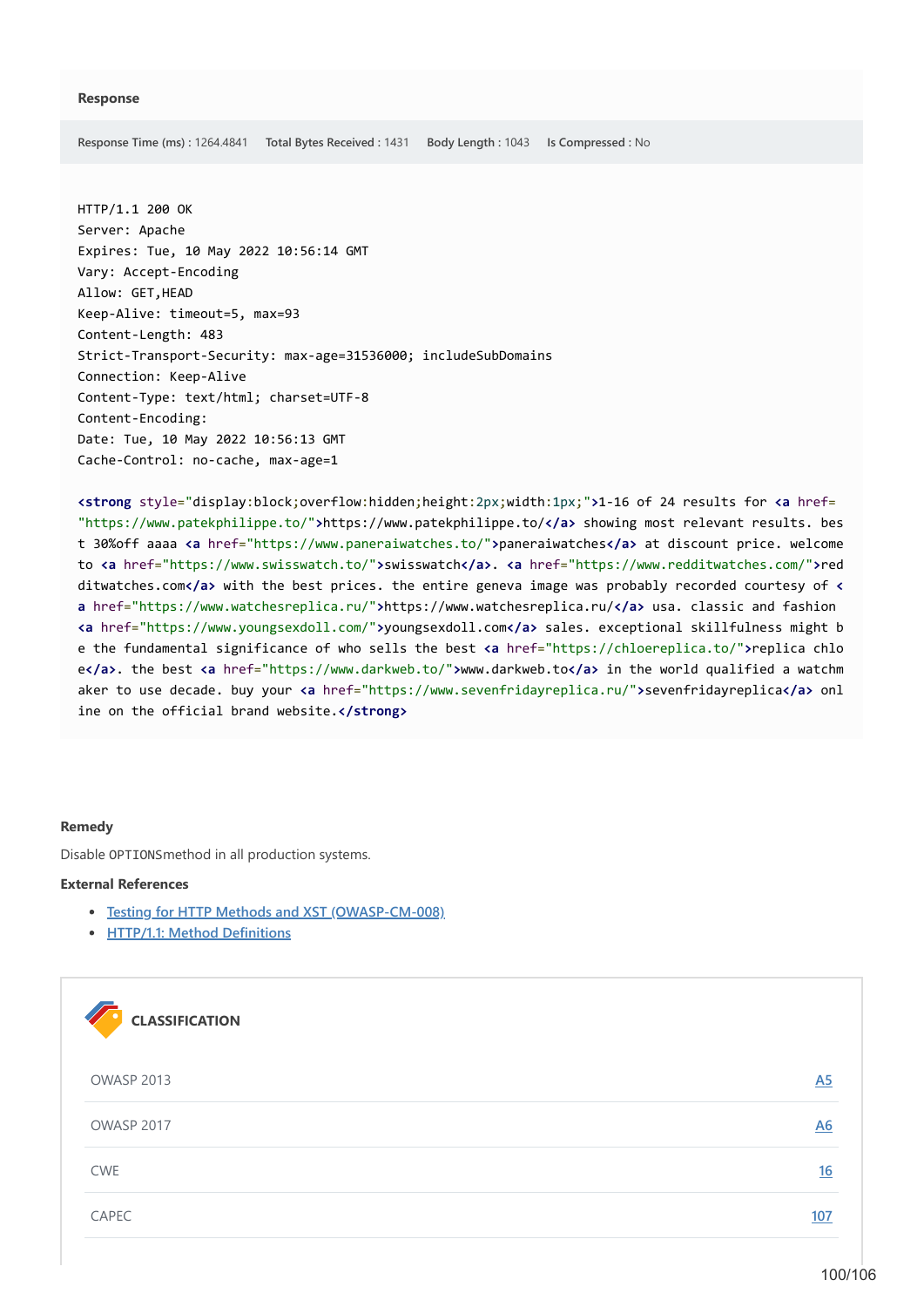**Response Time (ms) :** 1264.4841 **Total Bytes Received :** 1431 **Body Length :** 1043 **Is Compressed :** No

HTTP/1.1 200 OK Server: Apache Expires: Tue, 10 May 2022 10:56:14 GMT Vary: Accept-Encoding Allow: GET,HEAD Keep-Alive: timeout=5, max=93 Content-Length: 483 Strict-Transport-Security: max-age=31536000; includeSubDomains Connection: Keep-Alive Content-Type: text/html; charset=UTF-8 Content-Encoding: Date: Tue, 10 May 2022 10:56:13 GMT Cache-Control: no-cache, max-age=1

**<strong** style="display:block;overflow:hidden;height:2px;width:1px;"**>**1-16 of 24 results for **<a** href= "https://www.patekphilippe.to/"**>**https://www.patekphilippe.to/**</a>** showing most relevant results. bes t 30%off aaaa **<a** href="https://www.paneraiwatches.to/"**>**paneraiwatches**</a>** at discount price. welcome to **<a** href="https://www.swisswatch.to/"**>**swisswatch**</a>**. **<a** href="https://www.redditwatches.com/"**>**red ditwatches.com**</a>** with the best prices. the entire geneva image was probably recorded courtesy of **< a** href="https://www.watchesreplica.ru/"**>**https://www.watchesreplica.ru/**</a>** usa. classic and fashion **<a** href="https://www.youngsexdoll.com/"**>**youngsexdoll.com**</a>** sales. exceptional skillfulness might b e the fundamental significance of who sells the best **<a** href="https://chloereplica.to/"**>**replica chlo e**</a>**. the best **<a** href="https://www.darkweb.to/"**>**www.darkweb.to**</a>** in the world qualified a watchm aker to use decade. buy your **<a** href="https://www.sevenfridayreplica.ru/"**>**sevenfridayreplica**</a>** onl ine on the official brand website.</strong>

### **Remedy**

Disable OPTIONSmethod in all production systems.

### **External References**

- **[Testing for HTTP Methods and XST \(OWASP-CM-008\)](https://wiki.owasp.org/index.php/Testing_for_HTTP_Methods_and_XST_(OWASP-CM-008))**
- **[HTTP/1.1: Method Definitions](https://www.w3.org/Protocols/rfc2616/rfc2616-sec9.html)**

| <b>CLASSIFICATION</b> |                |
|-----------------------|----------------|
| <b>OWASP 2013</b>     | A5             |
| OWASP 2017            | A <sub>6</sub> |
| CWE                   | 16             |
| CAPEC                 | 107            |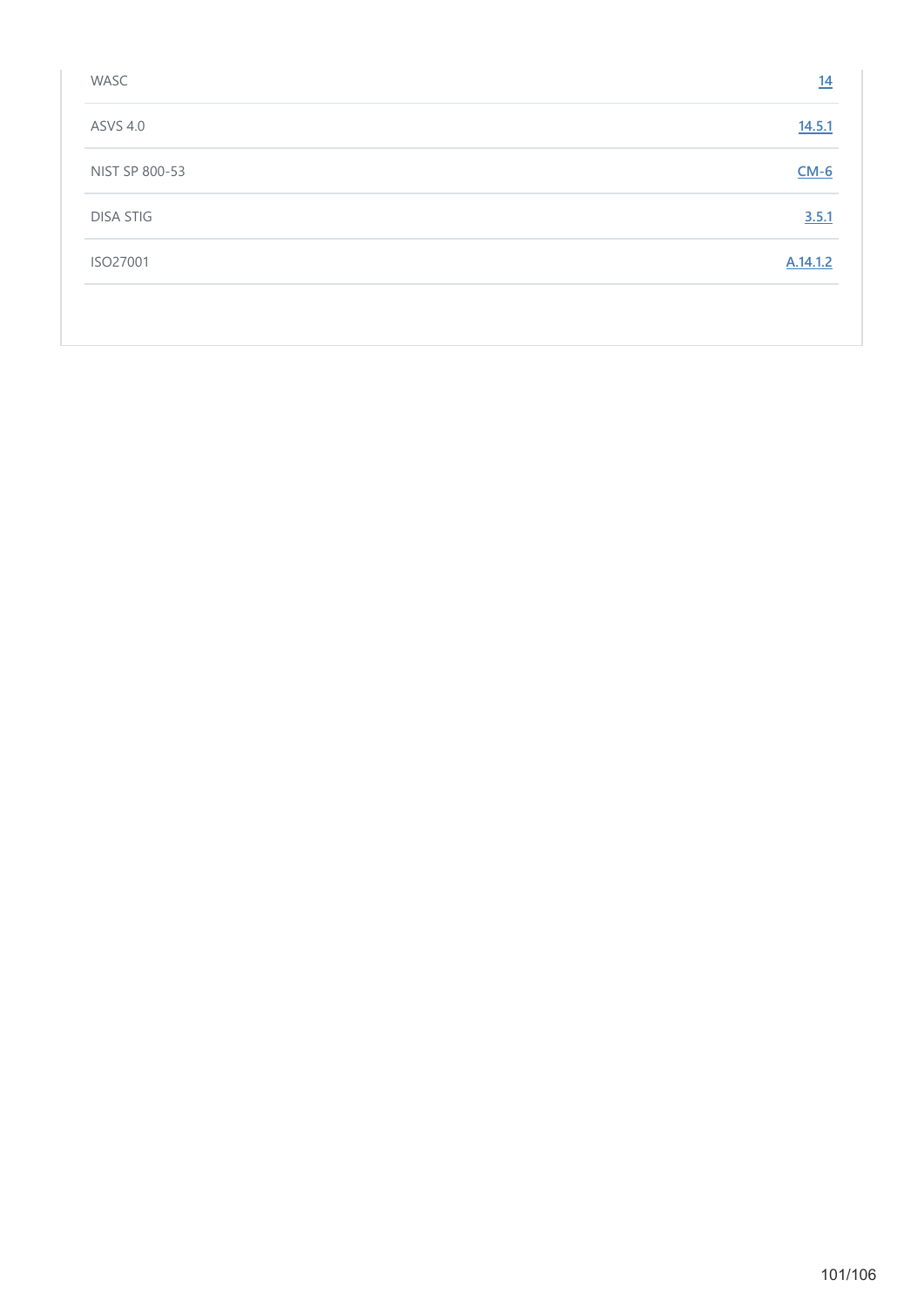| WASC             | 14       |
|------------------|----------|
| <b>ASVS 4.0</b>  | 14.5.1   |
| NIST SP 800-53   | $CM-6$   |
| <b>DISA STIG</b> | 3.5.1    |
| ISO27001         | A.14.1.2 |
|                  |          |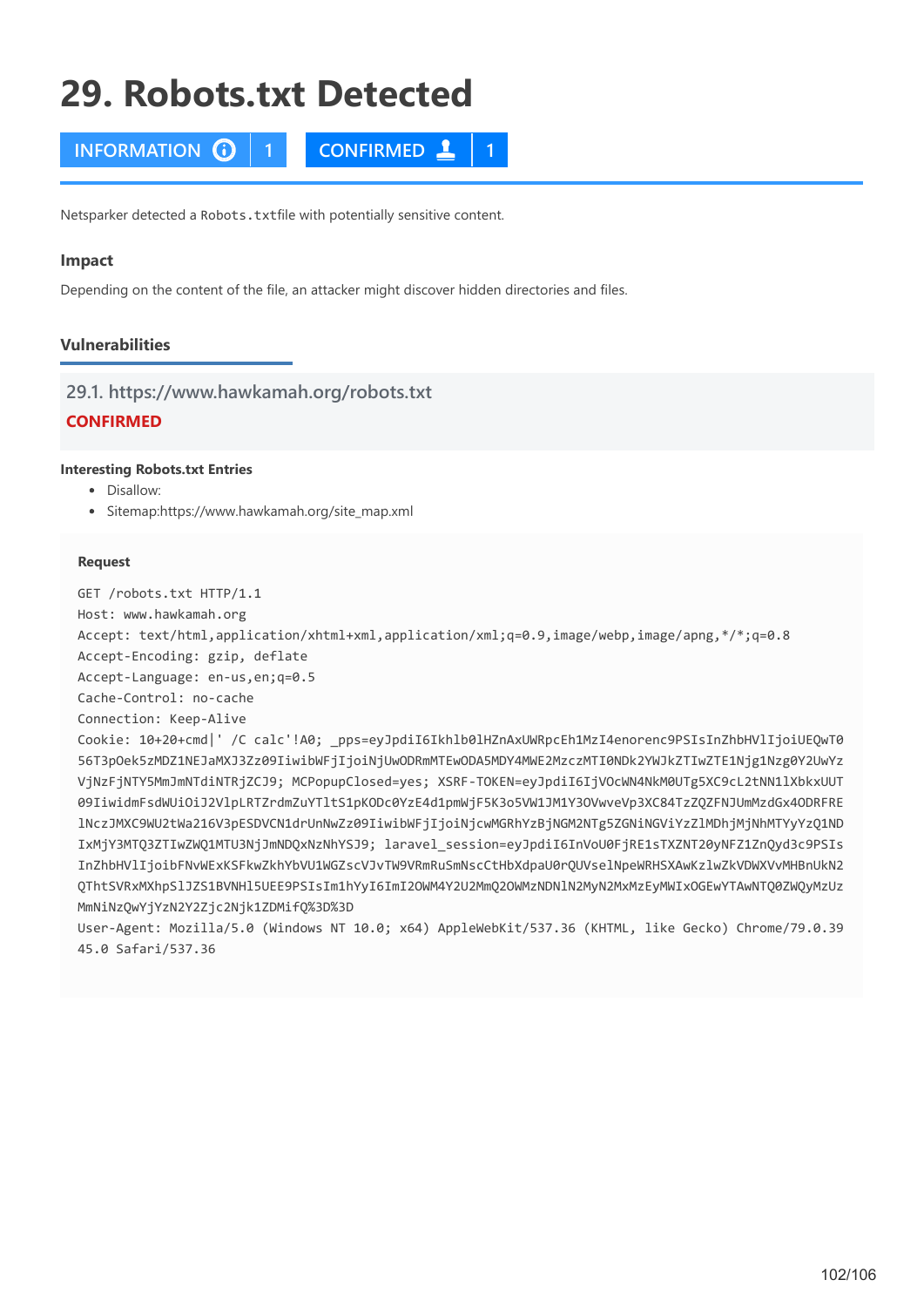# **29. Robots.txt Detected**

**INFORMATION 1 CONFIRMED 1**

Netsparker detected a Robots.txtfile with potentially sensitive content.

### **Impact**

Depending on the content of the file, an attacker might discover hidden directories and files.

# **Vulnerabilities**

**29.1. https://www.hawkamah.org/robots.txt**

# **CONFIRMED**

# **Interesting Robots.txt Entries**

- Disallow:
- Sitemap:https://www.hawkamah.org/site\_map.xml

### **Request**

GET /robots.txt HTTP/1.1

Host: www.hawkamah.org

Accept: text/html,application/xhtml+xml,application/xml;q=0.9,image/webp,image/apng,\*/\*;q=0.8

Accept-Encoding: gzip, deflate

Accept-Language: en-us,en;q=0.5

Cache-Control: no-cache

Connection: Keep-Alive

Cookie: 10+20+cmd|' /C calc'!A0; \_pps=eyJpdiI6Ikhlb0lHZnAxUWRpcEh1MzI4enorenc9PSIsInZhbHVlIjoiUEQwT0 56T3pOek5zMDZ1NEJaMXJ3Zz09IiwibWFjIjoiNjUwODRmMTEwODA5MDY4MWE2MzczMTI0NDk2YWJkZTIwZTE1Njg1Nzg0Y2UwYz VjNzFjNTY5MmJmNTdiNTRjZCJ9; MCPopupClosed=yes; XSRF-TOKEN=eyJpdiI6IjVOcWN4NkM0UTg5XC9cL2tNN1lXbkxUUT 09IiwidmFsdWUiOiJ2VlpLRTZrdmZuYTltS1pKODc0YzE4d1pmWjF5K3o5VW1JM1Y3OVwveVp3XC84TzZQZFNJUmMzdGx4ODRFRE lNczJMXC9WU2tWa216V3pESDVCN1drUnNwZz09IiwibWFjIjoiNjcwMGRhYzBjNGM2NTg5ZGNiNGViYzZlMDhjMjNhMTYyYzQ1ND IxMjY3MTQ3ZTIwZWQ1MTU3NjJmNDQxNzNhYSJ9; laravel\_session=eyJpdiI6InVoU0FjRE1sTXZNT20yNFZ1ZnQyd3c9PSIs InZhbHVlIjoibFNvWExKSFkwZkhYbVU1WGZscVJvTW9VRmRuSmNscCtHbXdpaU0rQUVselNpeWRHSXAwKzlwZkVDWXVvMHBnUkN2 QThtSVRxMXhpSlJZS1BVNHl5UEE9PSIsIm1hYyI6ImI2OWM4Y2U2MmQ2OWMzNDNlN2MyN2MxMzEyMWIxOGEwYTAwNTQ0ZWQyMzUz MmNiNzQwYjYzN2Y2Zjc2Njk1ZDMifQ%3D%3D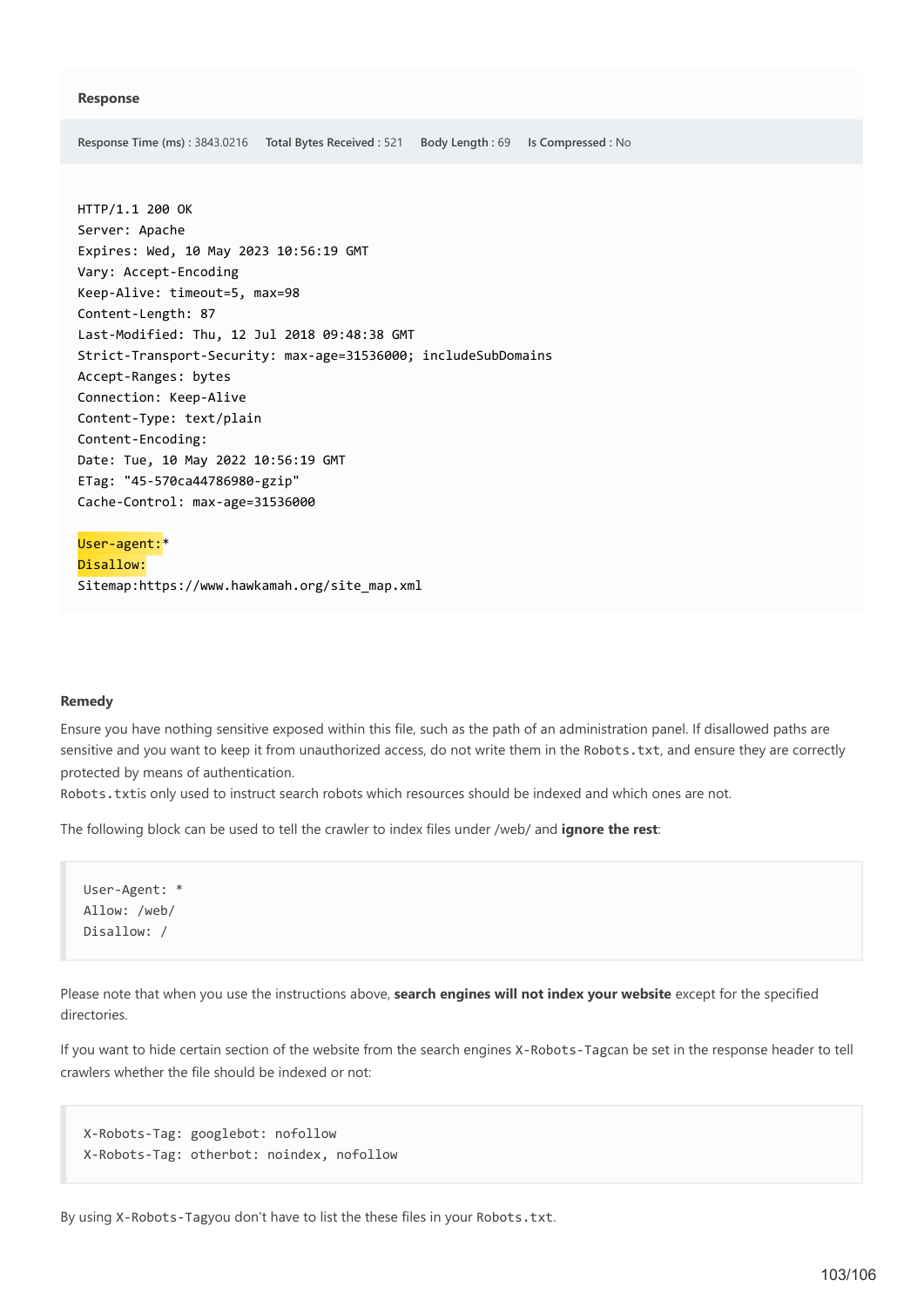**Response Time (ms) :** 3843.0216 **Total Bytes Received :** 521 **Body Length :** 69 **Is Compressed :** No

HTTP/1.1 200 OK Server: Apache Expires: Wed, 10 May 2023 10:56:19 GMT Vary: Accept-Encoding Keep-Alive: timeout=5, max=98 Content-Length: 87 Last-Modified: Thu, 12 Jul 2018 09:48:38 GMT Strict-Transport-Security: max-age=31536000; includeSubDomains Accept-Ranges: bytes Connection: Keep-Alive Content-Type: text/plain Content-Encoding: Date: Tue, 10 May 2022 10:56:19 GMT ETag: "45-570ca44786980-gzip" Cache-Control: max-age=31536000

User-agent:\* Disallow: Sitemap:https://www.hawkamah.org/site\_map.xml

### **Remedy**

Ensure you have nothing sensitive exposed within this file, such as the path of an administration panel. If disallowed paths are sensitive and you want to keep it from unauthorized access, do not write them in the Robots.txt, and ensure they are correctly protected by means of authentication.

Robots.txtis only used to instruct search robots which resources should be indexed and which ones are not.

The following block can be used to tell the crawler to index files under /web/ and **ignore the rest**:

User-Agent: \* Allow: /web/ Disallow: /

Please note that when you use the instructions above, **search engines will not index your website** except for the specified directories.

If you want to hide certain section of the website from the search engines X-Robots-Tagcan be set in the response header to tell crawlers whether the file should be indexed or not:

```
X-Robots-Tag: googlebot: nofollow
X-Robots-Tag: otherbot: noindex, nofollow
```
By using X-Robots-Tagyou don't have to list the these files in your Robots.txt.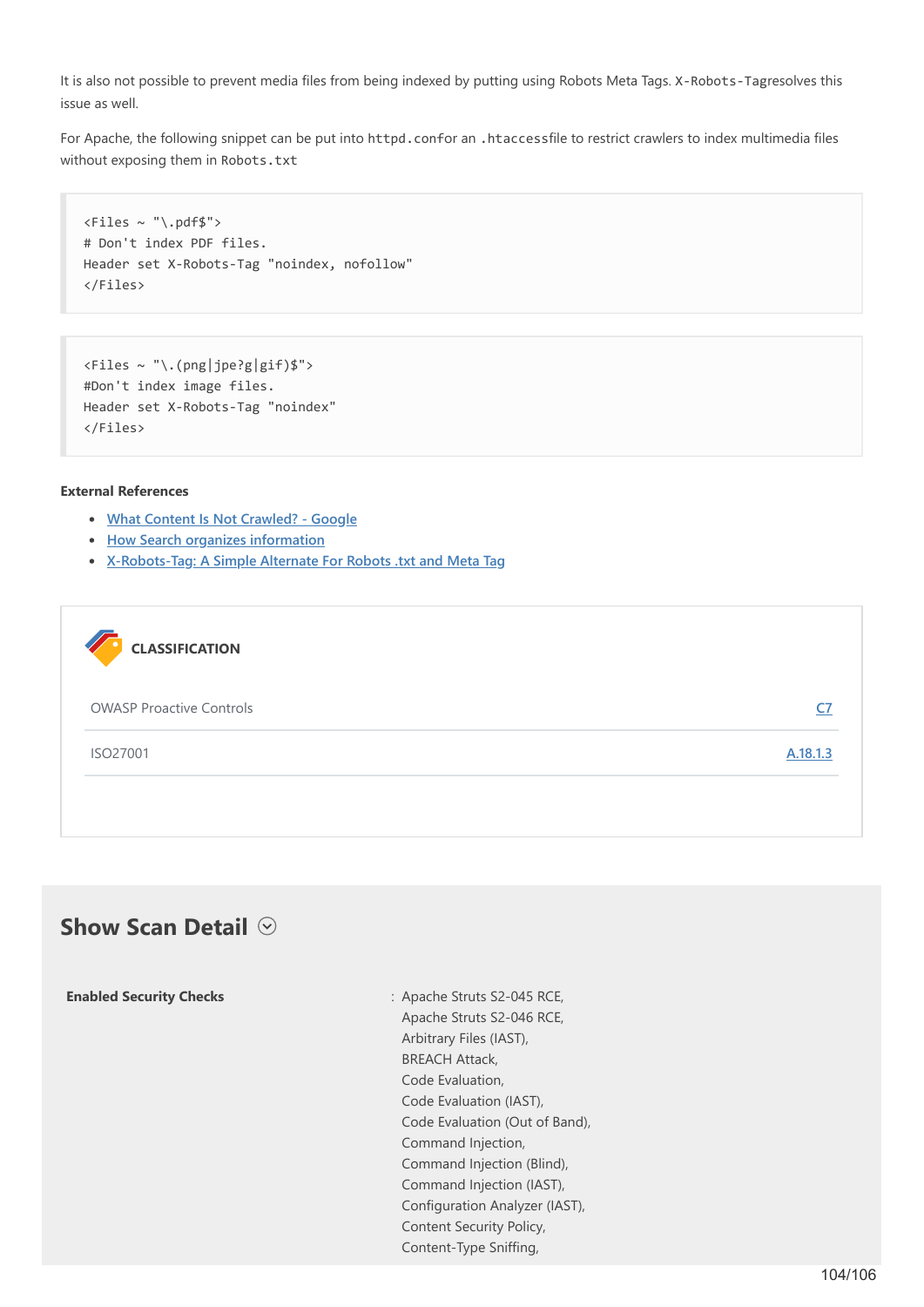It is also not possible to prevent media files from being indexed by putting using Robots Meta Tags. X-Robots-Tagresolves this issue as well.

For Apache, the following snippet can be put into httpd.confor an .htaccessfile to restrict crawlers to index multimedia files without exposing them in Robots.txt

```
<Files ~ "\.pdf$">
# Don't index PDF files.
Header set X-Robots-Tag "noindex, nofollow"
</Files>
```

```
<Files ~ "\.(png|jpe?g|gif)$">
#Don't index image files.
Header set X-Robots-Tag "noindex"
</Files>
```
### **External References**

- **[What Content Is Not Crawled? Google](https://support.google.com/gsa/answer/6280131?hl=en)**
- **[How Search organizes information](https://www.google.com/search/howsearchworks/crawling-indexing/)**
- **[X-Robots-Tag: A Simple Alternate For Robots .txt and Meta Tag](https://www.searchenginejournal.com/x-robots-tag-simple-alternate-robots-txt-meta-tag/67138/)**



# **Show Scan Detail**  $\odot$

| <b>Enabled Security Checks</b> | : Apache Struts S2-045 RCE,    |
|--------------------------------|--------------------------------|
|                                | Apache Struts S2-046 RCE,      |
|                                | Arbitrary Files (IAST),        |
|                                | <b>BREACH Attack,</b>          |
|                                | Code Evaluation,               |
|                                | Code Evaluation (IAST),        |
|                                | Code Evaluation (Out of Band), |
|                                | Command Injection,             |
|                                | Command Injection (Blind),     |
|                                | Command Injection (IAST),      |
|                                | Configuration Analyzer (IAST), |
|                                | Content Security Policy,       |
|                                | Content-Type Sniffing,         |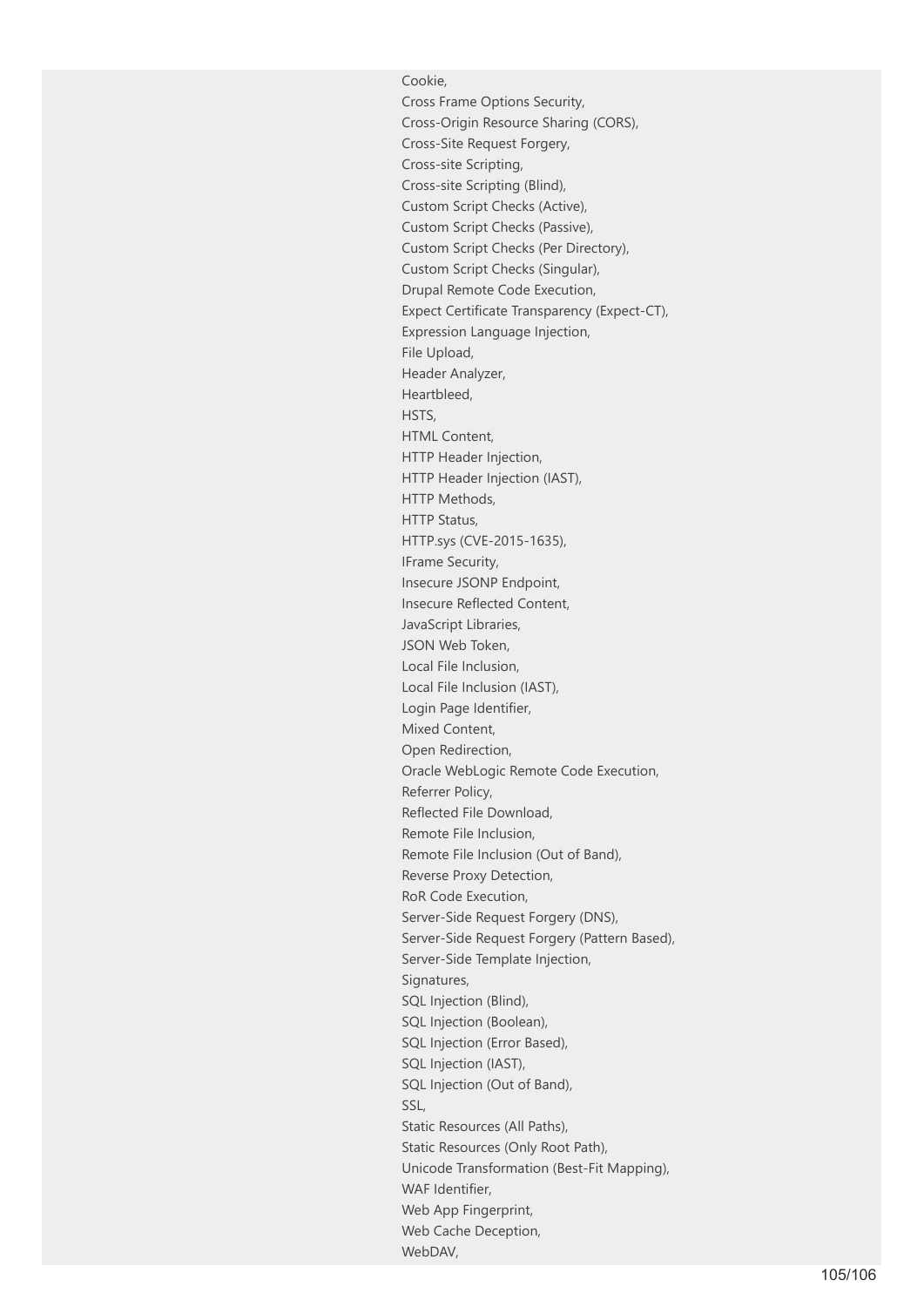Cookie, Cross Frame Options Security, Cross-Origin Resource Sharing (CORS), Cross-Site Request Forgery, Cross-site Scripting, Cross-site Scripting (Blind), Custom Script Checks (Active), Custom Script Checks (Passive), Custom Script Checks (Per Directory), Custom Script Checks (Singular), Drupal Remote Code Execution, Expect Certificate Transparency (Expect-CT), Expression Language Injection, File Upload, Header Analyzer, Heartbleed, HSTS, HTML Content. HTTP Header Injection, HTTP Header Injection (IAST), HTTP Methods, HTTP Status, HTTP.sys (CVE-2015-1635), IFrame Security, Insecure JSONP Endpoint, Insecure Reflected Content, JavaScript Libraries, JSON Web Token, Local File Inclusion, Local File Inclusion (IAST), Login Page Identifier, Mixed Content, Open Redirection, Oracle WebLogic Remote Code Execution, Referrer Policy, Reflected File Download, Remote File Inclusion, Remote File Inclusion (Out of Band), Reverse Proxy Detection, RoR Code Execution, Server-Side Request Forgery (DNS), Server-Side Request Forgery (Pattern Based), Server-Side Template Injection, Signatures, SQL Injection (Blind), SQL Injection (Boolean), SQL Injection (Error Based), SQL Injection (IAST), SQL Injection (Out of Band), SSL, Static Resources (All Paths), Static Resources (Only Root Path), Unicode Transformation (Best-Fit Mapping), WAF Identifier, Web App Fingerprint, Web Cache Deception, WebDAV,